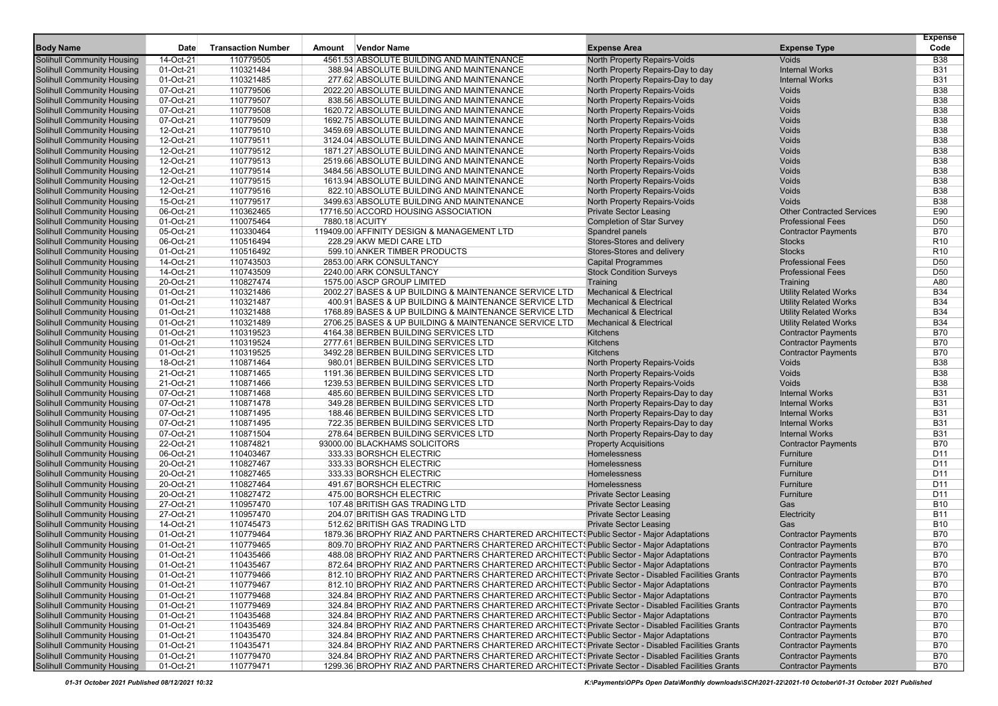|                                                                 |                        |                           |                                                                                                   |                                     |                                  | <b>Expense</b>                     |
|-----------------------------------------------------------------|------------------------|---------------------------|---------------------------------------------------------------------------------------------------|-------------------------------------|----------------------------------|------------------------------------|
| <b>Body Name</b>                                                | <b>Date</b>            | <b>Transaction Number</b> | <b>Vendor Name</b><br>Amount                                                                      | <b>Expense Area</b>                 | <b>Expense Type</b>              | Code                               |
| Solihull Community Housing                                      | 14-Oct-21              | 110779505                 | 4561.53 ABSOLUTE BUILDING AND MAINTENANCE                                                         | North Property Repairs-Voids        | <b>Voids</b>                     | <b>B38</b>                         |
| Solihull Community Housing                                      | 01-Oct-21              | 110321484                 | 388.94 ABSOLUTE BUILDING AND MAINTENANCE                                                          | North Property Repairs-Day to day   | <b>Internal Works</b>            | <b>B31</b>                         |
| Solihull Community Housing                                      | 01-Oct-21              | 110321485                 | 277.62 ABSOLUTE BUILDING AND MAINTENANCE                                                          | North Property Repairs-Day to day   | <b>Internal Works</b>            | <b>B31</b>                         |
| Solihull Community Housing                                      | 07-Oct-21              | 110779506                 | 2022.20 ABSOLUTE BUILDING AND MAINTENANCE                                                         | North Property Repairs-Voids        | Voids                            | <b>B38</b>                         |
| <b>Solihull Community Housing</b>                               | 07-Oct-21              | 110779507                 | 838.56 ABSOLUTE BUILDING AND MAINTENANCE                                                          | <b>North Property Repairs-Voids</b> | Voids                            | <b>B38</b>                         |
| <b>Solihull Community Housing</b>                               | 07-Oct-21              | 110779508                 | 1620.72 ABSOLUTE BUILDING AND MAINTENANCE                                                         | North Property Repairs-Voids        | Voids                            | <b>B38</b>                         |
| Solihull Community Housing                                      | 07-Oct-21              | 110779509                 | 1692.75 ABSOLUTE BUILDING AND MAINTENANCE                                                         | North Property Repairs-Voids        | Voids                            | <b>B38</b>                         |
| Solihull Community Housing                                      | 12-Oct-21              | 110779510                 | 3459.69 ABSOLUTE BUILDING AND MAINTENANCE                                                         | North Property Repairs-Voids        | Voids                            | <b>B38</b>                         |
| Solihull Community Housing                                      | 12-Oct-21              | 110779511                 | 3124.04 ABSOLUTE BUILDING AND MAINTENANCE                                                         | North Property Repairs-Voids        | Voids                            | <b>B38</b>                         |
| <b>Solihull Community Housing</b>                               | 12-Oct-21              | 110779512                 | 1871.27 ABSOLUTE BUILDING AND MAINTENANCE                                                         | North Property Repairs-Voids        | Voids                            | <b>B38</b>                         |
| Solihull Community Housing                                      | 12-Oct-21              | 110779513                 | 2519.66 ABSOLUTE BUILDING AND MAINTENANCE                                                         | North Property Repairs-Voids        | Voids                            | <b>B38</b>                         |
| Solihull Community Housing                                      | 12-Oct-21              | 110779514                 | 3484.56 ABSOLUTE BUILDING AND MAINTENANCE                                                         | North Property Repairs-Voids        | Voids                            | <b>B38</b>                         |
| Solihull Community Housing                                      | 12-Oct-21              | 110779515                 | 1613.94 ABSOLUTE BUILDING AND MAINTENANCE                                                         | North Property Repairs-Voids        | Voids                            | <b>B38</b>                         |
| Solihull Community Housing                                      | 12-Oct-21              | 110779516                 | 822.10 ABSOLUTE BUILDING AND MAINTENANCE                                                          | North Property Repairs-Voids        | Voids                            | <b>B38</b>                         |
| <b>Solihull Community Housing</b>                               | 15-Oct-21              | 110779517                 | 3499.63 ABSOLUTE BUILDING AND MAINTENANCE                                                         | North Property Repairs-Voids        | <b>Voids</b>                     | <b>B38</b>                         |
| Solihull Community Housing                                      | 06-Oct-21              | 110362465                 | 17716.50 ACCORD HOUSING ASSOCIATION                                                               | <b>Private Sector Leasing</b>       | <b>Other Contracted Services</b> | E90                                |
| <b>Solihull Community Housing</b>                               | 01-Oct-21              | 110075464                 | 7880.18 ACUITY                                                                                    | <b>Completion of Star Survey</b>    | <b>Professional Fees</b>         | D <sub>50</sub>                    |
| Solihull Community Housing                                      | 05-Oct-21              | 110330464                 | 119409.00 AFFINITY DESIGN & MANAGEMENT LTD                                                        | Spandrel panels                     | <b>Contractor Payments</b>       | <b>B70</b>                         |
| Solihull Community Housing                                      | 06-Oct-21              | 110516494                 | 228.29 AKW MEDI CARE LTD                                                                          | Stores-Stores and delivery          | <b>Stocks</b>                    | R <sub>10</sub>                    |
| Solihull Community Housing                                      | 01-Oct-21              | 110516492                 | 599.10 ANKER TIMBER PRODUCTS                                                                      | Stores-Stores and delivery          | <b>Stocks</b>                    | R <sub>10</sub>                    |
| Solihull Community Housing                                      | 14-Oct-21              | 110743503                 | 2853.00 ARK CONSULTANCY                                                                           | <b>Capital Programmes</b>           | <b>Professional Fees</b>         | D <sub>50</sub>                    |
| <b>Solihull Community Housing</b>                               | 14-Oct-21              | 110743509                 | 2240.00 ARK CONSULTANCY                                                                           | <b>Stock Condition Surveys</b>      | <b>Professional Fees</b>         | D <sub>50</sub>                    |
| <b>Solihull Community Housing</b>                               | 20-Oct-21              | 110827474                 | 1575.00 ASCP GROUP LIMITED                                                                        | Training                            | Training                         | A80                                |
| <b>Solihull Community Housing</b>                               | 01-Oct-21              | 110321486                 | 2002.27 BASES & UP BUILDING & MAINTENANCE SERVICE LTD                                             | <b>Mechanical &amp; Electrical</b>  | <b>Utility Related Works</b>     | <b>B34</b>                         |
| Solihull Community Housing                                      | 01-Oct-21              | 110321487                 | 400.91 BASES & UP BUILDING & MAINTENANCE SERVICE LTD                                              | <b>Mechanical &amp; Electrical</b>  | <b>Utility Related Works</b>     | <b>B34</b>                         |
| Solihull Community Housing                                      | 01-Oct-21              | 110321488                 | 1768.89 BASES & UP BUILDING & MAINTENANCE SERVICE LTD                                             | <b>Mechanical &amp; Electrical</b>  | <b>Utility Related Works</b>     | <b>B34</b>                         |
| Solihull Community Housing                                      | 01-Oct-21              | 110321489                 | 2706.25 BASES & UP BUILDING & MAINTENANCE SERVICE LTD                                             | <b>Mechanical &amp; Electrical</b>  | <b>Utility Related Works</b>     | <b>B34</b>                         |
| Solihull Community Housing                                      | 01-Oct-21              | 110319523                 | 4164.38 BERBEN BUILDING SERVICES LTD                                                              | <b>Kitchens</b>                     | <b>Contractor Payments</b>       | <b>B70</b>                         |
| <b>Solihull Community Housing</b>                               | 01-Oct-21              | 110319524                 | 2777.61 BERBEN BUILDING SERVICES LTD                                                              | Kitchens                            | <b>Contractor Payments</b>       | <b>B70</b>                         |
| <b>Solihull Community Housing</b>                               | 01-Oct-21              | 110319525                 | 3492.28 BERBEN BUILDING SERVICES LTD                                                              | Kitchens                            | <b>Contractor Payments</b>       | <b>B70</b>                         |
| Solihull Community Housing                                      | 18-Oct-21              | 110871464                 | 980.01 BERBEN BUILDING SERVICES LTD                                                               | North Property Repairs-Voids        | Voids                            | <b>B38</b>                         |
| Solihull Community Housing                                      | 21-Oct-21              | 110871465                 | 1191.36 BERBEN BUILDING SERVICES LTD                                                              | <b>North Property Repairs-Voids</b> | Voids                            | <b>B38</b>                         |
| Solihull Community Housing                                      | 21-Oct-21              | 110871466                 | 1239.53 BERBEN BUILDING SERVICES LTD                                                              | North Property Repairs-Voids        | <b>Voids</b>                     | <b>B38</b>                         |
| Solihull Community Housing                                      | 07-Oct-21              | 110871468                 | 485.60 BERBEN BUILDING SERVICES LTD                                                               | North Property Repairs-Day to day   | <b>Internal Works</b>            | <b>B31</b>                         |
| Solihull Community Housing                                      | 07-Oct-21              | 110871478                 | 349.28 BERBEN BUILDING SERVICES LTD                                                               | North Property Repairs-Day to day   | <b>Internal Works</b>            | <b>B31</b>                         |
| <b>Solihull Community Housing</b>                               | 07-Oct-21              | 110871495                 | 188.46 BERBEN BUILDING SERVICES LTD                                                               | North Property Repairs-Day to day   | <b>Internal Works</b>            | <b>B31</b>                         |
| Solihull Community Housing                                      | 07-Oct-21              | 110871495                 | 722.35 BERBEN BUILDING SERVICES LTD                                                               | North Property Repairs-Day to day   | <b>Internal Works</b>            | <b>B31</b>                         |
| Solihull Community Housing                                      | 07-Oct-21              | 110871504                 | 278.64 BERBEN BUILDING SERVICES LTD                                                               | North Property Repairs-Day to day   | <b>Internal Works</b>            | <b>B31</b>                         |
| Solihull Community Housing                                      | 22-Oct-21              | 110874821                 | 93000.00 BLACKHAMS SOLICITORS                                                                     | <b>Property Acquisitions</b>        | <b>Contractor Payments</b>       | <b>B70</b>                         |
| Solihull Community Housing                                      | 06-Oct-21              | 110403467                 | 333.33 BORSHCH ELECTRIC                                                                           | Homelessness                        | Furniture                        | D11                                |
| Solihull Community Housing<br><b>Solihull Community Housing</b> | 20-Oct-21<br>20-Oct-21 | 110827467<br>110827465    | 333.33 BORSHCH ELECTRIC<br>333.33 BORSHCH ELECTRIC                                                | Homelessness<br>Homelessness        | Furniture<br>Furniture           | D <sub>11</sub><br>D <sub>11</sub> |
|                                                                 | 20-Oct-21              |                           | 491.67 BORSHCH ELECTRIC                                                                           | Homelessness                        | Furniture                        | D <sub>11</sub>                    |
| <b>Solihull Community Housing</b><br>Solihull Community Housing | 20-Oct-21              | 110827464<br>110827472    | 475.00 BORSHCH ELECTRIC                                                                           | <b>Private Sector Leasing</b>       | Furniture                        | D11                                |
| Solihull Community Housing                                      | 27-Oct-21              | 110957470                 | 107.48 BRITISH GAS TRADING LTD                                                                    | <b>Private Sector Leasing</b>       | Gas                              | <b>B10</b>                         |
| <b>Solihull Community Housing</b>                               | 27-Oct-21              | 110957470                 | 204.07 BRITISH GAS TRADING LTD                                                                    | <b>Private Sector Leasing</b>       | Electricity                      | <b>B11</b>                         |
| Solihull Community Housing                                      | 14-Oct-21              | 110745473                 | 512.62 BRITISH GAS TRADING LTD                                                                    | <b>Private Sector Leasing</b>       | Gas                              | <b>B10</b>                         |
| <b>Solihull Community Housing</b>                               | 01-Oct-21              | 110779464                 | 1879.36 BROPHY RIAZ AND PARTNERS CHARTERED ARCHITECT SPublic Sector - Major Adaptations           |                                     | <b>Contractor Payments</b>       | <b>B70</b>                         |
| Solihull Community Housing                                      | 01-Oct-21              | 110779465                 | 809.70 BROPHY RIAZ AND PARTNERS CHARTERED ARCHITECT SPublic Sector - Major Adaptations            |                                     | <b>Contractor Payments</b>       | <b>B70</b>                         |
| Solihull Community Housing                                      | 01-Oct-21              | 110435466                 | 488.08 BROPHY RIAZ AND PARTNERS CHARTERED ARCHITECT & Public Sector - Major Adaptations           |                                     | <b>Contractor Payments</b>       | <b>B70</b>                         |
| <b>Solihull Community Housing</b>                               | 01-Oct-21              | 110435467                 | 872.64 BROPHY RIAZ AND PARTNERS CHARTERED ARCHITECT! Public Sector - Major Adaptations            |                                     | <b>Contractor Payments</b>       | <b>B70</b>                         |
| Solihull Community Housing                                      | 01-Oct-21              | 110779466                 | 812.10 BROPHY RIAZ AND PARTNERS CHARTERED ARCHITECTS Private Sector - Disabled Facilities Grants  |                                     | <b>Contractor Payments</b>       | <b>B70</b>                         |
| Solihull Community Housing                                      | 01-Oct-21              | 110779467                 | 812.10 BROPHY RIAZ AND PARTNERS CHARTERED ARCHITECT & Public Sector - Major Adaptations           |                                     | <b>Contractor Payments</b>       | <b>B70</b>                         |
| <b>Solihull Community Housing</b>                               | 01-Oct-21              | 110779468                 | 324.84 BROPHY RIAZ AND PARTNERS CHARTERED ARCHITECTS Public Sector - Major Adaptations            |                                     | <b>Contractor Payments</b>       | <b>B70</b>                         |
| <b>Solihull Community Housing</b>                               | 01-Oct-21              | 110779469                 | 324.84 BROPHY RIAZ AND PARTNERS CHARTERED ARCHITECTS Private Sector - Disabled Facilities Grants  |                                     | <b>Contractor Payments</b>       | <b>B70</b>                         |
| Solihull Community Housing                                      | 01-Oct-21              | 110435468                 | 324.84 BROPHY RIAZ AND PARTNERS CHARTERED ARCHITECTS Public Sector - Major Adaptations            |                                     | <b>Contractor Payments</b>       | <b>B70</b>                         |
| Solihull Community Housing                                      | 01-Oct-21              | 110435469                 | 324.84 BROPHY RIAZ AND PARTNERS CHARTERED ARCHITECTS Private Sector - Disabled Facilities Grants  |                                     | <b>Contractor Payments</b>       | <b>B70</b>                         |
| Solihull Community Housing                                      | 01-Oct-21              | 110435470                 | 324.84 BROPHY RIAZ AND PARTNERS CHARTERED ARCHITECT & Public Sector - Major Adaptations           |                                     | <b>Contractor Payments</b>       | B70                                |
| Solihull Community Housing                                      | 01-Oct-21              | 110435471                 | 324.84 BROPHY RIAZ AND PARTNERS CHARTERED ARCHITECT! Private Sector - Disabled Facilities Grants  |                                     | <b>Contractor Payments</b>       | <b>B70</b>                         |
| Solihull Community Housing                                      | 01-Oct-21              | 110779470                 | 324.84 BROPHY RIAZ AND PARTNERS CHARTERED ARCHITECTS Private Sector - Disabled Facilities Grants  |                                     | <b>Contractor Payments</b>       | B70                                |
| <b>Solihull Community Housing</b>                               | 01-Oct-21              | 110779471                 | 1299.36 BROPHY RIAZ AND PARTNERS CHARTERED ARCHITECT! Private Sector - Disabled Facilities Grants |                                     | <b>Contractor Payments</b>       | <b>B70</b>                         |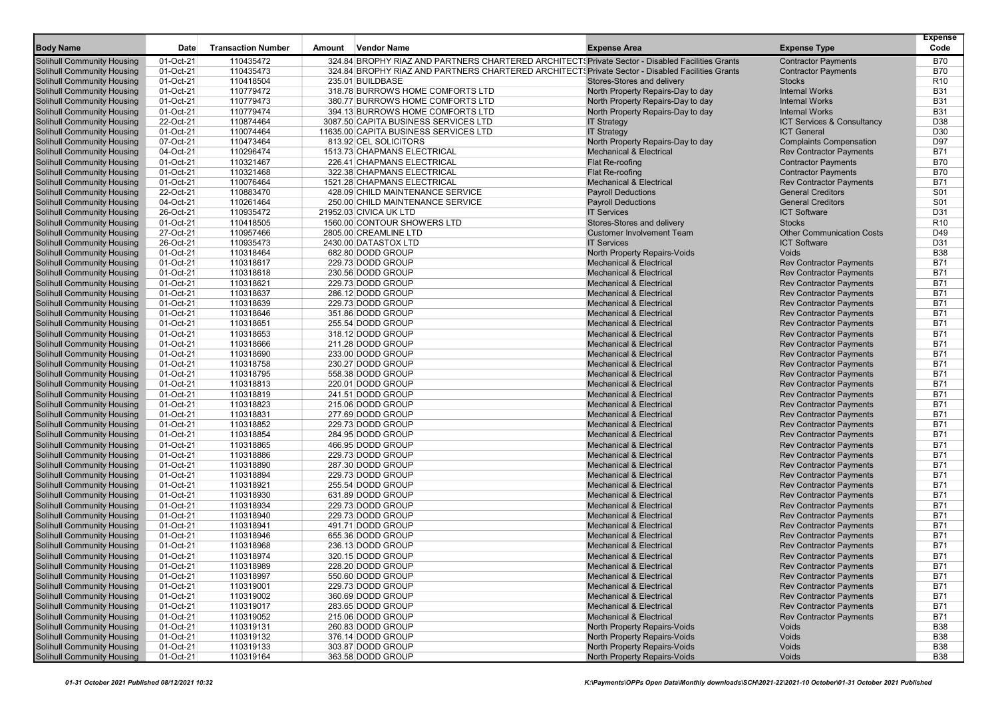| 01-Oct-21<br>110435472<br>324.84 BROPHY RIAZ AND PARTNERS CHARTERED ARCHITECTS Private Sector - Disabled Facilities Grants<br><b>B70</b><br>Solihull Community Housing<br><b>Contractor Payments</b><br>Solihull Community Housing<br>01-Oct-21<br>324.84 BROPHY RIAZ AND PARTNERS CHARTERED ARCHITECTS Private Sector - Disabled Facilities Grants<br><b>B70</b><br>110435473<br><b>Contractor Payments</b><br>Solihull Community Housing<br>01-Oct-21<br>110418504<br>235.01 BUILDBASE<br>Stores-Stores and delivery<br><b>Stocks</b><br>R <sub>10</sub><br>318.78 BURROWS HOME COMFORTS LTD<br><b>B31</b><br>Solihull Community Housing<br>01-Oct-21<br>110779472<br>North Property Repairs-Day to day<br><b>Internal Works</b><br><b>B31</b><br><b>Solihull Community Housing</b><br>01-Oct-21<br>110779473<br>380.77 BURROWS HOME COMFORTS LTD<br>North Property Repairs-Day to day<br><b>Internal Works</b><br>01-Oct-21<br>110779474<br>394.13 BURROWS HOME COMFORTS LTD<br><b>B31</b><br><b>Solihull Community Housing</b><br>North Property Repairs-Day to day<br><b>Internal Works</b><br>D38<br>Solihull Community Housing<br>22-Oct-21<br>110874464<br>3087.50 CAPITA BUSINESS SERVICES LTD<br><b>IT Strategy</b><br>ICT Services & Consultancy<br>01-Oct-21<br>110074464<br>D <sub>30</sub><br>Solihull Community Housing<br>11635.00 CAPITA BUSINESS SERVICES LTD<br><b>IT Strategy</b><br><b>ICT General</b><br>Solihull Community Housing<br>07-Oct-21<br>110473464<br>813.92 CEL SOLICITORS<br>North Property Repairs-Day to day<br>D97<br><b>Complaints Compensation</b><br><b>Solihull Community Housing</b><br>04-Oct-21<br>110296474<br>1513.73 CHAPMANS ELECTRICAL<br><b>Mechanical &amp; Electrical</b><br><b>Rev Contractor Payments</b><br><b>B71</b><br><b>B70</b><br>Solihull Community Housing<br>01-Oct-21<br>110321467<br>226.41 CHAPMANS ELECTRICAL<br>Flat Re-roofing<br><b>Contractor Payments</b><br><b>Solihull Community Housing</b><br>01-Oct-21<br>110321468<br>Flat Re-roofing<br><b>Contractor Payments</b><br><b>B70</b><br>322.38 CHAPMANS ELECTRICAL<br>Solihull Community Housing<br>01-Oct-21<br>110076464<br><b>Mechanical &amp; Electrical</b><br><b>Rev Contractor Payments</b><br><b>B71</b><br>1521.28 CHAPMANS ELECTRICAL<br><b>General Creditors</b><br>S01<br><b>Solihull Community Housing</b><br>22-Oct-21<br>110883470<br>428.09 CHILD MAINTENANCE SERVICE<br><b>Payroll Deductions</b><br>04-Oct-21<br>110261464<br><b>Payroll Deductions</b><br><b>General Creditors</b><br>S01<br>Solihull Community Housing<br>250.00 CHILD MAINTENANCE SERVICE<br>Solihull Community Housing<br>26-Oct-21<br>110935472<br>21952.03 CIVICA UK LTD<br><b>ICT Software</b><br>D31<br><b>IT Services</b><br>Stores-Stores and delivery<br><b>Stocks</b><br>R <sub>10</sub><br>Solihull Community Housing<br>01-Oct-21<br>110418505<br>1560.00 CONTOUR SHOWERS LTD<br>27-Oct-21<br>110957466<br><b>Customer Involvement Team</b><br><b>Other Communication Costs</b><br>D49<br><b>Solihull Community Housing</b><br>2805.00 CREAMLINE LTD<br><b>Solihull Community Housing</b><br>26-Oct-21<br>110935473<br><b>ICT Software</b><br>D31<br>2430.00 DATASTOX LTD<br><b>IT Services</b><br><b>B38</b><br>Solihull Community Housing<br>01-Oct-21<br>110318464<br>682.80 DODD GROUP<br>North Property Repairs-Voids<br>Voids<br>01-Oct-21<br><b>Mechanical &amp; Electrical</b><br><b>B71</b><br>Solihull Community Housing<br>110318617<br>229.73 DODD GROUP<br><b>Rev Contractor Payments</b><br><b>B71</b><br>Solihull Community Housing<br>01-Oct-21<br>110318618<br>230.56 DODD GROUP<br><b>Mechanical &amp; Electrical</b><br><b>Rev Contractor Payments</b><br><b>B71</b><br>Solihull Community Housing<br>01-Oct-21<br>110318621<br>229.73 DODD GROUP<br><b>Mechanical &amp; Electrical</b><br><b>Rev Contractor Payments</b><br>286.12 DODD GROUP<br><b>Rev Contractor Payments</b><br><b>B71</b><br><b>Solihull Community Housing</b><br>01-Oct-21<br>110318637<br><b>Mechanical &amp; Electrical</b><br>110318639<br><b>B71</b><br><b>Solihull Community Housing</b><br>01-Oct-21<br>229.73 DODD GROUP<br><b>Mechanical &amp; Electrical</b><br><b>Rev Contractor Payments</b><br><b>B71</b><br>Solihull Community Housing<br>01-Oct-21<br>110318646<br>351.86 DODD GROUP<br><b>Mechanical &amp; Electrical</b><br><b>Rev Contractor Payments</b><br>01-Oct-21<br>255.54 DODD GROUP<br><b>Rev Contractor Payments</b><br><b>B71</b><br>Solihull Community Housing<br>110318651<br><b>Mechanical &amp; Electrical</b><br>Solihull Community Housing<br>01-Oct-21<br>110318653<br>318.12 DODD GROUP<br><b>Mechanical &amp; Electrical</b><br><b>Rev Contractor Payments</b><br><b>B71</b><br><b>B71</b><br><b>Solihull Community Housing</b><br>01-Oct-21<br>110318666<br>211.28 DODD GROUP<br><b>Mechanical &amp; Electrical</b><br><b>Rev Contractor Payments</b><br><b>B71</b><br><b>Solihull Community Housing</b><br>01-Oct-21<br>110318690<br>233.00 DODD GROUP<br><b>Mechanical &amp; Electrical</b><br><b>Rev Contractor Payments</b><br><b>Solihull Community Housing</b><br>01-Oct-21<br>110318758<br>230.27 DODD GROUP<br><b>Mechanical &amp; Electrical</b><br><b>Rev Contractor Payments</b><br><b>B71</b><br>Solihull Community Housing<br>01-Oct-21<br>110318795<br>558.38 DODD GROUP<br><b>Rev Contractor Payments</b><br><b>B71</b><br><b>Mechanical &amp; Electrical</b><br><b>B71</b><br>Solihull Community Housing<br>01-Oct-21<br>110318813<br>220.01 DODD GROUP<br><b>Mechanical &amp; Electrical</b><br><b>Rev Contractor Payments</b><br>01-Oct-21<br>110318819<br>241.51 DODD GROUP<br><b>Mechanical &amp; Electrical</b><br><b>B71</b><br>Solihull Community Housing<br><b>Rev Contractor Payments</b><br>Solihull Community Housing<br>01-Oct-21<br>110318823<br>215.06 DODD GROUP<br><b>Rev Contractor Payments</b><br><b>B71</b><br><b>Mechanical &amp; Electrical</b><br><b>B71</b><br><b>Solihull Community Housing</b><br>01-Oct-21<br>110318831<br>277.69 DODD GROUP<br><b>Mechanical &amp; Electrical</b><br><b>Rev Contractor Payments</b><br>01-Oct-21<br>110318852<br>229.73 DODD GROUP<br><b>Rev Contractor Payments</b><br><b>B71</b><br><b>Solihull Community Housing</b><br><b>Mechanical &amp; Electrical</b><br>Solihull Community Housing<br>01-Oct-21<br>110318854<br>284.95 DODD GROUP<br><b>Mechanical &amp; Electrical</b><br><b>Rev Contractor Payments</b><br><b>B71</b><br><b>Rev Contractor Payments</b><br><b>B71</b><br>Solihull Community Housing<br>01-Oct-21<br>110318865<br>466.95 DODD GROUP<br><b>Mechanical &amp; Electrical</b><br><b>Rev Contractor Payments</b><br><b>B71</b><br>Solihull Community Housing<br>01-Oct-21<br>110318886<br>229.73 DODD GROUP<br><b>Mechanical &amp; Electrical</b><br>287.30 DODD GROUP<br><b>B71</b><br><b>Solihull Community Housing</b><br>01-Oct-21<br>110318890<br><b>Mechanical &amp; Electrical</b><br><b>Rev Contractor Payments</b><br><b>B71</b><br>Solihull Community Housing<br><b>Rev Contractor Payments</b><br>01-Oct-21<br>110318894<br>229.73 DODD GROUP<br><b>Mechanical &amp; Electrical</b><br><b>Rev Contractor Payments</b><br><b>B71</b><br>Solihull Community Housing<br>01-Oct-21<br>110318921<br>255.54 DODD GROUP<br><b>Mechanical &amp; Electrical</b><br><b>B71</b><br>Solihull Community Housing<br>01-Oct-21<br>110318930<br>631.89 DODD GROUP<br><b>Mechanical &amp; Electrical</b><br><b>Rev Contractor Payments</b><br>229.73 DODD GROUP<br><b>B71</b><br>Solihull Community Housing<br>01-Oct-21<br>110318934<br><b>Mechanical &amp; Electrical</b><br><b>Rev Contractor Payments</b><br><b>B71</b><br>Solihull Community Housing<br>01-Oct-21<br>110318940<br>229.73 DODD GROUP<br><b>Mechanical &amp; Electrical</b><br><b>Rev Contractor Payments</b><br><b>B71</b><br>Solihull Community Housing<br>01-Oct-21<br>110318941<br>491.71 DODD GROUP<br><b>Mechanical &amp; Electrical</b><br><b>Rev Contractor Payments</b><br>B71<br>Solihull Community Housing<br>01-Oct-21<br>110318946<br>655.36 DODD GROUP<br><b>Mechanical &amp; Electrical</b><br><b>Rev Contractor Payments</b><br><b>B71</b><br>Solihull Community Housing<br>01-Oct-21<br>110318968<br>236.13 DODD GROUP<br><b>Mechanical &amp; Electrical</b><br><b>Rev Contractor Payments</b><br><b>B71</b><br><b>Solihull Community Housing</b><br>01-Oct-21<br>110318974<br>320.15 DODD GROUP<br><b>Rev Contractor Payments</b><br><b>Mechanical &amp; Electrical</b><br><b>B71</b><br>01-Oct-21<br>Solihull Community Housing<br>110318989<br>228.20 DODD GROUP<br><b>Rev Contractor Payments</b><br><b>Mechanical &amp; Electrical</b><br><b>B71</b><br>Solihull Community Housing<br>01-Oct-21<br>110318997<br>550.60 DODD GROUP<br><b>Rev Contractor Payments</b><br>Mechanical & Electrical<br><b>Solihull Community Housing</b><br>110319001<br>229.73 DODD GROUP<br><b>Mechanical &amp; Electrical</b><br><b>Rev Contractor Payments</b><br>01-Oct-21<br><b>B71</b><br>Solihull Community Housing<br>01-Oct-21<br>110319002<br>360.69 DODD GROUP<br><b>Rev Contractor Payments</b><br><b>B71</b><br><b>Mechanical &amp; Electrical</b><br><b>B71</b><br><b>Solihull Community Housing</b><br>01-Oct-21<br>283.65 DODD GROUP<br><b>Mechanical &amp; Electrical</b><br><b>Rev Contractor Payments</b><br>110319017<br><b>Solihull Community Housing</b><br>215.06 DODD GROUP<br><b>Rev Contractor Payments</b><br><b>B71</b><br>01-Oct-21<br>110319052<br><b>Mechanical &amp; Electrical</b><br><b>Solihull Community Housing</b><br>260.83 DODD GROUP<br><b>North Property Repairs-Voids</b><br>01-Oct-21<br>110319131<br>Voids<br><b>B38</b><br>North Property Repairs-Voids<br><b>B38</b><br>Solihull Community Housing<br>01-Oct-21<br>110319132<br>376.14 DODD GROUP<br>Voids<br><b>Solihull Community Housing</b><br>01-Oct-21<br>303.87 DODD GROUP<br>North Property Repairs-Voids<br>Voids<br><b>B38</b><br>110319133<br><b>Solihull Community Housing</b><br>01-Oct-21<br>110319164<br>363.58 DODD GROUP<br><b>North Property Repairs-Voids</b><br>Voids<br><b>B38</b> | <b>Body Name</b> | Date | <b>Transaction Number</b> | Amount | <b>Vendor Name</b> | <b>Expense Area</b> | <b>Expense Type</b> | <b>Expense</b><br>Code |
|-----------------------------------------------------------------------------------------------------------------------------------------------------------------------------------------------------------------------------------------------------------------------------------------------------------------------------------------------------------------------------------------------------------------------------------------------------------------------------------------------------------------------------------------------------------------------------------------------------------------------------------------------------------------------------------------------------------------------------------------------------------------------------------------------------------------------------------------------------------------------------------------------------------------------------------------------------------------------------------------------------------------------------------------------------------------------------------------------------------------------------------------------------------------------------------------------------------------------------------------------------------------------------------------------------------------------------------------------------------------------------------------------------------------------------------------------------------------------------------------------------------------------------------------------------------------------------------------------------------------------------------------------------------------------------------------------------------------------------------------------------------------------------------------------------------------------------------------------------------------------------------------------------------------------------------------------------------------------------------------------------------------------------------------------------------------------------------------------------------------------------------------------------------------------------------------------------------------------------------------------------------------------------------------------------------------------------------------------------------------------------------------------------------------------------------------------------------------------------------------------------------------------------------------------------------------------------------------------------------------------------------------------------------------------------------------------------------------------------------------------------------------------------------------------------------------------------------------------------------------------------------------------------------------------------------------------------------------------------------------------------------------------------------------------------------------------------------------------------------------------------------------------------------------------------------------------------------------------------------------------------------------------------------------------------------------------------------------------------------------------------------------------------------------------------------------------------------------------------------------------------------------------------------------------------------------------------------------------------------------------------------------------------------------------------------------------------------------------------------------------------------------------------------------------------------------------------------------------------------------------------------------------------------------------------------------------------------------------------------------------------------------------------------------------------------------------------------------------------------------------------------------------------------------------------------------------------------------------------------------------------------------------------------------------------------------------------------------------------------------------------------------------------------------------------------------------------------------------------------------------------------------------------------------------------------------------------------------------------------------------------------------------------------------------------------------------------------------------------------------------------------------------------------------------------------------------------------------------------------------------------------------------------------------------------------------------------------------------------------------------------------------------------------------------------------------------------------------------------------------------------------------------------------------------------------------------------------------------------------------------------------------------------------------------------------------------------------------------------------------------------------------------------------------------------------------------------------------------------------------------------------------------------------------------------------------------------------------------------------------------------------------------------------------------------------------------------------------------------------------------------------------------------------------------------------------------------------------------------------------------------------------------------------------------------------------------------------------------------------------------------------------------------------------------------------------------------------------------------------------------------------------------------------------------------------------------------------------------------------------------------------------------------------------------------------------------------------------------------------------------------------------------------------------------------------------------------------------------------------------------------------------------------------------------------------------------------------------------------------------------------------------------------------------------------------------------------------------------------------------------------------------------------------------------------------------------------------------------------------------------------------------------------------------------------------------------------------------------------------------------------------------------------------------------------------------------------------------------------------------------------------------------------------------------------------------------------------------------------------------------------------------------------------------------------------------------------------------------------------------------------------------------------------------------------------------------------------------------------------------------------------------------------------------------------------------------------------------------------------------------------------------------------------------------------------------------------------------------------------------------------------------------------------------------------------------------------------------------------------------------------------------------------------------------------------------------------------------------------------------------------------------------------------------------------------------------------------------------------------------------------------------------------------------------------------------------------------------------------------------------------------------------------------------------------------------------------------------------------------------------------------------------------------------------------------------------------------------------------------------------------------------------------------------------------------------------------------------------------------------------------------------------------------------------------------------------------------------------------------------------------------------------------------------------------------------------------------------------------------------------------------------------------------------------------------------------------------------------------------------------------------------------------------------------------------------------------------------------------------------------------------------------------------------------------------------------------------------------------------------------------------------------------------------------------------------------------------------------------------------------------------------------------------------------------------------------------------------------------------------------------------------------------------------------------------------------------------------------------------------------------------------------------------------------------------------------------------------------------------------------------------------------------------------------------------------------------------------------------------------------------------------------------------------------------------------------------------------------------------------------------------------------------------------------------------------------------------------------------------------------------------|------------------|------|---------------------------|--------|--------------------|---------------------|---------------------|------------------------|
|                                                                                                                                                                                                                                                                                                                                                                                                                                                                                                                                                                                                                                                                                                                                                                                                                                                                                                                                                                                                                                                                                                                                                                                                                                                                                                                                                                                                                                                                                                                                                                                                                                                                                                                                                                                                                                                                                                                                                                                                                                                                                                                                                                                                                                                                                                                                                                                                                                                                                                                                                                                                                                                                                                                                                                                                                                                                                                                                                                                                                                                                                                                                                                                                                                                                                                                                                                                                                                                                                                                                                                                                                                                                                                                                                                                                                                                                                                                                                                                                                                                                                                                                                                                                                                                                                                                                                                                                                                                                                                                                                                                                                                                                                                                                                                                                                                                                                                                                                                                                                                                                                                                                                                                                                                                                                                                                                                                                                                                                                                                                                                                                                                                                                                                                                                                                                                                                                                                                                                                                                                                                                                                                                                                                                                                                                                                                                                                                                                                                                                                                                                                                                                                                                                                                                                                                                                                                                                                                                                                                                                                                                                                                                                                                                                                                                                                                                                                                                                                                                                                                                                                                                                                                                                                                                                                                                                                                                                                                                                                                                                                                                                                                                                                                                                                                                                                                                                                                                                                                                                                                                                                                                                                                                                                                                                                                                                                                                                                                                                                                                                                                                                                                                                                                                                                                                                                                                                                                                                                                                                                                                                                                                                                                                                                                                                                                                                                                                                                                                                                                                                                                                                                                   |                  |      |                           |        |                    |                     |                     |                        |
|                                                                                                                                                                                                                                                                                                                                                                                                                                                                                                                                                                                                                                                                                                                                                                                                                                                                                                                                                                                                                                                                                                                                                                                                                                                                                                                                                                                                                                                                                                                                                                                                                                                                                                                                                                                                                                                                                                                                                                                                                                                                                                                                                                                                                                                                                                                                                                                                                                                                                                                                                                                                                                                                                                                                                                                                                                                                                                                                                                                                                                                                                                                                                                                                                                                                                                                                                                                                                                                                                                                                                                                                                                                                                                                                                                                                                                                                                                                                                                                                                                                                                                                                                                                                                                                                                                                                                                                                                                                                                                                                                                                                                                                                                                                                                                                                                                                                                                                                                                                                                                                                                                                                                                                                                                                                                                                                                                                                                                                                                                                                                                                                                                                                                                                                                                                                                                                                                                                                                                                                                                                                                                                                                                                                                                                                                                                                                                                                                                                                                                                                                                                                                                                                                                                                                                                                                                                                                                                                                                                                                                                                                                                                                                                                                                                                                                                                                                                                                                                                                                                                                                                                                                                                                                                                                                                                                                                                                                                                                                                                                                                                                                                                                                                                                                                                                                                                                                                                                                                                                                                                                                                                                                                                                                                                                                                                                                                                                                                                                                                                                                                                                                                                                                                                                                                                                                                                                                                                                                                                                                                                                                                                                                                                                                                                                                                                                                                                                                                                                                                                                                                                                                                                   |                  |      |                           |        |                    |                     |                     |                        |
|                                                                                                                                                                                                                                                                                                                                                                                                                                                                                                                                                                                                                                                                                                                                                                                                                                                                                                                                                                                                                                                                                                                                                                                                                                                                                                                                                                                                                                                                                                                                                                                                                                                                                                                                                                                                                                                                                                                                                                                                                                                                                                                                                                                                                                                                                                                                                                                                                                                                                                                                                                                                                                                                                                                                                                                                                                                                                                                                                                                                                                                                                                                                                                                                                                                                                                                                                                                                                                                                                                                                                                                                                                                                                                                                                                                                                                                                                                                                                                                                                                                                                                                                                                                                                                                                                                                                                                                                                                                                                                                                                                                                                                                                                                                                                                                                                                                                                                                                                                                                                                                                                                                                                                                                                                                                                                                                                                                                                                                                                                                                                                                                                                                                                                                                                                                                                                                                                                                                                                                                                                                                                                                                                                                                                                                                                                                                                                                                                                                                                                                                                                                                                                                                                                                                                                                                                                                                                                                                                                                                                                                                                                                                                                                                                                                                                                                                                                                                                                                                                                                                                                                                                                                                                                                                                                                                                                                                                                                                                                                                                                                                                                                                                                                                                                                                                                                                                                                                                                                                                                                                                                                                                                                                                                                                                                                                                                                                                                                                                                                                                                                                                                                                                                                                                                                                                                                                                                                                                                                                                                                                                                                                                                                                                                                                                                                                                                                                                                                                                                                                                                                                                                                                   |                  |      |                           |        |                    |                     |                     |                        |
|                                                                                                                                                                                                                                                                                                                                                                                                                                                                                                                                                                                                                                                                                                                                                                                                                                                                                                                                                                                                                                                                                                                                                                                                                                                                                                                                                                                                                                                                                                                                                                                                                                                                                                                                                                                                                                                                                                                                                                                                                                                                                                                                                                                                                                                                                                                                                                                                                                                                                                                                                                                                                                                                                                                                                                                                                                                                                                                                                                                                                                                                                                                                                                                                                                                                                                                                                                                                                                                                                                                                                                                                                                                                                                                                                                                                                                                                                                                                                                                                                                                                                                                                                                                                                                                                                                                                                                                                                                                                                                                                                                                                                                                                                                                                                                                                                                                                                                                                                                                                                                                                                                                                                                                                                                                                                                                                                                                                                                                                                                                                                                                                                                                                                                                                                                                                                                                                                                                                                                                                                                                                                                                                                                                                                                                                                                                                                                                                                                                                                                                                                                                                                                                                                                                                                                                                                                                                                                                                                                                                                                                                                                                                                                                                                                                                                                                                                                                                                                                                                                                                                                                                                                                                                                                                                                                                                                                                                                                                                                                                                                                                                                                                                                                                                                                                                                                                                                                                                                                                                                                                                                                                                                                                                                                                                                                                                                                                                                                                                                                                                                                                                                                                                                                                                                                                                                                                                                                                                                                                                                                                                                                                                                                                                                                                                                                                                                                                                                                                                                                                                                                                                                                                   |                  |      |                           |        |                    |                     |                     |                        |
|                                                                                                                                                                                                                                                                                                                                                                                                                                                                                                                                                                                                                                                                                                                                                                                                                                                                                                                                                                                                                                                                                                                                                                                                                                                                                                                                                                                                                                                                                                                                                                                                                                                                                                                                                                                                                                                                                                                                                                                                                                                                                                                                                                                                                                                                                                                                                                                                                                                                                                                                                                                                                                                                                                                                                                                                                                                                                                                                                                                                                                                                                                                                                                                                                                                                                                                                                                                                                                                                                                                                                                                                                                                                                                                                                                                                                                                                                                                                                                                                                                                                                                                                                                                                                                                                                                                                                                                                                                                                                                                                                                                                                                                                                                                                                                                                                                                                                                                                                                                                                                                                                                                                                                                                                                                                                                                                                                                                                                                                                                                                                                                                                                                                                                                                                                                                                                                                                                                                                                                                                                                                                                                                                                                                                                                                                                                                                                                                                                                                                                                                                                                                                                                                                                                                                                                                                                                                                                                                                                                                                                                                                                                                                                                                                                                                                                                                                                                                                                                                                                                                                                                                                                                                                                                                                                                                                                                                                                                                                                                                                                                                                                                                                                                                                                                                                                                                                                                                                                                                                                                                                                                                                                                                                                                                                                                                                                                                                                                                                                                                                                                                                                                                                                                                                                                                                                                                                                                                                                                                                                                                                                                                                                                                                                                                                                                                                                                                                                                                                                                                                                                                                                                                   |                  |      |                           |        |                    |                     |                     |                        |
|                                                                                                                                                                                                                                                                                                                                                                                                                                                                                                                                                                                                                                                                                                                                                                                                                                                                                                                                                                                                                                                                                                                                                                                                                                                                                                                                                                                                                                                                                                                                                                                                                                                                                                                                                                                                                                                                                                                                                                                                                                                                                                                                                                                                                                                                                                                                                                                                                                                                                                                                                                                                                                                                                                                                                                                                                                                                                                                                                                                                                                                                                                                                                                                                                                                                                                                                                                                                                                                                                                                                                                                                                                                                                                                                                                                                                                                                                                                                                                                                                                                                                                                                                                                                                                                                                                                                                                                                                                                                                                                                                                                                                                                                                                                                                                                                                                                                                                                                                                                                                                                                                                                                                                                                                                                                                                                                                                                                                                                                                                                                                                                                                                                                                                                                                                                                                                                                                                                                                                                                                                                                                                                                                                                                                                                                                                                                                                                                                                                                                                                                                                                                                                                                                                                                                                                                                                                                                                                                                                                                                                                                                                                                                                                                                                                                                                                                                                                                                                                                                                                                                                                                                                                                                                                                                                                                                                                                                                                                                                                                                                                                                                                                                                                                                                                                                                                                                                                                                                                                                                                                                                                                                                                                                                                                                                                                                                                                                                                                                                                                                                                                                                                                                                                                                                                                                                                                                                                                                                                                                                                                                                                                                                                                                                                                                                                                                                                                                                                                                                                                                                                                                                                                   |                  |      |                           |        |                    |                     |                     |                        |
|                                                                                                                                                                                                                                                                                                                                                                                                                                                                                                                                                                                                                                                                                                                                                                                                                                                                                                                                                                                                                                                                                                                                                                                                                                                                                                                                                                                                                                                                                                                                                                                                                                                                                                                                                                                                                                                                                                                                                                                                                                                                                                                                                                                                                                                                                                                                                                                                                                                                                                                                                                                                                                                                                                                                                                                                                                                                                                                                                                                                                                                                                                                                                                                                                                                                                                                                                                                                                                                                                                                                                                                                                                                                                                                                                                                                                                                                                                                                                                                                                                                                                                                                                                                                                                                                                                                                                                                                                                                                                                                                                                                                                                                                                                                                                                                                                                                                                                                                                                                                                                                                                                                                                                                                                                                                                                                                                                                                                                                                                                                                                                                                                                                                                                                                                                                                                                                                                                                                                                                                                                                                                                                                                                                                                                                                                                                                                                                                                                                                                                                                                                                                                                                                                                                                                                                                                                                                                                                                                                                                                                                                                                                                                                                                                                                                                                                                                                                                                                                                                                                                                                                                                                                                                                                                                                                                                                                                                                                                                                                                                                                                                                                                                                                                                                                                                                                                                                                                                                                                                                                                                                                                                                                                                                                                                                                                                                                                                                                                                                                                                                                                                                                                                                                                                                                                                                                                                                                                                                                                                                                                                                                                                                                                                                                                                                                                                                                                                                                                                                                                                                                                                                                                   |                  |      |                           |        |                    |                     |                     |                        |
|                                                                                                                                                                                                                                                                                                                                                                                                                                                                                                                                                                                                                                                                                                                                                                                                                                                                                                                                                                                                                                                                                                                                                                                                                                                                                                                                                                                                                                                                                                                                                                                                                                                                                                                                                                                                                                                                                                                                                                                                                                                                                                                                                                                                                                                                                                                                                                                                                                                                                                                                                                                                                                                                                                                                                                                                                                                                                                                                                                                                                                                                                                                                                                                                                                                                                                                                                                                                                                                                                                                                                                                                                                                                                                                                                                                                                                                                                                                                                                                                                                                                                                                                                                                                                                                                                                                                                                                                                                                                                                                                                                                                                                                                                                                                                                                                                                                                                                                                                                                                                                                                                                                                                                                                                                                                                                                                                                                                                                                                                                                                                                                                                                                                                                                                                                                                                                                                                                                                                                                                                                                                                                                                                                                                                                                                                                                                                                                                                                                                                                                                                                                                                                                                                                                                                                                                                                                                                                                                                                                                                                                                                                                                                                                                                                                                                                                                                                                                                                                                                                                                                                                                                                                                                                                                                                                                                                                                                                                                                                                                                                                                                                                                                                                                                                                                                                                                                                                                                                                                                                                                                                                                                                                                                                                                                                                                                                                                                                                                                                                                                                                                                                                                                                                                                                                                                                                                                                                                                                                                                                                                                                                                                                                                                                                                                                                                                                                                                                                                                                                                                                                                                                                                   |                  |      |                           |        |                    |                     |                     |                        |
|                                                                                                                                                                                                                                                                                                                                                                                                                                                                                                                                                                                                                                                                                                                                                                                                                                                                                                                                                                                                                                                                                                                                                                                                                                                                                                                                                                                                                                                                                                                                                                                                                                                                                                                                                                                                                                                                                                                                                                                                                                                                                                                                                                                                                                                                                                                                                                                                                                                                                                                                                                                                                                                                                                                                                                                                                                                                                                                                                                                                                                                                                                                                                                                                                                                                                                                                                                                                                                                                                                                                                                                                                                                                                                                                                                                                                                                                                                                                                                                                                                                                                                                                                                                                                                                                                                                                                                                                                                                                                                                                                                                                                                                                                                                                                                                                                                                                                                                                                                                                                                                                                                                                                                                                                                                                                                                                                                                                                                                                                                                                                                                                                                                                                                                                                                                                                                                                                                                                                                                                                                                                                                                                                                                                                                                                                                                                                                                                                                                                                                                                                                                                                                                                                                                                                                                                                                                                                                                                                                                                                                                                                                                                                                                                                                                                                                                                                                                                                                                                                                                                                                                                                                                                                                                                                                                                                                                                                                                                                                                                                                                                                                                                                                                                                                                                                                                                                                                                                                                                                                                                                                                                                                                                                                                                                                                                                                                                                                                                                                                                                                                                                                                                                                                                                                                                                                                                                                                                                                                                                                                                                                                                                                                                                                                                                                                                                                                                                                                                                                                                                                                                                                                                   |                  |      |                           |        |                    |                     |                     |                        |
|                                                                                                                                                                                                                                                                                                                                                                                                                                                                                                                                                                                                                                                                                                                                                                                                                                                                                                                                                                                                                                                                                                                                                                                                                                                                                                                                                                                                                                                                                                                                                                                                                                                                                                                                                                                                                                                                                                                                                                                                                                                                                                                                                                                                                                                                                                                                                                                                                                                                                                                                                                                                                                                                                                                                                                                                                                                                                                                                                                                                                                                                                                                                                                                                                                                                                                                                                                                                                                                                                                                                                                                                                                                                                                                                                                                                                                                                                                                                                                                                                                                                                                                                                                                                                                                                                                                                                                                                                                                                                                                                                                                                                                                                                                                                                                                                                                                                                                                                                                                                                                                                                                                                                                                                                                                                                                                                                                                                                                                                                                                                                                                                                                                                                                                                                                                                                                                                                                                                                                                                                                                                                                                                                                                                                                                                                                                                                                                                                                                                                                                                                                                                                                                                                                                                                                                                                                                                                                                                                                                                                                                                                                                                                                                                                                                                                                                                                                                                                                                                                                                                                                                                                                                                                                                                                                                                                                                                                                                                                                                                                                                                                                                                                                                                                                                                                                                                                                                                                                                                                                                                                                                                                                                                                                                                                                                                                                                                                                                                                                                                                                                                                                                                                                                                                                                                                                                                                                                                                                                                                                                                                                                                                                                                                                                                                                                                                                                                                                                                                                                                                                                                                                                                   |                  |      |                           |        |                    |                     |                     |                        |
|                                                                                                                                                                                                                                                                                                                                                                                                                                                                                                                                                                                                                                                                                                                                                                                                                                                                                                                                                                                                                                                                                                                                                                                                                                                                                                                                                                                                                                                                                                                                                                                                                                                                                                                                                                                                                                                                                                                                                                                                                                                                                                                                                                                                                                                                                                                                                                                                                                                                                                                                                                                                                                                                                                                                                                                                                                                                                                                                                                                                                                                                                                                                                                                                                                                                                                                                                                                                                                                                                                                                                                                                                                                                                                                                                                                                                                                                                                                                                                                                                                                                                                                                                                                                                                                                                                                                                                                                                                                                                                                                                                                                                                                                                                                                                                                                                                                                                                                                                                                                                                                                                                                                                                                                                                                                                                                                                                                                                                                                                                                                                                                                                                                                                                                                                                                                                                                                                                                                                                                                                                                                                                                                                                                                                                                                                                                                                                                                                                                                                                                                                                                                                                                                                                                                                                                                                                                                                                                                                                                                                                                                                                                                                                                                                                                                                                                                                                                                                                                                                                                                                                                                                                                                                                                                                                                                                                                                                                                                                                                                                                                                                                                                                                                                                                                                                                                                                                                                                                                                                                                                                                                                                                                                                                                                                                                                                                                                                                                                                                                                                                                                                                                                                                                                                                                                                                                                                                                                                                                                                                                                                                                                                                                                                                                                                                                                                                                                                                                                                                                                                                                                                                                                   |                  |      |                           |        |                    |                     |                     |                        |
|                                                                                                                                                                                                                                                                                                                                                                                                                                                                                                                                                                                                                                                                                                                                                                                                                                                                                                                                                                                                                                                                                                                                                                                                                                                                                                                                                                                                                                                                                                                                                                                                                                                                                                                                                                                                                                                                                                                                                                                                                                                                                                                                                                                                                                                                                                                                                                                                                                                                                                                                                                                                                                                                                                                                                                                                                                                                                                                                                                                                                                                                                                                                                                                                                                                                                                                                                                                                                                                                                                                                                                                                                                                                                                                                                                                                                                                                                                                                                                                                                                                                                                                                                                                                                                                                                                                                                                                                                                                                                                                                                                                                                                                                                                                                                                                                                                                                                                                                                                                                                                                                                                                                                                                                                                                                                                                                                                                                                                                                                                                                                                                                                                                                                                                                                                                                                                                                                                                                                                                                                                                                                                                                                                                                                                                                                                                                                                                                                                                                                                                                                                                                                                                                                                                                                                                                                                                                                                                                                                                                                                                                                                                                                                                                                                                                                                                                                                                                                                                                                                                                                                                                                                                                                                                                                                                                                                                                                                                                                                                                                                                                                                                                                                                                                                                                                                                                                                                                                                                                                                                                                                                                                                                                                                                                                                                                                                                                                                                                                                                                                                                                                                                                                                                                                                                                                                                                                                                                                                                                                                                                                                                                                                                                                                                                                                                                                                                                                                                                                                                                                                                                                                                                   |                  |      |                           |        |                    |                     |                     |                        |
|                                                                                                                                                                                                                                                                                                                                                                                                                                                                                                                                                                                                                                                                                                                                                                                                                                                                                                                                                                                                                                                                                                                                                                                                                                                                                                                                                                                                                                                                                                                                                                                                                                                                                                                                                                                                                                                                                                                                                                                                                                                                                                                                                                                                                                                                                                                                                                                                                                                                                                                                                                                                                                                                                                                                                                                                                                                                                                                                                                                                                                                                                                                                                                                                                                                                                                                                                                                                                                                                                                                                                                                                                                                                                                                                                                                                                                                                                                                                                                                                                                                                                                                                                                                                                                                                                                                                                                                                                                                                                                                                                                                                                                                                                                                                                                                                                                                                                                                                                                                                                                                                                                                                                                                                                                                                                                                                                                                                                                                                                                                                                                                                                                                                                                                                                                                                                                                                                                                                                                                                                                                                                                                                                                                                                                                                                                                                                                                                                                                                                                                                                                                                                                                                                                                                                                                                                                                                                                                                                                                                                                                                                                                                                                                                                                                                                                                                                                                                                                                                                                                                                                                                                                                                                                                                                                                                                                                                                                                                                                                                                                                                                                                                                                                                                                                                                                                                                                                                                                                                                                                                                                                                                                                                                                                                                                                                                                                                                                                                                                                                                                                                                                                                                                                                                                                                                                                                                                                                                                                                                                                                                                                                                                                                                                                                                                                                                                                                                                                                                                                                                                                                                                                                   |                  |      |                           |        |                    |                     |                     |                        |
|                                                                                                                                                                                                                                                                                                                                                                                                                                                                                                                                                                                                                                                                                                                                                                                                                                                                                                                                                                                                                                                                                                                                                                                                                                                                                                                                                                                                                                                                                                                                                                                                                                                                                                                                                                                                                                                                                                                                                                                                                                                                                                                                                                                                                                                                                                                                                                                                                                                                                                                                                                                                                                                                                                                                                                                                                                                                                                                                                                                                                                                                                                                                                                                                                                                                                                                                                                                                                                                                                                                                                                                                                                                                                                                                                                                                                                                                                                                                                                                                                                                                                                                                                                                                                                                                                                                                                                                                                                                                                                                                                                                                                                                                                                                                                                                                                                                                                                                                                                                                                                                                                                                                                                                                                                                                                                                                                                                                                                                                                                                                                                                                                                                                                                                                                                                                                                                                                                                                                                                                                                                                                                                                                                                                                                                                                                                                                                                                                                                                                                                                                                                                                                                                                                                                                                                                                                                                                                                                                                                                                                                                                                                                                                                                                                                                                                                                                                                                                                                                                                                                                                                                                                                                                                                                                                                                                                                                                                                                                                                                                                                                                                                                                                                                                                                                                                                                                                                                                                                                                                                                                                                                                                                                                                                                                                                                                                                                                                                                                                                                                                                                                                                                                                                                                                                                                                                                                                                                                                                                                                                                                                                                                                                                                                                                                                                                                                                                                                                                                                                                                                                                                                                                   |                  |      |                           |        |                    |                     |                     |                        |
|                                                                                                                                                                                                                                                                                                                                                                                                                                                                                                                                                                                                                                                                                                                                                                                                                                                                                                                                                                                                                                                                                                                                                                                                                                                                                                                                                                                                                                                                                                                                                                                                                                                                                                                                                                                                                                                                                                                                                                                                                                                                                                                                                                                                                                                                                                                                                                                                                                                                                                                                                                                                                                                                                                                                                                                                                                                                                                                                                                                                                                                                                                                                                                                                                                                                                                                                                                                                                                                                                                                                                                                                                                                                                                                                                                                                                                                                                                                                                                                                                                                                                                                                                                                                                                                                                                                                                                                                                                                                                                                                                                                                                                                                                                                                                                                                                                                                                                                                                                                                                                                                                                                                                                                                                                                                                                                                                                                                                                                                                                                                                                                                                                                                                                                                                                                                                                                                                                                                                                                                                                                                                                                                                                                                                                                                                                                                                                                                                                                                                                                                                                                                                                                                                                                                                                                                                                                                                                                                                                                                                                                                                                                                                                                                                                                                                                                                                                                                                                                                                                                                                                                                                                                                                                                                                                                                                                                                                                                                                                                                                                                                                                                                                                                                                                                                                                                                                                                                                                                                                                                                                                                                                                                                                                                                                                                                                                                                                                                                                                                                                                                                                                                                                                                                                                                                                                                                                                                                                                                                                                                                                                                                                                                                                                                                                                                                                                                                                                                                                                                                                                                                                                                                   |                  |      |                           |        |                    |                     |                     |                        |
|                                                                                                                                                                                                                                                                                                                                                                                                                                                                                                                                                                                                                                                                                                                                                                                                                                                                                                                                                                                                                                                                                                                                                                                                                                                                                                                                                                                                                                                                                                                                                                                                                                                                                                                                                                                                                                                                                                                                                                                                                                                                                                                                                                                                                                                                                                                                                                                                                                                                                                                                                                                                                                                                                                                                                                                                                                                                                                                                                                                                                                                                                                                                                                                                                                                                                                                                                                                                                                                                                                                                                                                                                                                                                                                                                                                                                                                                                                                                                                                                                                                                                                                                                                                                                                                                                                                                                                                                                                                                                                                                                                                                                                                                                                                                                                                                                                                                                                                                                                                                                                                                                                                                                                                                                                                                                                                                                                                                                                                                                                                                                                                                                                                                                                                                                                                                                                                                                                                                                                                                                                                                                                                                                                                                                                                                                                                                                                                                                                                                                                                                                                                                                                                                                                                                                                                                                                                                                                                                                                                                                                                                                                                                                                                                                                                                                                                                                                                                                                                                                                                                                                                                                                                                                                                                                                                                                                                                                                                                                                                                                                                                                                                                                                                                                                                                                                                                                                                                                                                                                                                                                                                                                                                                                                                                                                                                                                                                                                                                                                                                                                                                                                                                                                                                                                                                                                                                                                                                                                                                                                                                                                                                                                                                                                                                                                                                                                                                                                                                                                                                                                                                                                                                   |                  |      |                           |        |                    |                     |                     |                        |
|                                                                                                                                                                                                                                                                                                                                                                                                                                                                                                                                                                                                                                                                                                                                                                                                                                                                                                                                                                                                                                                                                                                                                                                                                                                                                                                                                                                                                                                                                                                                                                                                                                                                                                                                                                                                                                                                                                                                                                                                                                                                                                                                                                                                                                                                                                                                                                                                                                                                                                                                                                                                                                                                                                                                                                                                                                                                                                                                                                                                                                                                                                                                                                                                                                                                                                                                                                                                                                                                                                                                                                                                                                                                                                                                                                                                                                                                                                                                                                                                                                                                                                                                                                                                                                                                                                                                                                                                                                                                                                                                                                                                                                                                                                                                                                                                                                                                                                                                                                                                                                                                                                                                                                                                                                                                                                                                                                                                                                                                                                                                                                                                                                                                                                                                                                                                                                                                                                                                                                                                                                                                                                                                                                                                                                                                                                                                                                                                                                                                                                                                                                                                                                                                                                                                                                                                                                                                                                                                                                                                                                                                                                                                                                                                                                                                                                                                                                                                                                                                                                                                                                                                                                                                                                                                                                                                                                                                                                                                                                                                                                                                                                                                                                                                                                                                                                                                                                                                                                                                                                                                                                                                                                                                                                                                                                                                                                                                                                                                                                                                                                                                                                                                                                                                                                                                                                                                                                                                                                                                                                                                                                                                                                                                                                                                                                                                                                                                                                                                                                                                                                                                                                                                   |                  |      |                           |        |                    |                     |                     |                        |
|                                                                                                                                                                                                                                                                                                                                                                                                                                                                                                                                                                                                                                                                                                                                                                                                                                                                                                                                                                                                                                                                                                                                                                                                                                                                                                                                                                                                                                                                                                                                                                                                                                                                                                                                                                                                                                                                                                                                                                                                                                                                                                                                                                                                                                                                                                                                                                                                                                                                                                                                                                                                                                                                                                                                                                                                                                                                                                                                                                                                                                                                                                                                                                                                                                                                                                                                                                                                                                                                                                                                                                                                                                                                                                                                                                                                                                                                                                                                                                                                                                                                                                                                                                                                                                                                                                                                                                                                                                                                                                                                                                                                                                                                                                                                                                                                                                                                                                                                                                                                                                                                                                                                                                                                                                                                                                                                                                                                                                                                                                                                                                                                                                                                                                                                                                                                                                                                                                                                                                                                                                                                                                                                                                                                                                                                                                                                                                                                                                                                                                                                                                                                                                                                                                                                                                                                                                                                                                                                                                                                                                                                                                                                                                                                                                                                                                                                                                                                                                                                                                                                                                                                                                                                                                                                                                                                                                                                                                                                                                                                                                                                                                                                                                                                                                                                                                                                                                                                                                                                                                                                                                                                                                                                                                                                                                                                                                                                                                                                                                                                                                                                                                                                                                                                                                                                                                                                                                                                                                                                                                                                                                                                                                                                                                                                                                                                                                                                                                                                                                                                                                                                                                                                   |                  |      |                           |        |                    |                     |                     |                        |
|                                                                                                                                                                                                                                                                                                                                                                                                                                                                                                                                                                                                                                                                                                                                                                                                                                                                                                                                                                                                                                                                                                                                                                                                                                                                                                                                                                                                                                                                                                                                                                                                                                                                                                                                                                                                                                                                                                                                                                                                                                                                                                                                                                                                                                                                                                                                                                                                                                                                                                                                                                                                                                                                                                                                                                                                                                                                                                                                                                                                                                                                                                                                                                                                                                                                                                                                                                                                                                                                                                                                                                                                                                                                                                                                                                                                                                                                                                                                                                                                                                                                                                                                                                                                                                                                                                                                                                                                                                                                                                                                                                                                                                                                                                                                                                                                                                                                                                                                                                                                                                                                                                                                                                                                                                                                                                                                                                                                                                                                                                                                                                                                                                                                                                                                                                                                                                                                                                                                                                                                                                                                                                                                                                                                                                                                                                                                                                                                                                                                                                                                                                                                                                                                                                                                                                                                                                                                                                                                                                                                                                                                                                                                                                                                                                                                                                                                                                                                                                                                                                                                                                                                                                                                                                                                                                                                                                                                                                                                                                                                                                                                                                                                                                                                                                                                                                                                                                                                                                                                                                                                                                                                                                                                                                                                                                                                                                                                                                                                                                                                                                                                                                                                                                                                                                                                                                                                                                                                                                                                                                                                                                                                                                                                                                                                                                                                                                                                                                                                                                                                                                                                                                                                   |                  |      |                           |        |                    |                     |                     |                        |
|                                                                                                                                                                                                                                                                                                                                                                                                                                                                                                                                                                                                                                                                                                                                                                                                                                                                                                                                                                                                                                                                                                                                                                                                                                                                                                                                                                                                                                                                                                                                                                                                                                                                                                                                                                                                                                                                                                                                                                                                                                                                                                                                                                                                                                                                                                                                                                                                                                                                                                                                                                                                                                                                                                                                                                                                                                                                                                                                                                                                                                                                                                                                                                                                                                                                                                                                                                                                                                                                                                                                                                                                                                                                                                                                                                                                                                                                                                                                                                                                                                                                                                                                                                                                                                                                                                                                                                                                                                                                                                                                                                                                                                                                                                                                                                                                                                                                                                                                                                                                                                                                                                                                                                                                                                                                                                                                                                                                                                                                                                                                                                                                                                                                                                                                                                                                                                                                                                                                                                                                                                                                                                                                                                                                                                                                                                                                                                                                                                                                                                                                                                                                                                                                                                                                                                                                                                                                                                                                                                                                                                                                                                                                                                                                                                                                                                                                                                                                                                                                                                                                                                                                                                                                                                                                                                                                                                                                                                                                                                                                                                                                                                                                                                                                                                                                                                                                                                                                                                                                                                                                                                                                                                                                                                                                                                                                                                                                                                                                                                                                                                                                                                                                                                                                                                                                                                                                                                                                                                                                                                                                                                                                                                                                                                                                                                                                                                                                                                                                                                                                                                                                                                                                   |                  |      |                           |        |                    |                     |                     |                        |
|                                                                                                                                                                                                                                                                                                                                                                                                                                                                                                                                                                                                                                                                                                                                                                                                                                                                                                                                                                                                                                                                                                                                                                                                                                                                                                                                                                                                                                                                                                                                                                                                                                                                                                                                                                                                                                                                                                                                                                                                                                                                                                                                                                                                                                                                                                                                                                                                                                                                                                                                                                                                                                                                                                                                                                                                                                                                                                                                                                                                                                                                                                                                                                                                                                                                                                                                                                                                                                                                                                                                                                                                                                                                                                                                                                                                                                                                                                                                                                                                                                                                                                                                                                                                                                                                                                                                                                                                                                                                                                                                                                                                                                                                                                                                                                                                                                                                                                                                                                                                                                                                                                                                                                                                                                                                                                                                                                                                                                                                                                                                                                                                                                                                                                                                                                                                                                                                                                                                                                                                                                                                                                                                                                                                                                                                                                                                                                                                                                                                                                                                                                                                                                                                                                                                                                                                                                                                                                                                                                                                                                                                                                                                                                                                                                                                                                                                                                                                                                                                                                                                                                                                                                                                                                                                                                                                                                                                                                                                                                                                                                                                                                                                                                                                                                                                                                                                                                                                                                                                                                                                                                                                                                                                                                                                                                                                                                                                                                                                                                                                                                                                                                                                                                                                                                                                                                                                                                                                                                                                                                                                                                                                                                                                                                                                                                                                                                                                                                                                                                                                                                                                                                                                   |                  |      |                           |        |                    |                     |                     |                        |
|                                                                                                                                                                                                                                                                                                                                                                                                                                                                                                                                                                                                                                                                                                                                                                                                                                                                                                                                                                                                                                                                                                                                                                                                                                                                                                                                                                                                                                                                                                                                                                                                                                                                                                                                                                                                                                                                                                                                                                                                                                                                                                                                                                                                                                                                                                                                                                                                                                                                                                                                                                                                                                                                                                                                                                                                                                                                                                                                                                                                                                                                                                                                                                                                                                                                                                                                                                                                                                                                                                                                                                                                                                                                                                                                                                                                                                                                                                                                                                                                                                                                                                                                                                                                                                                                                                                                                                                                                                                                                                                                                                                                                                                                                                                                                                                                                                                                                                                                                                                                                                                                                                                                                                                                                                                                                                                                                                                                                                                                                                                                                                                                                                                                                                                                                                                                                                                                                                                                                                                                                                                                                                                                                                                                                                                                                                                                                                                                                                                                                                                                                                                                                                                                                                                                                                                                                                                                                                                                                                                                                                                                                                                                                                                                                                                                                                                                                                                                                                                                                                                                                                                                                                                                                                                                                                                                                                                                                                                                                                                                                                                                                                                                                                                                                                                                                                                                                                                                                                                                                                                                                                                                                                                                                                                                                                                                                                                                                                                                                                                                                                                                                                                                                                                                                                                                                                                                                                                                                                                                                                                                                                                                                                                                                                                                                                                                                                                                                                                                                                                                                                                                                                                                   |                  |      |                           |        |                    |                     |                     |                        |
|                                                                                                                                                                                                                                                                                                                                                                                                                                                                                                                                                                                                                                                                                                                                                                                                                                                                                                                                                                                                                                                                                                                                                                                                                                                                                                                                                                                                                                                                                                                                                                                                                                                                                                                                                                                                                                                                                                                                                                                                                                                                                                                                                                                                                                                                                                                                                                                                                                                                                                                                                                                                                                                                                                                                                                                                                                                                                                                                                                                                                                                                                                                                                                                                                                                                                                                                                                                                                                                                                                                                                                                                                                                                                                                                                                                                                                                                                                                                                                                                                                                                                                                                                                                                                                                                                                                                                                                                                                                                                                                                                                                                                                                                                                                                                                                                                                                                                                                                                                                                                                                                                                                                                                                                                                                                                                                                                                                                                                                                                                                                                                                                                                                                                                                                                                                                                                                                                                                                                                                                                                                                                                                                                                                                                                                                                                                                                                                                                                                                                                                                                                                                                                                                                                                                                                                                                                                                                                                                                                                                                                                                                                                                                                                                                                                                                                                                                                                                                                                                                                                                                                                                                                                                                                                                                                                                                                                                                                                                                                                                                                                                                                                                                                                                                                                                                                                                                                                                                                                                                                                                                                                                                                                                                                                                                                                                                                                                                                                                                                                                                                                                                                                                                                                                                                                                                                                                                                                                                                                                                                                                                                                                                                                                                                                                                                                                                                                                                                                                                                                                                                                                                                                                   |                  |      |                           |        |                    |                     |                     |                        |
|                                                                                                                                                                                                                                                                                                                                                                                                                                                                                                                                                                                                                                                                                                                                                                                                                                                                                                                                                                                                                                                                                                                                                                                                                                                                                                                                                                                                                                                                                                                                                                                                                                                                                                                                                                                                                                                                                                                                                                                                                                                                                                                                                                                                                                                                                                                                                                                                                                                                                                                                                                                                                                                                                                                                                                                                                                                                                                                                                                                                                                                                                                                                                                                                                                                                                                                                                                                                                                                                                                                                                                                                                                                                                                                                                                                                                                                                                                                                                                                                                                                                                                                                                                                                                                                                                                                                                                                                                                                                                                                                                                                                                                                                                                                                                                                                                                                                                                                                                                                                                                                                                                                                                                                                                                                                                                                                                                                                                                                                                                                                                                                                                                                                                                                                                                                                                                                                                                                                                                                                                                                                                                                                                                                                                                                                                                                                                                                                                                                                                                                                                                                                                                                                                                                                                                                                                                                                                                                                                                                                                                                                                                                                                                                                                                                                                                                                                                                                                                                                                                                                                                                                                                                                                                                                                                                                                                                                                                                                                                                                                                                                                                                                                                                                                                                                                                                                                                                                                                                                                                                                                                                                                                                                                                                                                                                                                                                                                                                                                                                                                                                                                                                                                                                                                                                                                                                                                                                                                                                                                                                                                                                                                                                                                                                                                                                                                                                                                                                                                                                                                                                                                                                                   |                  |      |                           |        |                    |                     |                     |                        |
|                                                                                                                                                                                                                                                                                                                                                                                                                                                                                                                                                                                                                                                                                                                                                                                                                                                                                                                                                                                                                                                                                                                                                                                                                                                                                                                                                                                                                                                                                                                                                                                                                                                                                                                                                                                                                                                                                                                                                                                                                                                                                                                                                                                                                                                                                                                                                                                                                                                                                                                                                                                                                                                                                                                                                                                                                                                                                                                                                                                                                                                                                                                                                                                                                                                                                                                                                                                                                                                                                                                                                                                                                                                                                                                                                                                                                                                                                                                                                                                                                                                                                                                                                                                                                                                                                                                                                                                                                                                                                                                                                                                                                                                                                                                                                                                                                                                                                                                                                                                                                                                                                                                                                                                                                                                                                                                                                                                                                                                                                                                                                                                                                                                                                                                                                                                                                                                                                                                                                                                                                                                                                                                                                                                                                                                                                                                                                                                                                                                                                                                                                                                                                                                                                                                                                                                                                                                                                                                                                                                                                                                                                                                                                                                                                                                                                                                                                                                                                                                                                                                                                                                                                                                                                                                                                                                                                                                                                                                                                                                                                                                                                                                                                                                                                                                                                                                                                                                                                                                                                                                                                                                                                                                                                                                                                                                                                                                                                                                                                                                                                                                                                                                                                                                                                                                                                                                                                                                                                                                                                                                                                                                                                                                                                                                                                                                                                                                                                                                                                                                                                                                                                                                                   |                  |      |                           |        |                    |                     |                     |                        |
|                                                                                                                                                                                                                                                                                                                                                                                                                                                                                                                                                                                                                                                                                                                                                                                                                                                                                                                                                                                                                                                                                                                                                                                                                                                                                                                                                                                                                                                                                                                                                                                                                                                                                                                                                                                                                                                                                                                                                                                                                                                                                                                                                                                                                                                                                                                                                                                                                                                                                                                                                                                                                                                                                                                                                                                                                                                                                                                                                                                                                                                                                                                                                                                                                                                                                                                                                                                                                                                                                                                                                                                                                                                                                                                                                                                                                                                                                                                                                                                                                                                                                                                                                                                                                                                                                                                                                                                                                                                                                                                                                                                                                                                                                                                                                                                                                                                                                                                                                                                                                                                                                                                                                                                                                                                                                                                                                                                                                                                                                                                                                                                                                                                                                                                                                                                                                                                                                                                                                                                                                                                                                                                                                                                                                                                                                                                                                                                                                                                                                                                                                                                                                                                                                                                                                                                                                                                                                                                                                                                                                                                                                                                                                                                                                                                                                                                                                                                                                                                                                                                                                                                                                                                                                                                                                                                                                                                                                                                                                                                                                                                                                                                                                                                                                                                                                                                                                                                                                                                                                                                                                                                                                                                                                                                                                                                                                                                                                                                                                                                                                                                                                                                                                                                                                                                                                                                                                                                                                                                                                                                                                                                                                                                                                                                                                                                                                                                                                                                                                                                                                                                                                                                                   |                  |      |                           |        |                    |                     |                     |                        |
|                                                                                                                                                                                                                                                                                                                                                                                                                                                                                                                                                                                                                                                                                                                                                                                                                                                                                                                                                                                                                                                                                                                                                                                                                                                                                                                                                                                                                                                                                                                                                                                                                                                                                                                                                                                                                                                                                                                                                                                                                                                                                                                                                                                                                                                                                                                                                                                                                                                                                                                                                                                                                                                                                                                                                                                                                                                                                                                                                                                                                                                                                                                                                                                                                                                                                                                                                                                                                                                                                                                                                                                                                                                                                                                                                                                                                                                                                                                                                                                                                                                                                                                                                                                                                                                                                                                                                                                                                                                                                                                                                                                                                                                                                                                                                                                                                                                                                                                                                                                                                                                                                                                                                                                                                                                                                                                                                                                                                                                                                                                                                                                                                                                                                                                                                                                                                                                                                                                                                                                                                                                                                                                                                                                                                                                                                                                                                                                                                                                                                                                                                                                                                                                                                                                                                                                                                                                                                                                                                                                                                                                                                                                                                                                                                                                                                                                                                                                                                                                                                                                                                                                                                                                                                                                                                                                                                                                                                                                                                                                                                                                                                                                                                                                                                                                                                                                                                                                                                                                                                                                                                                                                                                                                                                                                                                                                                                                                                                                                                                                                                                                                                                                                                                                                                                                                                                                                                                                                                                                                                                                                                                                                                                                                                                                                                                                                                                                                                                                                                                                                                                                                                                                                   |                  |      |                           |        |                    |                     |                     |                        |
|                                                                                                                                                                                                                                                                                                                                                                                                                                                                                                                                                                                                                                                                                                                                                                                                                                                                                                                                                                                                                                                                                                                                                                                                                                                                                                                                                                                                                                                                                                                                                                                                                                                                                                                                                                                                                                                                                                                                                                                                                                                                                                                                                                                                                                                                                                                                                                                                                                                                                                                                                                                                                                                                                                                                                                                                                                                                                                                                                                                                                                                                                                                                                                                                                                                                                                                                                                                                                                                                                                                                                                                                                                                                                                                                                                                                                                                                                                                                                                                                                                                                                                                                                                                                                                                                                                                                                                                                                                                                                                                                                                                                                                                                                                                                                                                                                                                                                                                                                                                                                                                                                                                                                                                                                                                                                                                                                                                                                                                                                                                                                                                                                                                                                                                                                                                                                                                                                                                                                                                                                                                                                                                                                                                                                                                                                                                                                                                                                                                                                                                                                                                                                                                                                                                                                                                                                                                                                                                                                                                                                                                                                                                                                                                                                                                                                                                                                                                                                                                                                                                                                                                                                                                                                                                                                                                                                                                                                                                                                                                                                                                                                                                                                                                                                                                                                                                                                                                                                                                                                                                                                                                                                                                                                                                                                                                                                                                                                                                                                                                                                                                                                                                                                                                                                                                                                                                                                                                                                                                                                                                                                                                                                                                                                                                                                                                                                                                                                                                                                                                                                                                                                                                                   |                  |      |                           |        |                    |                     |                     |                        |
|                                                                                                                                                                                                                                                                                                                                                                                                                                                                                                                                                                                                                                                                                                                                                                                                                                                                                                                                                                                                                                                                                                                                                                                                                                                                                                                                                                                                                                                                                                                                                                                                                                                                                                                                                                                                                                                                                                                                                                                                                                                                                                                                                                                                                                                                                                                                                                                                                                                                                                                                                                                                                                                                                                                                                                                                                                                                                                                                                                                                                                                                                                                                                                                                                                                                                                                                                                                                                                                                                                                                                                                                                                                                                                                                                                                                                                                                                                                                                                                                                                                                                                                                                                                                                                                                                                                                                                                                                                                                                                                                                                                                                                                                                                                                                                                                                                                                                                                                                                                                                                                                                                                                                                                                                                                                                                                                                                                                                                                                                                                                                                                                                                                                                                                                                                                                                                                                                                                                                                                                                                                                                                                                                                                                                                                                                                                                                                                                                                                                                                                                                                                                                                                                                                                                                                                                                                                                                                                                                                                                                                                                                                                                                                                                                                                                                                                                                                                                                                                                                                                                                                                                                                                                                                                                                                                                                                                                                                                                                                                                                                                                                                                                                                                                                                                                                                                                                                                                                                                                                                                                                                                                                                                                                                                                                                                                                                                                                                                                                                                                                                                                                                                                                                                                                                                                                                                                                                                                                                                                                                                                                                                                                                                                                                                                                                                                                                                                                                                                                                                                                                                                                                                                   |                  |      |                           |        |                    |                     |                     |                        |
|                                                                                                                                                                                                                                                                                                                                                                                                                                                                                                                                                                                                                                                                                                                                                                                                                                                                                                                                                                                                                                                                                                                                                                                                                                                                                                                                                                                                                                                                                                                                                                                                                                                                                                                                                                                                                                                                                                                                                                                                                                                                                                                                                                                                                                                                                                                                                                                                                                                                                                                                                                                                                                                                                                                                                                                                                                                                                                                                                                                                                                                                                                                                                                                                                                                                                                                                                                                                                                                                                                                                                                                                                                                                                                                                                                                                                                                                                                                                                                                                                                                                                                                                                                                                                                                                                                                                                                                                                                                                                                                                                                                                                                                                                                                                                                                                                                                                                                                                                                                                                                                                                                                                                                                                                                                                                                                                                                                                                                                                                                                                                                                                                                                                                                                                                                                                                                                                                                                                                                                                                                                                                                                                                                                                                                                                                                                                                                                                                                                                                                                                                                                                                                                                                                                                                                                                                                                                                                                                                                                                                                                                                                                                                                                                                                                                                                                                                                                                                                                                                                                                                                                                                                                                                                                                                                                                                                                                                                                                                                                                                                                                                                                                                                                                                                                                                                                                                                                                                                                                                                                                                                                                                                                                                                                                                                                                                                                                                                                                                                                                                                                                                                                                                                                                                                                                                                                                                                                                                                                                                                                                                                                                                                                                                                                                                                                                                                                                                                                                                                                                                                                                                                                                   |                  |      |                           |        |                    |                     |                     |                        |
|                                                                                                                                                                                                                                                                                                                                                                                                                                                                                                                                                                                                                                                                                                                                                                                                                                                                                                                                                                                                                                                                                                                                                                                                                                                                                                                                                                                                                                                                                                                                                                                                                                                                                                                                                                                                                                                                                                                                                                                                                                                                                                                                                                                                                                                                                                                                                                                                                                                                                                                                                                                                                                                                                                                                                                                                                                                                                                                                                                                                                                                                                                                                                                                                                                                                                                                                                                                                                                                                                                                                                                                                                                                                                                                                                                                                                                                                                                                                                                                                                                                                                                                                                                                                                                                                                                                                                                                                                                                                                                                                                                                                                                                                                                                                                                                                                                                                                                                                                                                                                                                                                                                                                                                                                                                                                                                                                                                                                                                                                                                                                                                                                                                                                                                                                                                                                                                                                                                                                                                                                                                                                                                                                                                                                                                                                                                                                                                                                                                                                                                                                                                                                                                                                                                                                                                                                                                                                                                                                                                                                                                                                                                                                                                                                                                                                                                                                                                                                                                                                                                                                                                                                                                                                                                                                                                                                                                                                                                                                                                                                                                                                                                                                                                                                                                                                                                                                                                                                                                                                                                                                                                                                                                                                                                                                                                                                                                                                                                                                                                                                                                                                                                                                                                                                                                                                                                                                                                                                                                                                                                                                                                                                                                                                                                                                                                                                                                                                                                                                                                                                                                                                                                                   |                  |      |                           |        |                    |                     |                     |                        |
|                                                                                                                                                                                                                                                                                                                                                                                                                                                                                                                                                                                                                                                                                                                                                                                                                                                                                                                                                                                                                                                                                                                                                                                                                                                                                                                                                                                                                                                                                                                                                                                                                                                                                                                                                                                                                                                                                                                                                                                                                                                                                                                                                                                                                                                                                                                                                                                                                                                                                                                                                                                                                                                                                                                                                                                                                                                                                                                                                                                                                                                                                                                                                                                                                                                                                                                                                                                                                                                                                                                                                                                                                                                                                                                                                                                                                                                                                                                                                                                                                                                                                                                                                                                                                                                                                                                                                                                                                                                                                                                                                                                                                                                                                                                                                                                                                                                                                                                                                                                                                                                                                                                                                                                                                                                                                                                                                                                                                                                                                                                                                                                                                                                                                                                                                                                                                                                                                                                                                                                                                                                                                                                                                                                                                                                                                                                                                                                                                                                                                                                                                                                                                                                                                                                                                                                                                                                                                                                                                                                                                                                                                                                                                                                                                                                                                                                                                                                                                                                                                                                                                                                                                                                                                                                                                                                                                                                                                                                                                                                                                                                                                                                                                                                                                                                                                                                                                                                                                                                                                                                                                                                                                                                                                                                                                                                                                                                                                                                                                                                                                                                                                                                                                                                                                                                                                                                                                                                                                                                                                                                                                                                                                                                                                                                                                                                                                                                                                                                                                                                                                                                                                                                                   |                  |      |                           |        |                    |                     |                     |                        |
|                                                                                                                                                                                                                                                                                                                                                                                                                                                                                                                                                                                                                                                                                                                                                                                                                                                                                                                                                                                                                                                                                                                                                                                                                                                                                                                                                                                                                                                                                                                                                                                                                                                                                                                                                                                                                                                                                                                                                                                                                                                                                                                                                                                                                                                                                                                                                                                                                                                                                                                                                                                                                                                                                                                                                                                                                                                                                                                                                                                                                                                                                                                                                                                                                                                                                                                                                                                                                                                                                                                                                                                                                                                                                                                                                                                                                                                                                                                                                                                                                                                                                                                                                                                                                                                                                                                                                                                                                                                                                                                                                                                                                                                                                                                                                                                                                                                                                                                                                                                                                                                                                                                                                                                                                                                                                                                                                                                                                                                                                                                                                                                                                                                                                                                                                                                                                                                                                                                                                                                                                                                                                                                                                                                                                                                                                                                                                                                                                                                                                                                                                                                                                                                                                                                                                                                                                                                                                                                                                                                                                                                                                                                                                                                                                                                                                                                                                                                                                                                                                                                                                                                                                                                                                                                                                                                                                                                                                                                                                                                                                                                                                                                                                                                                                                                                                                                                                                                                                                                                                                                                                                                                                                                                                                                                                                                                                                                                                                                                                                                                                                                                                                                                                                                                                                                                                                                                                                                                                                                                                                                                                                                                                                                                                                                                                                                                                                                                                                                                                                                                                                                                                                                                   |                  |      |                           |        |                    |                     |                     |                        |
|                                                                                                                                                                                                                                                                                                                                                                                                                                                                                                                                                                                                                                                                                                                                                                                                                                                                                                                                                                                                                                                                                                                                                                                                                                                                                                                                                                                                                                                                                                                                                                                                                                                                                                                                                                                                                                                                                                                                                                                                                                                                                                                                                                                                                                                                                                                                                                                                                                                                                                                                                                                                                                                                                                                                                                                                                                                                                                                                                                                                                                                                                                                                                                                                                                                                                                                                                                                                                                                                                                                                                                                                                                                                                                                                                                                                                                                                                                                                                                                                                                                                                                                                                                                                                                                                                                                                                                                                                                                                                                                                                                                                                                                                                                                                                                                                                                                                                                                                                                                                                                                                                                                                                                                                                                                                                                                                                                                                                                                                                                                                                                                                                                                                                                                                                                                                                                                                                                                                                                                                                                                                                                                                                                                                                                                                                                                                                                                                                                                                                                                                                                                                                                                                                                                                                                                                                                                                                                                                                                                                                                                                                                                                                                                                                                                                                                                                                                                                                                                                                                                                                                                                                                                                                                                                                                                                                                                                                                                                                                                                                                                                                                                                                                                                                                                                                                                                                                                                                                                                                                                                                                                                                                                                                                                                                                                                                                                                                                                                                                                                                                                                                                                                                                                                                                                                                                                                                                                                                                                                                                                                                                                                                                                                                                                                                                                                                                                                                                                                                                                                                                                                                                                                   |                  |      |                           |        |                    |                     |                     |                        |
|                                                                                                                                                                                                                                                                                                                                                                                                                                                                                                                                                                                                                                                                                                                                                                                                                                                                                                                                                                                                                                                                                                                                                                                                                                                                                                                                                                                                                                                                                                                                                                                                                                                                                                                                                                                                                                                                                                                                                                                                                                                                                                                                                                                                                                                                                                                                                                                                                                                                                                                                                                                                                                                                                                                                                                                                                                                                                                                                                                                                                                                                                                                                                                                                                                                                                                                                                                                                                                                                                                                                                                                                                                                                                                                                                                                                                                                                                                                                                                                                                                                                                                                                                                                                                                                                                                                                                                                                                                                                                                                                                                                                                                                                                                                                                                                                                                                                                                                                                                                                                                                                                                                                                                                                                                                                                                                                                                                                                                                                                                                                                                                                                                                                                                                                                                                                                                                                                                                                                                                                                                                                                                                                                                                                                                                                                                                                                                                                                                                                                                                                                                                                                                                                                                                                                                                                                                                                                                                                                                                                                                                                                                                                                                                                                                                                                                                                                                                                                                                                                                                                                                                                                                                                                                                                                                                                                                                                                                                                                                                                                                                                                                                                                                                                                                                                                                                                                                                                                                                                                                                                                                                                                                                                                                                                                                                                                                                                                                                                                                                                                                                                                                                                                                                                                                                                                                                                                                                                                                                                                                                                                                                                                                                                                                                                                                                                                                                                                                                                                                                                                                                                                                                                   |                  |      |                           |        |                    |                     |                     |                        |
|                                                                                                                                                                                                                                                                                                                                                                                                                                                                                                                                                                                                                                                                                                                                                                                                                                                                                                                                                                                                                                                                                                                                                                                                                                                                                                                                                                                                                                                                                                                                                                                                                                                                                                                                                                                                                                                                                                                                                                                                                                                                                                                                                                                                                                                                                                                                                                                                                                                                                                                                                                                                                                                                                                                                                                                                                                                                                                                                                                                                                                                                                                                                                                                                                                                                                                                                                                                                                                                                                                                                                                                                                                                                                                                                                                                                                                                                                                                                                                                                                                                                                                                                                                                                                                                                                                                                                                                                                                                                                                                                                                                                                                                                                                                                                                                                                                                                                                                                                                                                                                                                                                                                                                                                                                                                                                                                                                                                                                                                                                                                                                                                                                                                                                                                                                                                                                                                                                                                                                                                                                                                                                                                                                                                                                                                                                                                                                                                                                                                                                                                                                                                                                                                                                                                                                                                                                                                                                                                                                                                                                                                                                                                                                                                                                                                                                                                                                                                                                                                                                                                                                                                                                                                                                                                                                                                                                                                                                                                                                                                                                                                                                                                                                                                                                                                                                                                                                                                                                                                                                                                                                                                                                                                                                                                                                                                                                                                                                                                                                                                                                                                                                                                                                                                                                                                                                                                                                                                                                                                                                                                                                                                                                                                                                                                                                                                                                                                                                                                                                                                                                                                                                                                   |                  |      |                           |        |                    |                     |                     |                        |
|                                                                                                                                                                                                                                                                                                                                                                                                                                                                                                                                                                                                                                                                                                                                                                                                                                                                                                                                                                                                                                                                                                                                                                                                                                                                                                                                                                                                                                                                                                                                                                                                                                                                                                                                                                                                                                                                                                                                                                                                                                                                                                                                                                                                                                                                                                                                                                                                                                                                                                                                                                                                                                                                                                                                                                                                                                                                                                                                                                                                                                                                                                                                                                                                                                                                                                                                                                                                                                                                                                                                                                                                                                                                                                                                                                                                                                                                                                                                                                                                                                                                                                                                                                                                                                                                                                                                                                                                                                                                                                                                                                                                                                                                                                                                                                                                                                                                                                                                                                                                                                                                                                                                                                                                                                                                                                                                                                                                                                                                                                                                                                                                                                                                                                                                                                                                                                                                                                                                                                                                                                                                                                                                                                                                                                                                                                                                                                                                                                                                                                                                                                                                                                                                                                                                                                                                                                                                                                                                                                                                                                                                                                                                                                                                                                                                                                                                                                                                                                                                                                                                                                                                                                                                                                                                                                                                                                                                                                                                                                                                                                                                                                                                                                                                                                                                                                                                                                                                                                                                                                                                                                                                                                                                                                                                                                                                                                                                                                                                                                                                                                                                                                                                                                                                                                                                                                                                                                                                                                                                                                                                                                                                                                                                                                                                                                                                                                                                                                                                                                                                                                                                                                                                   |                  |      |                           |        |                    |                     |                     |                        |
|                                                                                                                                                                                                                                                                                                                                                                                                                                                                                                                                                                                                                                                                                                                                                                                                                                                                                                                                                                                                                                                                                                                                                                                                                                                                                                                                                                                                                                                                                                                                                                                                                                                                                                                                                                                                                                                                                                                                                                                                                                                                                                                                                                                                                                                                                                                                                                                                                                                                                                                                                                                                                                                                                                                                                                                                                                                                                                                                                                                                                                                                                                                                                                                                                                                                                                                                                                                                                                                                                                                                                                                                                                                                                                                                                                                                                                                                                                                                                                                                                                                                                                                                                                                                                                                                                                                                                                                                                                                                                                                                                                                                                                                                                                                                                                                                                                                                                                                                                                                                                                                                                                                                                                                                                                                                                                                                                                                                                                                                                                                                                                                                                                                                                                                                                                                                                                                                                                                                                                                                                                                                                                                                                                                                                                                                                                                                                                                                                                                                                                                                                                                                                                                                                                                                                                                                                                                                                                                                                                                                                                                                                                                                                                                                                                                                                                                                                                                                                                                                                                                                                                                                                                                                                                                                                                                                                                                                                                                                                                                                                                                                                                                                                                                                                                                                                                                                                                                                                                                                                                                                                                                                                                                                                                                                                                                                                                                                                                                                                                                                                                                                                                                                                                                                                                                                                                                                                                                                                                                                                                                                                                                                                                                                                                                                                                                                                                                                                                                                                                                                                                                                                                                                   |                  |      |                           |        |                    |                     |                     |                        |
|                                                                                                                                                                                                                                                                                                                                                                                                                                                                                                                                                                                                                                                                                                                                                                                                                                                                                                                                                                                                                                                                                                                                                                                                                                                                                                                                                                                                                                                                                                                                                                                                                                                                                                                                                                                                                                                                                                                                                                                                                                                                                                                                                                                                                                                                                                                                                                                                                                                                                                                                                                                                                                                                                                                                                                                                                                                                                                                                                                                                                                                                                                                                                                                                                                                                                                                                                                                                                                                                                                                                                                                                                                                                                                                                                                                                                                                                                                                                                                                                                                                                                                                                                                                                                                                                                                                                                                                                                                                                                                                                                                                                                                                                                                                                                                                                                                                                                                                                                                                                                                                                                                                                                                                                                                                                                                                                                                                                                                                                                                                                                                                                                                                                                                                                                                                                                                                                                                                                                                                                                                                                                                                                                                                                                                                                                                                                                                                                                                                                                                                                                                                                                                                                                                                                                                                                                                                                                                                                                                                                                                                                                                                                                                                                                                                                                                                                                                                                                                                                                                                                                                                                                                                                                                                                                                                                                                                                                                                                                                                                                                                                                                                                                                                                                                                                                                                                                                                                                                                                                                                                                                                                                                                                                                                                                                                                                                                                                                                                                                                                                                                                                                                                                                                                                                                                                                                                                                                                                                                                                                                                                                                                                                                                                                                                                                                                                                                                                                                                                                                                                                                                                                                                   |                  |      |                           |        |                    |                     |                     |                        |
|                                                                                                                                                                                                                                                                                                                                                                                                                                                                                                                                                                                                                                                                                                                                                                                                                                                                                                                                                                                                                                                                                                                                                                                                                                                                                                                                                                                                                                                                                                                                                                                                                                                                                                                                                                                                                                                                                                                                                                                                                                                                                                                                                                                                                                                                                                                                                                                                                                                                                                                                                                                                                                                                                                                                                                                                                                                                                                                                                                                                                                                                                                                                                                                                                                                                                                                                                                                                                                                                                                                                                                                                                                                                                                                                                                                                                                                                                                                                                                                                                                                                                                                                                                                                                                                                                                                                                                                                                                                                                                                                                                                                                                                                                                                                                                                                                                                                                                                                                                                                                                                                                                                                                                                                                                                                                                                                                                                                                                                                                                                                                                                                                                                                                                                                                                                                                                                                                                                                                                                                                                                                                                                                                                                                                                                                                                                                                                                                                                                                                                                                                                                                                                                                                                                                                                                                                                                                                                                                                                                                                                                                                                                                                                                                                                                                                                                                                                                                                                                                                                                                                                                                                                                                                                                                                                                                                                                                                                                                                                                                                                                                                                                                                                                                                                                                                                                                                                                                                                                                                                                                                                                                                                                                                                                                                                                                                                                                                                                                                                                                                                                                                                                                                                                                                                                                                                                                                                                                                                                                                                                                                                                                                                                                                                                                                                                                                                                                                                                                                                                                                                                                                                                                   |                  |      |                           |        |                    |                     |                     |                        |
|                                                                                                                                                                                                                                                                                                                                                                                                                                                                                                                                                                                                                                                                                                                                                                                                                                                                                                                                                                                                                                                                                                                                                                                                                                                                                                                                                                                                                                                                                                                                                                                                                                                                                                                                                                                                                                                                                                                                                                                                                                                                                                                                                                                                                                                                                                                                                                                                                                                                                                                                                                                                                                                                                                                                                                                                                                                                                                                                                                                                                                                                                                                                                                                                                                                                                                                                                                                                                                                                                                                                                                                                                                                                                                                                                                                                                                                                                                                                                                                                                                                                                                                                                                                                                                                                                                                                                                                                                                                                                                                                                                                                                                                                                                                                                                                                                                                                                                                                                                                                                                                                                                                                                                                                                                                                                                                                                                                                                                                                                                                                                                                                                                                                                                                                                                                                                                                                                                                                                                                                                                                                                                                                                                                                                                                                                                                                                                                                                                                                                                                                                                                                                                                                                                                                                                                                                                                                                                                                                                                                                                                                                                                                                                                                                                                                                                                                                                                                                                                                                                                                                                                                                                                                                                                                                                                                                                                                                                                                                                                                                                                                                                                                                                                                                                                                                                                                                                                                                                                                                                                                                                                                                                                                                                                                                                                                                                                                                                                                                                                                                                                                                                                                                                                                                                                                                                                                                                                                                                                                                                                                                                                                                                                                                                                                                                                                                                                                                                                                                                                                                                                                                                                                   |                  |      |                           |        |                    |                     |                     |                        |
|                                                                                                                                                                                                                                                                                                                                                                                                                                                                                                                                                                                                                                                                                                                                                                                                                                                                                                                                                                                                                                                                                                                                                                                                                                                                                                                                                                                                                                                                                                                                                                                                                                                                                                                                                                                                                                                                                                                                                                                                                                                                                                                                                                                                                                                                                                                                                                                                                                                                                                                                                                                                                                                                                                                                                                                                                                                                                                                                                                                                                                                                                                                                                                                                                                                                                                                                                                                                                                                                                                                                                                                                                                                                                                                                                                                                                                                                                                                                                                                                                                                                                                                                                                                                                                                                                                                                                                                                                                                                                                                                                                                                                                                                                                                                                                                                                                                                                                                                                                                                                                                                                                                                                                                                                                                                                                                                                                                                                                                                                                                                                                                                                                                                                                                                                                                                                                                                                                                                                                                                                                                                                                                                                                                                                                                                                                                                                                                                                                                                                                                                                                                                                                                                                                                                                                                                                                                                                                                                                                                                                                                                                                                                                                                                                                                                                                                                                                                                                                                                                                                                                                                                                                                                                                                                                                                                                                                                                                                                                                                                                                                                                                                                                                                                                                                                                                                                                                                                                                                                                                                                                                                                                                                                                                                                                                                                                                                                                                                                                                                                                                                                                                                                                                                                                                                                                                                                                                                                                                                                                                                                                                                                                                                                                                                                                                                                                                                                                                                                                                                                                                                                                                                                   |                  |      |                           |        |                    |                     |                     |                        |
|                                                                                                                                                                                                                                                                                                                                                                                                                                                                                                                                                                                                                                                                                                                                                                                                                                                                                                                                                                                                                                                                                                                                                                                                                                                                                                                                                                                                                                                                                                                                                                                                                                                                                                                                                                                                                                                                                                                                                                                                                                                                                                                                                                                                                                                                                                                                                                                                                                                                                                                                                                                                                                                                                                                                                                                                                                                                                                                                                                                                                                                                                                                                                                                                                                                                                                                                                                                                                                                                                                                                                                                                                                                                                                                                                                                                                                                                                                                                                                                                                                                                                                                                                                                                                                                                                                                                                                                                                                                                                                                                                                                                                                                                                                                                                                                                                                                                                                                                                                                                                                                                                                                                                                                                                                                                                                                                                                                                                                                                                                                                                                                                                                                                                                                                                                                                                                                                                                                                                                                                                                                                                                                                                                                                                                                                                                                                                                                                                                                                                                                                                                                                                                                                                                                                                                                                                                                                                                                                                                                                                                                                                                                                                                                                                                                                                                                                                                                                                                                                                                                                                                                                                                                                                                                                                                                                                                                                                                                                                                                                                                                                                                                                                                                                                                                                                                                                                                                                                                                                                                                                                                                                                                                                                                                                                                                                                                                                                                                                                                                                                                                                                                                                                                                                                                                                                                                                                                                                                                                                                                                                                                                                                                                                                                                                                                                                                                                                                                                                                                                                                                                                                                                                   |                  |      |                           |        |                    |                     |                     |                        |
|                                                                                                                                                                                                                                                                                                                                                                                                                                                                                                                                                                                                                                                                                                                                                                                                                                                                                                                                                                                                                                                                                                                                                                                                                                                                                                                                                                                                                                                                                                                                                                                                                                                                                                                                                                                                                                                                                                                                                                                                                                                                                                                                                                                                                                                                                                                                                                                                                                                                                                                                                                                                                                                                                                                                                                                                                                                                                                                                                                                                                                                                                                                                                                                                                                                                                                                                                                                                                                                                                                                                                                                                                                                                                                                                                                                                                                                                                                                                                                                                                                                                                                                                                                                                                                                                                                                                                                                                                                                                                                                                                                                                                                                                                                                                                                                                                                                                                                                                                                                                                                                                                                                                                                                                                                                                                                                                                                                                                                                                                                                                                                                                                                                                                                                                                                                                                                                                                                                                                                                                                                                                                                                                                                                                                                                                                                                                                                                                                                                                                                                                                                                                                                                                                                                                                                                                                                                                                                                                                                                                                                                                                                                                                                                                                                                                                                                                                                                                                                                                                                                                                                                                                                                                                                                                                                                                                                                                                                                                                                                                                                                                                                                                                                                                                                                                                                                                                                                                                                                                                                                                                                                                                                                                                                                                                                                                                                                                                                                                                                                                                                                                                                                                                                                                                                                                                                                                                                                                                                                                                                                                                                                                                                                                                                                                                                                                                                                                                                                                                                                                                                                                                                                                   |                  |      |                           |        |                    |                     |                     |                        |
|                                                                                                                                                                                                                                                                                                                                                                                                                                                                                                                                                                                                                                                                                                                                                                                                                                                                                                                                                                                                                                                                                                                                                                                                                                                                                                                                                                                                                                                                                                                                                                                                                                                                                                                                                                                                                                                                                                                                                                                                                                                                                                                                                                                                                                                                                                                                                                                                                                                                                                                                                                                                                                                                                                                                                                                                                                                                                                                                                                                                                                                                                                                                                                                                                                                                                                                                                                                                                                                                                                                                                                                                                                                                                                                                                                                                                                                                                                                                                                                                                                                                                                                                                                                                                                                                                                                                                                                                                                                                                                                                                                                                                                                                                                                                                                                                                                                                                                                                                                                                                                                                                                                                                                                                                                                                                                                                                                                                                                                                                                                                                                                                                                                                                                                                                                                                                                                                                                                                                                                                                                                                                                                                                                                                                                                                                                                                                                                                                                                                                                                                                                                                                                                                                                                                                                                                                                                                                                                                                                                                                                                                                                                                                                                                                                                                                                                                                                                                                                                                                                                                                                                                                                                                                                                                                                                                                                                                                                                                                                                                                                                                                                                                                                                                                                                                                                                                                                                                                                                                                                                                                                                                                                                                                                                                                                                                                                                                                                                                                                                                                                                                                                                                                                                                                                                                                                                                                                                                                                                                                                                                                                                                                                                                                                                                                                                                                                                                                                                                                                                                                                                                                                                                   |                  |      |                           |        |                    |                     |                     |                        |
|                                                                                                                                                                                                                                                                                                                                                                                                                                                                                                                                                                                                                                                                                                                                                                                                                                                                                                                                                                                                                                                                                                                                                                                                                                                                                                                                                                                                                                                                                                                                                                                                                                                                                                                                                                                                                                                                                                                                                                                                                                                                                                                                                                                                                                                                                                                                                                                                                                                                                                                                                                                                                                                                                                                                                                                                                                                                                                                                                                                                                                                                                                                                                                                                                                                                                                                                                                                                                                                                                                                                                                                                                                                                                                                                                                                                                                                                                                                                                                                                                                                                                                                                                                                                                                                                                                                                                                                                                                                                                                                                                                                                                                                                                                                                                                                                                                                                                                                                                                                                                                                                                                                                                                                                                                                                                                                                                                                                                                                                                                                                                                                                                                                                                                                                                                                                                                                                                                                                                                                                                                                                                                                                                                                                                                                                                                                                                                                                                                                                                                                                                                                                                                                                                                                                                                                                                                                                                                                                                                                                                                                                                                                                                                                                                                                                                                                                                                                                                                                                                                                                                                                                                                                                                                                                                                                                                                                                                                                                                                                                                                                                                                                                                                                                                                                                                                                                                                                                                                                                                                                                                                                                                                                                                                                                                                                                                                                                                                                                                                                                                                                                                                                                                                                                                                                                                                                                                                                                                                                                                                                                                                                                                                                                                                                                                                                                                                                                                                                                                                                                                                                                                                                                   |                  |      |                           |        |                    |                     |                     |                        |
|                                                                                                                                                                                                                                                                                                                                                                                                                                                                                                                                                                                                                                                                                                                                                                                                                                                                                                                                                                                                                                                                                                                                                                                                                                                                                                                                                                                                                                                                                                                                                                                                                                                                                                                                                                                                                                                                                                                                                                                                                                                                                                                                                                                                                                                                                                                                                                                                                                                                                                                                                                                                                                                                                                                                                                                                                                                                                                                                                                                                                                                                                                                                                                                                                                                                                                                                                                                                                                                                                                                                                                                                                                                                                                                                                                                                                                                                                                                                                                                                                                                                                                                                                                                                                                                                                                                                                                                                                                                                                                                                                                                                                                                                                                                                                                                                                                                                                                                                                                                                                                                                                                                                                                                                                                                                                                                                                                                                                                                                                                                                                                                                                                                                                                                                                                                                                                                                                                                                                                                                                                                                                                                                                                                                                                                                                                                                                                                                                                                                                                                                                                                                                                                                                                                                                                                                                                                                                                                                                                                                                                                                                                                                                                                                                                                                                                                                                                                                                                                                                                                                                                                                                                                                                                                                                                                                                                                                                                                                                                                                                                                                                                                                                                                                                                                                                                                                                                                                                                                                                                                                                                                                                                                                                                                                                                                                                                                                                                                                                                                                                                                                                                                                                                                                                                                                                                                                                                                                                                                                                                                                                                                                                                                                                                                                                                                                                                                                                                                                                                                                                                                                                                                                   |                  |      |                           |        |                    |                     |                     |                        |
|                                                                                                                                                                                                                                                                                                                                                                                                                                                                                                                                                                                                                                                                                                                                                                                                                                                                                                                                                                                                                                                                                                                                                                                                                                                                                                                                                                                                                                                                                                                                                                                                                                                                                                                                                                                                                                                                                                                                                                                                                                                                                                                                                                                                                                                                                                                                                                                                                                                                                                                                                                                                                                                                                                                                                                                                                                                                                                                                                                                                                                                                                                                                                                                                                                                                                                                                                                                                                                                                                                                                                                                                                                                                                                                                                                                                                                                                                                                                                                                                                                                                                                                                                                                                                                                                                                                                                                                                                                                                                                                                                                                                                                                                                                                                                                                                                                                                                                                                                                                                                                                                                                                                                                                                                                                                                                                                                                                                                                                                                                                                                                                                                                                                                                                                                                                                                                                                                                                                                                                                                                                                                                                                                                                                                                                                                                                                                                                                                                                                                                                                                                                                                                                                                                                                                                                                                                                                                                                                                                                                                                                                                                                                                                                                                                                                                                                                                                                                                                                                                                                                                                                                                                                                                                                                                                                                                                                                                                                                                                                                                                                                                                                                                                                                                                                                                                                                                                                                                                                                                                                                                                                                                                                                                                                                                                                                                                                                                                                                                                                                                                                                                                                                                                                                                                                                                                                                                                                                                                                                                                                                                                                                                                                                                                                                                                                                                                                                                                                                                                                                                                                                                                                                   |                  |      |                           |        |                    |                     |                     |                        |
|                                                                                                                                                                                                                                                                                                                                                                                                                                                                                                                                                                                                                                                                                                                                                                                                                                                                                                                                                                                                                                                                                                                                                                                                                                                                                                                                                                                                                                                                                                                                                                                                                                                                                                                                                                                                                                                                                                                                                                                                                                                                                                                                                                                                                                                                                                                                                                                                                                                                                                                                                                                                                                                                                                                                                                                                                                                                                                                                                                                                                                                                                                                                                                                                                                                                                                                                                                                                                                                                                                                                                                                                                                                                                                                                                                                                                                                                                                                                                                                                                                                                                                                                                                                                                                                                                                                                                                                                                                                                                                                                                                                                                                                                                                                                                                                                                                                                                                                                                                                                                                                                                                                                                                                                                                                                                                                                                                                                                                                                                                                                                                                                                                                                                                                                                                                                                                                                                                                                                                                                                                                                                                                                                                                                                                                                                                                                                                                                                                                                                                                                                                                                                                                                                                                                                                                                                                                                                                                                                                                                                                                                                                                                                                                                                                                                                                                                                                                                                                                                                                                                                                                                                                                                                                                                                                                                                                                                                                                                                                                                                                                                                                                                                                                                                                                                                                                                                                                                                                                                                                                                                                                                                                                                                                                                                                                                                                                                                                                                                                                                                                                                                                                                                                                                                                                                                                                                                                                                                                                                                                                                                                                                                                                                                                                                                                                                                                                                                                                                                                                                                                                                                                                                   |                  |      |                           |        |                    |                     |                     |                        |
|                                                                                                                                                                                                                                                                                                                                                                                                                                                                                                                                                                                                                                                                                                                                                                                                                                                                                                                                                                                                                                                                                                                                                                                                                                                                                                                                                                                                                                                                                                                                                                                                                                                                                                                                                                                                                                                                                                                                                                                                                                                                                                                                                                                                                                                                                                                                                                                                                                                                                                                                                                                                                                                                                                                                                                                                                                                                                                                                                                                                                                                                                                                                                                                                                                                                                                                                                                                                                                                                                                                                                                                                                                                                                                                                                                                                                                                                                                                                                                                                                                                                                                                                                                                                                                                                                                                                                                                                                                                                                                                                                                                                                                                                                                                                                                                                                                                                                                                                                                                                                                                                                                                                                                                                                                                                                                                                                                                                                                                                                                                                                                                                                                                                                                                                                                                                                                                                                                                                                                                                                                                                                                                                                                                                                                                                                                                                                                                                                                                                                                                                                                                                                                                                                                                                                                                                                                                                                                                                                                                                                                                                                                                                                                                                                                                                                                                                                                                                                                                                                                                                                                                                                                                                                                                                                                                                                                                                                                                                                                                                                                                                                                                                                                                                                                                                                                                                                                                                                                                                                                                                                                                                                                                                                                                                                                                                                                                                                                                                                                                                                                                                                                                                                                                                                                                                                                                                                                                                                                                                                                                                                                                                                                                                                                                                                                                                                                                                                                                                                                                                                                                                                                                                   |                  |      |                           |        |                    |                     |                     |                        |
|                                                                                                                                                                                                                                                                                                                                                                                                                                                                                                                                                                                                                                                                                                                                                                                                                                                                                                                                                                                                                                                                                                                                                                                                                                                                                                                                                                                                                                                                                                                                                                                                                                                                                                                                                                                                                                                                                                                                                                                                                                                                                                                                                                                                                                                                                                                                                                                                                                                                                                                                                                                                                                                                                                                                                                                                                                                                                                                                                                                                                                                                                                                                                                                                                                                                                                                                                                                                                                                                                                                                                                                                                                                                                                                                                                                                                                                                                                                                                                                                                                                                                                                                                                                                                                                                                                                                                                                                                                                                                                                                                                                                                                                                                                                                                                                                                                                                                                                                                                                                                                                                                                                                                                                                                                                                                                                                                                                                                                                                                                                                                                                                                                                                                                                                                                                                                                                                                                                                                                                                                                                                                                                                                                                                                                                                                                                                                                                                                                                                                                                                                                                                                                                                                                                                                                                                                                                                                                                                                                                                                                                                                                                                                                                                                                                                                                                                                                                                                                                                                                                                                                                                                                                                                                                                                                                                                                                                                                                                                                                                                                                                                                                                                                                                                                                                                                                                                                                                                                                                                                                                                                                                                                                                                                                                                                                                                                                                                                                                                                                                                                                                                                                                                                                                                                                                                                                                                                                                                                                                                                                                                                                                                                                                                                                                                                                                                                                                                                                                                                                                                                                                                                                                   |                  |      |                           |        |                    |                     |                     |                        |
|                                                                                                                                                                                                                                                                                                                                                                                                                                                                                                                                                                                                                                                                                                                                                                                                                                                                                                                                                                                                                                                                                                                                                                                                                                                                                                                                                                                                                                                                                                                                                                                                                                                                                                                                                                                                                                                                                                                                                                                                                                                                                                                                                                                                                                                                                                                                                                                                                                                                                                                                                                                                                                                                                                                                                                                                                                                                                                                                                                                                                                                                                                                                                                                                                                                                                                                                                                                                                                                                                                                                                                                                                                                                                                                                                                                                                                                                                                                                                                                                                                                                                                                                                                                                                                                                                                                                                                                                                                                                                                                                                                                                                                                                                                                                                                                                                                                                                                                                                                                                                                                                                                                                                                                                                                                                                                                                                                                                                                                                                                                                                                                                                                                                                                                                                                                                                                                                                                                                                                                                                                                                                                                                                                                                                                                                                                                                                                                                                                                                                                                                                                                                                                                                                                                                                                                                                                                                                                                                                                                                                                                                                                                                                                                                                                                                                                                                                                                                                                                                                                                                                                                                                                                                                                                                                                                                                                                                                                                                                                                                                                                                                                                                                                                                                                                                                                                                                                                                                                                                                                                                                                                                                                                                                                                                                                                                                                                                                                                                                                                                                                                                                                                                                                                                                                                                                                                                                                                                                                                                                                                                                                                                                                                                                                                                                                                                                                                                                                                                                                                                                                                                                                                                   |                  |      |                           |        |                    |                     |                     |                        |
|                                                                                                                                                                                                                                                                                                                                                                                                                                                                                                                                                                                                                                                                                                                                                                                                                                                                                                                                                                                                                                                                                                                                                                                                                                                                                                                                                                                                                                                                                                                                                                                                                                                                                                                                                                                                                                                                                                                                                                                                                                                                                                                                                                                                                                                                                                                                                                                                                                                                                                                                                                                                                                                                                                                                                                                                                                                                                                                                                                                                                                                                                                                                                                                                                                                                                                                                                                                                                                                                                                                                                                                                                                                                                                                                                                                                                                                                                                                                                                                                                                                                                                                                                                                                                                                                                                                                                                                                                                                                                                                                                                                                                                                                                                                                                                                                                                                                                                                                                                                                                                                                                                                                                                                                                                                                                                                                                                                                                                                                                                                                                                                                                                                                                                                                                                                                                                                                                                                                                                                                                                                                                                                                                                                                                                                                                                                                                                                                                                                                                                                                                                                                                                                                                                                                                                                                                                                                                                                                                                                                                                                                                                                                                                                                                                                                                                                                                                                                                                                                                                                                                                                                                                                                                                                                                                                                                                                                                                                                                                                                                                                                                                                                                                                                                                                                                                                                                                                                                                                                                                                                                                                                                                                                                                                                                                                                                                                                                                                                                                                                                                                                                                                                                                                                                                                                                                                                                                                                                                                                                                                                                                                                                                                                                                                                                                                                                                                                                                                                                                                                                                                                                                                                   |                  |      |                           |        |                    |                     |                     |                        |
|                                                                                                                                                                                                                                                                                                                                                                                                                                                                                                                                                                                                                                                                                                                                                                                                                                                                                                                                                                                                                                                                                                                                                                                                                                                                                                                                                                                                                                                                                                                                                                                                                                                                                                                                                                                                                                                                                                                                                                                                                                                                                                                                                                                                                                                                                                                                                                                                                                                                                                                                                                                                                                                                                                                                                                                                                                                                                                                                                                                                                                                                                                                                                                                                                                                                                                                                                                                                                                                                                                                                                                                                                                                                                                                                                                                                                                                                                                                                                                                                                                                                                                                                                                                                                                                                                                                                                                                                                                                                                                                                                                                                                                                                                                                                                                                                                                                                                                                                                                                                                                                                                                                                                                                                                                                                                                                                                                                                                                                                                                                                                                                                                                                                                                                                                                                                                                                                                                                                                                                                                                                                                                                                                                                                                                                                                                                                                                                                                                                                                                                                                                                                                                                                                                                                                                                                                                                                                                                                                                                                                                                                                                                                                                                                                                                                                                                                                                                                                                                                                                                                                                                                                                                                                                                                                                                                                                                                                                                                                                                                                                                                                                                                                                                                                                                                                                                                                                                                                                                                                                                                                                                                                                                                                                                                                                                                                                                                                                                                                                                                                                                                                                                                                                                                                                                                                                                                                                                                                                                                                                                                                                                                                                                                                                                                                                                                                                                                                                                                                                                                                                                                                                                                   |                  |      |                           |        |                    |                     |                     |                        |
|                                                                                                                                                                                                                                                                                                                                                                                                                                                                                                                                                                                                                                                                                                                                                                                                                                                                                                                                                                                                                                                                                                                                                                                                                                                                                                                                                                                                                                                                                                                                                                                                                                                                                                                                                                                                                                                                                                                                                                                                                                                                                                                                                                                                                                                                                                                                                                                                                                                                                                                                                                                                                                                                                                                                                                                                                                                                                                                                                                                                                                                                                                                                                                                                                                                                                                                                                                                                                                                                                                                                                                                                                                                                                                                                                                                                                                                                                                                                                                                                                                                                                                                                                                                                                                                                                                                                                                                                                                                                                                                                                                                                                                                                                                                                                                                                                                                                                                                                                                                                                                                                                                                                                                                                                                                                                                                                                                                                                                                                                                                                                                                                                                                                                                                                                                                                                                                                                                                                                                                                                                                                                                                                                                                                                                                                                                                                                                                                                                                                                                                                                                                                                                                                                                                                                                                                                                                                                                                                                                                                                                                                                                                                                                                                                                                                                                                                                                                                                                                                                                                                                                                                                                                                                                                                                                                                                                                                                                                                                                                                                                                                                                                                                                                                                                                                                                                                                                                                                                                                                                                                                                                                                                                                                                                                                                                                                                                                                                                                                                                                                                                                                                                                                                                                                                                                                                                                                                                                                                                                                                                                                                                                                                                                                                                                                                                                                                                                                                                                                                                                                                                                                                                                   |                  |      |                           |        |                    |                     |                     |                        |
|                                                                                                                                                                                                                                                                                                                                                                                                                                                                                                                                                                                                                                                                                                                                                                                                                                                                                                                                                                                                                                                                                                                                                                                                                                                                                                                                                                                                                                                                                                                                                                                                                                                                                                                                                                                                                                                                                                                                                                                                                                                                                                                                                                                                                                                                                                                                                                                                                                                                                                                                                                                                                                                                                                                                                                                                                                                                                                                                                                                                                                                                                                                                                                                                                                                                                                                                                                                                                                                                                                                                                                                                                                                                                                                                                                                                                                                                                                                                                                                                                                                                                                                                                                                                                                                                                                                                                                                                                                                                                                                                                                                                                                                                                                                                                                                                                                                                                                                                                                                                                                                                                                                                                                                                                                                                                                                                                                                                                                                                                                                                                                                                                                                                                                                                                                                                                                                                                                                                                                                                                                                                                                                                                                                                                                                                                                                                                                                                                                                                                                                                                                                                                                                                                                                                                                                                                                                                                                                                                                                                                                                                                                                                                                                                                                                                                                                                                                                                                                                                                                                                                                                                                                                                                                                                                                                                                                                                                                                                                                                                                                                                                                                                                                                                                                                                                                                                                                                                                                                                                                                                                                                                                                                                                                                                                                                                                                                                                                                                                                                                                                                                                                                                                                                                                                                                                                                                                                                                                                                                                                                                                                                                                                                                                                                                                                                                                                                                                                                                                                                                                                                                                                                                   |                  |      |                           |        |                    |                     |                     |                        |
|                                                                                                                                                                                                                                                                                                                                                                                                                                                                                                                                                                                                                                                                                                                                                                                                                                                                                                                                                                                                                                                                                                                                                                                                                                                                                                                                                                                                                                                                                                                                                                                                                                                                                                                                                                                                                                                                                                                                                                                                                                                                                                                                                                                                                                                                                                                                                                                                                                                                                                                                                                                                                                                                                                                                                                                                                                                                                                                                                                                                                                                                                                                                                                                                                                                                                                                                                                                                                                                                                                                                                                                                                                                                                                                                                                                                                                                                                                                                                                                                                                                                                                                                                                                                                                                                                                                                                                                                                                                                                                                                                                                                                                                                                                                                                                                                                                                                                                                                                                                                                                                                                                                                                                                                                                                                                                                                                                                                                                                                                                                                                                                                                                                                                                                                                                                                                                                                                                                                                                                                                                                                                                                                                                                                                                                                                                                                                                                                                                                                                                                                                                                                                                                                                                                                                                                                                                                                                                                                                                                                                                                                                                                                                                                                                                                                                                                                                                                                                                                                                                                                                                                                                                                                                                                                                                                                                                                                                                                                                                                                                                                                                                                                                                                                                                                                                                                                                                                                                                                                                                                                                                                                                                                                                                                                                                                                                                                                                                                                                                                                                                                                                                                                                                                                                                                                                                                                                                                                                                                                                                                                                                                                                                                                                                                                                                                                                                                                                                                                                                                                                                                                                                                                   |                  |      |                           |        |                    |                     |                     |                        |
|                                                                                                                                                                                                                                                                                                                                                                                                                                                                                                                                                                                                                                                                                                                                                                                                                                                                                                                                                                                                                                                                                                                                                                                                                                                                                                                                                                                                                                                                                                                                                                                                                                                                                                                                                                                                                                                                                                                                                                                                                                                                                                                                                                                                                                                                                                                                                                                                                                                                                                                                                                                                                                                                                                                                                                                                                                                                                                                                                                                                                                                                                                                                                                                                                                                                                                                                                                                                                                                                                                                                                                                                                                                                                                                                                                                                                                                                                                                                                                                                                                                                                                                                                                                                                                                                                                                                                                                                                                                                                                                                                                                                                                                                                                                                                                                                                                                                                                                                                                                                                                                                                                                                                                                                                                                                                                                                                                                                                                                                                                                                                                                                                                                                                                                                                                                                                                                                                                                                                                                                                                                                                                                                                                                                                                                                                                                                                                                                                                                                                                                                                                                                                                                                                                                                                                                                                                                                                                                                                                                                                                                                                                                                                                                                                                                                                                                                                                                                                                                                                                                                                                                                                                                                                                                                                                                                                                                                                                                                                                                                                                                                                                                                                                                                                                                                                                                                                                                                                                                                                                                                                                                                                                                                                                                                                                                                                                                                                                                                                                                                                                                                                                                                                                                                                                                                                                                                                                                                                                                                                                                                                                                                                                                                                                                                                                                                                                                                                                                                                                                                                                                                                                                                   |                  |      |                           |        |                    |                     |                     |                        |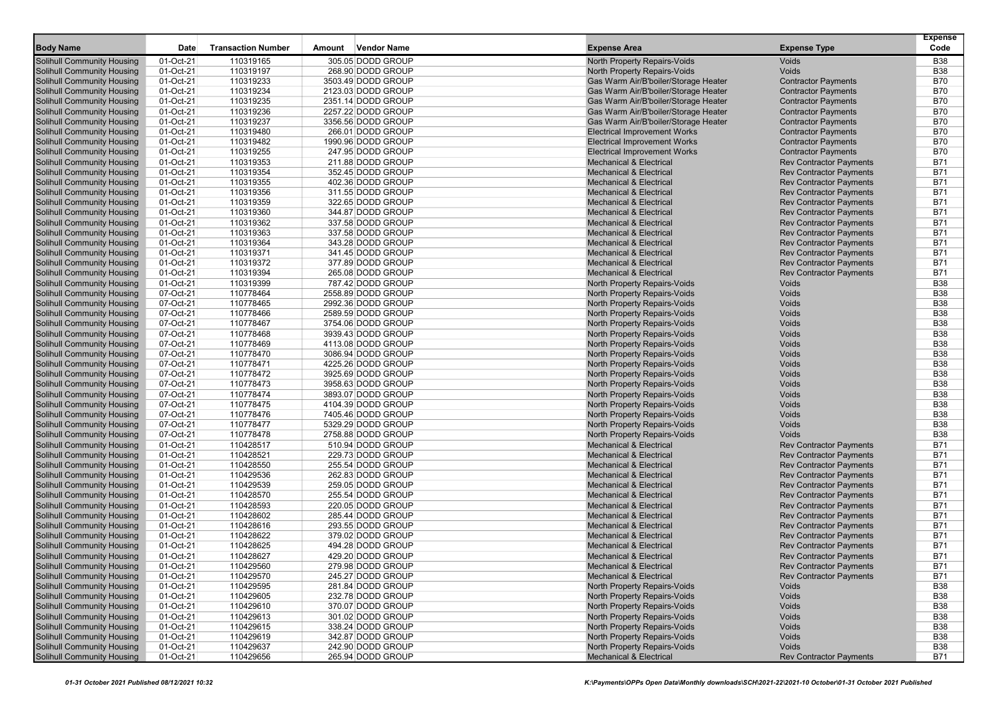| <b>Solihull Community Housing</b><br>01-Oct-21<br>110319165<br>305.05 DODD GROUP<br>North Property Repairs-Voids<br>Voids<br><b>B38</b><br>01-Oct-21<br><b>Solihull Community Housing</b><br>110319197<br>268.90 DODD GROUP<br><b>North Property Repairs-Voids</b><br>Voids<br><b>B38</b><br>110319233<br><b>B70</b><br>01-Oct-21<br>3503.49 DODD GROUP<br>Gas Warm Air/B'boiler/Storage Heater<br><b>Contractor Payments</b><br>Solihull Community Housing<br>01-Oct-21<br>110319234<br>B70<br><b>Solihull Community Housing</b><br>2123.03 DODD GROUP<br>Gas Warm Air/B'boiler/Storage Heater<br><b>Contractor Payments</b><br>01-Oct-21<br><b>Solihull Community Housing</b><br>110319235<br>2351.14 DODD GROUP<br>Gas Warm Air/B'boiler/Storage Heater<br><b>Contractor Payments</b><br>B70<br>110319236<br><b>B70</b><br>Solihull Community Housing<br>01-Oct-21<br>2257.22 DODD GROUP<br>Gas Warm Air/B'boiler/Storage Heater<br><b>Contractor Payments</b><br>01-Oct-21<br>3356.56 DODD GROUP<br><b>B70</b><br><b>Solihull Community Housing</b><br>110319237<br>Gas Warm Air/B'boiler/Storage Heater<br><b>Contractor Payments</b><br>B70<br><b>Solihull Community Housing</b><br>01-Oct-21<br>110319480<br>266.01 DODD GROUP<br><b>Electrical Improvement Works</b><br><b>Contractor Payments</b><br>01-Oct-21<br><b>B70</b><br>Solihull Community Housing<br>110319482<br>1990.96 DODD GROUP<br><b>Electrical Improvement Works</b><br><b>Contractor Payments</b><br>01-Oct-21<br>110319255<br>247.95 DODD GROUP<br><b>B70</b><br>Solihull Community Housing<br><b>Electrical Improvement Works</b><br><b>Contractor Payments</b><br>B71<br><b>Solihull Community Housing</b><br>01-Oct-21<br>110319353<br>211.88 DODD GROUP<br><b>Mechanical &amp; Electrical</b><br><b>Rev Contractor Payments</b><br>01-Oct-21<br>B71<br><b>Solihull Community Housing</b><br>110319354<br>352.45 DODD GROUP<br><b>Mechanical &amp; Electrical</b><br><b>Rev Contractor Payments</b><br>01-Oct-21<br>110319355<br>402.36 DODD GROUP<br>B71<br><b>Solihull Community Housing</b><br><b>Mechanical &amp; Electrical</b><br><b>Rev Contractor Payments</b><br><b>Solihull Community Housing</b><br>01-Oct-21<br>110319356<br>311.55 DODD GROUP<br><b>Mechanical &amp; Electrical</b><br><b>Rev Contractor Payments</b><br>B71<br>110319359<br>B71<br>Solihull Community Housing<br>01-Oct-21<br>322.65 DODD GROUP<br><b>Mechanical &amp; Electrical</b><br><b>Rev Contractor Payments</b><br>01-Oct-21<br>110319360<br>344.87 DODD GROUP<br><b>B71</b><br><b>Solihull Community Housing</b><br><b>Mechanical &amp; Electrical</b><br><b>Rev Contractor Payments</b><br><b>Solihull Community Housing</b><br>01-Oct-21<br>110319362<br>337.58 DODD GROUP<br>B71<br><b>Mechanical &amp; Electrical</b><br><b>Rev Contractor Payments</b><br>B71<br>Solihull Community Housing<br>01-Oct-21<br>110319363<br>337.58 DODD GROUP<br><b>Mechanical &amp; Electrical</b><br><b>Rev Contractor Payments</b><br>01-Oct-21<br>110319364<br>343.28 DODD GROUP<br>B71<br><b>Solihull Community Housing</b><br><b>Mechanical &amp; Electrical</b><br><b>Rev Contractor Payments</b><br>110319371<br>341.45 DODD GROUP<br><b>Rev Contractor Payments</b><br><b>B71</b><br><b>Solihull Community Housing</b><br>01-Oct-21<br><b>Mechanical &amp; Electrical</b><br>01-Oct-21<br>377.89 DODD GROUP<br>B71<br>Solihull Community Housing<br>110319372<br><b>Mechanical &amp; Electrical</b><br><b>Rev Contractor Payments</b><br>110319394<br>B71<br>Solihull Community Housing<br>01-Oct-21<br>265.08 DODD GROUP<br><b>Mechanical &amp; Electrical</b><br><b>Rev Contractor Payments</b><br>01-Oct-21<br><b>B38</b><br><b>Solihull Community Housing</b><br>110319399<br>787.42 DODD GROUP<br><b>North Property Repairs-Voids</b><br>Voids<br>Voids<br><b>B38</b><br><b>Solihull Community Housing</b><br>07-Oct-21<br>110778464<br>2558.89 DODD GROUP<br>North Property Repairs-Voids<br>07-Oct-21<br>110778465<br>Voids<br><b>B38</b><br><b>Solihull Community Housing</b><br>2992.36 DODD GROUP<br>North Property Repairs-Voids<br>07-Oct-21<br>110778466<br>2589.59 DODD GROUP<br><b>B38</b><br><b>Solihull Community Housing</b><br>North Property Repairs-Voids<br>Voids<br>110778467<br>North Property Repairs-Voids<br>Voids<br><b>B38</b><br><b>Solihull Community Housing</b><br>07-Oct-21<br>3754.06 DODD GROUP<br>110778468<br>North Property Repairs-Voids<br><b>B38</b><br>Solihull Community Housing<br>07-Oct-21<br>3939.43 DODD GROUP<br>Voids<br><b>B38</b><br>Solihull Community Housing<br>07-Oct-21<br>110778469<br>4113.08 DODD GROUP<br>North Property Repairs-Voids<br>Voids<br><b>B38</b><br><b>Solihull Community Housing</b><br>07-Oct-21<br>110778470<br>3086.94 DODD GROUP<br>North Property Repairs-Voids<br>Voids<br>07-Oct-21<br>Voids<br><b>B38</b><br><b>Solihull Community Housing</b><br>110778471<br>4225.26 DODD GROUP<br>North Property Repairs-Voids<br>07-Oct-21<br>110778472<br>3925.69 DODD GROUP<br>Voids<br><b>B38</b><br>Solihull Community Housing<br><b>North Property Repairs-Voids</b><br>07-Oct-21<br><b>B38</b><br><b>Solihull Community Housing</b><br>110778473<br>3958.63 DODD GROUP<br>North Property Repairs-Voids<br>Voids<br>110778474<br>North Property Repairs-Voids<br>Voids<br><b>B38</b><br>Solihull Community Housing<br>07-Oct-21<br>3893.07 DODD GROUP<br>07-Oct-21<br>110778475<br>4104.39 DODD GROUP<br>North Property Repairs-Voids<br><b>B38</b><br><b>Solihull Community Housing</b><br>Voids<br><b>Solihull Community Housing</b><br>07-Oct-21<br>110778476<br>7405.46 DODD GROUP<br>North Property Repairs-Voids<br>Voids<br><b>B38</b><br>Voids<br><b>B38</b><br>Solihull Community Housing<br>07-Oct-21<br>110778477<br>5329.29 DODD GROUP<br>North Property Repairs-Voids<br>07-Oct-21<br>110778478<br>2758.88 DODD GROUP<br><b>B38</b><br><b>Solihull Community Housing</b><br>North Property Repairs-Voids<br>Voids<br>01-Oct-21<br>110428517<br>B71<br><b>Solihull Community Housing</b><br>510.94 DODD GROUP<br><b>Mechanical &amp; Electrical</b><br><b>Rev Contractor Payments</b><br>110428521<br>B71<br>Solihull Community Housing<br>01-Oct-21<br>229.73 DODD GROUP<br><b>Mechanical &amp; Electrical</b><br><b>Rev Contractor Payments</b><br>01-Oct-21<br>110428550<br>255.54 DODD GROUP<br>B71<br>Solihull Community Housing<br><b>Mechanical &amp; Electrical</b><br><b>Rev Contractor Payments</b><br>01-Oct-21<br>110429536<br>262.83 DODD GROUP<br>B71<br><b>Solihull Community Housing</b><br><b>Mechanical &amp; Electrical</b><br><b>Rev Contractor Payments</b><br>110429539<br>B71<br><b>Solihull Community Housing</b><br>01-Oct-21<br>259.05 DODD GROUP<br><b>Mechanical &amp; Electrical</b><br><b>Rev Contractor Payments</b><br>01-Oct-21<br>110428570<br>B71<br><b>Solihull Community Housing</b><br>255.54 DODD GROUP<br><b>Mechanical &amp; Electrical</b><br><b>Rev Contractor Payments</b><br>01-Oct-21<br>110428593<br>220.05 DODD GROUP<br>B71<br><b>Solihull Community Housing</b><br><b>Mechanical &amp; Electrical</b><br><b>Rev Contractor Payments</b><br>110428602<br>B71<br><b>Solihull Community Housing</b><br>01-Oct-21<br>285.44 DODD GROUP<br><b>Mechanical &amp; Electrical</b><br><b>Rev Contractor Payments</b><br>01-Oct-21<br>110428616<br>B71<br>Solihull Community Housing<br>293.55 DODD GROUP<br><b>Mechanical &amp; Electrical</b><br><b>Rev Contractor Payments</b><br>110428622<br>B71<br>Solihull Community Housing<br>01-Oct-21<br>379.02 DODD GROUP<br><b>Mechanical &amp; Electrical</b><br><b>Rev Contractor Payments</b><br>B71<br>Solihull Community Housing<br>01-Oct-21<br>110428625<br>494.28 DODD GROUP<br><b>Mechanical &amp; Electrical</b><br><b>Rev Contractor Payments</b><br>B71<br><b>Solihull Community Housing</b><br>01-Oct-21<br>110428627<br>429.20 DODD GROUP<br><b>Mechanical &amp; Electrical</b><br><b>Rev Contractor Payments</b><br><b>B71</b><br>01-Oct-21<br>Solihull Community Housing<br>110429560<br>279.98 DODD GROUP<br>Mechanical & Electrical<br>Rev Contractor Payments<br><b>B71</b><br><b>Solihull Community Housing</b><br>01-Oct-21<br>110429570<br>245.27 DODD GROUP<br><b>Mechanical &amp; Electrical</b><br><b>Rev Contractor Payments</b><br><b>Solihull Community Housing</b><br>01-Oct-21<br>110429595<br>281.84 DODD GROUP<br>North Property Repairs-Voids<br>Voids<br>B38<br><b>Solihull Community Housing</b><br>01-Oct-21<br>110429605<br>232.78 DODD GROUP<br>North Property Repairs-Voids<br>Voids<br>B38<br><b>Solihull Community Housing</b><br>01-Oct-21<br>110429610<br>370.07 DODD GROUP<br>North Property Repairs-Voids<br>Voids<br>B38<br><b>Solihull Community Housing</b><br>North Property Repairs-Voids<br><b>B38</b><br>01-Oct-21<br>110429613<br>301.02 DODD GROUP<br>Voids<br><b>Solihull Community Housing</b><br>01-Oct-21<br>110429615<br>338.24 DODD GROUP<br>North Property Repairs-Voids<br><b>B38</b><br>Voids<br><b>Solihull Community Housing</b><br>01-Oct-21<br>110429619<br>342.87 DODD GROUP<br>North Property Repairs-Voids<br>Voids<br><b>B38</b><br>Solihull Community Housing<br>01-Oct-21<br>110429637<br>North Property Repairs-Voids<br><b>B38</b><br>242.90 DODD GROUP<br>Voids<br><b>Solihull Community Housing</b><br>01-Oct-21<br>110429656<br>265.94 DODD GROUP<br><b>Mechanical &amp; Electrical</b><br><b>Rev Contractor Payments</b><br>B71 |                  |             |                           |                              |                     |                     | <b>Expense</b> |
|-------------------------------------------------------------------------------------------------------------------------------------------------------------------------------------------------------------------------------------------------------------------------------------------------------------------------------------------------------------------------------------------------------------------------------------------------------------------------------------------------------------------------------------------------------------------------------------------------------------------------------------------------------------------------------------------------------------------------------------------------------------------------------------------------------------------------------------------------------------------------------------------------------------------------------------------------------------------------------------------------------------------------------------------------------------------------------------------------------------------------------------------------------------------------------------------------------------------------------------------------------------------------------------------------------------------------------------------------------------------------------------------------------------------------------------------------------------------------------------------------------------------------------------------------------------------------------------------------------------------------------------------------------------------------------------------------------------------------------------------------------------------------------------------------------------------------------------------------------------------------------------------------------------------------------------------------------------------------------------------------------------------------------------------------------------------------------------------------------------------------------------------------------------------------------------------------------------------------------------------------------------------------------------------------------------------------------------------------------------------------------------------------------------------------------------------------------------------------------------------------------------------------------------------------------------------------------------------------------------------------------------------------------------------------------------------------------------------------------------------------------------------------------------------------------------------------------------------------------------------------------------------------------------------------------------------------------------------------------------------------------------------------------------------------------------------------------------------------------------------------------------------------------------------------------------------------------------------------------------------------------------------------------------------------------------------------------------------------------------------------------------------------------------------------------------------------------------------------------------------------------------------------------------------------------------------------------------------------------------------------------------------------------------------------------------------------------------------------------------------------------------------------------------------------------------------------------------------------------------------------------------------------------------------------------------------------------------------------------------------------------------------------------------------------------------------------------------------------------------------------------------------------------------------------------------------------------------------------------------------------------------------------------------------------------------------------------------------------------------------------------------------------------------------------------------------------------------------------------------------------------------------------------------------------------------------------------------------------------------------------------------------------------------------------------------------------------------------------------------------------------------------------------------------------------------------------------------------------------------------------------------------------------------------------------------------------------------------------------------------------------------------------------------------------------------------------------------------------------------------------------------------------------------------------------------------------------------------------------------------------------------------------------------------------------------------------------------------------------------------------------------------------------------------------------------------------------------------------------------------------------------------------------------------------------------------------------------------------------------------------------------------------------------------------------------------------------------------------------------------------------------------------------------------------------------------------------------------------------------------------------------------------------------------------------------------------------------------------------------------------------------------------------------------------------------------------------------------------------------------------------------------------------------------------------------------------------------------------------------------------------------------------------------------------------------------------------------------------------------------------------------------------------------------------------------------------------------------------------------------------------------------------------------------------------------------------------------------------------------------------------------------------------------------------------------------------------------------------------------------------------------------------------------------------------------------------------------------------------------------------------------------------------------------------------------------------------------------------------------------------------------------------------------------------------------------------------------------------------------------------------------------------------------------------------------------------------------------------------------------------------------------------------------------------------------------------------------------------------------------------------------------------------------------------------------------------------------------------------------------------------------------------------------------------------------------------------------------------------------------------------------------------------------------------------------------------------------------------------------------------------------------------------------------------------------------------------------------------------------------------------------------------------------------------------------------------------------------------------------------------------------------------------------------------------------------------------------------------------------------------------------------------------------------------------------------------------------------------------------------------------------------------------------------------------------------------------------------------------------------------------------------------------------------------------------------------------------------------------------------------------------------------------------------------------------------------------------------------------------------------------------------------------------------------------------------------------------------------------------------------------------------------------------------------------------------------------------------------------------------------------------------------------------------------------------------------------------------------------------------------------------------------------------------------------------------------------------------------------------------------------------------------------------------------------------------------------------------------------------------------------------------------------------------------------------------------------------------------------------------------------------------------------------------------------------------------------------|------------------|-------------|---------------------------|------------------------------|---------------------|---------------------|----------------|
|                                                                                                                                                                                                                                                                                                                                                                                                                                                                                                                                                                                                                                                                                                                                                                                                                                                                                                                                                                                                                                                                                                                                                                                                                                                                                                                                                                                                                                                                                                                                                                                                                                                                                                                                                                                                                                                                                                                                                                                                                                                                                                                                                                                                                                                                                                                                                                                                                                                                                                                                                                                                                                                                                                                                                                                                                                                                                                                                                                                                                                                                                                                                                                                                                                                                                                                                                                                                                                                                                                                                                                                                                                                                                                                                                                                                                                                                                                                                                                                                                                                                                                                                                                                                                                                                                                                                                                                                                                                                                                                                                                                                                                                                                                                                                                                                                                                                                                                                                                                                                                                                                                                                                                                                                                                                                                                                                                                                                                                                                                                                                                                                                                                                                                                                                                                                                                                                                                                                                                                                                                                                                                                                                                                                                                                                                                                                                                                                                                                                                                                                                                                                                                                                                                                                                                                                                                                                                                                                                                                                                                                                                                                                                                                                                                                                                                                                                                                                                                                                                                                                                                                                                                                                                                                                                                                                                                                                                                                                                                                                                                                                                                                                                                                                                                                                                                                                                                                                                                                                                                                                                                                                                                                                                                                                                                                                                                                                                                                                                                                                                                                                                                                                                                                                                                                                                                                                                                                                                                                             | <b>Body Name</b> | <b>Date</b> | <b>Transaction Number</b> | <b>Vendor Name</b><br>Amount | <b>Expense Area</b> | <b>Expense Type</b> | Code           |
|                                                                                                                                                                                                                                                                                                                                                                                                                                                                                                                                                                                                                                                                                                                                                                                                                                                                                                                                                                                                                                                                                                                                                                                                                                                                                                                                                                                                                                                                                                                                                                                                                                                                                                                                                                                                                                                                                                                                                                                                                                                                                                                                                                                                                                                                                                                                                                                                                                                                                                                                                                                                                                                                                                                                                                                                                                                                                                                                                                                                                                                                                                                                                                                                                                                                                                                                                                                                                                                                                                                                                                                                                                                                                                                                                                                                                                                                                                                                                                                                                                                                                                                                                                                                                                                                                                                                                                                                                                                                                                                                                                                                                                                                                                                                                                                                                                                                                                                                                                                                                                                                                                                                                                                                                                                                                                                                                                                                                                                                                                                                                                                                                                                                                                                                                                                                                                                                                                                                                                                                                                                                                                                                                                                                                                                                                                                                                                                                                                                                                                                                                                                                                                                                                                                                                                                                                                                                                                                                                                                                                                                                                                                                                                                                                                                                                                                                                                                                                                                                                                                                                                                                                                                                                                                                                                                                                                                                                                                                                                                                                                                                                                                                                                                                                                                                                                                                                                                                                                                                                                                                                                                                                                                                                                                                                                                                                                                                                                                                                                                                                                                                                                                                                                                                                                                                                                                                                                                                                                                             |                  |             |                           |                              |                     |                     |                |
|                                                                                                                                                                                                                                                                                                                                                                                                                                                                                                                                                                                                                                                                                                                                                                                                                                                                                                                                                                                                                                                                                                                                                                                                                                                                                                                                                                                                                                                                                                                                                                                                                                                                                                                                                                                                                                                                                                                                                                                                                                                                                                                                                                                                                                                                                                                                                                                                                                                                                                                                                                                                                                                                                                                                                                                                                                                                                                                                                                                                                                                                                                                                                                                                                                                                                                                                                                                                                                                                                                                                                                                                                                                                                                                                                                                                                                                                                                                                                                                                                                                                                                                                                                                                                                                                                                                                                                                                                                                                                                                                                                                                                                                                                                                                                                                                                                                                                                                                                                                                                                                                                                                                                                                                                                                                                                                                                                                                                                                                                                                                                                                                                                                                                                                                                                                                                                                                                                                                                                                                                                                                                                                                                                                                                                                                                                                                                                                                                                                                                                                                                                                                                                                                                                                                                                                                                                                                                                                                                                                                                                                                                                                                                                                                                                                                                                                                                                                                                                                                                                                                                                                                                                                                                                                                                                                                                                                                                                                                                                                                                                                                                                                                                                                                                                                                                                                                                                                                                                                                                                                                                                                                                                                                                                                                                                                                                                                                                                                                                                                                                                                                                                                                                                                                                                                                                                                                                                                                                                                             |                  |             |                           |                              |                     |                     |                |
|                                                                                                                                                                                                                                                                                                                                                                                                                                                                                                                                                                                                                                                                                                                                                                                                                                                                                                                                                                                                                                                                                                                                                                                                                                                                                                                                                                                                                                                                                                                                                                                                                                                                                                                                                                                                                                                                                                                                                                                                                                                                                                                                                                                                                                                                                                                                                                                                                                                                                                                                                                                                                                                                                                                                                                                                                                                                                                                                                                                                                                                                                                                                                                                                                                                                                                                                                                                                                                                                                                                                                                                                                                                                                                                                                                                                                                                                                                                                                                                                                                                                                                                                                                                                                                                                                                                                                                                                                                                                                                                                                                                                                                                                                                                                                                                                                                                                                                                                                                                                                                                                                                                                                                                                                                                                                                                                                                                                                                                                                                                                                                                                                                                                                                                                                                                                                                                                                                                                                                                                                                                                                                                                                                                                                                                                                                                                                                                                                                                                                                                                                                                                                                                                                                                                                                                                                                                                                                                                                                                                                                                                                                                                                                                                                                                                                                                                                                                                                                                                                                                                                                                                                                                                                                                                                                                                                                                                                                                                                                                                                                                                                                                                                                                                                                                                                                                                                                                                                                                                                                                                                                                                                                                                                                                                                                                                                                                                                                                                                                                                                                                                                                                                                                                                                                                                                                                                                                                                                                                             |                  |             |                           |                              |                     |                     |                |
|                                                                                                                                                                                                                                                                                                                                                                                                                                                                                                                                                                                                                                                                                                                                                                                                                                                                                                                                                                                                                                                                                                                                                                                                                                                                                                                                                                                                                                                                                                                                                                                                                                                                                                                                                                                                                                                                                                                                                                                                                                                                                                                                                                                                                                                                                                                                                                                                                                                                                                                                                                                                                                                                                                                                                                                                                                                                                                                                                                                                                                                                                                                                                                                                                                                                                                                                                                                                                                                                                                                                                                                                                                                                                                                                                                                                                                                                                                                                                                                                                                                                                                                                                                                                                                                                                                                                                                                                                                                                                                                                                                                                                                                                                                                                                                                                                                                                                                                                                                                                                                                                                                                                                                                                                                                                                                                                                                                                                                                                                                                                                                                                                                                                                                                                                                                                                                                                                                                                                                                                                                                                                                                                                                                                                                                                                                                                                                                                                                                                                                                                                                                                                                                                                                                                                                                                                                                                                                                                                                                                                                                                                                                                                                                                                                                                                                                                                                                                                                                                                                                                                                                                                                                                                                                                                                                                                                                                                                                                                                                                                                                                                                                                                                                                                                                                                                                                                                                                                                                                                                                                                                                                                                                                                                                                                                                                                                                                                                                                                                                                                                                                                                                                                                                                                                                                                                                                                                                                                                                             |                  |             |                           |                              |                     |                     |                |
|                                                                                                                                                                                                                                                                                                                                                                                                                                                                                                                                                                                                                                                                                                                                                                                                                                                                                                                                                                                                                                                                                                                                                                                                                                                                                                                                                                                                                                                                                                                                                                                                                                                                                                                                                                                                                                                                                                                                                                                                                                                                                                                                                                                                                                                                                                                                                                                                                                                                                                                                                                                                                                                                                                                                                                                                                                                                                                                                                                                                                                                                                                                                                                                                                                                                                                                                                                                                                                                                                                                                                                                                                                                                                                                                                                                                                                                                                                                                                                                                                                                                                                                                                                                                                                                                                                                                                                                                                                                                                                                                                                                                                                                                                                                                                                                                                                                                                                                                                                                                                                                                                                                                                                                                                                                                                                                                                                                                                                                                                                                                                                                                                                                                                                                                                                                                                                                                                                                                                                                                                                                                                                                                                                                                                                                                                                                                                                                                                                                                                                                                                                                                                                                                                                                                                                                                                                                                                                                                                                                                                                                                                                                                                                                                                                                                                                                                                                                                                                                                                                                                                                                                                                                                                                                                                                                                                                                                                                                                                                                                                                                                                                                                                                                                                                                                                                                                                                                                                                                                                                                                                                                                                                                                                                                                                                                                                                                                                                                                                                                                                                                                                                                                                                                                                                                                                                                                                                                                                                                             |                  |             |                           |                              |                     |                     |                |
|                                                                                                                                                                                                                                                                                                                                                                                                                                                                                                                                                                                                                                                                                                                                                                                                                                                                                                                                                                                                                                                                                                                                                                                                                                                                                                                                                                                                                                                                                                                                                                                                                                                                                                                                                                                                                                                                                                                                                                                                                                                                                                                                                                                                                                                                                                                                                                                                                                                                                                                                                                                                                                                                                                                                                                                                                                                                                                                                                                                                                                                                                                                                                                                                                                                                                                                                                                                                                                                                                                                                                                                                                                                                                                                                                                                                                                                                                                                                                                                                                                                                                                                                                                                                                                                                                                                                                                                                                                                                                                                                                                                                                                                                                                                                                                                                                                                                                                                                                                                                                                                                                                                                                                                                                                                                                                                                                                                                                                                                                                                                                                                                                                                                                                                                                                                                                                                                                                                                                                                                                                                                                                                                                                                                                                                                                                                                                                                                                                                                                                                                                                                                                                                                                                                                                                                                                                                                                                                                                                                                                                                                                                                                                                                                                                                                                                                                                                                                                                                                                                                                                                                                                                                                                                                                                                                                                                                                                                                                                                                                                                                                                                                                                                                                                                                                                                                                                                                                                                                                                                                                                                                                                                                                                                                                                                                                                                                                                                                                                                                                                                                                                                                                                                                                                                                                                                                                                                                                                                                             |                  |             |                           |                              |                     |                     |                |
|                                                                                                                                                                                                                                                                                                                                                                                                                                                                                                                                                                                                                                                                                                                                                                                                                                                                                                                                                                                                                                                                                                                                                                                                                                                                                                                                                                                                                                                                                                                                                                                                                                                                                                                                                                                                                                                                                                                                                                                                                                                                                                                                                                                                                                                                                                                                                                                                                                                                                                                                                                                                                                                                                                                                                                                                                                                                                                                                                                                                                                                                                                                                                                                                                                                                                                                                                                                                                                                                                                                                                                                                                                                                                                                                                                                                                                                                                                                                                                                                                                                                                                                                                                                                                                                                                                                                                                                                                                                                                                                                                                                                                                                                                                                                                                                                                                                                                                                                                                                                                                                                                                                                                                                                                                                                                                                                                                                                                                                                                                                                                                                                                                                                                                                                                                                                                                                                                                                                                                                                                                                                                                                                                                                                                                                                                                                                                                                                                                                                                                                                                                                                                                                                                                                                                                                                                                                                                                                                                                                                                                                                                                                                                                                                                                                                                                                                                                                                                                                                                                                                                                                                                                                                                                                                                                                                                                                                                                                                                                                                                                                                                                                                                                                                                                                                                                                                                                                                                                                                                                                                                                                                                                                                                                                                                                                                                                                                                                                                                                                                                                                                                                                                                                                                                                                                                                                                                                                                                                                             |                  |             |                           |                              |                     |                     |                |
|                                                                                                                                                                                                                                                                                                                                                                                                                                                                                                                                                                                                                                                                                                                                                                                                                                                                                                                                                                                                                                                                                                                                                                                                                                                                                                                                                                                                                                                                                                                                                                                                                                                                                                                                                                                                                                                                                                                                                                                                                                                                                                                                                                                                                                                                                                                                                                                                                                                                                                                                                                                                                                                                                                                                                                                                                                                                                                                                                                                                                                                                                                                                                                                                                                                                                                                                                                                                                                                                                                                                                                                                                                                                                                                                                                                                                                                                                                                                                                                                                                                                                                                                                                                                                                                                                                                                                                                                                                                                                                                                                                                                                                                                                                                                                                                                                                                                                                                                                                                                                                                                                                                                                                                                                                                                                                                                                                                                                                                                                                                                                                                                                                                                                                                                                                                                                                                                                                                                                                                                                                                                                                                                                                                                                                                                                                                                                                                                                                                                                                                                                                                                                                                                                                                                                                                                                                                                                                                                                                                                                                                                                                                                                                                                                                                                                                                                                                                                                                                                                                                                                                                                                                                                                                                                                                                                                                                                                                                                                                                                                                                                                                                                                                                                                                                                                                                                                                                                                                                                                                                                                                                                                                                                                                                                                                                                                                                                                                                                                                                                                                                                                                                                                                                                                                                                                                                                                                                                                                                             |                  |             |                           |                              |                     |                     |                |
|                                                                                                                                                                                                                                                                                                                                                                                                                                                                                                                                                                                                                                                                                                                                                                                                                                                                                                                                                                                                                                                                                                                                                                                                                                                                                                                                                                                                                                                                                                                                                                                                                                                                                                                                                                                                                                                                                                                                                                                                                                                                                                                                                                                                                                                                                                                                                                                                                                                                                                                                                                                                                                                                                                                                                                                                                                                                                                                                                                                                                                                                                                                                                                                                                                                                                                                                                                                                                                                                                                                                                                                                                                                                                                                                                                                                                                                                                                                                                                                                                                                                                                                                                                                                                                                                                                                                                                                                                                                                                                                                                                                                                                                                                                                                                                                                                                                                                                                                                                                                                                                                                                                                                                                                                                                                                                                                                                                                                                                                                                                                                                                                                                                                                                                                                                                                                                                                                                                                                                                                                                                                                                                                                                                                                                                                                                                                                                                                                                                                                                                                                                                                                                                                                                                                                                                                                                                                                                                                                                                                                                                                                                                                                                                                                                                                                                                                                                                                                                                                                                                                                                                                                                                                                                                                                                                                                                                                                                                                                                                                                                                                                                                                                                                                                                                                                                                                                                                                                                                                                                                                                                                                                                                                                                                                                                                                                                                                                                                                                                                                                                                                                                                                                                                                                                                                                                                                                                                                                                                             |                  |             |                           |                              |                     |                     |                |
|                                                                                                                                                                                                                                                                                                                                                                                                                                                                                                                                                                                                                                                                                                                                                                                                                                                                                                                                                                                                                                                                                                                                                                                                                                                                                                                                                                                                                                                                                                                                                                                                                                                                                                                                                                                                                                                                                                                                                                                                                                                                                                                                                                                                                                                                                                                                                                                                                                                                                                                                                                                                                                                                                                                                                                                                                                                                                                                                                                                                                                                                                                                                                                                                                                                                                                                                                                                                                                                                                                                                                                                                                                                                                                                                                                                                                                                                                                                                                                                                                                                                                                                                                                                                                                                                                                                                                                                                                                                                                                                                                                                                                                                                                                                                                                                                                                                                                                                                                                                                                                                                                                                                                                                                                                                                                                                                                                                                                                                                                                                                                                                                                                                                                                                                                                                                                                                                                                                                                                                                                                                                                                                                                                                                                                                                                                                                                                                                                                                                                                                                                                                                                                                                                                                                                                                                                                                                                                                                                                                                                                                                                                                                                                                                                                                                                                                                                                                                                                                                                                                                                                                                                                                                                                                                                                                                                                                                                                                                                                                                                                                                                                                                                                                                                                                                                                                                                                                                                                                                                                                                                                                                                                                                                                                                                                                                                                                                                                                                                                                                                                                                                                                                                                                                                                                                                                                                                                                                                                                             |                  |             |                           |                              |                     |                     |                |
|                                                                                                                                                                                                                                                                                                                                                                                                                                                                                                                                                                                                                                                                                                                                                                                                                                                                                                                                                                                                                                                                                                                                                                                                                                                                                                                                                                                                                                                                                                                                                                                                                                                                                                                                                                                                                                                                                                                                                                                                                                                                                                                                                                                                                                                                                                                                                                                                                                                                                                                                                                                                                                                                                                                                                                                                                                                                                                                                                                                                                                                                                                                                                                                                                                                                                                                                                                                                                                                                                                                                                                                                                                                                                                                                                                                                                                                                                                                                                                                                                                                                                                                                                                                                                                                                                                                                                                                                                                                                                                                                                                                                                                                                                                                                                                                                                                                                                                                                                                                                                                                                                                                                                                                                                                                                                                                                                                                                                                                                                                                                                                                                                                                                                                                                                                                                                                                                                                                                                                                                                                                                                                                                                                                                                                                                                                                                                                                                                                                                                                                                                                                                                                                                                                                                                                                                                                                                                                                                                                                                                                                                                                                                                                                                                                                                                                                                                                                                                                                                                                                                                                                                                                                                                                                                                                                                                                                                                                                                                                                                                                                                                                                                                                                                                                                                                                                                                                                                                                                                                                                                                                                                                                                                                                                                                                                                                                                                                                                                                                                                                                                                                                                                                                                                                                                                                                                                                                                                                                                             |                  |             |                           |                              |                     |                     |                |
|                                                                                                                                                                                                                                                                                                                                                                                                                                                                                                                                                                                                                                                                                                                                                                                                                                                                                                                                                                                                                                                                                                                                                                                                                                                                                                                                                                                                                                                                                                                                                                                                                                                                                                                                                                                                                                                                                                                                                                                                                                                                                                                                                                                                                                                                                                                                                                                                                                                                                                                                                                                                                                                                                                                                                                                                                                                                                                                                                                                                                                                                                                                                                                                                                                                                                                                                                                                                                                                                                                                                                                                                                                                                                                                                                                                                                                                                                                                                                                                                                                                                                                                                                                                                                                                                                                                                                                                                                                                                                                                                                                                                                                                                                                                                                                                                                                                                                                                                                                                                                                                                                                                                                                                                                                                                                                                                                                                                                                                                                                                                                                                                                                                                                                                                                                                                                                                                                                                                                                                                                                                                                                                                                                                                                                                                                                                                                                                                                                                                                                                                                                                                                                                                                                                                                                                                                                                                                                                                                                                                                                                                                                                                                                                                                                                                                                                                                                                                                                                                                                                                                                                                                                                                                                                                                                                                                                                                                                                                                                                                                                                                                                                                                                                                                                                                                                                                                                                                                                                                                                                                                                                                                                                                                                                                                                                                                                                                                                                                                                                                                                                                                                                                                                                                                                                                                                                                                                                                                                                             |                  |             |                           |                              |                     |                     |                |
|                                                                                                                                                                                                                                                                                                                                                                                                                                                                                                                                                                                                                                                                                                                                                                                                                                                                                                                                                                                                                                                                                                                                                                                                                                                                                                                                                                                                                                                                                                                                                                                                                                                                                                                                                                                                                                                                                                                                                                                                                                                                                                                                                                                                                                                                                                                                                                                                                                                                                                                                                                                                                                                                                                                                                                                                                                                                                                                                                                                                                                                                                                                                                                                                                                                                                                                                                                                                                                                                                                                                                                                                                                                                                                                                                                                                                                                                                                                                                                                                                                                                                                                                                                                                                                                                                                                                                                                                                                                                                                                                                                                                                                                                                                                                                                                                                                                                                                                                                                                                                                                                                                                                                                                                                                                                                                                                                                                                                                                                                                                                                                                                                                                                                                                                                                                                                                                                                                                                                                                                                                                                                                                                                                                                                                                                                                                                                                                                                                                                                                                                                                                                                                                                                                                                                                                                                                                                                                                                                                                                                                                                                                                                                                                                                                                                                                                                                                                                                                                                                                                                                                                                                                                                                                                                                                                                                                                                                                                                                                                                                                                                                                                                                                                                                                                                                                                                                                                                                                                                                                                                                                                                                                                                                                                                                                                                                                                                                                                                                                                                                                                                                                                                                                                                                                                                                                                                                                                                                                                             |                  |             |                           |                              |                     |                     |                |
|                                                                                                                                                                                                                                                                                                                                                                                                                                                                                                                                                                                                                                                                                                                                                                                                                                                                                                                                                                                                                                                                                                                                                                                                                                                                                                                                                                                                                                                                                                                                                                                                                                                                                                                                                                                                                                                                                                                                                                                                                                                                                                                                                                                                                                                                                                                                                                                                                                                                                                                                                                                                                                                                                                                                                                                                                                                                                                                                                                                                                                                                                                                                                                                                                                                                                                                                                                                                                                                                                                                                                                                                                                                                                                                                                                                                                                                                                                                                                                                                                                                                                                                                                                                                                                                                                                                                                                                                                                                                                                                                                                                                                                                                                                                                                                                                                                                                                                                                                                                                                                                                                                                                                                                                                                                                                                                                                                                                                                                                                                                                                                                                                                                                                                                                                                                                                                                                                                                                                                                                                                                                                                                                                                                                                                                                                                                                                                                                                                                                                                                                                                                                                                                                                                                                                                                                                                                                                                                                                                                                                                                                                                                                                                                                                                                                                                                                                                                                                                                                                                                                                                                                                                                                                                                                                                                                                                                                                                                                                                                                                                                                                                                                                                                                                                                                                                                                                                                                                                                                                                                                                                                                                                                                                                                                                                                                                                                                                                                                                                                                                                                                                                                                                                                                                                                                                                                                                                                                                                                             |                  |             |                           |                              |                     |                     |                |
|                                                                                                                                                                                                                                                                                                                                                                                                                                                                                                                                                                                                                                                                                                                                                                                                                                                                                                                                                                                                                                                                                                                                                                                                                                                                                                                                                                                                                                                                                                                                                                                                                                                                                                                                                                                                                                                                                                                                                                                                                                                                                                                                                                                                                                                                                                                                                                                                                                                                                                                                                                                                                                                                                                                                                                                                                                                                                                                                                                                                                                                                                                                                                                                                                                                                                                                                                                                                                                                                                                                                                                                                                                                                                                                                                                                                                                                                                                                                                                                                                                                                                                                                                                                                                                                                                                                                                                                                                                                                                                                                                                                                                                                                                                                                                                                                                                                                                                                                                                                                                                                                                                                                                                                                                                                                                                                                                                                                                                                                                                                                                                                                                                                                                                                                                                                                                                                                                                                                                                                                                                                                                                                                                                                                                                                                                                                                                                                                                                                                                                                                                                                                                                                                                                                                                                                                                                                                                                                                                                                                                                                                                                                                                                                                                                                                                                                                                                                                                                                                                                                                                                                                                                                                                                                                                                                                                                                                                                                                                                                                                                                                                                                                                                                                                                                                                                                                                                                                                                                                                                                                                                                                                                                                                                                                                                                                                                                                                                                                                                                                                                                                                                                                                                                                                                                                                                                                                                                                                                                             |                  |             |                           |                              |                     |                     |                |
|                                                                                                                                                                                                                                                                                                                                                                                                                                                                                                                                                                                                                                                                                                                                                                                                                                                                                                                                                                                                                                                                                                                                                                                                                                                                                                                                                                                                                                                                                                                                                                                                                                                                                                                                                                                                                                                                                                                                                                                                                                                                                                                                                                                                                                                                                                                                                                                                                                                                                                                                                                                                                                                                                                                                                                                                                                                                                                                                                                                                                                                                                                                                                                                                                                                                                                                                                                                                                                                                                                                                                                                                                                                                                                                                                                                                                                                                                                                                                                                                                                                                                                                                                                                                                                                                                                                                                                                                                                                                                                                                                                                                                                                                                                                                                                                                                                                                                                                                                                                                                                                                                                                                                                                                                                                                                                                                                                                                                                                                                                                                                                                                                                                                                                                                                                                                                                                                                                                                                                                                                                                                                                                                                                                                                                                                                                                                                                                                                                                                                                                                                                                                                                                                                                                                                                                                                                                                                                                                                                                                                                                                                                                                                                                                                                                                                                                                                                                                                                                                                                                                                                                                                                                                                                                                                                                                                                                                                                                                                                                                                                                                                                                                                                                                                                                                                                                                                                                                                                                                                                                                                                                                                                                                                                                                                                                                                                                                                                                                                                                                                                                                                                                                                                                                                                                                                                                                                                                                                                                             |                  |             |                           |                              |                     |                     |                |
|                                                                                                                                                                                                                                                                                                                                                                                                                                                                                                                                                                                                                                                                                                                                                                                                                                                                                                                                                                                                                                                                                                                                                                                                                                                                                                                                                                                                                                                                                                                                                                                                                                                                                                                                                                                                                                                                                                                                                                                                                                                                                                                                                                                                                                                                                                                                                                                                                                                                                                                                                                                                                                                                                                                                                                                                                                                                                                                                                                                                                                                                                                                                                                                                                                                                                                                                                                                                                                                                                                                                                                                                                                                                                                                                                                                                                                                                                                                                                                                                                                                                                                                                                                                                                                                                                                                                                                                                                                                                                                                                                                                                                                                                                                                                                                                                                                                                                                                                                                                                                                                                                                                                                                                                                                                                                                                                                                                                                                                                                                                                                                                                                                                                                                                                                                                                                                                                                                                                                                                                                                                                                                                                                                                                                                                                                                                                                                                                                                                                                                                                                                                                                                                                                                                                                                                                                                                                                                                                                                                                                                                                                                                                                                                                                                                                                                                                                                                                                                                                                                                                                                                                                                                                                                                                                                                                                                                                                                                                                                                                                                                                                                                                                                                                                                                                                                                                                                                                                                                                                                                                                                                                                                                                                                                                                                                                                                                                                                                                                                                                                                                                                                                                                                                                                                                                                                                                                                                                                                                             |                  |             |                           |                              |                     |                     |                |
|                                                                                                                                                                                                                                                                                                                                                                                                                                                                                                                                                                                                                                                                                                                                                                                                                                                                                                                                                                                                                                                                                                                                                                                                                                                                                                                                                                                                                                                                                                                                                                                                                                                                                                                                                                                                                                                                                                                                                                                                                                                                                                                                                                                                                                                                                                                                                                                                                                                                                                                                                                                                                                                                                                                                                                                                                                                                                                                                                                                                                                                                                                                                                                                                                                                                                                                                                                                                                                                                                                                                                                                                                                                                                                                                                                                                                                                                                                                                                                                                                                                                                                                                                                                                                                                                                                                                                                                                                                                                                                                                                                                                                                                                                                                                                                                                                                                                                                                                                                                                                                                                                                                                                                                                                                                                                                                                                                                                                                                                                                                                                                                                                                                                                                                                                                                                                                                                                                                                                                                                                                                                                                                                                                                                                                                                                                                                                                                                                                                                                                                                                                                                                                                                                                                                                                                                                                                                                                                                                                                                                                                                                                                                                                                                                                                                                                                                                                                                                                                                                                                                                                                                                                                                                                                                                                                                                                                                                                                                                                                                                                                                                                                                                                                                                                                                                                                                                                                                                                                                                                                                                                                                                                                                                                                                                                                                                                                                                                                                                                                                                                                                                                                                                                                                                                                                                                                                                                                                                                                             |                  |             |                           |                              |                     |                     |                |
|                                                                                                                                                                                                                                                                                                                                                                                                                                                                                                                                                                                                                                                                                                                                                                                                                                                                                                                                                                                                                                                                                                                                                                                                                                                                                                                                                                                                                                                                                                                                                                                                                                                                                                                                                                                                                                                                                                                                                                                                                                                                                                                                                                                                                                                                                                                                                                                                                                                                                                                                                                                                                                                                                                                                                                                                                                                                                                                                                                                                                                                                                                                                                                                                                                                                                                                                                                                                                                                                                                                                                                                                                                                                                                                                                                                                                                                                                                                                                                                                                                                                                                                                                                                                                                                                                                                                                                                                                                                                                                                                                                                                                                                                                                                                                                                                                                                                                                                                                                                                                                                                                                                                                                                                                                                                                                                                                                                                                                                                                                                                                                                                                                                                                                                                                                                                                                                                                                                                                                                                                                                                                                                                                                                                                                                                                                                                                                                                                                                                                                                                                                                                                                                                                                                                                                                                                                                                                                                                                                                                                                                                                                                                                                                                                                                                                                                                                                                                                                                                                                                                                                                                                                                                                                                                                                                                                                                                                                                                                                                                                                                                                                                                                                                                                                                                                                                                                                                                                                                                                                                                                                                                                                                                                                                                                                                                                                                                                                                                                                                                                                                                                                                                                                                                                                                                                                                                                                                                                                                             |                  |             |                           |                              |                     |                     |                |
|                                                                                                                                                                                                                                                                                                                                                                                                                                                                                                                                                                                                                                                                                                                                                                                                                                                                                                                                                                                                                                                                                                                                                                                                                                                                                                                                                                                                                                                                                                                                                                                                                                                                                                                                                                                                                                                                                                                                                                                                                                                                                                                                                                                                                                                                                                                                                                                                                                                                                                                                                                                                                                                                                                                                                                                                                                                                                                                                                                                                                                                                                                                                                                                                                                                                                                                                                                                                                                                                                                                                                                                                                                                                                                                                                                                                                                                                                                                                                                                                                                                                                                                                                                                                                                                                                                                                                                                                                                                                                                                                                                                                                                                                                                                                                                                                                                                                                                                                                                                                                                                                                                                                                                                                                                                                                                                                                                                                                                                                                                                                                                                                                                                                                                                                                                                                                                                                                                                                                                                                                                                                                                                                                                                                                                                                                                                                                                                                                                                                                                                                                                                                                                                                                                                                                                                                                                                                                                                                                                                                                                                                                                                                                                                                                                                                                                                                                                                                                                                                                                                                                                                                                                                                                                                                                                                                                                                                                                                                                                                                                                                                                                                                                                                                                                                                                                                                                                                                                                                                                                                                                                                                                                                                                                                                                                                                                                                                                                                                                                                                                                                                                                                                                                                                                                                                                                                                                                                                                                                             |                  |             |                           |                              |                     |                     |                |
|                                                                                                                                                                                                                                                                                                                                                                                                                                                                                                                                                                                                                                                                                                                                                                                                                                                                                                                                                                                                                                                                                                                                                                                                                                                                                                                                                                                                                                                                                                                                                                                                                                                                                                                                                                                                                                                                                                                                                                                                                                                                                                                                                                                                                                                                                                                                                                                                                                                                                                                                                                                                                                                                                                                                                                                                                                                                                                                                                                                                                                                                                                                                                                                                                                                                                                                                                                                                                                                                                                                                                                                                                                                                                                                                                                                                                                                                                                                                                                                                                                                                                                                                                                                                                                                                                                                                                                                                                                                                                                                                                                                                                                                                                                                                                                                                                                                                                                                                                                                                                                                                                                                                                                                                                                                                                                                                                                                                                                                                                                                                                                                                                                                                                                                                                                                                                                                                                                                                                                                                                                                                                                                                                                                                                                                                                                                                                                                                                                                                                                                                                                                                                                                                                                                                                                                                                                                                                                                                                                                                                                                                                                                                                                                                                                                                                                                                                                                                                                                                                                                                                                                                                                                                                                                                                                                                                                                                                                                                                                                                                                                                                                                                                                                                                                                                                                                                                                                                                                                                                                                                                                                                                                                                                                                                                                                                                                                                                                                                                                                                                                                                                                                                                                                                                                                                                                                                                                                                                                                             |                  |             |                           |                              |                     |                     |                |
|                                                                                                                                                                                                                                                                                                                                                                                                                                                                                                                                                                                                                                                                                                                                                                                                                                                                                                                                                                                                                                                                                                                                                                                                                                                                                                                                                                                                                                                                                                                                                                                                                                                                                                                                                                                                                                                                                                                                                                                                                                                                                                                                                                                                                                                                                                                                                                                                                                                                                                                                                                                                                                                                                                                                                                                                                                                                                                                                                                                                                                                                                                                                                                                                                                                                                                                                                                                                                                                                                                                                                                                                                                                                                                                                                                                                                                                                                                                                                                                                                                                                                                                                                                                                                                                                                                                                                                                                                                                                                                                                                                                                                                                                                                                                                                                                                                                                                                                                                                                                                                                                                                                                                                                                                                                                                                                                                                                                                                                                                                                                                                                                                                                                                                                                                                                                                                                                                                                                                                                                                                                                                                                                                                                                                                                                                                                                                                                                                                                                                                                                                                                                                                                                                                                                                                                                                                                                                                                                                                                                                                                                                                                                                                                                                                                                                                                                                                                                                                                                                                                                                                                                                                                                                                                                                                                                                                                                                                                                                                                                                                                                                                                                                                                                                                                                                                                                                                                                                                                                                                                                                                                                                                                                                                                                                                                                                                                                                                                                                                                                                                                                                                                                                                                                                                                                                                                                                                                                                                                             |                  |             |                           |                              |                     |                     |                |
|                                                                                                                                                                                                                                                                                                                                                                                                                                                                                                                                                                                                                                                                                                                                                                                                                                                                                                                                                                                                                                                                                                                                                                                                                                                                                                                                                                                                                                                                                                                                                                                                                                                                                                                                                                                                                                                                                                                                                                                                                                                                                                                                                                                                                                                                                                                                                                                                                                                                                                                                                                                                                                                                                                                                                                                                                                                                                                                                                                                                                                                                                                                                                                                                                                                                                                                                                                                                                                                                                                                                                                                                                                                                                                                                                                                                                                                                                                                                                                                                                                                                                                                                                                                                                                                                                                                                                                                                                                                                                                                                                                                                                                                                                                                                                                                                                                                                                                                                                                                                                                                                                                                                                                                                                                                                                                                                                                                                                                                                                                                                                                                                                                                                                                                                                                                                                                                                                                                                                                                                                                                                                                                                                                                                                                                                                                                                                                                                                                                                                                                                                                                                                                                                                                                                                                                                                                                                                                                                                                                                                                                                                                                                                                                                                                                                                                                                                                                                                                                                                                                                                                                                                                                                                                                                                                                                                                                                                                                                                                                                                                                                                                                                                                                                                                                                                                                                                                                                                                                                                                                                                                                                                                                                                                                                                                                                                                                                                                                                                                                                                                                                                                                                                                                                                                                                                                                                                                                                                                                             |                  |             |                           |                              |                     |                     |                |
|                                                                                                                                                                                                                                                                                                                                                                                                                                                                                                                                                                                                                                                                                                                                                                                                                                                                                                                                                                                                                                                                                                                                                                                                                                                                                                                                                                                                                                                                                                                                                                                                                                                                                                                                                                                                                                                                                                                                                                                                                                                                                                                                                                                                                                                                                                                                                                                                                                                                                                                                                                                                                                                                                                                                                                                                                                                                                                                                                                                                                                                                                                                                                                                                                                                                                                                                                                                                                                                                                                                                                                                                                                                                                                                                                                                                                                                                                                                                                                                                                                                                                                                                                                                                                                                                                                                                                                                                                                                                                                                                                                                                                                                                                                                                                                                                                                                                                                                                                                                                                                                                                                                                                                                                                                                                                                                                                                                                                                                                                                                                                                                                                                                                                                                                                                                                                                                                                                                                                                                                                                                                                                                                                                                                                                                                                                                                                                                                                                                                                                                                                                                                                                                                                                                                                                                                                                                                                                                                                                                                                                                                                                                                                                                                                                                                                                                                                                                                                                                                                                                                                                                                                                                                                                                                                                                                                                                                                                                                                                                                                                                                                                                                                                                                                                                                                                                                                                                                                                                                                                                                                                                                                                                                                                                                                                                                                                                                                                                                                                                                                                                                                                                                                                                                                                                                                                                                                                                                                                                             |                  |             |                           |                              |                     |                     |                |
|                                                                                                                                                                                                                                                                                                                                                                                                                                                                                                                                                                                                                                                                                                                                                                                                                                                                                                                                                                                                                                                                                                                                                                                                                                                                                                                                                                                                                                                                                                                                                                                                                                                                                                                                                                                                                                                                                                                                                                                                                                                                                                                                                                                                                                                                                                                                                                                                                                                                                                                                                                                                                                                                                                                                                                                                                                                                                                                                                                                                                                                                                                                                                                                                                                                                                                                                                                                                                                                                                                                                                                                                                                                                                                                                                                                                                                                                                                                                                                                                                                                                                                                                                                                                                                                                                                                                                                                                                                                                                                                                                                                                                                                                                                                                                                                                                                                                                                                                                                                                                                                                                                                                                                                                                                                                                                                                                                                                                                                                                                                                                                                                                                                                                                                                                                                                                                                                                                                                                                                                                                                                                                                                                                                                                                                                                                                                                                                                                                                                                                                                                                                                                                                                                                                                                                                                                                                                                                                                                                                                                                                                                                                                                                                                                                                                                                                                                                                                                                                                                                                                                                                                                                                                                                                                                                                                                                                                                                                                                                                                                                                                                                                                                                                                                                                                                                                                                                                                                                                                                                                                                                                                                                                                                                                                                                                                                                                                                                                                                                                                                                                                                                                                                                                                                                                                                                                                                                                                                                                             |                  |             |                           |                              |                     |                     |                |
|                                                                                                                                                                                                                                                                                                                                                                                                                                                                                                                                                                                                                                                                                                                                                                                                                                                                                                                                                                                                                                                                                                                                                                                                                                                                                                                                                                                                                                                                                                                                                                                                                                                                                                                                                                                                                                                                                                                                                                                                                                                                                                                                                                                                                                                                                                                                                                                                                                                                                                                                                                                                                                                                                                                                                                                                                                                                                                                                                                                                                                                                                                                                                                                                                                                                                                                                                                                                                                                                                                                                                                                                                                                                                                                                                                                                                                                                                                                                                                                                                                                                                                                                                                                                                                                                                                                                                                                                                                                                                                                                                                                                                                                                                                                                                                                                                                                                                                                                                                                                                                                                                                                                                                                                                                                                                                                                                                                                                                                                                                                                                                                                                                                                                                                                                                                                                                                                                                                                                                                                                                                                                                                                                                                                                                                                                                                                                                                                                                                                                                                                                                                                                                                                                                                                                                                                                                                                                                                                                                                                                                                                                                                                                                                                                                                                                                                                                                                                                                                                                                                                                                                                                                                                                                                                                                                                                                                                                                                                                                                                                                                                                                                                                                                                                                                                                                                                                                                                                                                                                                                                                                                                                                                                                                                                                                                                                                                                                                                                                                                                                                                                                                                                                                                                                                                                                                                                                                                                                                                             |                  |             |                           |                              |                     |                     |                |
|                                                                                                                                                                                                                                                                                                                                                                                                                                                                                                                                                                                                                                                                                                                                                                                                                                                                                                                                                                                                                                                                                                                                                                                                                                                                                                                                                                                                                                                                                                                                                                                                                                                                                                                                                                                                                                                                                                                                                                                                                                                                                                                                                                                                                                                                                                                                                                                                                                                                                                                                                                                                                                                                                                                                                                                                                                                                                                                                                                                                                                                                                                                                                                                                                                                                                                                                                                                                                                                                                                                                                                                                                                                                                                                                                                                                                                                                                                                                                                                                                                                                                                                                                                                                                                                                                                                                                                                                                                                                                                                                                                                                                                                                                                                                                                                                                                                                                                                                                                                                                                                                                                                                                                                                                                                                                                                                                                                                                                                                                                                                                                                                                                                                                                                                                                                                                                                                                                                                                                                                                                                                                                                                                                                                                                                                                                                                                                                                                                                                                                                                                                                                                                                                                                                                                                                                                                                                                                                                                                                                                                                                                                                                                                                                                                                                                                                                                                                                                                                                                                                                                                                                                                                                                                                                                                                                                                                                                                                                                                                                                                                                                                                                                                                                                                                                                                                                                                                                                                                                                                                                                                                                                                                                                                                                                                                                                                                                                                                                                                                                                                                                                                                                                                                                                                                                                                                                                                                                                                                             |                  |             |                           |                              |                     |                     |                |
|                                                                                                                                                                                                                                                                                                                                                                                                                                                                                                                                                                                                                                                                                                                                                                                                                                                                                                                                                                                                                                                                                                                                                                                                                                                                                                                                                                                                                                                                                                                                                                                                                                                                                                                                                                                                                                                                                                                                                                                                                                                                                                                                                                                                                                                                                                                                                                                                                                                                                                                                                                                                                                                                                                                                                                                                                                                                                                                                                                                                                                                                                                                                                                                                                                                                                                                                                                                                                                                                                                                                                                                                                                                                                                                                                                                                                                                                                                                                                                                                                                                                                                                                                                                                                                                                                                                                                                                                                                                                                                                                                                                                                                                                                                                                                                                                                                                                                                                                                                                                                                                                                                                                                                                                                                                                                                                                                                                                                                                                                                                                                                                                                                                                                                                                                                                                                                                                                                                                                                                                                                                                                                                                                                                                                                                                                                                                                                                                                                                                                                                                                                                                                                                                                                                                                                                                                                                                                                                                                                                                                                                                                                                                                                                                                                                                                                                                                                                                                                                                                                                                                                                                                                                                                                                                                                                                                                                                                                                                                                                                                                                                                                                                                                                                                                                                                                                                                                                                                                                                                                                                                                                                                                                                                                                                                                                                                                                                                                                                                                                                                                                                                                                                                                                                                                                                                                                                                                                                                                                             |                  |             |                           |                              |                     |                     |                |
|                                                                                                                                                                                                                                                                                                                                                                                                                                                                                                                                                                                                                                                                                                                                                                                                                                                                                                                                                                                                                                                                                                                                                                                                                                                                                                                                                                                                                                                                                                                                                                                                                                                                                                                                                                                                                                                                                                                                                                                                                                                                                                                                                                                                                                                                                                                                                                                                                                                                                                                                                                                                                                                                                                                                                                                                                                                                                                                                                                                                                                                                                                                                                                                                                                                                                                                                                                                                                                                                                                                                                                                                                                                                                                                                                                                                                                                                                                                                                                                                                                                                                                                                                                                                                                                                                                                                                                                                                                                                                                                                                                                                                                                                                                                                                                                                                                                                                                                                                                                                                                                                                                                                                                                                                                                                                                                                                                                                                                                                                                                                                                                                                                                                                                                                                                                                                                                                                                                                                                                                                                                                                                                                                                                                                                                                                                                                                                                                                                                                                                                                                                                                                                                                                                                                                                                                                                                                                                                                                                                                                                                                                                                                                                                                                                                                                                                                                                                                                                                                                                                                                                                                                                                                                                                                                                                                                                                                                                                                                                                                                                                                                                                                                                                                                                                                                                                                                                                                                                                                                                                                                                                                                                                                                                                                                                                                                                                                                                                                                                                                                                                                                                                                                                                                                                                                                                                                                                                                                                                             |                  |             |                           |                              |                     |                     |                |
|                                                                                                                                                                                                                                                                                                                                                                                                                                                                                                                                                                                                                                                                                                                                                                                                                                                                                                                                                                                                                                                                                                                                                                                                                                                                                                                                                                                                                                                                                                                                                                                                                                                                                                                                                                                                                                                                                                                                                                                                                                                                                                                                                                                                                                                                                                                                                                                                                                                                                                                                                                                                                                                                                                                                                                                                                                                                                                                                                                                                                                                                                                                                                                                                                                                                                                                                                                                                                                                                                                                                                                                                                                                                                                                                                                                                                                                                                                                                                                                                                                                                                                                                                                                                                                                                                                                                                                                                                                                                                                                                                                                                                                                                                                                                                                                                                                                                                                                                                                                                                                                                                                                                                                                                                                                                                                                                                                                                                                                                                                                                                                                                                                                                                                                                                                                                                                                                                                                                                                                                                                                                                                                                                                                                                                                                                                                                                                                                                                                                                                                                                                                                                                                                                                                                                                                                                                                                                                                                                                                                                                                                                                                                                                                                                                                                                                                                                                                                                                                                                                                                                                                                                                                                                                                                                                                                                                                                                                                                                                                                                                                                                                                                                                                                                                                                                                                                                                                                                                                                                                                                                                                                                                                                                                                                                                                                                                                                                                                                                                                                                                                                                                                                                                                                                                                                                                                                                                                                                                                             |                  |             |                           |                              |                     |                     |                |
|                                                                                                                                                                                                                                                                                                                                                                                                                                                                                                                                                                                                                                                                                                                                                                                                                                                                                                                                                                                                                                                                                                                                                                                                                                                                                                                                                                                                                                                                                                                                                                                                                                                                                                                                                                                                                                                                                                                                                                                                                                                                                                                                                                                                                                                                                                                                                                                                                                                                                                                                                                                                                                                                                                                                                                                                                                                                                                                                                                                                                                                                                                                                                                                                                                                                                                                                                                                                                                                                                                                                                                                                                                                                                                                                                                                                                                                                                                                                                                                                                                                                                                                                                                                                                                                                                                                                                                                                                                                                                                                                                                                                                                                                                                                                                                                                                                                                                                                                                                                                                                                                                                                                                                                                                                                                                                                                                                                                                                                                                                                                                                                                                                                                                                                                                                                                                                                                                                                                                                                                                                                                                                                                                                                                                                                                                                                                                                                                                                                                                                                                                                                                                                                                                                                                                                                                                                                                                                                                                                                                                                                                                                                                                                                                                                                                                                                                                                                                                                                                                                                                                                                                                                                                                                                                                                                                                                                                                                                                                                                                                                                                                                                                                                                                                                                                                                                                                                                                                                                                                                                                                                                                                                                                                                                                                                                                                                                                                                                                                                                                                                                                                                                                                                                                                                                                                                                                                                                                                                                             |                  |             |                           |                              |                     |                     |                |
|                                                                                                                                                                                                                                                                                                                                                                                                                                                                                                                                                                                                                                                                                                                                                                                                                                                                                                                                                                                                                                                                                                                                                                                                                                                                                                                                                                                                                                                                                                                                                                                                                                                                                                                                                                                                                                                                                                                                                                                                                                                                                                                                                                                                                                                                                                                                                                                                                                                                                                                                                                                                                                                                                                                                                                                                                                                                                                                                                                                                                                                                                                                                                                                                                                                                                                                                                                                                                                                                                                                                                                                                                                                                                                                                                                                                                                                                                                                                                                                                                                                                                                                                                                                                                                                                                                                                                                                                                                                                                                                                                                                                                                                                                                                                                                                                                                                                                                                                                                                                                                                                                                                                                                                                                                                                                                                                                                                                                                                                                                                                                                                                                                                                                                                                                                                                                                                                                                                                                                                                                                                                                                                                                                                                                                                                                                                                                                                                                                                                                                                                                                                                                                                                                                                                                                                                                                                                                                                                                                                                                                                                                                                                                                                                                                                                                                                                                                                                                                                                                                                                                                                                                                                                                                                                                                                                                                                                                                                                                                                                                                                                                                                                                                                                                                                                                                                                                                                                                                                                                                                                                                                                                                                                                                                                                                                                                                                                                                                                                                                                                                                                                                                                                                                                                                                                                                                                                                                                                                                             |                  |             |                           |                              |                     |                     |                |
|                                                                                                                                                                                                                                                                                                                                                                                                                                                                                                                                                                                                                                                                                                                                                                                                                                                                                                                                                                                                                                                                                                                                                                                                                                                                                                                                                                                                                                                                                                                                                                                                                                                                                                                                                                                                                                                                                                                                                                                                                                                                                                                                                                                                                                                                                                                                                                                                                                                                                                                                                                                                                                                                                                                                                                                                                                                                                                                                                                                                                                                                                                                                                                                                                                                                                                                                                                                                                                                                                                                                                                                                                                                                                                                                                                                                                                                                                                                                                                                                                                                                                                                                                                                                                                                                                                                                                                                                                                                                                                                                                                                                                                                                                                                                                                                                                                                                                                                                                                                                                                                                                                                                                                                                                                                                                                                                                                                                                                                                                                                                                                                                                                                                                                                                                                                                                                                                                                                                                                                                                                                                                                                                                                                                                                                                                                                                                                                                                                                                                                                                                                                                                                                                                                                                                                                                                                                                                                                                                                                                                                                                                                                                                                                                                                                                                                                                                                                                                                                                                                                                                                                                                                                                                                                                                                                                                                                                                                                                                                                                                                                                                                                                                                                                                                                                                                                                                                                                                                                                                                                                                                                                                                                                                                                                                                                                                                                                                                                                                                                                                                                                                                                                                                                                                                                                                                                                                                                                                                                             |                  |             |                           |                              |                     |                     |                |
|                                                                                                                                                                                                                                                                                                                                                                                                                                                                                                                                                                                                                                                                                                                                                                                                                                                                                                                                                                                                                                                                                                                                                                                                                                                                                                                                                                                                                                                                                                                                                                                                                                                                                                                                                                                                                                                                                                                                                                                                                                                                                                                                                                                                                                                                                                                                                                                                                                                                                                                                                                                                                                                                                                                                                                                                                                                                                                                                                                                                                                                                                                                                                                                                                                                                                                                                                                                                                                                                                                                                                                                                                                                                                                                                                                                                                                                                                                                                                                                                                                                                                                                                                                                                                                                                                                                                                                                                                                                                                                                                                                                                                                                                                                                                                                                                                                                                                                                                                                                                                                                                                                                                                                                                                                                                                                                                                                                                                                                                                                                                                                                                                                                                                                                                                                                                                                                                                                                                                                                                                                                                                                                                                                                                                                                                                                                                                                                                                                                                                                                                                                                                                                                                                                                                                                                                                                                                                                                                                                                                                                                                                                                                                                                                                                                                                                                                                                                                                                                                                                                                                                                                                                                                                                                                                                                                                                                                                                                                                                                                                                                                                                                                                                                                                                                                                                                                                                                                                                                                                                                                                                                                                                                                                                                                                                                                                                                                                                                                                                                                                                                                                                                                                                                                                                                                                                                                                                                                                                                             |                  |             |                           |                              |                     |                     |                |
|                                                                                                                                                                                                                                                                                                                                                                                                                                                                                                                                                                                                                                                                                                                                                                                                                                                                                                                                                                                                                                                                                                                                                                                                                                                                                                                                                                                                                                                                                                                                                                                                                                                                                                                                                                                                                                                                                                                                                                                                                                                                                                                                                                                                                                                                                                                                                                                                                                                                                                                                                                                                                                                                                                                                                                                                                                                                                                                                                                                                                                                                                                                                                                                                                                                                                                                                                                                                                                                                                                                                                                                                                                                                                                                                                                                                                                                                                                                                                                                                                                                                                                                                                                                                                                                                                                                                                                                                                                                                                                                                                                                                                                                                                                                                                                                                                                                                                                                                                                                                                                                                                                                                                                                                                                                                                                                                                                                                                                                                                                                                                                                                                                                                                                                                                                                                                                                                                                                                                                                                                                                                                                                                                                                                                                                                                                                                                                                                                                                                                                                                                                                                                                                                                                                                                                                                                                                                                                                                                                                                                                                                                                                                                                                                                                                                                                                                                                                                                                                                                                                                                                                                                                                                                                                                                                                                                                                                                                                                                                                                                                                                                                                                                                                                                                                                                                                                                                                                                                                                                                                                                                                                                                                                                                                                                                                                                                                                                                                                                                                                                                                                                                                                                                                                                                                                                                                                                                                                                                                             |                  |             |                           |                              |                     |                     |                |
|                                                                                                                                                                                                                                                                                                                                                                                                                                                                                                                                                                                                                                                                                                                                                                                                                                                                                                                                                                                                                                                                                                                                                                                                                                                                                                                                                                                                                                                                                                                                                                                                                                                                                                                                                                                                                                                                                                                                                                                                                                                                                                                                                                                                                                                                                                                                                                                                                                                                                                                                                                                                                                                                                                                                                                                                                                                                                                                                                                                                                                                                                                                                                                                                                                                                                                                                                                                                                                                                                                                                                                                                                                                                                                                                                                                                                                                                                                                                                                                                                                                                                                                                                                                                                                                                                                                                                                                                                                                                                                                                                                                                                                                                                                                                                                                                                                                                                                                                                                                                                                                                                                                                                                                                                                                                                                                                                                                                                                                                                                                                                                                                                                                                                                                                                                                                                                                                                                                                                                                                                                                                                                                                                                                                                                                                                                                                                                                                                                                                                                                                                                                                                                                                                                                                                                                                                                                                                                                                                                                                                                                                                                                                                                                                                                                                                                                                                                                                                                                                                                                                                                                                                                                                                                                                                                                                                                                                                                                                                                                                                                                                                                                                                                                                                                                                                                                                                                                                                                                                                                                                                                                                                                                                                                                                                                                                                                                                                                                                                                                                                                                                                                                                                                                                                                                                                                                                                                                                                                                             |                  |             |                           |                              |                     |                     |                |
|                                                                                                                                                                                                                                                                                                                                                                                                                                                                                                                                                                                                                                                                                                                                                                                                                                                                                                                                                                                                                                                                                                                                                                                                                                                                                                                                                                                                                                                                                                                                                                                                                                                                                                                                                                                                                                                                                                                                                                                                                                                                                                                                                                                                                                                                                                                                                                                                                                                                                                                                                                                                                                                                                                                                                                                                                                                                                                                                                                                                                                                                                                                                                                                                                                                                                                                                                                                                                                                                                                                                                                                                                                                                                                                                                                                                                                                                                                                                                                                                                                                                                                                                                                                                                                                                                                                                                                                                                                                                                                                                                                                                                                                                                                                                                                                                                                                                                                                                                                                                                                                                                                                                                                                                                                                                                                                                                                                                                                                                                                                                                                                                                                                                                                                                                                                                                                                                                                                                                                                                                                                                                                                                                                                                                                                                                                                                                                                                                                                                                                                                                                                                                                                                                                                                                                                                                                                                                                                                                                                                                                                                                                                                                                                                                                                                                                                                                                                                                                                                                                                                                                                                                                                                                                                                                                                                                                                                                                                                                                                                                                                                                                                                                                                                                                                                                                                                                                                                                                                                                                                                                                                                                                                                                                                                                                                                                                                                                                                                                                                                                                                                                                                                                                                                                                                                                                                                                                                                                                                             |                  |             |                           |                              |                     |                     |                |
|                                                                                                                                                                                                                                                                                                                                                                                                                                                                                                                                                                                                                                                                                                                                                                                                                                                                                                                                                                                                                                                                                                                                                                                                                                                                                                                                                                                                                                                                                                                                                                                                                                                                                                                                                                                                                                                                                                                                                                                                                                                                                                                                                                                                                                                                                                                                                                                                                                                                                                                                                                                                                                                                                                                                                                                                                                                                                                                                                                                                                                                                                                                                                                                                                                                                                                                                                                                                                                                                                                                                                                                                                                                                                                                                                                                                                                                                                                                                                                                                                                                                                                                                                                                                                                                                                                                                                                                                                                                                                                                                                                                                                                                                                                                                                                                                                                                                                                                                                                                                                                                                                                                                                                                                                                                                                                                                                                                                                                                                                                                                                                                                                                                                                                                                                                                                                                                                                                                                                                                                                                                                                                                                                                                                                                                                                                                                                                                                                                                                                                                                                                                                                                                                                                                                                                                                                                                                                                                                                                                                                                                                                                                                                                                                                                                                                                                                                                                                                                                                                                                                                                                                                                                                                                                                                                                                                                                                                                                                                                                                                                                                                                                                                                                                                                                                                                                                                                                                                                                                                                                                                                                                                                                                                                                                                                                                                                                                                                                                                                                                                                                                                                                                                                                                                                                                                                                                                                                                                                                             |                  |             |                           |                              |                     |                     |                |
|                                                                                                                                                                                                                                                                                                                                                                                                                                                                                                                                                                                                                                                                                                                                                                                                                                                                                                                                                                                                                                                                                                                                                                                                                                                                                                                                                                                                                                                                                                                                                                                                                                                                                                                                                                                                                                                                                                                                                                                                                                                                                                                                                                                                                                                                                                                                                                                                                                                                                                                                                                                                                                                                                                                                                                                                                                                                                                                                                                                                                                                                                                                                                                                                                                                                                                                                                                                                                                                                                                                                                                                                                                                                                                                                                                                                                                                                                                                                                                                                                                                                                                                                                                                                                                                                                                                                                                                                                                                                                                                                                                                                                                                                                                                                                                                                                                                                                                                                                                                                                                                                                                                                                                                                                                                                                                                                                                                                                                                                                                                                                                                                                                                                                                                                                                                                                                                                                                                                                                                                                                                                                                                                                                                                                                                                                                                                                                                                                                                                                                                                                                                                                                                                                                                                                                                                                                                                                                                                                                                                                                                                                                                                                                                                                                                                                                                                                                                                                                                                                                                                                                                                                                                                                                                                                                                                                                                                                                                                                                                                                                                                                                                                                                                                                                                                                                                                                                                                                                                                                                                                                                                                                                                                                                                                                                                                                                                                                                                                                                                                                                                                                                                                                                                                                                                                                                                                                                                                                                                             |                  |             |                           |                              |                     |                     |                |
|                                                                                                                                                                                                                                                                                                                                                                                                                                                                                                                                                                                                                                                                                                                                                                                                                                                                                                                                                                                                                                                                                                                                                                                                                                                                                                                                                                                                                                                                                                                                                                                                                                                                                                                                                                                                                                                                                                                                                                                                                                                                                                                                                                                                                                                                                                                                                                                                                                                                                                                                                                                                                                                                                                                                                                                                                                                                                                                                                                                                                                                                                                                                                                                                                                                                                                                                                                                                                                                                                                                                                                                                                                                                                                                                                                                                                                                                                                                                                                                                                                                                                                                                                                                                                                                                                                                                                                                                                                                                                                                                                                                                                                                                                                                                                                                                                                                                                                                                                                                                                                                                                                                                                                                                                                                                                                                                                                                                                                                                                                                                                                                                                                                                                                                                                                                                                                                                                                                                                                                                                                                                                                                                                                                                                                                                                                                                                                                                                                                                                                                                                                                                                                                                                                                                                                                                                                                                                                                                                                                                                                                                                                                                                                                                                                                                                                                                                                                                                                                                                                                                                                                                                                                                                                                                                                                                                                                                                                                                                                                                                                                                                                                                                                                                                                                                                                                                                                                                                                                                                                                                                                                                                                                                                                                                                                                                                                                                                                                                                                                                                                                                                                                                                                                                                                                                                                                                                                                                                                                             |                  |             |                           |                              |                     |                     |                |
|                                                                                                                                                                                                                                                                                                                                                                                                                                                                                                                                                                                                                                                                                                                                                                                                                                                                                                                                                                                                                                                                                                                                                                                                                                                                                                                                                                                                                                                                                                                                                                                                                                                                                                                                                                                                                                                                                                                                                                                                                                                                                                                                                                                                                                                                                                                                                                                                                                                                                                                                                                                                                                                                                                                                                                                                                                                                                                                                                                                                                                                                                                                                                                                                                                                                                                                                                                                                                                                                                                                                                                                                                                                                                                                                                                                                                                                                                                                                                                                                                                                                                                                                                                                                                                                                                                                                                                                                                                                                                                                                                                                                                                                                                                                                                                                                                                                                                                                                                                                                                                                                                                                                                                                                                                                                                                                                                                                                                                                                                                                                                                                                                                                                                                                                                                                                                                                                                                                                                                                                                                                                                                                                                                                                                                                                                                                                                                                                                                                                                                                                                                                                                                                                                                                                                                                                                                                                                                                                                                                                                                                                                                                                                                                                                                                                                                                                                                                                                                                                                                                                                                                                                                                                                                                                                                                                                                                                                                                                                                                                                                                                                                                                                                                                                                                                                                                                                                                                                                                                                                                                                                                                                                                                                                                                                                                                                                                                                                                                                                                                                                                                                                                                                                                                                                                                                                                                                                                                                                                             |                  |             |                           |                              |                     |                     |                |
|                                                                                                                                                                                                                                                                                                                                                                                                                                                                                                                                                                                                                                                                                                                                                                                                                                                                                                                                                                                                                                                                                                                                                                                                                                                                                                                                                                                                                                                                                                                                                                                                                                                                                                                                                                                                                                                                                                                                                                                                                                                                                                                                                                                                                                                                                                                                                                                                                                                                                                                                                                                                                                                                                                                                                                                                                                                                                                                                                                                                                                                                                                                                                                                                                                                                                                                                                                                                                                                                                                                                                                                                                                                                                                                                                                                                                                                                                                                                                                                                                                                                                                                                                                                                                                                                                                                                                                                                                                                                                                                                                                                                                                                                                                                                                                                                                                                                                                                                                                                                                                                                                                                                                                                                                                                                                                                                                                                                                                                                                                                                                                                                                                                                                                                                                                                                                                                                                                                                                                                                                                                                                                                                                                                                                                                                                                                                                                                                                                                                                                                                                                                                                                                                                                                                                                                                                                                                                                                                                                                                                                                                                                                                                                                                                                                                                                                                                                                                                                                                                                                                                                                                                                                                                                                                                                                                                                                                                                                                                                                                                                                                                                                                                                                                                                                                                                                                                                                                                                                                                                                                                                                                                                                                                                                                                                                                                                                                                                                                                                                                                                                                                                                                                                                                                                                                                                                                                                                                                                                             |                  |             |                           |                              |                     |                     |                |
|                                                                                                                                                                                                                                                                                                                                                                                                                                                                                                                                                                                                                                                                                                                                                                                                                                                                                                                                                                                                                                                                                                                                                                                                                                                                                                                                                                                                                                                                                                                                                                                                                                                                                                                                                                                                                                                                                                                                                                                                                                                                                                                                                                                                                                                                                                                                                                                                                                                                                                                                                                                                                                                                                                                                                                                                                                                                                                                                                                                                                                                                                                                                                                                                                                                                                                                                                                                                                                                                                                                                                                                                                                                                                                                                                                                                                                                                                                                                                                                                                                                                                                                                                                                                                                                                                                                                                                                                                                                                                                                                                                                                                                                                                                                                                                                                                                                                                                                                                                                                                                                                                                                                                                                                                                                                                                                                                                                                                                                                                                                                                                                                                                                                                                                                                                                                                                                                                                                                                                                                                                                                                                                                                                                                                                                                                                                                                                                                                                                                                                                                                                                                                                                                                                                                                                                                                                                                                                                                                                                                                                                                                                                                                                                                                                                                                                                                                                                                                                                                                                                                                                                                                                                                                                                                                                                                                                                                                                                                                                                                                                                                                                                                                                                                                                                                                                                                                                                                                                                                                                                                                                                                                                                                                                                                                                                                                                                                                                                                                                                                                                                                                                                                                                                                                                                                                                                                                                                                                                                             |                  |             |                           |                              |                     |                     |                |
|                                                                                                                                                                                                                                                                                                                                                                                                                                                                                                                                                                                                                                                                                                                                                                                                                                                                                                                                                                                                                                                                                                                                                                                                                                                                                                                                                                                                                                                                                                                                                                                                                                                                                                                                                                                                                                                                                                                                                                                                                                                                                                                                                                                                                                                                                                                                                                                                                                                                                                                                                                                                                                                                                                                                                                                                                                                                                                                                                                                                                                                                                                                                                                                                                                                                                                                                                                                                                                                                                                                                                                                                                                                                                                                                                                                                                                                                                                                                                                                                                                                                                                                                                                                                                                                                                                                                                                                                                                                                                                                                                                                                                                                                                                                                                                                                                                                                                                                                                                                                                                                                                                                                                                                                                                                                                                                                                                                                                                                                                                                                                                                                                                                                                                                                                                                                                                                                                                                                                                                                                                                                                                                                                                                                                                                                                                                                                                                                                                                                                                                                                                                                                                                                                                                                                                                                                                                                                                                                                                                                                                                                                                                                                                                                                                                                                                                                                                                                                                                                                                                                                                                                                                                                                                                                                                                                                                                                                                                                                                                                                                                                                                                                                                                                                                                                                                                                                                                                                                                                                                                                                                                                                                                                                                                                                                                                                                                                                                                                                                                                                                                                                                                                                                                                                                                                                                                                                                                                                                                             |                  |             |                           |                              |                     |                     |                |
|                                                                                                                                                                                                                                                                                                                                                                                                                                                                                                                                                                                                                                                                                                                                                                                                                                                                                                                                                                                                                                                                                                                                                                                                                                                                                                                                                                                                                                                                                                                                                                                                                                                                                                                                                                                                                                                                                                                                                                                                                                                                                                                                                                                                                                                                                                                                                                                                                                                                                                                                                                                                                                                                                                                                                                                                                                                                                                                                                                                                                                                                                                                                                                                                                                                                                                                                                                                                                                                                                                                                                                                                                                                                                                                                                                                                                                                                                                                                                                                                                                                                                                                                                                                                                                                                                                                                                                                                                                                                                                                                                                                                                                                                                                                                                                                                                                                                                                                                                                                                                                                                                                                                                                                                                                                                                                                                                                                                                                                                                                                                                                                                                                                                                                                                                                                                                                                                                                                                                                                                                                                                                                                                                                                                                                                                                                                                                                                                                                                                                                                                                                                                                                                                                                                                                                                                                                                                                                                                                                                                                                                                                                                                                                                                                                                                                                                                                                                                                                                                                                                                                                                                                                                                                                                                                                                                                                                                                                                                                                                                                                                                                                                                                                                                                                                                                                                                                                                                                                                                                                                                                                                                                                                                                                                                                                                                                                                                                                                                                                                                                                                                                                                                                                                                                                                                                                                                                                                                                                                             |                  |             |                           |                              |                     |                     |                |
|                                                                                                                                                                                                                                                                                                                                                                                                                                                                                                                                                                                                                                                                                                                                                                                                                                                                                                                                                                                                                                                                                                                                                                                                                                                                                                                                                                                                                                                                                                                                                                                                                                                                                                                                                                                                                                                                                                                                                                                                                                                                                                                                                                                                                                                                                                                                                                                                                                                                                                                                                                                                                                                                                                                                                                                                                                                                                                                                                                                                                                                                                                                                                                                                                                                                                                                                                                                                                                                                                                                                                                                                                                                                                                                                                                                                                                                                                                                                                                                                                                                                                                                                                                                                                                                                                                                                                                                                                                                                                                                                                                                                                                                                                                                                                                                                                                                                                                                                                                                                                                                                                                                                                                                                                                                                                                                                                                                                                                                                                                                                                                                                                                                                                                                                                                                                                                                                                                                                                                                                                                                                                                                                                                                                                                                                                                                                                                                                                                                                                                                                                                                                                                                                                                                                                                                                                                                                                                                                                                                                                                                                                                                                                                                                                                                                                                                                                                                                                                                                                                                                                                                                                                                                                                                                                                                                                                                                                                                                                                                                                                                                                                                                                                                                                                                                                                                                                                                                                                                                                                                                                                                                                                                                                                                                                                                                                                                                                                                                                                                                                                                                                                                                                                                                                                                                                                                                                                                                                                                             |                  |             |                           |                              |                     |                     |                |
|                                                                                                                                                                                                                                                                                                                                                                                                                                                                                                                                                                                                                                                                                                                                                                                                                                                                                                                                                                                                                                                                                                                                                                                                                                                                                                                                                                                                                                                                                                                                                                                                                                                                                                                                                                                                                                                                                                                                                                                                                                                                                                                                                                                                                                                                                                                                                                                                                                                                                                                                                                                                                                                                                                                                                                                                                                                                                                                                                                                                                                                                                                                                                                                                                                                                                                                                                                                                                                                                                                                                                                                                                                                                                                                                                                                                                                                                                                                                                                                                                                                                                                                                                                                                                                                                                                                                                                                                                                                                                                                                                                                                                                                                                                                                                                                                                                                                                                                                                                                                                                                                                                                                                                                                                                                                                                                                                                                                                                                                                                                                                                                                                                                                                                                                                                                                                                                                                                                                                                                                                                                                                                                                                                                                                                                                                                                                                                                                                                                                                                                                                                                                                                                                                                                                                                                                                                                                                                                                                                                                                                                                                                                                                                                                                                                                                                                                                                                                                                                                                                                                                                                                                                                                                                                                                                                                                                                                                                                                                                                                                                                                                                                                                                                                                                                                                                                                                                                                                                                                                                                                                                                                                                                                                                                                                                                                                                                                                                                                                                                                                                                                                                                                                                                                                                                                                                                                                                                                                                                             |                  |             |                           |                              |                     |                     |                |
|                                                                                                                                                                                                                                                                                                                                                                                                                                                                                                                                                                                                                                                                                                                                                                                                                                                                                                                                                                                                                                                                                                                                                                                                                                                                                                                                                                                                                                                                                                                                                                                                                                                                                                                                                                                                                                                                                                                                                                                                                                                                                                                                                                                                                                                                                                                                                                                                                                                                                                                                                                                                                                                                                                                                                                                                                                                                                                                                                                                                                                                                                                                                                                                                                                                                                                                                                                                                                                                                                                                                                                                                                                                                                                                                                                                                                                                                                                                                                                                                                                                                                                                                                                                                                                                                                                                                                                                                                                                                                                                                                                                                                                                                                                                                                                                                                                                                                                                                                                                                                                                                                                                                                                                                                                                                                                                                                                                                                                                                                                                                                                                                                                                                                                                                                                                                                                                                                                                                                                                                                                                                                                                                                                                                                                                                                                                                                                                                                                                                                                                                                                                                                                                                                                                                                                                                                                                                                                                                                                                                                                                                                                                                                                                                                                                                                                                                                                                                                                                                                                                                                                                                                                                                                                                                                                                                                                                                                                                                                                                                                                                                                                                                                                                                                                                                                                                                                                                                                                                                                                                                                                                                                                                                                                                                                                                                                                                                                                                                                                                                                                                                                                                                                                                                                                                                                                                                                                                                                                                             |                  |             |                           |                              |                     |                     |                |
|                                                                                                                                                                                                                                                                                                                                                                                                                                                                                                                                                                                                                                                                                                                                                                                                                                                                                                                                                                                                                                                                                                                                                                                                                                                                                                                                                                                                                                                                                                                                                                                                                                                                                                                                                                                                                                                                                                                                                                                                                                                                                                                                                                                                                                                                                                                                                                                                                                                                                                                                                                                                                                                                                                                                                                                                                                                                                                                                                                                                                                                                                                                                                                                                                                                                                                                                                                                                                                                                                                                                                                                                                                                                                                                                                                                                                                                                                                                                                                                                                                                                                                                                                                                                                                                                                                                                                                                                                                                                                                                                                                                                                                                                                                                                                                                                                                                                                                                                                                                                                                                                                                                                                                                                                                                                                                                                                                                                                                                                                                                                                                                                                                                                                                                                                                                                                                                                                                                                                                                                                                                                                                                                                                                                                                                                                                                                                                                                                                                                                                                                                                                                                                                                                                                                                                                                                                                                                                                                                                                                                                                                                                                                                                                                                                                                                                                                                                                                                                                                                                                                                                                                                                                                                                                                                                                                                                                                                                                                                                                                                                                                                                                                                                                                                                                                                                                                                                                                                                                                                                                                                                                                                                                                                                                                                                                                                                                                                                                                                                                                                                                                                                                                                                                                                                                                                                                                                                                                                                                             |                  |             |                           |                              |                     |                     |                |
|                                                                                                                                                                                                                                                                                                                                                                                                                                                                                                                                                                                                                                                                                                                                                                                                                                                                                                                                                                                                                                                                                                                                                                                                                                                                                                                                                                                                                                                                                                                                                                                                                                                                                                                                                                                                                                                                                                                                                                                                                                                                                                                                                                                                                                                                                                                                                                                                                                                                                                                                                                                                                                                                                                                                                                                                                                                                                                                                                                                                                                                                                                                                                                                                                                                                                                                                                                                                                                                                                                                                                                                                                                                                                                                                                                                                                                                                                                                                                                                                                                                                                                                                                                                                                                                                                                                                                                                                                                                                                                                                                                                                                                                                                                                                                                                                                                                                                                                                                                                                                                                                                                                                                                                                                                                                                                                                                                                                                                                                                                                                                                                                                                                                                                                                                                                                                                                                                                                                                                                                                                                                                                                                                                                                                                                                                                                                                                                                                                                                                                                                                                                                                                                                                                                                                                                                                                                                                                                                                                                                                                                                                                                                                                                                                                                                                                                                                                                                                                                                                                                                                                                                                                                                                                                                                                                                                                                                                                                                                                                                                                                                                                                                                                                                                                                                                                                                                                                                                                                                                                                                                                                                                                                                                                                                                                                                                                                                                                                                                                                                                                                                                                                                                                                                                                                                                                                                                                                                                                                             |                  |             |                           |                              |                     |                     |                |
|                                                                                                                                                                                                                                                                                                                                                                                                                                                                                                                                                                                                                                                                                                                                                                                                                                                                                                                                                                                                                                                                                                                                                                                                                                                                                                                                                                                                                                                                                                                                                                                                                                                                                                                                                                                                                                                                                                                                                                                                                                                                                                                                                                                                                                                                                                                                                                                                                                                                                                                                                                                                                                                                                                                                                                                                                                                                                                                                                                                                                                                                                                                                                                                                                                                                                                                                                                                                                                                                                                                                                                                                                                                                                                                                                                                                                                                                                                                                                                                                                                                                                                                                                                                                                                                                                                                                                                                                                                                                                                                                                                                                                                                                                                                                                                                                                                                                                                                                                                                                                                                                                                                                                                                                                                                                                                                                                                                                                                                                                                                                                                                                                                                                                                                                                                                                                                                                                                                                                                                                                                                                                                                                                                                                                                                                                                                                                                                                                                                                                                                                                                                                                                                                                                                                                                                                                                                                                                                                                                                                                                                                                                                                                                                                                                                                                                                                                                                                                                                                                                                                                                                                                                                                                                                                                                                                                                                                                                                                                                                                                                                                                                                                                                                                                                                                                                                                                                                                                                                                                                                                                                                                                                                                                                                                                                                                                                                                                                                                                                                                                                                                                                                                                                                                                                                                                                                                                                                                                                                             |                  |             |                           |                              |                     |                     |                |
|                                                                                                                                                                                                                                                                                                                                                                                                                                                                                                                                                                                                                                                                                                                                                                                                                                                                                                                                                                                                                                                                                                                                                                                                                                                                                                                                                                                                                                                                                                                                                                                                                                                                                                                                                                                                                                                                                                                                                                                                                                                                                                                                                                                                                                                                                                                                                                                                                                                                                                                                                                                                                                                                                                                                                                                                                                                                                                                                                                                                                                                                                                                                                                                                                                                                                                                                                                                                                                                                                                                                                                                                                                                                                                                                                                                                                                                                                                                                                                                                                                                                                                                                                                                                                                                                                                                                                                                                                                                                                                                                                                                                                                                                                                                                                                                                                                                                                                                                                                                                                                                                                                                                                                                                                                                                                                                                                                                                                                                                                                                                                                                                                                                                                                                                                                                                                                                                                                                                                                                                                                                                                                                                                                                                                                                                                                                                                                                                                                                                                                                                                                                                                                                                                                                                                                                                                                                                                                                                                                                                                                                                                                                                                                                                                                                                                                                                                                                                                                                                                                                                                                                                                                                                                                                                                                                                                                                                                                                                                                                                                                                                                                                                                                                                                                                                                                                                                                                                                                                                                                                                                                                                                                                                                                                                                                                                                                                                                                                                                                                                                                                                                                                                                                                                                                                                                                                                                                                                                                                             |                  |             |                           |                              |                     |                     |                |
|                                                                                                                                                                                                                                                                                                                                                                                                                                                                                                                                                                                                                                                                                                                                                                                                                                                                                                                                                                                                                                                                                                                                                                                                                                                                                                                                                                                                                                                                                                                                                                                                                                                                                                                                                                                                                                                                                                                                                                                                                                                                                                                                                                                                                                                                                                                                                                                                                                                                                                                                                                                                                                                                                                                                                                                                                                                                                                                                                                                                                                                                                                                                                                                                                                                                                                                                                                                                                                                                                                                                                                                                                                                                                                                                                                                                                                                                                                                                                                                                                                                                                                                                                                                                                                                                                                                                                                                                                                                                                                                                                                                                                                                                                                                                                                                                                                                                                                                                                                                                                                                                                                                                                                                                                                                                                                                                                                                                                                                                                                                                                                                                                                                                                                                                                                                                                                                                                                                                                                                                                                                                                                                                                                                                                                                                                                                                                                                                                                                                                                                                                                                                                                                                                                                                                                                                                                                                                                                                                                                                                                                                                                                                                                                                                                                                                                                                                                                                                                                                                                                                                                                                                                                                                                                                                                                                                                                                                                                                                                                                                                                                                                                                                                                                                                                                                                                                                                                                                                                                                                                                                                                                                                                                                                                                                                                                                                                                                                                                                                                                                                                                                                                                                                                                                                                                                                                                                                                                                                                             |                  |             |                           |                              |                     |                     |                |
|                                                                                                                                                                                                                                                                                                                                                                                                                                                                                                                                                                                                                                                                                                                                                                                                                                                                                                                                                                                                                                                                                                                                                                                                                                                                                                                                                                                                                                                                                                                                                                                                                                                                                                                                                                                                                                                                                                                                                                                                                                                                                                                                                                                                                                                                                                                                                                                                                                                                                                                                                                                                                                                                                                                                                                                                                                                                                                                                                                                                                                                                                                                                                                                                                                                                                                                                                                                                                                                                                                                                                                                                                                                                                                                                                                                                                                                                                                                                                                                                                                                                                                                                                                                                                                                                                                                                                                                                                                                                                                                                                                                                                                                                                                                                                                                                                                                                                                                                                                                                                                                                                                                                                                                                                                                                                                                                                                                                                                                                                                                                                                                                                                                                                                                                                                                                                                                                                                                                                                                                                                                                                                                                                                                                                                                                                                                                                                                                                                                                                                                                                                                                                                                                                                                                                                                                                                                                                                                                                                                                                                                                                                                                                                                                                                                                                                                                                                                                                                                                                                                                                                                                                                                                                                                                                                                                                                                                                                                                                                                                                                                                                                                                                                                                                                                                                                                                                                                                                                                                                                                                                                                                                                                                                                                                                                                                                                                                                                                                                                                                                                                                                                                                                                                                                                                                                                                                                                                                                                                             |                  |             |                           |                              |                     |                     |                |
|                                                                                                                                                                                                                                                                                                                                                                                                                                                                                                                                                                                                                                                                                                                                                                                                                                                                                                                                                                                                                                                                                                                                                                                                                                                                                                                                                                                                                                                                                                                                                                                                                                                                                                                                                                                                                                                                                                                                                                                                                                                                                                                                                                                                                                                                                                                                                                                                                                                                                                                                                                                                                                                                                                                                                                                                                                                                                                                                                                                                                                                                                                                                                                                                                                                                                                                                                                                                                                                                                                                                                                                                                                                                                                                                                                                                                                                                                                                                                                                                                                                                                                                                                                                                                                                                                                                                                                                                                                                                                                                                                                                                                                                                                                                                                                                                                                                                                                                                                                                                                                                                                                                                                                                                                                                                                                                                                                                                                                                                                                                                                                                                                                                                                                                                                                                                                                                                                                                                                                                                                                                                                                                                                                                                                                                                                                                                                                                                                                                                                                                                                                                                                                                                                                                                                                                                                                                                                                                                                                                                                                                                                                                                                                                                                                                                                                                                                                                                                                                                                                                                                                                                                                                                                                                                                                                                                                                                                                                                                                                                                                                                                                                                                                                                                                                                                                                                                                                                                                                                                                                                                                                                                                                                                                                                                                                                                                                                                                                                                                                                                                                                                                                                                                                                                                                                                                                                                                                                                                                             |                  |             |                           |                              |                     |                     |                |
|                                                                                                                                                                                                                                                                                                                                                                                                                                                                                                                                                                                                                                                                                                                                                                                                                                                                                                                                                                                                                                                                                                                                                                                                                                                                                                                                                                                                                                                                                                                                                                                                                                                                                                                                                                                                                                                                                                                                                                                                                                                                                                                                                                                                                                                                                                                                                                                                                                                                                                                                                                                                                                                                                                                                                                                                                                                                                                                                                                                                                                                                                                                                                                                                                                                                                                                                                                                                                                                                                                                                                                                                                                                                                                                                                                                                                                                                                                                                                                                                                                                                                                                                                                                                                                                                                                                                                                                                                                                                                                                                                                                                                                                                                                                                                                                                                                                                                                                                                                                                                                                                                                                                                                                                                                                                                                                                                                                                                                                                                                                                                                                                                                                                                                                                                                                                                                                                                                                                                                                                                                                                                                                                                                                                                                                                                                                                                                                                                                                                                                                                                                                                                                                                                                                                                                                                                                                                                                                                                                                                                                                                                                                                                                                                                                                                                                                                                                                                                                                                                                                                                                                                                                                                                                                                                                                                                                                                                                                                                                                                                                                                                                                                                                                                                                                                                                                                                                                                                                                                                                                                                                                                                                                                                                                                                                                                                                                                                                                                                                                                                                                                                                                                                                                                                                                                                                                                                                                                                                                             |                  |             |                           |                              |                     |                     |                |
|                                                                                                                                                                                                                                                                                                                                                                                                                                                                                                                                                                                                                                                                                                                                                                                                                                                                                                                                                                                                                                                                                                                                                                                                                                                                                                                                                                                                                                                                                                                                                                                                                                                                                                                                                                                                                                                                                                                                                                                                                                                                                                                                                                                                                                                                                                                                                                                                                                                                                                                                                                                                                                                                                                                                                                                                                                                                                                                                                                                                                                                                                                                                                                                                                                                                                                                                                                                                                                                                                                                                                                                                                                                                                                                                                                                                                                                                                                                                                                                                                                                                                                                                                                                                                                                                                                                                                                                                                                                                                                                                                                                                                                                                                                                                                                                                                                                                                                                                                                                                                                                                                                                                                                                                                                                                                                                                                                                                                                                                                                                                                                                                                                                                                                                                                                                                                                                                                                                                                                                                                                                                                                                                                                                                                                                                                                                                                                                                                                                                                                                                                                                                                                                                                                                                                                                                                                                                                                                                                                                                                                                                                                                                                                                                                                                                                                                                                                                                                                                                                                                                                                                                                                                                                                                                                                                                                                                                                                                                                                                                                                                                                                                                                                                                                                                                                                                                                                                                                                                                                                                                                                                                                                                                                                                                                                                                                                                                                                                                                                                                                                                                                                                                                                                                                                                                                                                                                                                                                                                             |                  |             |                           |                              |                     |                     |                |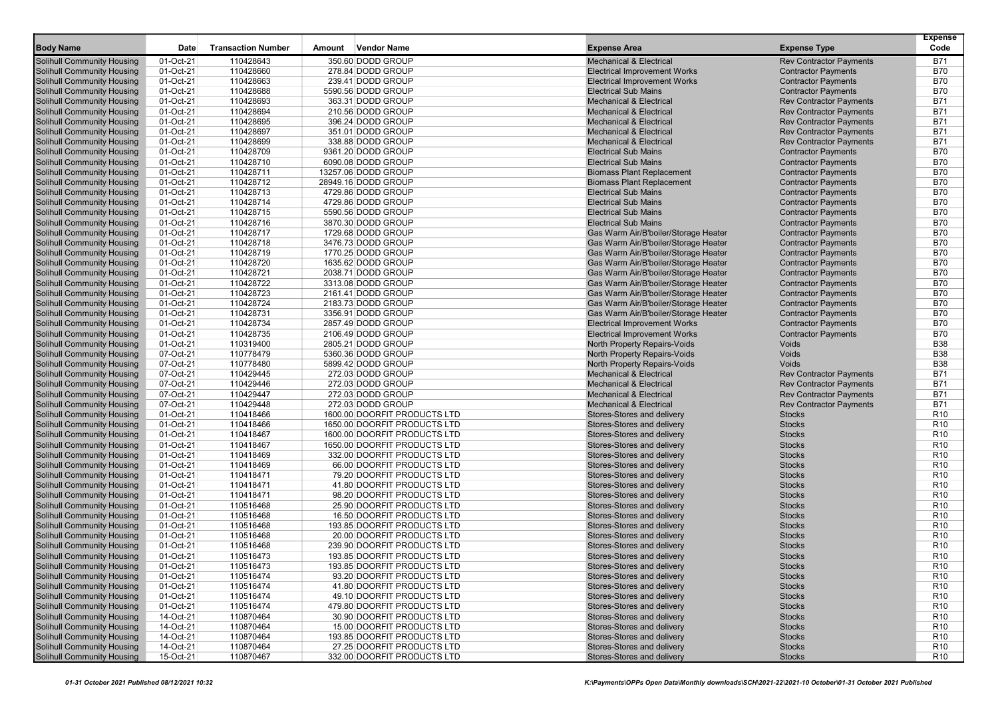|                                                                        |                        |                           |        |                                         |                                                                          |                                                              | <b>Expense</b>           |
|------------------------------------------------------------------------|------------------------|---------------------------|--------|-----------------------------------------|--------------------------------------------------------------------------|--------------------------------------------------------------|--------------------------|
| <b>Body Name</b>                                                       | Date                   | <b>Transaction Number</b> | Amount | <b>Vendor Name</b>                      | <b>Expense Area</b>                                                      | <b>Expense Type</b>                                          | Code                     |
| <b>Solihull Community Housing</b>                                      | 01-Oct-21              | 110428643                 |        | 350.60 DODD GROUP                       | <b>Mechanical &amp; Electrical</b>                                       | <b>Rev Contractor Payments</b>                               | <b>B71</b>               |
| <b>Solihull Community Housing</b>                                      | 01-Oct-21              | 110428660                 |        | 278.84 DODD GROUP                       | <b>Electrical Improvement Works</b>                                      | <b>Contractor Payments</b>                                   | <b>B70</b>               |
| <b>Solihull Community Housing</b>                                      | 01-Oct-21              | 110428663                 |        | 239.41 DODD GROUP                       | <b>Electrical Improvement Works</b>                                      | <b>Contractor Payments</b>                                   | <b>B70</b>               |
| <b>Solihull Community Housing</b><br><b>Solihull Community Housing</b> | 01-Oct-21<br>01-Oct-21 | 110428688<br>110428693    |        | 5590.56 DODD GROUP<br>363.31 DODD GROUP | <b>Electrical Sub Mains</b><br><b>Mechanical &amp; Electrical</b>        | <b>Contractor Payments</b><br><b>Rev Contractor Payments</b> | <b>B70</b><br><b>B71</b> |
| <b>Solihull Community Housing</b>                                      | 01-Oct-21              | 110428694                 |        | 210.56 DODD GROUP                       | <b>Mechanical &amp; Electrical</b>                                       | <b>Rev Contractor Payments</b>                               | <b>B71</b>               |
| <b>Solihull Community Housing</b>                                      | 01-Oct-21              | 110428695                 |        | 396.24 DODD GROUP                       | <b>Mechanical &amp; Electrical</b>                                       | <b>Rev Contractor Payments</b>                               | <b>B71</b>               |
| <b>Solihull Community Housing</b>                                      | 01-Oct-21              | 110428697                 |        | 351.01 DODD GROUP                       | <b>Mechanical &amp; Electrical</b>                                       | <b>Rev Contractor Payments</b>                               | <b>B71</b>               |
| <b>Solihull Community Housing</b>                                      | 01-Oct-21              | 110428699                 |        | 338.88 DODD GROUP                       | <b>Mechanical &amp; Electrical</b>                                       | <b>Rev Contractor Payments</b>                               | <b>B71</b>               |
| <b>Solihull Community Housing</b>                                      | 01-Oct-21              | 110428709                 |        | 9361.20 DODD GROUP                      | <b>Electrical Sub Mains</b>                                              | <b>Contractor Payments</b>                                   | <b>B70</b>               |
| Solihull Community Housing                                             | 01-Oct-21              | 110428710                 |        | 6090.08 DODD GROUP                      | <b>Electrical Sub Mains</b>                                              | <b>Contractor Payments</b>                                   | <b>B70</b>               |
| <b>Solihull Community Housing</b>                                      | 01-Oct-21              | 110428711                 |        | 13257.06 DODD GROUP                     | <b>Biomass Plant Replacement</b>                                         | <b>Contractor Payments</b>                                   | <b>B70</b>               |
| <b>Solihull Community Housing</b>                                      | 01-Oct-21              | 110428712                 |        | 28949.16 DODD GROUP                     | <b>Biomass Plant Replacement</b>                                         | <b>Contractor Payments</b>                                   | <b>B70</b>               |
| <b>Solihull Community Housing</b>                                      | 01-Oct-21              | 110428713                 |        | 4729.86 DODD GROUP                      | <b>Electrical Sub Mains</b>                                              | <b>Contractor Payments</b>                                   | <b>B70</b>               |
| <b>Solihull Community Housing</b>                                      | 01-Oct-21              | 110428714                 |        | 4729.86 DODD GROUP                      | <b>Electrical Sub Mains</b>                                              | <b>Contractor Payments</b>                                   | <b>B70</b>               |
| <b>Solihull Community Housing</b>                                      | 01-Oct-21              | 110428715                 |        | 5590.56 DODD GROUP                      | <b>Electrical Sub Mains</b>                                              | <b>Contractor Payments</b>                                   | <b>B70</b>               |
| <b>Solihull Community Housing</b>                                      | 01-Oct-21              | 110428716                 |        | 3870.30 DODD GROUP                      | <b>Electrical Sub Mains</b>                                              | <b>Contractor Payments</b>                                   | <b>B70</b>               |
| <b>Solihull Community Housing</b>                                      | 01-Oct-21              | 110428717                 |        | 1729.68 DODD GROUP                      | Gas Warm Air/B'boiler/Storage Heater                                     | <b>Contractor Payments</b>                                   | <b>B70</b>               |
| <b>Solihull Community Housing</b>                                      | 01-Oct-21              | 110428718                 |        | 3476.73 DODD GROUP                      | Gas Warm Air/B'boiler/Storage Heater                                     | <b>Contractor Payments</b>                                   | <b>B70</b>               |
| <b>Solihull Community Housing</b>                                      | 01-Oct-21              | 110428719                 |        | 1770.25 DODD GROUP                      | Gas Warm Air/B'boiler/Storage Heater                                     | <b>Contractor Payments</b>                                   | <b>B70</b>               |
| <b>Solihull Community Housing</b>                                      | 01-Oct-21              | 110428720                 |        | 1635.62 DODD GROUP                      | Gas Warm Air/B'boiler/Storage Heater                                     | <b>Contractor Payments</b>                                   | <b>B70</b>               |
| <b>Solihull Community Housing</b>                                      | 01-Oct-21              | 110428721                 |        | 2038.71 DODD GROUP                      | Gas Warm Air/B'boiler/Storage Heater                                     | <b>Contractor Payments</b>                                   | <b>B70</b>               |
| <b>Solihull Community Housing</b>                                      | 01-Oct-21              | 110428722                 |        | 3313.08 DODD GROUP                      | Gas Warm Air/B'boiler/Storage Heater                                     | <b>Contractor Payments</b>                                   | <b>B70</b>               |
| <b>Solihull Community Housing</b>                                      | 01-Oct-21              | 110428723                 |        | 2161.41 DODD GROUP                      | Gas Warm Air/B'boiler/Storage Heater                                     | <b>Contractor Payments</b>                                   | <b>B70</b>               |
| <b>Solihull Community Housing</b>                                      | 01-Oct-21              | 110428724                 |        | 2183.73 DODD GROUP                      | Gas Warm Air/B'boiler/Storage Heater                                     | <b>Contractor Payments</b>                                   | <b>B70</b>               |
| <b>Solihull Community Housing</b>                                      | 01-Oct-21              | 110428731                 |        | 3356.91 DODD GROUP                      | Gas Warm Air/B'boiler/Storage Heater                                     | <b>Contractor Payments</b>                                   | <b>B70</b>               |
| <b>Solihull Community Housing</b>                                      | 01-Oct-21              | 110428734                 |        | 2857.49 DODD GROUP                      | <b>Electrical Improvement Works</b>                                      | <b>Contractor Payments</b>                                   | <b>B70</b>               |
| <b>Solihull Community Housing</b>                                      | 01-Oct-21              | 110428735                 |        | 2106.49 DODD GROUP                      | <b>Electrical Improvement Works</b>                                      | <b>Contractor Payments</b>                                   | <b>B70</b>               |
| <b>Solihull Community Housing</b>                                      | 01-Oct-21              | 110319400                 |        | 2805.21 DODD GROUP                      | <b>North Property Repairs-Voids</b>                                      | Voids                                                        | <b>B38</b>               |
| <b>Solihull Community Housing</b>                                      | 07-Oct-21              | 110778479                 |        | 5360.36 DODD GROUP                      | North Property Repairs-Voids                                             | Voids                                                        | <b>B38</b>               |
| <b>Solihull Community Housing</b>                                      | 07-Oct-21              | 110778480                 |        | 5899.42 DODD GROUP                      | North Property Repairs-Voids                                             | Voids                                                        | <b>B38</b>               |
| <b>Solihull Community Housing</b>                                      | 07-Oct-21              | 110429445                 |        | 272.03 DODD GROUP                       | <b>Mechanical &amp; Electrical</b><br><b>Mechanical &amp; Electrical</b> | <b>Rev Contractor Payments</b>                               | <b>B71</b><br><b>B71</b> |
| <b>Solihull Community Housing</b>                                      | 07-Oct-21<br>07-Oct-21 | 110429446<br>110429447    |        | 272.03 DODD GROUP<br>272.03 DODD GROUP  | <b>Mechanical &amp; Electrical</b>                                       | <b>Rev Contractor Payments</b>                               | <b>B71</b>               |
| <b>Solihull Community Housing</b><br><b>Solihull Community Housing</b> | 07-Oct-21              | 110429448                 |        | 272.03 DODD GROUP                       | <b>Mechanical &amp; Electrical</b>                                       | <b>Rev Contractor Payments</b>                               | <b>B71</b>               |
| <b>Solihull Community Housing</b>                                      | 01-Oct-21              | 110418466                 |        | 1600.00 DOORFIT PRODUCTS LTD            | Stores-Stores and delivery                                               | <b>Rev Contractor Payments</b><br><b>Stocks</b>              | R <sub>10</sub>          |
| <b>Solihull Community Housing</b>                                      | 01-Oct-21              | 110418466                 |        | 1650.00 DOORFIT PRODUCTS LTD            | Stores-Stores and delivery                                               | <b>Stocks</b>                                                | R <sub>10</sub>          |
| <b>Solihull Community Housing</b>                                      | 01-Oct-21              | 110418467                 |        | 1600.00 DOORFIT PRODUCTS LTD            | Stores-Stores and delivery                                               | <b>Stocks</b>                                                | R <sub>10</sub>          |
| <b>Solihull Community Housing</b>                                      | 01-Oct-21              | 110418467                 |        | 1650.00 DOORFIT PRODUCTS LTD            | Stores-Stores and delivery                                               | <b>Stocks</b>                                                | R <sub>10</sub>          |
| <b>Solihull Community Housing</b>                                      | 01-Oct-21              | 110418469                 |        | 332.00 DOORFIT PRODUCTS LTD             | Stores-Stores and delivery                                               | <b>Stocks</b>                                                | R <sub>10</sub>          |
| <b>Solihull Community Housing</b>                                      | 01-Oct-21              | 110418469                 |        | 66.00 DOORFIT PRODUCTS LTD              | Stores-Stores and delivery                                               | <b>Stocks</b>                                                | R <sub>10</sub>          |
| <b>Solihull Community Housing</b>                                      | 01-Oct-21              | 110418471                 |        | 79.20 DOORFIT PRODUCTS LTD              | Stores-Stores and delivery                                               | <b>Stocks</b>                                                | R <sub>10</sub>          |
| <b>Solihull Community Housing</b>                                      | 01-Oct-21              | 110418471                 |        | 41.80 DOORFIT PRODUCTS LTD              | Stores-Stores and delivery                                               | <b>Stocks</b>                                                | R <sub>10</sub>          |
| <b>Solihull Community Housing</b>                                      | 01-Oct-21              | 110418471                 |        | 98.20 DOORFIT PRODUCTS LTD              | Stores-Stores and delivery                                               | <b>Stocks</b>                                                | R <sub>10</sub>          |
| <b>Solihull Community Housing</b>                                      | 01-Oct-21              | 110516468                 |        | 25.90 DOORFIT PRODUCTS LTD              | Stores-Stores and delivery                                               | <b>Stocks</b>                                                | R <sub>10</sub>          |
| <b>Solihull Community Housing</b>                                      | 01-Oct-21              | 110516468                 |        | 16.50 DOORFIT PRODUCTS LTD              | Stores-Stores and delivery                                               | <b>Stocks</b>                                                | R <sub>10</sub>          |
| <b>Solihull Community Housing</b>                                      | 01-Oct-21              | 110516468                 |        | 193.85 DOORFIT PRODUCTS LTD             | Stores-Stores and delivery                                               | <b>Stocks</b>                                                | R <sub>10</sub>          |
| <b>Solihull Community Housing</b>                                      | 01-Oct-21              | 110516468                 |        | 20.00 DOORFIT PRODUCTS LTD              | Stores-Stores and delivery                                               | <b>Stocks</b>                                                | R <sub>10</sub>          |
| Solihull Community Housing                                             | 01-Oct-21              | 110516468                 |        | 239.90 DOORFIT PRODUCTS LTD             | Stores-Stores and delivery                                               | <b>Stocks</b>                                                | R <sub>10</sub>          |
| <b>Solihull Community Housing</b>                                      | 01-Oct-21              | 110516473                 |        | 193.85 DOORFIT PRODUCTS LTD             | Stores-Stores and delivery                                               | <b>Stocks</b>                                                | R <sub>10</sub>          |
| <b>Solihull Community Housing</b>                                      | 01-Oct-21              | 110516473                 |        | 193.85 DOORFIT PRODUCTS LTD             | Stores-Stores and delivery                                               | <b>Stocks</b>                                                | R <sub>10</sub>          |
| Solihull Community Housing                                             | 01-Oct-21              | 110516474                 |        | 93.20 DOORFIT PRODUCTS LTD              | Stores-Stores and delivery                                               | <b>Stocks</b>                                                | R <sub>10</sub>          |
| <b>Solihull Community Housing</b>                                      | 01-Oct-21              | 110516474                 |        | 41.80 DOORFIT PRODUCTS LTD              | Stores-Stores and delivery                                               | <b>Stocks</b>                                                | R <sub>10</sub>          |
| Solihull Community Housing                                             | 01-Oct-21              | 110516474                 |        | 49.10 DOORFIT PRODUCTS LTD              | Stores-Stores and delivery                                               | <b>Stocks</b>                                                | R <sub>10</sub>          |
| <b>Solihull Community Housing</b>                                      | 01-Oct-21              | 110516474                 |        | 479.80 DOORFIT PRODUCTS LTD             | Stores-Stores and delivery                                               | <b>Stocks</b>                                                | R <sub>10</sub>          |
| <b>Solihull Community Housing</b>                                      | 14-Oct-21              | 110870464                 |        | 30.90 DOORFIT PRODUCTS LTD              | Stores-Stores and delivery                                               | <b>Stocks</b>                                                | R <sub>10</sub>          |
| <b>Solihull Community Housing</b>                                      | 14-Oct-21              | 110870464                 |        | 15.00 DOORFIT PRODUCTS LTD              | Stores-Stores and delivery                                               | <b>Stocks</b>                                                | R <sub>10</sub>          |
| <b>Solihull Community Housing</b>                                      | 14-Oct-21              | 110870464                 |        | 193.85 DOORFIT PRODUCTS LTD             | Stores-Stores and delivery                                               | <b>Stocks</b>                                                | R <sub>10</sub>          |
| <b>Solihull Community Housing</b>                                      | 14-Oct-21              | 110870464                 |        | 27.25 DOORFIT PRODUCTS LTD              | Stores-Stores and delivery                                               | <b>Stocks</b>                                                | R <sub>10</sub>          |
| <b>Solihull Community Housing</b>                                      | 15-Oct-21              | 110870467                 |        | 332.00 DOORFIT PRODUCTS LTD             | Stores-Stores and delivery                                               | <b>Stocks</b>                                                | R <sub>10</sub>          |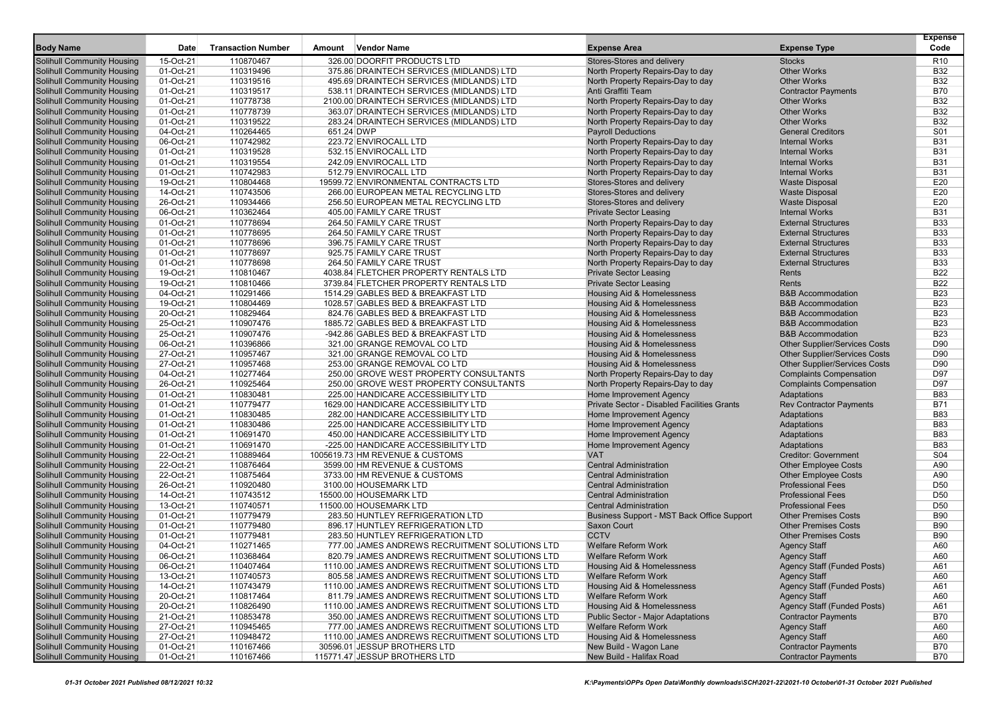|                                                                        |                        |                           |            |                                                                                       |                                                                                |                                                              | <b>Expense</b>           |
|------------------------------------------------------------------------|------------------------|---------------------------|------------|---------------------------------------------------------------------------------------|--------------------------------------------------------------------------------|--------------------------------------------------------------|--------------------------|
| <b>Body Name</b>                                                       | <b>Date</b>            | <b>Transaction Number</b> | Amount     | <b>Vendor Name</b>                                                                    | <b>Expense Area</b>                                                            | <b>Expense Type</b>                                          | Code                     |
| <b>Solihull Community Housing</b>                                      | 15-Oct-21              | 110870467                 |            | 326.00 DOORFIT PRODUCTS LTD                                                           | Stores-Stores and delivery                                                     | <b>Stocks</b>                                                | R <sub>10</sub>          |
| <b>Solihull Community Housing</b>                                      | 01-Oct-21              | 110319496                 |            | 375.86 DRAINTECH SERVICES (MIDLANDS) LTD                                              | North Property Repairs-Day to day                                              | <b>Other Works</b>                                           | <b>B32</b>               |
| <b>Solihull Community Housing</b>                                      | 01-Oct-21<br>01-Oct-21 | 110319516<br>110319517    |            | 495.69 DRAINTECH SERVICES (MIDLANDS) LTD                                              | North Property Repairs-Day to day<br>Anti Graffiti Team                        | <b>Other Works</b>                                           | <b>B32</b><br><b>B70</b> |
| <b>Solihull Community Housing</b>                                      | 01-Oct-21              | 110778738                 |            | 538.11 DRAINTECH SERVICES (MIDLANDS) LTD                                              | North Property Repairs-Day to day                                              | <b>Contractor Payments</b><br><b>Other Works</b>             | <b>B32</b>               |
| <b>Solihull Community Housing</b><br>Solihull Community Housing        | 01-Oct-21              | 110778739                 |            | 2100.00 DRAINTECH SERVICES (MIDLANDS) LTD<br>363.07 DRAINTECH SERVICES (MIDLANDS) LTD | North Property Repairs-Day to day                                              | <b>Other Works</b>                                           | <b>B32</b>               |
| <b>Solihull Community Housing</b>                                      | 01-Oct-21              | 110319522                 |            | 283.24 DRAINTECH SERVICES (MIDLANDS) LTD                                              | North Property Repairs-Day to day                                              | <b>Other Works</b>                                           | <b>B32</b>               |
| <b>Solihull Community Housing</b>                                      | 04-Oct-21              | 110264465                 | 651.24 DWP |                                                                                       | <b>Payroll Deductions</b>                                                      | <b>General Creditors</b>                                     | S01                      |
| <b>Solihull Community Housing</b>                                      | 06-Oct-21              | 110742982                 |            | 223.72 ENVIROCALL LTD                                                                 | North Property Repairs-Day to day                                              | <b>Internal Works</b>                                        | <b>B31</b>               |
| <b>Solihull Community Housing</b>                                      | 01-Oct-21              | 110319528                 |            | 532.15 ENVIROCALL LTD                                                                 | North Property Repairs-Day to day                                              | <b>Internal Works</b>                                        | <b>B31</b>               |
| <b>Solihull Community Housing</b>                                      | 01-Oct-21              | 110319554                 |            | 242.09 ENVIROCALL LTD                                                                 | North Property Repairs-Day to day                                              | <b>Internal Works</b>                                        | <b>B31</b>               |
| <b>Solihull Community Housing</b>                                      | 01-Oct-21              | 110742983                 |            | 512.79 ENVIROCALL LTD                                                                 | North Property Repairs-Day to day                                              | <b>Internal Works</b>                                        | <b>B31</b>               |
| <b>Solihull Community Housing</b>                                      | 19-Oct-21              | 110804468                 |            | 19599.72 ENVIRONMENTAL CONTRACTS LTD                                                  | Stores-Stores and delivery                                                     | <b>Waste Disposal</b>                                        | E20                      |
| <b>Solihull Community Housing</b>                                      | 14-Oct-21              | 110743506                 |            | 266.00 EUROPEAN METAL RECYCLING LTD                                                   | Stores-Stores and delivery                                                     | <b>Waste Disposal</b>                                        | E20                      |
| <b>Solihull Community Housing</b>                                      | 26-Oct-21              | 110934466                 |            | 256.50 EUROPEAN METAL RECYCLING LTD                                                   | Stores-Stores and delivery                                                     | <b>Waste Disposal</b>                                        | E20                      |
| <b>Solihull Community Housing</b>                                      | 06-Oct-21              | 110362464                 |            | 405.00 FAMILY CARE TRUST                                                              | <b>Private Sector Leasing</b>                                                  | <b>Internal Works</b>                                        | <b>B31</b>               |
| <b>Solihull Community Housing</b>                                      | 01-Oct-21              | 110778694                 |            | 264.50 FAMILY CARE TRUST                                                              | North Property Repairs-Day to day                                              | <b>External Structures</b>                                   | <b>B33</b>               |
| <b>Solihull Community Housing</b>                                      | 01-Oct-21              | 110778695                 |            | 264.50 FAMILY CARE TRUST                                                              | North Property Repairs-Day to day                                              | <b>External Structures</b>                                   | <b>B33</b>               |
| <b>Solihull Community Housing</b>                                      | 01-Oct-21              | 110778696                 |            | 396.75 FAMILY CARE TRUST                                                              | North Property Repairs-Day to day                                              | <b>External Structures</b>                                   | <b>B33</b>               |
| <b>Solihull Community Housing</b>                                      | 01-Oct-21              | 110778697                 |            | 925.75 FAMILY CARE TRUST                                                              | North Property Repairs-Day to day                                              | <b>External Structures</b>                                   | <b>B33</b>               |
| <b>Solihull Community Housing</b>                                      | 01-Oct-21              | 110778698                 |            | 264.50 FAMILY CARE TRUST                                                              | North Property Repairs-Day to day                                              | <b>External Structures</b>                                   | <b>B33</b>               |
| <b>Solihull Community Housing</b>                                      | 19-Oct-21              | 110810467                 |            | 4038.84 FLETCHER PROPERTY RENTALS LTD                                                 | <b>Private Sector Leasing</b>                                                  | Rents                                                        | <b>B22</b>               |
| <b>Solihull Community Housing</b>                                      | 19-Oct-21              | 110810466                 |            | 3739.84 FLETCHER PROPERTY RENTALS LTD                                                 | <b>Private Sector Leasing</b>                                                  | Rents                                                        | <b>B22</b>               |
| <b>Solihull Community Housing</b>                                      | 04-Oct-21              | 110291466                 |            | 1514.29 GABLES BED & BREAKFAST LTD                                                    | Housing Aid & Homelessness                                                     | <b>B&amp;B Accommodation</b>                                 | <b>B23</b>               |
| <b>Solihull Community Housing</b>                                      | 19-Oct-21              | 110804469                 |            | 1028.57 GABLES BED & BREAKFAST LTD<br>824.76 GABLES BED & BREAKFAST LTD               | <b>Housing Aid &amp; Homelessness</b>                                          | <b>B&amp;B Accommodation</b>                                 | <b>B23</b>               |
| <b>Solihull Community Housing</b>                                      | 20-Oct-21<br>25-Oct-21 | 110829464<br>110907476    |            |                                                                                       | <b>Housing Aid &amp; Homelessness</b>                                          | <b>B&amp;B Accommodation</b><br><b>B&amp;B Accommodation</b> | <b>B23</b><br><b>B23</b> |
| <b>Solihull Community Housing</b><br><b>Solihull Community Housing</b> | 25-Oct-21              | 110907476                 |            | 1885.72 GABLES BED & BREAKFAST LTD<br>-942.86 GABLES BED & BREAKFAST LTD              | <b>Housing Aid &amp; Homelessness</b><br><b>Housing Aid &amp; Homelessness</b> | <b>B&amp;B Accommodation</b>                                 | <b>B23</b>               |
| <b>Solihull Community Housing</b>                                      | 06-Oct-21              | 110396866                 |            | 321.00 GRANGE REMOVAL CO LTD                                                          | Housing Aid & Homelessness                                                     | <b>Other Supplier/Services Costs</b>                         | D90                      |
| <b>Solihull Community Housing</b>                                      | 27-Oct-21              | 110957467                 |            | 321.00 GRANGE REMOVAL CO LTD                                                          | Housing Aid & Homelessness                                                     | <b>Other Supplier/Services Costs</b>                         | D90                      |
| <b>Solihull Community Housing</b>                                      | 27-Oct-21              | 110957468                 |            | 253.00 GRANGE REMOVAL CO LTD                                                          | <b>Housing Aid &amp; Homelessness</b>                                          | <b>Other Supplier/Services Costs</b>                         | D90                      |
| <b>Solihull Community Housing</b>                                      | 04-Oct-21              | 110277464                 |            | 250.00 GROVE WEST PROPERTY CONSULTANTS                                                | North Property Repairs-Day to day                                              | <b>Complaints Compensation</b>                               | D97                      |
| <b>Solihull Community Housing</b>                                      | 26-Oct-21              | 110925464                 |            | 250.00 GROVE WEST PROPERTY CONSULTANTS                                                | North Property Repairs-Day to day                                              | <b>Complaints Compensation</b>                               | D97                      |
| <b>Solihull Community Housing</b>                                      | 01-Oct-21              | 110830481                 |            | 225.00 HANDICARE ACCESSIBILITY LTD                                                    | Home Improvement Agency                                                        | Adaptations                                                  | <b>B83</b>               |
| <b>Solihull Community Housing</b>                                      | 01-Oct-21              | 110779477                 |            | 1629.00 HANDICARE ACCESSIBILITY LTD                                                   | Private Sector - Disabled Facilities Grants                                    | <b>Rev Contractor Payments</b>                               | <b>B71</b>               |
| <b>Solihull Community Housing</b>                                      | 01-Oct-21              | 110830485                 |            | 282.00 HANDICARE ACCESSIBILITY LTD                                                    | Home Improvement Agency                                                        | Adaptations                                                  | <b>B83</b>               |
| <b>Solihull Community Housing</b>                                      | 01-Oct-21              | 110830486                 |            | 225.00 HANDICARE ACCESSIBILITY LTD                                                    | Home Improvement Agency                                                        | Adaptations                                                  | <b>B83</b>               |
| <b>Solihull Community Housing</b>                                      | 01-Oct-21              | 110691470                 |            | 450.00 HANDICARE ACCESSIBILITY LTD                                                    | Home Improvement Agency                                                        | Adaptations                                                  | <b>B83</b>               |
| <b>Solihull Community Housing</b>                                      | 01-Oct-21              | 110691470                 |            | -225.00 HANDICARE ACCESSIBILITY LTD                                                   | Home Improvement Agency                                                        | Adaptations                                                  | <b>B83</b>               |
| <b>Solihull Community Housing</b>                                      | 22-Oct-21              | 110889464                 |            | 1005619.73 HM REVENUE & CUSTOMS                                                       | <b>VAT</b>                                                                     | <b>Creditor: Government</b>                                  | S04                      |
| <b>Solihull Community Housing</b>                                      | 22-Oct-21              | 110876464                 |            | 3599.00 HM REVENUE & CUSTOMS                                                          | <b>Central Administration</b>                                                  | <b>Other Employee Costs</b>                                  | A90                      |
| <b>Solihull Community Housing</b>                                      | 22-Oct-21              | 110875464                 |            | 3733.00 HM REVENUE & CUSTOMS                                                          | <b>Central Administration</b>                                                  | <b>Other Employee Costs</b>                                  | A90                      |
| <b>Solihull Community Housing</b>                                      | 26-Oct-21              | 110920480                 |            | 3100.00 HOUSEMARK LTD                                                                 | <b>Central Administration</b>                                                  | <b>Professional Fees</b>                                     | D <sub>50</sub>          |
| <b>Solihull Community Housing</b>                                      | 14-Oct-21              | 110743512                 |            | 15500.00 HOUSEMARK LTD                                                                | <b>Central Administration</b>                                                  | <b>Professional Fees</b>                                     | D <sub>50</sub>          |
| <b>Solihull Community Housing</b>                                      | 13-Oct-21              | 110740571                 |            | 11500.00 HOUSEMARK LTD                                                                | <b>Central Administration</b>                                                  | <b>Professional Fees</b>                                     | D <sub>50</sub>          |
| <b>Solihull Community Housing</b>                                      | 01-Oct-21              | 110779479<br>110779480    |            | 283.50 HUNTLEY REFRIGERATION LTD<br>896.17 HUNTLEY REFRIGERATION LTD                  | Business Support - MST Back Office Support<br><b>Saxon Court</b>               | <b>Other Premises Costs</b><br><b>Other Premises Costs</b>   | <b>B90</b><br><b>B90</b> |
| <b>Solihull Community Housing</b><br><b>Solihull Community Housing</b> | 01-Oct-21<br>01-Oct-21 | 110779481                 |            | 283.50 HUNTLEY REFRIGERATION LTD                                                      | <b>CCTV</b>                                                                    | <b>Other Premises Costs</b>                                  | <b>B90</b>               |
| <b>Solihull Community Housing</b>                                      | 04-Oct-21              | 110271465                 |            | 777.00 JAMES ANDREWS RECRUITMENT SOLUTIONS LTD                                        | Welfare Reform Work                                                            | <b>Agency Staff</b>                                          | A60                      |
| <b>Solihull Community Housing</b>                                      | 06-Oct-21              | 110368464                 |            | 820.79 JAMES ANDREWS RECRUITMENT SOLUTIONS LTD                                        | <b>Welfare Reform Work</b>                                                     | <b>Agency Staff</b>                                          | A60                      |
| <b>Solihull Community Housing</b>                                      | 06-Oct-21              | 110407464                 |            | 1110.00 JAMES ANDREWS RECRUITMENT SOLUTIONS LTD                                       | Housing Aid & Homelessness                                                     | <b>Agency Staff (Funded Posts)</b>                           | A61                      |
| <b>Solihull Community Housing</b>                                      | 13-Oct-21              | 110740573                 |            | 805.58 JAMES ANDREWS RECRUITMENT SOLUTIONS LTD                                        | <b>Welfare Reform Work</b>                                                     | <b>Agency Staff</b>                                          | A60                      |
| <b>Solihull Community Housing</b>                                      | 14-Oct-21              | 110743479                 |            | 1110.00 JAMES ANDREWS RECRUITMENT SOLUTIONS LTD                                       | Housing Aid & Homelessness                                                     | Agency Staff (Funded Posts)                                  | A61                      |
| <b>Solihull Community Housing</b>                                      | 20-Oct-21              | 110817464                 |            | 811.79 JAMES ANDREWS RECRUITMENT SOLUTIONS LTD                                        | <b>Welfare Reform Work</b>                                                     | <b>Agency Staff</b>                                          | A60                      |
| <b>Solihull Community Housing</b>                                      | 20-Oct-21              | 110826490                 |            | 1110.00 JAMES ANDREWS RECRUITMENT SOLUTIONS LTD                                       | Housing Aid & Homelessness                                                     | Agency Staff (Funded Posts)                                  | A61                      |
| <b>Solihull Community Housing</b>                                      | 21-Oct-21              | 110853478                 |            | 350.00 JAMES ANDREWS RECRUITMENT SOLUTIONS LTD                                        | Public Sector - Major Adaptations                                              | <b>Contractor Payments</b>                                   | <b>B70</b>               |
| <b>Solihull Community Housing</b>                                      | 27-Oct-21              | 110945465                 |            | 777.00 JAMES ANDREWS RECRUITMENT SOLUTIONS LTD                                        | <b>Welfare Reform Work</b>                                                     | <b>Agency Staff</b>                                          | A60                      |
| <b>Solihull Community Housing</b>                                      | 27-Oct-21              | 110948472                 |            | 1110.00 JAMES ANDREWS RECRUITMENT SOLUTIONS LTD                                       | <b>Housing Aid &amp; Homelessness</b>                                          | <b>Agency Staff</b>                                          | A60                      |
| Solihull Community Housing                                             | 01-Oct-21              | 110167466                 |            | 30596.01 JESSUP BROTHERS LTD                                                          | New Build - Wagon Lane                                                         | <b>Contractor Payments</b>                                   | <b>B70</b>               |
| <b>Solihull Community Housing</b>                                      | 01-Oct-21              | 110167466                 |            | 115771.47 JESSUP BROTHERS LTD                                                         | New Build - Halifax Road                                                       | <b>Contractor Payments</b>                                   | B70                      |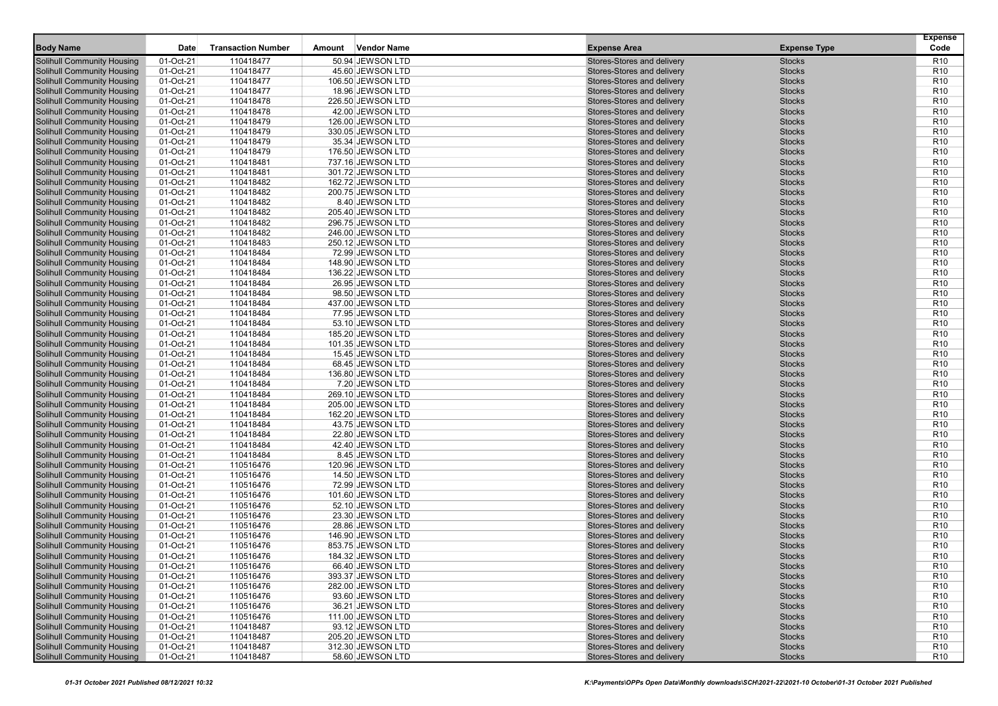|                                   |           |                           |        |                    |                            |                     | <b>Expense</b>  |
|-----------------------------------|-----------|---------------------------|--------|--------------------|----------------------------|---------------------|-----------------|
| <b>Body Name</b>                  | Date      | <b>Transaction Number</b> | Amount | <b>Vendor Name</b> | <b>Expense Area</b>        | <b>Expense Type</b> | Code            |
| Solihull Community Housing        | 01-Oct-21 | 110418477                 |        | 50.94 JEWSON LTD   | Stores-Stores and delivery | <b>Stocks</b>       | R <sub>10</sub> |
| Solihull Community Housing        | 01-Oct-21 | 110418477                 |        | 45.60 JEWSON LTD   | Stores-Stores and delivery | <b>Stocks</b>       | R <sub>10</sub> |
| Solihull Community Housing        | 01-Oct-21 | 110418477                 |        | 106.50 JEWSON LTD  | Stores-Stores and delivery | <b>Stocks</b>       | R <sub>10</sub> |
| Solihull Community Housing        | 01-Oct-21 | 110418477                 |        | 18.96 JEWSON LTD   | Stores-Stores and delivery | <b>Stocks</b>       | R <sub>10</sub> |
| <b>Solihull Community Housing</b> | 01-Oct-21 | 110418478                 |        | 226.50 JEWSON LTD  | Stores-Stores and delivery | <b>Stocks</b>       | R <sub>10</sub> |
| Solihull Community Housing        | 01-Oct-21 | 110418478                 |        | 42.00 JEWSON LTD   | Stores-Stores and delivery | <b>Stocks</b>       | R <sub>10</sub> |
| Solihull Community Housing        | 01-Oct-21 | 110418479                 |        | 126.00 JEWSON LTD  | Stores-Stores and delivery | <b>Stocks</b>       | R <sub>10</sub> |
| Solihull Community Housing        | 01-Oct-21 | 110418479                 |        | 330.05 JEWSON LTD  | Stores-Stores and delivery | <b>Stocks</b>       | R <sub>10</sub> |
| Solihull Community Housing        | 01-Oct-21 | 110418479                 |        | 35.34 JEWSON LTD   | Stores-Stores and delivery | <b>Stocks</b>       | R <sub>10</sub> |
| <b>Solihull Community Housing</b> | 01-Oct-21 | 110418479                 |        | 176.50 JEWSON LTD  | Stores-Stores and delivery | <b>Stocks</b>       | R <sub>10</sub> |
| <b>Solihull Community Housing</b> | 01-Oct-21 | 110418481                 |        | 737.16 JEWSON LTD  | Stores-Stores and delivery | <b>Stocks</b>       | R <sub>10</sub> |
| Solihull Community Housing        | 01-Oct-21 | 110418481                 |        | 301.72 JEWSON LTD  | Stores-Stores and delivery | <b>Stocks</b>       | R <sub>10</sub> |
| Solihull Community Housing        | 01-Oct-21 | 110418482                 |        | 162.72 JEWSON LTD  | Stores-Stores and delivery | <b>Stocks</b>       | R <sub>10</sub> |
| Solihull Community Housing        | 01-Oct-21 | 110418482                 |        | 200.75 JEWSON LTD  | Stores-Stores and delivery | <b>Stocks</b>       | R <sub>10</sub> |
| Solihull Community Housing        | 01-Oct-21 | 110418482                 |        | 8.40 JEWSON LTD    | Stores-Stores and delivery | <b>Stocks</b>       | R <sub>10</sub> |
| Solihull Community Housing        | 01-Oct-21 | 110418482                 |        | 205.40 JEWSON LTD  | Stores-Stores and delivery | <b>Stocks</b>       | R <sub>10</sub> |
| <b>Solihull Community Housing</b> | 01-Oct-21 | 110418482                 |        | 296.75 JEWSON LTD  | Stores-Stores and delivery | <b>Stocks</b>       | R <sub>10</sub> |
| Solihull Community Housing        | 01-Oct-21 | 110418482                 |        | 246.00 JEWSON LTD  | Stores-Stores and delivery | <b>Stocks</b>       | R <sub>10</sub> |
| <b>Solihull Community Housing</b> | 01-Oct-21 | 110418483                 |        | 250.12 JEWSON LTD  | Stores-Stores and delivery | <b>Stocks</b>       | R <sub>10</sub> |
| Solihull Community Housing        | 01-Oct-21 | 110418484                 |        | 72.99 JEWSON LTD   | Stores-Stores and delivery | <b>Stocks</b>       | R <sub>10</sub> |
| <b>Solihull Community Housing</b> | 01-Oct-21 | 110418484                 |        | 148.90 JEWSON LTD  | Stores-Stores and delivery | <b>Stocks</b>       | R <sub>10</sub> |
| Solihull Community Housing        | 01-Oct-21 | 110418484                 |        | 136.22 JEWSON LTD  | Stores-Stores and delivery | <b>Stocks</b>       | R <sub>10</sub> |
| <b>Solihull Community Housing</b> | 01-Oct-21 | 110418484                 |        | 26.95 JEWSON LTD   | Stores-Stores and delivery | <b>Stocks</b>       | R <sub>10</sub> |
| Solihull Community Housing        | 01-Oct-21 | 110418484                 |        | 98.50 JEWSON LTD   | Stores-Stores and delivery | <b>Stocks</b>       | R <sub>10</sub> |
| Solihull Community Housing        | 01-Oct-21 | 110418484                 |        | 437.00 JEWSON LTD  | Stores-Stores and delivery | <b>Stocks</b>       | R <sub>10</sub> |
| <b>Solihull Community Housing</b> | 01-Oct-21 | 110418484                 |        | 77.95 JEWSON LTD   | Stores-Stores and delivery | <b>Stocks</b>       | R <sub>10</sub> |
| Solihull Community Housing        | 01-Oct-21 | 110418484                 |        | 53.10 JEWSON LTD   | Stores-Stores and delivery | <b>Stocks</b>       | R <sub>10</sub> |
| Solihull Community Housing        | 01-Oct-21 | 110418484                 |        | 185.20 JEWSON LTD  | Stores-Stores and delivery | <b>Stocks</b>       | R <sub>10</sub> |
| Solihull Community Housing        | 01-Oct-21 | 110418484                 |        | 101.35 JEWSON LTD  | Stores-Stores and delivery | <b>Stocks</b>       | R <sub>10</sub> |
| <b>Solihull Community Housing</b> | 01-Oct-21 | 110418484                 |        | 15.45 JEWSON LTD   | Stores-Stores and delivery | <b>Stocks</b>       | R <sub>10</sub> |
| Solihull Community Housing        | 01-Oct-21 | 110418484                 |        | 68.45 JEWSON LTD   | Stores-Stores and delivery | <b>Stocks</b>       | R <sub>10</sub> |
| Solihull Community Housing        | 01-Oct-21 | 110418484                 |        | 136.80 JEWSON LTD  | Stores-Stores and delivery | <b>Stocks</b>       | R <sub>10</sub> |
| Solihull Community Housing        | 01-Oct-21 | 110418484                 |        | 7.20 JEWSON LTD    | Stores-Stores and delivery | <b>Stocks</b>       | R <sub>10</sub> |
| Solihull Community Housing        | 01-Oct-21 | 110418484                 |        | 269.10 JEWSON LTD  | Stores-Stores and delivery | <b>Stocks</b>       | R <sub>10</sub> |
| <b>Solihull Community Housing</b> | 01-Oct-21 | 110418484                 |        | 205.00 JEWSON LTD  | Stores-Stores and delivery | <b>Stocks</b>       | R <sub>10</sub> |
| <b>Solihull Community Housing</b> | 01-Oct-21 | 110418484                 |        | 162.20 JEWSON LTD  | Stores-Stores and delivery | <b>Stocks</b>       | R <sub>10</sub> |
| Solihull Community Housing        | 01-Oct-21 | 110418484                 |        | 43.75 JEWSON LTD   | Stores-Stores and delivery | <b>Stocks</b>       | R <sub>10</sub> |
| <b>Solihull Community Housing</b> | 01-Oct-21 | 110418484                 |        | 22.80 JEWSON LTD   | Stores-Stores and delivery | <b>Stocks</b>       | R <sub>10</sub> |
| <b>Solihull Community Housing</b> | 01-Oct-21 | 110418484                 |        | 42.40 JEWSON LTD   | Stores-Stores and delivery | <b>Stocks</b>       | R <sub>10</sub> |
| Solihull Community Housing        | 01-Oct-21 | 110418484                 |        | 8.45 JEWSON LTD    | Stores-Stores and delivery | <b>Stocks</b>       | R <sub>10</sub> |
| Solihull Community Housing        | 01-Oct-21 | 110516476                 |        | 120.96 JEWSON LTD  | Stores-Stores and delivery | <b>Stocks</b>       | R <sub>10</sub> |
| Solihull Community Housing        | 01-Oct-21 | 110516476                 |        | 14.50 JEWSON LTD   | Stores-Stores and delivery | <b>Stocks</b>       | R <sub>10</sub> |
| Solihull Community Housing        | 01-Oct-21 | 110516476                 |        | 72.99 JEWSON LTD   | Stores-Stores and delivery | <b>Stocks</b>       | R <sub>10</sub> |
| Solihull Community Housing        | 01-Oct-21 | 110516476                 |        | 101.60 JEWSON LTD  | Stores-Stores and delivery | <b>Stocks</b>       | R <sub>10</sub> |
| Solihull Community Housing        | 01-Oct-21 | 110516476                 |        | 52.10 JEWSON LTD   | Stores-Stores and delivery | <b>Stocks</b>       | R <sub>10</sub> |
| Solihull Community Housing        | 01-Oct-21 | 110516476                 |        | 23.30 JEWSON LTD   | Stores-Stores and delivery | <b>Stocks</b>       | R <sub>10</sub> |
| Solihull Community Housing        | 01-Oct-21 | 110516476                 |        | 28.86 JEWSON LTD   | Stores-Stores and delivery | <b>Stocks</b>       | R <sub>10</sub> |
| <b>Solihull Community Housing</b> | 01-Oct-21 | 110516476                 |        | 146.90 JEWSON LTD  | Stores-Stores and delivery | <b>Stocks</b>       | R <sub>10</sub> |
| Solihull Community Housing        | 01-Oct-21 | 110516476                 |        | 853.75 JEWSON LTD  | Stores-Stores and delivery | <b>Stocks</b>       | R <sub>10</sub> |
| <b>Solihull Community Housing</b> | 01-Oct-21 | 110516476                 |        | 184.32 JEWSON LTD  | Stores-Stores and delivery | <b>Stocks</b>       | R <sub>10</sub> |
| Solihull Community Housing        | 01-Oct-21 | 110516476                 |        | 66.40 JEWSON LTD   | Stores-Stores and delivery | <b>Stocks</b>       | R <sub>10</sub> |
| Solihull Community Housing        | 01-Oct-21 | 110516476                 |        | 393.37 JEWSON LTD  | Stores-Stores and delivery | <b>Stocks</b>       | R <sub>10</sub> |
| <b>Solihull Community Housing</b> | 01-Oct-21 | 110516476                 |        | 282.00 JEWSON LTD  | Stores-Stores and delivery | <b>Stocks</b>       | R <sub>10</sub> |
| <b>Solihull Community Housing</b> | 01-Oct-21 | 110516476                 |        | 93.60 JEWSON LTD   | Stores-Stores and delivery | <b>Stocks</b>       | R <sub>10</sub> |
| <b>Solihull Community Housing</b> | 01-Oct-21 | 110516476                 |        | 36.21 JEWSON LTD   | Stores-Stores and delivery | <b>Stocks</b>       | R <sub>10</sub> |
| <b>Solihull Community Housing</b> | 01-Oct-21 | 110516476                 |        | 111.00 JEWSON LTD  | Stores-Stores and delivery | <b>Stocks</b>       | R <sub>10</sub> |
| Solihull Community Housing        | 01-Oct-21 | 110418487                 |        | 93.12 JEWSON LTD   | Stores-Stores and delivery | <b>Stocks</b>       | R <sub>10</sub> |
| Solihull Community Housing        | 01-Oct-21 | 110418487                 |        | 205.20 JEWSON LTD  | Stores-Stores and delivery | <b>Stocks</b>       | R <sub>10</sub> |
| Solihull Community Housing        | 01-Oct-21 | 110418487                 |        | 312.30 JEWSON LTD  | Stores-Stores and delivery | <b>Stocks</b>       | R <sub>10</sub> |
| <b>Solihull Community Housing</b> | 01-Oct-21 | 110418487                 |        | 58.60 JEWSON LTD   | Stores-Stores and delivery | <b>Stocks</b>       | R <sub>10</sub> |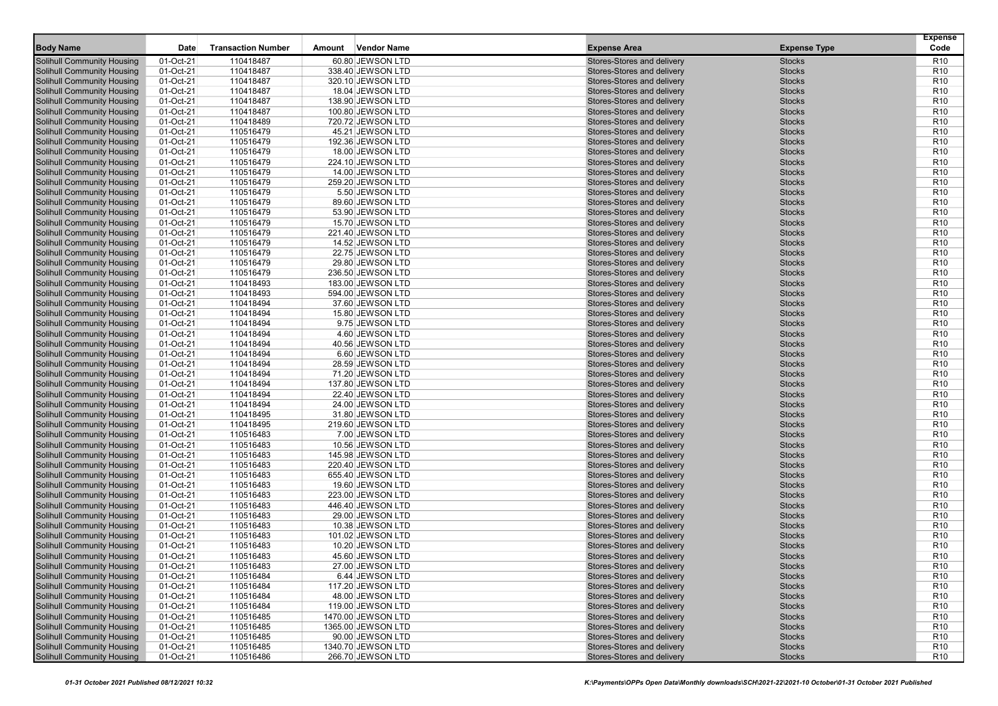| <b>Body Name</b><br><b>Transaction Number</b><br><b>Vendor Name</b><br><b>Expense Area</b><br>Code<br>Date<br>Amount<br><b>Expense Type</b><br>Solihull Community Housing<br>01-Oct-21<br>110418487<br>60.80 JEWSON LTD<br>Stores-Stores and delivery<br><b>Stocks</b><br>R <sub>10</sub><br>01-Oct-21<br><b>Stocks</b><br>Solihull Community Housing<br>110418487<br>338.40 JEWSON LTD<br>Stores-Stores and delivery<br>R <sub>10</sub><br>110418487<br><b>Stocks</b><br>Solihull Community Housing<br>01-Oct-21<br>320.10 JEWSON LTD<br>Stores-Stores and delivery<br>R <sub>10</sub><br>Solihull Community Housing<br>01-Oct-21<br>Stores-Stores and delivery<br>110418487<br>18.04 JEWSON LTD<br><b>Stocks</b><br>R <sub>10</sub><br><b>Stocks</b><br><b>Solihull Community Housing</b><br>01-Oct-21<br>110418487<br>138.90 JEWSON LTD<br>Stores-Stores and delivery<br>R <sub>10</sub><br>Solihull Community Housing<br>Stores-Stores and delivery<br><b>Stocks</b><br>R <sub>10</sub><br>01-Oct-21<br>110418487<br>100.80 JEWSON LTD<br>Solihull Community Housing<br>01-Oct-21<br>110418489<br>720.72 JEWSON LTD<br>Stores-Stores and delivery<br><b>Stocks</b><br>R <sub>10</sub><br>Stores-Stores and delivery<br><b>Stocks</b><br>R <sub>10</sub><br>Solihull Community Housing<br>01-Oct-21<br>110516479<br>45.21 JEWSON LTD<br>Stores-Stores and delivery<br>R <sub>10</sub><br>Solihull Community Housing<br>01-Oct-21<br>110516479<br>192.36 JEWSON LTD<br><b>Stocks</b><br><b>Solihull Community Housing</b><br>01-Oct-21<br>110516479<br>Stores-Stores and delivery<br><b>Stocks</b><br>R <sub>10</sub><br>18.00 JEWSON LTD<br><b>Solihull Community Housing</b><br>01-Oct-21<br>110516479<br>224.10 JEWSON LTD<br>Stores-Stores and delivery<br><b>Stocks</b><br>R <sub>10</sub><br><b>Stocks</b><br>R <sub>10</sub><br>Solihull Community Housing<br>01-Oct-21<br>110516479<br>14.00 JEWSON LTD<br>Stores-Stores and delivery<br>Solihull Community Housing<br>01-Oct-21<br>110516479<br>Stores-Stores and delivery<br><b>Stocks</b><br>R <sub>10</sub><br>259.20 JEWSON LTD<br>Solihull Community Housing<br>01-Oct-21<br>110516479<br>5.50 JEWSON LTD<br>Stores-Stores and delivery<br><b>Stocks</b><br>R <sub>10</sub><br>Stores-Stores and delivery<br><b>Stocks</b><br>R <sub>10</sub><br>Solihull Community Housing<br>01-Oct-21<br>110516479<br>89.60 JEWSON LTD<br>Solihull Community Housing<br>01-Oct-21<br>Stores-Stores and delivery<br>110516479<br>53.90 JEWSON LTD<br><b>Stocks</b><br>R <sub>10</sub><br><b>Solihull Community Housing</b><br>110516479<br>Stores-Stores and delivery<br><b>Stocks</b><br>01-Oct-21<br>15.70 JEWSON LTD<br>R <sub>10</sub><br><b>Stocks</b><br>R <sub>10</sub><br>Solihull Community Housing<br>01-Oct-21<br>110516479<br>Stores-Stores and delivery<br>221.40 JEWSON LTD<br><b>Solihull Community Housing</b><br>01-Oct-21<br>110516479<br>Stores-Stores and delivery<br>R <sub>10</sub><br>14.52 JEWSON LTD<br><b>Stocks</b><br>Solihull Community Housing<br>110516479<br>Stores-Stores and delivery<br>R <sub>10</sub><br>01-Oct-21<br>22.75 JEWSON LTD<br><b>Stocks</b><br><b>Solihull Community Housing</b><br>01-Oct-21<br>110516479<br>Stores-Stores and delivery<br>R <sub>10</sub><br>29.80 JEWSON LTD<br><b>Stocks</b><br>01-Oct-21<br>R <sub>10</sub><br>Solihull Community Housing<br>110516479<br>236.50 JEWSON LTD<br>Stores-Stores and delivery<br><b>Stocks</b><br><b>Solihull Community Housing</b><br>01-Oct-21<br>Stores-Stores and delivery<br>110418493<br>183.00 JEWSON LTD<br><b>Stocks</b><br>R <sub>10</sub><br>Stores-Stores and delivery<br><b>Stocks</b><br>R <sub>10</sub><br>Solihull Community Housing<br>01-Oct-21<br>110418493<br>594.00 JEWSON LTD<br><b>Stocks</b><br>R <sub>10</sub><br>Solihull Community Housing<br>01-Oct-21<br>110418494<br>37.60 JEWSON LTD<br>Stores-Stores and delivery<br><b>Solihull Community Housing</b><br>01-Oct-21<br>110418494<br>Stores-Stores and delivery<br>R <sub>10</sub><br>15.80 JEWSON LTD<br><b>Stocks</b><br>110418494<br>Stores-Stores and delivery<br><b>Stocks</b><br>R <sub>10</sub><br>Solihull Community Housing<br>01-Oct-21<br>9.75 JEWSON LTD<br>01-Oct-21<br>Stores-Stores and delivery<br><b>Stocks</b><br>R <sub>10</sub><br>Solihull Community Housing<br>110418494<br>4.60 JEWSON LTD<br><b>Stocks</b><br>Solihull Community Housing<br>01-Oct-21<br>110418494<br>40.56 JEWSON LTD<br>Stores-Stores and delivery<br>R <sub>10</sub><br><b>Solihull Community Housing</b><br><b>Stocks</b><br>R <sub>10</sub><br>01-Oct-21<br>110418494<br>6.60 JEWSON LTD<br>Stores-Stores and delivery<br>Stores-Stores and delivery<br><b>Stocks</b><br>R <sub>10</sub><br>Solihull Community Housing<br>01-Oct-21<br>110418494<br>28.59 JEWSON LTD<br>Solihull Community Housing<br>01-Oct-21<br>110418494<br>Stores-Stores and delivery<br><b>Stocks</b><br>R <sub>10</sub><br>71.20 JEWSON LTD<br>Solihull Community Housing<br>01-Oct-21<br>110418494<br>137.80 JEWSON LTD<br>Stores-Stores and delivery<br><b>Stocks</b><br>R <sub>10</sub><br>Stores-Stores and delivery<br><b>Stocks</b><br>R <sub>10</sub><br>Solihull Community Housing<br>01-Oct-21<br>110418494<br>22.40 JEWSON LTD<br><b>Solihull Community Housing</b><br>01-Oct-21<br>Stores-Stores and delivery<br>R <sub>10</sub><br>110418494<br>24.00 JEWSON LTD<br><b>Stocks</b><br><b>Stocks</b><br><b>Solihull Community Housing</b><br>01-Oct-21<br>110418495<br>31.80 JEWSON LTD<br>Stores-Stores and delivery<br>R <sub>10</sub><br>Solihull Community Housing<br><b>Stocks</b><br>R <sub>10</sub><br>01-Oct-21<br>110418495<br>219.60 JEWSON LTD<br>Stores-Stores and delivery<br><b>Solihull Community Housing</b><br>01-Oct-21<br>110516483<br>Stores-Stores and delivery<br>R <sub>10</sub><br>7.00 JEWSON LTD<br><b>Stocks</b><br><b>Solihull Community Housing</b><br>01-Oct-21<br>110516483<br>Stores-Stores and delivery<br><b>Stocks</b><br>R <sub>10</sub><br>10.56 JEWSON LTD<br>R <sub>10</sub><br>Solihull Community Housing<br>01-Oct-21<br>110516483<br>145.98 JEWSON LTD<br>Stores-Stores and delivery<br><b>Stocks</b><br>01-Oct-21<br>110516483<br>Stores-Stores and delivery<br><b>Stocks</b><br>R <sub>10</sub><br>Solihull Community Housing<br>220.40 JEWSON LTD<br>Solihull Community Housing<br>01-Oct-21<br>Stores-Stores and delivery<br>110516483<br>655.40 JEWSON LTD<br><b>Stocks</b><br>R <sub>10</sub><br><b>Stocks</b><br>R <sub>10</sub><br>Solihull Community Housing<br>01-Oct-21<br>110516483<br>19.60 JEWSON LTD<br>Stores-Stores and delivery<br>R <sub>10</sub><br>Solihull Community Housing<br>01-Oct-21<br>110516483<br>223.00 JEWSON LTD<br>Stores-Stores and delivery<br><b>Stocks</b><br>Solihull Community Housing<br>01-Oct-21<br>110516483<br>Stores-Stores and delivery<br>R <sub>10</sub><br>446.40 JEWSON LTD<br><b>Stocks</b><br>Stores-Stores and delivery<br><b>Stocks</b><br>R <sub>10</sub><br>Solihull Community Housing<br>01-Oct-21<br>110516483<br>29.00 JEWSON LTD<br>R <sub>10</sub><br>Solihull Community Housing<br>01-Oct-21<br>110516483<br>10.38 JEWSON LTD<br>Stores-Stores and delivery<br><b>Stocks</b><br><b>Solihull Community Housing</b><br>110516483<br>Stores-Stores and delivery<br><b>Stocks</b><br>01-Oct-21<br>101.02 JEWSON LTD<br>R <sub>10</sub><br><b>Stocks</b><br>R <sub>10</sub><br>Solihull Community Housing<br>01-Oct-21<br>110516483<br>10.20 JEWSON LTD<br>Stores-Stores and delivery<br><b>Solihull Community Housing</b><br><b>Stocks</b><br>R <sub>10</sub><br>01-Oct-21<br>110516483<br>45.60 JEWSON LTD<br>Stores-Stores and delivery<br>01-Oct-21<br>R <sub>10</sub><br>Solihull Community Housing<br>110516483<br>$27.00$ JEWSON LTD<br>Stores-Stores and delivery<br><b>Stocks</b><br>Solihull Community Housing<br>R <sub>10</sub><br>01-Oct-21<br>110516484<br>6.44 JEWSON LTD<br>Stores-Stores and delivery<br><b>Stocks</b><br><b>Solihull Community Housing</b><br>01-Oct-21<br>110516484<br>117.20 JEWSON LTD<br>Stores-Stores and delivery<br><b>Stocks</b><br>R <sub>10</sub><br><b>Solihull Community Housing</b><br>48.00 JEWSON LTD<br>Stores-Stores and delivery<br>01-Oct-21<br>110516484<br><b>Stocks</b><br>R <sub>10</sub><br><b>Solihull Community Housing</b><br>01-Oct-21<br>110516484<br>119.00 JEWSON LTD<br>Stores-Stores and delivery<br><b>Stocks</b><br>R <sub>10</sub><br><b>Solihull Community Housing</b><br>Stores-Stores and delivery<br>01-Oct-21<br>110516485<br>1470.00 JEWSON LTD<br><b>Stocks</b><br>R <sub>10</sub><br>Solihull Community Housing<br>01-Oct-21<br>Stores-Stores and delivery<br>110516485<br>1365.00 JEWSON LTD<br><b>Stocks</b><br>R <sub>10</sub><br><b>Solihull Community Housing</b><br>Stores-Stores and delivery<br>01-Oct-21<br>110516485<br>90.00 JEWSON LTD<br><b>Stocks</b><br>R <sub>10</sub><br>Solihull Community Housing<br>01-Oct-21<br>Stores-Stores and delivery<br>R <sub>10</sub><br>110516485<br>1340.70 JEWSON LTD<br><b>Stocks</b><br><b>Solihull Community Housing</b><br>01-Oct-21<br>110516486<br>266.70 JEWSON LTD<br>Stores-Stores and delivery<br>R <sub>10</sub><br><b>Stocks</b> |  |  |  | <b>Expense</b> |
|-------------------------------------------------------------------------------------------------------------------------------------------------------------------------------------------------------------------------------------------------------------------------------------------------------------------------------------------------------------------------------------------------------------------------------------------------------------------------------------------------------------------------------------------------------------------------------------------------------------------------------------------------------------------------------------------------------------------------------------------------------------------------------------------------------------------------------------------------------------------------------------------------------------------------------------------------------------------------------------------------------------------------------------------------------------------------------------------------------------------------------------------------------------------------------------------------------------------------------------------------------------------------------------------------------------------------------------------------------------------------------------------------------------------------------------------------------------------------------------------------------------------------------------------------------------------------------------------------------------------------------------------------------------------------------------------------------------------------------------------------------------------------------------------------------------------------------------------------------------------------------------------------------------------------------------------------------------------------------------------------------------------------------------------------------------------------------------------------------------------------------------------------------------------------------------------------------------------------------------------------------------------------------------------------------------------------------------------------------------------------------------------------------------------------------------------------------------------------------------------------------------------------------------------------------------------------------------------------------------------------------------------------------------------------------------------------------------------------------------------------------------------------------------------------------------------------------------------------------------------------------------------------------------------------------------------------------------------------------------------------------------------------------------------------------------------------------------------------------------------------------------------------------------------------------------------------------------------------------------------------------------------------------------------------------------------------------------------------------------------------------------------------------------------------------------------------------------------------------------------------------------------------------------------------------------------------------------------------------------------------------------------------------------------------------------------------------------------------------------------------------------------------------------------------------------------------------------------------------------------------------------------------------------------------------------------------------------------------------------------------------------------------------------------------------------------------------------------------------------------------------------------------------------------------------------------------------------------------------------------------------------------------------------------------------------------------------------------------------------------------------------------------------------------------------------------------------------------------------------------------------------------------------------------------------------------------------------------------------------------------------------------------------------------------------------------------------------------------------------------------------------------------------------------------------------------------------------------------------------------------------------------------------------------------------------------------------------------------------------------------------------------------------------------------------------------------------------------------------------------------------------------------------------------------------------------------------------------------------------------------------------------------------------------------------------------------------------------------------------------------------------------------------------------------------------------------------------------------------------------------------------------------------------------------------------------------------------------------------------------------------------------------------------------------------------------------------------------------------------------------------------------------------------------------------------------------------------------------------------------------------------------------------------------------------------------------------------------------------------------------------------------------------------------------------------------------------------------------------------------------------------------------------------------------------------------------------------------------------------------------------------------------------------------------------------------------------------------------------------------------------------------------------------------------------------------------------------------------------------------------------------------------------------------------------------------------------------------------------------------------------------------------------------------------------------------------------------------------------------------------------------------------------------------------------------------------------------------------------------------------------------------------------------------------------------------------------------------------------------------------------------------------------------------------------------------------------------------------------------------------------------------------------------------------------------------------------------------------------------------------------------------------------------------------------------------------------------------------------------------------------------------------------------------------------------------------------------------------------------------------------------------------------------------------------------------------------------------------------------------------------------------------------------------------------------------------------------------------------------------------------------------------------------------------------------------------------------------------------------------------------------------------------------------------------------------------------------------------------------------------------------------------------------------------------------------------------------------------------------------------------------------------------------------------------------------------------------------------------------------------------------------------------------------------------------------------------------------------------------------------------------------------------------------------------------------------------------------------------------------------------------------------------------------------------------------------------------------------------------------------------------------------------------------------------------------------------------------------------------------------------------------------------------------------------------------------------------------------------------------------------------------------------------------------------------------------------------------------------------------------------------------------------------------------------------------------------------------------------------------------------------------------------------------------------------------------|--|--|--|----------------|
|                                                                                                                                                                                                                                                                                                                                                                                                                                                                                                                                                                                                                                                                                                                                                                                                                                                                                                                                                                                                                                                                                                                                                                                                                                                                                                                                                                                                                                                                                                                                                                                                                                                                                                                                                                                                                                                                                                                                                                                                                                                                                                                                                                                                                                                                                                                                                                                                                                                                                                                                                                                                                                                                                                                                                                                                                                                                                                                                                                                                                                                                                                                                                                                                                                                                                                                                                                                                                                                                                                                                                                                                                                                                                                                                                                                                                                                                                                                                                                                                                                                                                                                                                                                                                                                                                                                                                                                                                                                                                                                                                                                                                                                                                                                                                                                                                                                                                                                                                                                                                                                                                                                                                                                                                                                                                                                                                                                                                                                                                                                                                                                                                                                                                                                                                                                                                                                                                                                                                                                                                                                                                                                                                                                                                                                                                                                                                                                                                                                                                                                                                                                                                                                                                                                                                                                                                                                                                                                                                                                                                                                                                                                                                                                                                                                                                                                                                                                                                                                                                                                                                                                                                                                                                                                                                                                                                                                                                                                                                                                                                                                                                                                                                                                                                                                                                                                                                                                                                                                                                                                                                                                                                                                                                                                                                                                                                                                                                                                                                                                                                                                                                                                                                                                                 |  |  |  |                |
|                                                                                                                                                                                                                                                                                                                                                                                                                                                                                                                                                                                                                                                                                                                                                                                                                                                                                                                                                                                                                                                                                                                                                                                                                                                                                                                                                                                                                                                                                                                                                                                                                                                                                                                                                                                                                                                                                                                                                                                                                                                                                                                                                                                                                                                                                                                                                                                                                                                                                                                                                                                                                                                                                                                                                                                                                                                                                                                                                                                                                                                                                                                                                                                                                                                                                                                                                                                                                                                                                                                                                                                                                                                                                                                                                                                                                                                                                                                                                                                                                                                                                                                                                                                                                                                                                                                                                                                                                                                                                                                                                                                                                                                                                                                                                                                                                                                                                                                                                                                                                                                                                                                                                                                                                                                                                                                                                                                                                                                                                                                                                                                                                                                                                                                                                                                                                                                                                                                                                                                                                                                                                                                                                                                                                                                                                                                                                                                                                                                                                                                                                                                                                                                                                                                                                                                                                                                                                                                                                                                                                                                                                                                                                                                                                                                                                                                                                                                                                                                                                                                                                                                                                                                                                                                                                                                                                                                                                                                                                                                                                                                                                                                                                                                                                                                                                                                                                                                                                                                                                                                                                                                                                                                                                                                                                                                                                                                                                                                                                                                                                                                                                                                                                                                                 |  |  |  |                |
|                                                                                                                                                                                                                                                                                                                                                                                                                                                                                                                                                                                                                                                                                                                                                                                                                                                                                                                                                                                                                                                                                                                                                                                                                                                                                                                                                                                                                                                                                                                                                                                                                                                                                                                                                                                                                                                                                                                                                                                                                                                                                                                                                                                                                                                                                                                                                                                                                                                                                                                                                                                                                                                                                                                                                                                                                                                                                                                                                                                                                                                                                                                                                                                                                                                                                                                                                                                                                                                                                                                                                                                                                                                                                                                                                                                                                                                                                                                                                                                                                                                                                                                                                                                                                                                                                                                                                                                                                                                                                                                                                                                                                                                                                                                                                                                                                                                                                                                                                                                                                                                                                                                                                                                                                                                                                                                                                                                                                                                                                                                                                                                                                                                                                                                                                                                                                                                                                                                                                                                                                                                                                                                                                                                                                                                                                                                                                                                                                                                                                                                                                                                                                                                                                                                                                                                                                                                                                                                                                                                                                                                                                                                                                                                                                                                                                                                                                                                                                                                                                                                                                                                                                                                                                                                                                                                                                                                                                                                                                                                                                                                                                                                                                                                                                                                                                                                                                                                                                                                                                                                                                                                                                                                                                                                                                                                                                                                                                                                                                                                                                                                                                                                                                                                                 |  |  |  |                |
|                                                                                                                                                                                                                                                                                                                                                                                                                                                                                                                                                                                                                                                                                                                                                                                                                                                                                                                                                                                                                                                                                                                                                                                                                                                                                                                                                                                                                                                                                                                                                                                                                                                                                                                                                                                                                                                                                                                                                                                                                                                                                                                                                                                                                                                                                                                                                                                                                                                                                                                                                                                                                                                                                                                                                                                                                                                                                                                                                                                                                                                                                                                                                                                                                                                                                                                                                                                                                                                                                                                                                                                                                                                                                                                                                                                                                                                                                                                                                                                                                                                                                                                                                                                                                                                                                                                                                                                                                                                                                                                                                                                                                                                                                                                                                                                                                                                                                                                                                                                                                                                                                                                                                                                                                                                                                                                                                                                                                                                                                                                                                                                                                                                                                                                                                                                                                                                                                                                                                                                                                                                                                                                                                                                                                                                                                                                                                                                                                                                                                                                                                                                                                                                                                                                                                                                                                                                                                                                                                                                                                                                                                                                                                                                                                                                                                                                                                                                                                                                                                                                                                                                                                                                                                                                                                                                                                                                                                                                                                                                                                                                                                                                                                                                                                                                                                                                                                                                                                                                                                                                                                                                                                                                                                                                                                                                                                                                                                                                                                                                                                                                                                                                                                                                                 |  |  |  |                |
|                                                                                                                                                                                                                                                                                                                                                                                                                                                                                                                                                                                                                                                                                                                                                                                                                                                                                                                                                                                                                                                                                                                                                                                                                                                                                                                                                                                                                                                                                                                                                                                                                                                                                                                                                                                                                                                                                                                                                                                                                                                                                                                                                                                                                                                                                                                                                                                                                                                                                                                                                                                                                                                                                                                                                                                                                                                                                                                                                                                                                                                                                                                                                                                                                                                                                                                                                                                                                                                                                                                                                                                                                                                                                                                                                                                                                                                                                                                                                                                                                                                                                                                                                                                                                                                                                                                                                                                                                                                                                                                                                                                                                                                                                                                                                                                                                                                                                                                                                                                                                                                                                                                                                                                                                                                                                                                                                                                                                                                                                                                                                                                                                                                                                                                                                                                                                                                                                                                                                                                                                                                                                                                                                                                                                                                                                                                                                                                                                                                                                                                                                                                                                                                                                                                                                                                                                                                                                                                                                                                                                                                                                                                                                                                                                                                                                                                                                                                                                                                                                                                                                                                                                                                                                                                                                                                                                                                                                                                                                                                                                                                                                                                                                                                                                                                                                                                                                                                                                                                                                                                                                                                                                                                                                                                                                                                                                                                                                                                                                                                                                                                                                                                                                                                                 |  |  |  |                |
|                                                                                                                                                                                                                                                                                                                                                                                                                                                                                                                                                                                                                                                                                                                                                                                                                                                                                                                                                                                                                                                                                                                                                                                                                                                                                                                                                                                                                                                                                                                                                                                                                                                                                                                                                                                                                                                                                                                                                                                                                                                                                                                                                                                                                                                                                                                                                                                                                                                                                                                                                                                                                                                                                                                                                                                                                                                                                                                                                                                                                                                                                                                                                                                                                                                                                                                                                                                                                                                                                                                                                                                                                                                                                                                                                                                                                                                                                                                                                                                                                                                                                                                                                                                                                                                                                                                                                                                                                                                                                                                                                                                                                                                                                                                                                                                                                                                                                                                                                                                                                                                                                                                                                                                                                                                                                                                                                                                                                                                                                                                                                                                                                                                                                                                                                                                                                                                                                                                                                                                                                                                                                                                                                                                                                                                                                                                                                                                                                                                                                                                                                                                                                                                                                                                                                                                                                                                                                                                                                                                                                                                                                                                                                                                                                                                                                                                                                                                                                                                                                                                                                                                                                                                                                                                                                                                                                                                                                                                                                                                                                                                                                                                                                                                                                                                                                                                                                                                                                                                                                                                                                                                                                                                                                                                                                                                                                                                                                                                                                                                                                                                                                                                                                                                                 |  |  |  |                |
|                                                                                                                                                                                                                                                                                                                                                                                                                                                                                                                                                                                                                                                                                                                                                                                                                                                                                                                                                                                                                                                                                                                                                                                                                                                                                                                                                                                                                                                                                                                                                                                                                                                                                                                                                                                                                                                                                                                                                                                                                                                                                                                                                                                                                                                                                                                                                                                                                                                                                                                                                                                                                                                                                                                                                                                                                                                                                                                                                                                                                                                                                                                                                                                                                                                                                                                                                                                                                                                                                                                                                                                                                                                                                                                                                                                                                                                                                                                                                                                                                                                                                                                                                                                                                                                                                                                                                                                                                                                                                                                                                                                                                                                                                                                                                                                                                                                                                                                                                                                                                                                                                                                                                                                                                                                                                                                                                                                                                                                                                                                                                                                                                                                                                                                                                                                                                                                                                                                                                                                                                                                                                                                                                                                                                                                                                                                                                                                                                                                                                                                                                                                                                                                                                                                                                                                                                                                                                                                                                                                                                                                                                                                                                                                                                                                                                                                                                                                                                                                                                                                                                                                                                                                                                                                                                                                                                                                                                                                                                                                                                                                                                                                                                                                                                                                                                                                                                                                                                                                                                                                                                                                                                                                                                                                                                                                                                                                                                                                                                                                                                                                                                                                                                                                                 |  |  |  |                |
|                                                                                                                                                                                                                                                                                                                                                                                                                                                                                                                                                                                                                                                                                                                                                                                                                                                                                                                                                                                                                                                                                                                                                                                                                                                                                                                                                                                                                                                                                                                                                                                                                                                                                                                                                                                                                                                                                                                                                                                                                                                                                                                                                                                                                                                                                                                                                                                                                                                                                                                                                                                                                                                                                                                                                                                                                                                                                                                                                                                                                                                                                                                                                                                                                                                                                                                                                                                                                                                                                                                                                                                                                                                                                                                                                                                                                                                                                                                                                                                                                                                                                                                                                                                                                                                                                                                                                                                                                                                                                                                                                                                                                                                                                                                                                                                                                                                                                                                                                                                                                                                                                                                                                                                                                                                                                                                                                                                                                                                                                                                                                                                                                                                                                                                                                                                                                                                                                                                                                                                                                                                                                                                                                                                                                                                                                                                                                                                                                                                                                                                                                                                                                                                                                                                                                                                                                                                                                                                                                                                                                                                                                                                                                                                                                                                                                                                                                                                                                                                                                                                                                                                                                                                                                                                                                                                                                                                                                                                                                                                                                                                                                                                                                                                                                                                                                                                                                                                                                                                                                                                                                                                                                                                                                                                                                                                                                                                                                                                                                                                                                                                                                                                                                                                                 |  |  |  |                |
|                                                                                                                                                                                                                                                                                                                                                                                                                                                                                                                                                                                                                                                                                                                                                                                                                                                                                                                                                                                                                                                                                                                                                                                                                                                                                                                                                                                                                                                                                                                                                                                                                                                                                                                                                                                                                                                                                                                                                                                                                                                                                                                                                                                                                                                                                                                                                                                                                                                                                                                                                                                                                                                                                                                                                                                                                                                                                                                                                                                                                                                                                                                                                                                                                                                                                                                                                                                                                                                                                                                                                                                                                                                                                                                                                                                                                                                                                                                                                                                                                                                                                                                                                                                                                                                                                                                                                                                                                                                                                                                                                                                                                                                                                                                                                                                                                                                                                                                                                                                                                                                                                                                                                                                                                                                                                                                                                                                                                                                                                                                                                                                                                                                                                                                                                                                                                                                                                                                                                                                                                                                                                                                                                                                                                                                                                                                                                                                                                                                                                                                                                                                                                                                                                                                                                                                                                                                                                                                                                                                                                                                                                                                                                                                                                                                                                                                                                                                                                                                                                                                                                                                                                                                                                                                                                                                                                                                                                                                                                                                                                                                                                                                                                                                                                                                                                                                                                                                                                                                                                                                                                                                                                                                                                                                                                                                                                                                                                                                                                                                                                                                                                                                                                                                                 |  |  |  |                |
|                                                                                                                                                                                                                                                                                                                                                                                                                                                                                                                                                                                                                                                                                                                                                                                                                                                                                                                                                                                                                                                                                                                                                                                                                                                                                                                                                                                                                                                                                                                                                                                                                                                                                                                                                                                                                                                                                                                                                                                                                                                                                                                                                                                                                                                                                                                                                                                                                                                                                                                                                                                                                                                                                                                                                                                                                                                                                                                                                                                                                                                                                                                                                                                                                                                                                                                                                                                                                                                                                                                                                                                                                                                                                                                                                                                                                                                                                                                                                                                                                                                                                                                                                                                                                                                                                                                                                                                                                                                                                                                                                                                                                                                                                                                                                                                                                                                                                                                                                                                                                                                                                                                                                                                                                                                                                                                                                                                                                                                                                                                                                                                                                                                                                                                                                                                                                                                                                                                                                                                                                                                                                                                                                                                                                                                                                                                                                                                                                                                                                                                                                                                                                                                                                                                                                                                                                                                                                                                                                                                                                                                                                                                                                                                                                                                                                                                                                                                                                                                                                                                                                                                                                                                                                                                                                                                                                                                                                                                                                                                                                                                                                                                                                                                                                                                                                                                                                                                                                                                                                                                                                                                                                                                                                                                                                                                                                                                                                                                                                                                                                                                                                                                                                                                                 |  |  |  |                |
|                                                                                                                                                                                                                                                                                                                                                                                                                                                                                                                                                                                                                                                                                                                                                                                                                                                                                                                                                                                                                                                                                                                                                                                                                                                                                                                                                                                                                                                                                                                                                                                                                                                                                                                                                                                                                                                                                                                                                                                                                                                                                                                                                                                                                                                                                                                                                                                                                                                                                                                                                                                                                                                                                                                                                                                                                                                                                                                                                                                                                                                                                                                                                                                                                                                                                                                                                                                                                                                                                                                                                                                                                                                                                                                                                                                                                                                                                                                                                                                                                                                                                                                                                                                                                                                                                                                                                                                                                                                                                                                                                                                                                                                                                                                                                                                                                                                                                                                                                                                                                                                                                                                                                                                                                                                                                                                                                                                                                                                                                                                                                                                                                                                                                                                                                                                                                                                                                                                                                                                                                                                                                                                                                                                                                                                                                                                                                                                                                                                                                                                                                                                                                                                                                                                                                                                                                                                                                                                                                                                                                                                                                                                                                                                                                                                                                                                                                                                                                                                                                                                                                                                                                                                                                                                                                                                                                                                                                                                                                                                                                                                                                                                                                                                                                                                                                                                                                                                                                                                                                                                                                                                                                                                                                                                                                                                                                                                                                                                                                                                                                                                                                                                                                                                                 |  |  |  |                |
|                                                                                                                                                                                                                                                                                                                                                                                                                                                                                                                                                                                                                                                                                                                                                                                                                                                                                                                                                                                                                                                                                                                                                                                                                                                                                                                                                                                                                                                                                                                                                                                                                                                                                                                                                                                                                                                                                                                                                                                                                                                                                                                                                                                                                                                                                                                                                                                                                                                                                                                                                                                                                                                                                                                                                                                                                                                                                                                                                                                                                                                                                                                                                                                                                                                                                                                                                                                                                                                                                                                                                                                                                                                                                                                                                                                                                                                                                                                                                                                                                                                                                                                                                                                                                                                                                                                                                                                                                                                                                                                                                                                                                                                                                                                                                                                                                                                                                                                                                                                                                                                                                                                                                                                                                                                                                                                                                                                                                                                                                                                                                                                                                                                                                                                                                                                                                                                                                                                                                                                                                                                                                                                                                                                                                                                                                                                                                                                                                                                                                                                                                                                                                                                                                                                                                                                                                                                                                                                                                                                                                                                                                                                                                                                                                                                                                                                                                                                                                                                                                                                                                                                                                                                                                                                                                                                                                                                                                                                                                                                                                                                                                                                                                                                                                                                                                                                                                                                                                                                                                                                                                                                                                                                                                                                                                                                                                                                                                                                                                                                                                                                                                                                                                                                                 |  |  |  |                |
|                                                                                                                                                                                                                                                                                                                                                                                                                                                                                                                                                                                                                                                                                                                                                                                                                                                                                                                                                                                                                                                                                                                                                                                                                                                                                                                                                                                                                                                                                                                                                                                                                                                                                                                                                                                                                                                                                                                                                                                                                                                                                                                                                                                                                                                                                                                                                                                                                                                                                                                                                                                                                                                                                                                                                                                                                                                                                                                                                                                                                                                                                                                                                                                                                                                                                                                                                                                                                                                                                                                                                                                                                                                                                                                                                                                                                                                                                                                                                                                                                                                                                                                                                                                                                                                                                                                                                                                                                                                                                                                                                                                                                                                                                                                                                                                                                                                                                                                                                                                                                                                                                                                                                                                                                                                                                                                                                                                                                                                                                                                                                                                                                                                                                                                                                                                                                                                                                                                                                                                                                                                                                                                                                                                                                                                                                                                                                                                                                                                                                                                                                                                                                                                                                                                                                                                                                                                                                                                                                                                                                                                                                                                                                                                                                                                                                                                                                                                                                                                                                                                                                                                                                                                                                                                                                                                                                                                                                                                                                                                                                                                                                                                                                                                                                                                                                                                                                                                                                                                                                                                                                                                                                                                                                                                                                                                                                                                                                                                                                                                                                                                                                                                                                                                                 |  |  |  |                |
|                                                                                                                                                                                                                                                                                                                                                                                                                                                                                                                                                                                                                                                                                                                                                                                                                                                                                                                                                                                                                                                                                                                                                                                                                                                                                                                                                                                                                                                                                                                                                                                                                                                                                                                                                                                                                                                                                                                                                                                                                                                                                                                                                                                                                                                                                                                                                                                                                                                                                                                                                                                                                                                                                                                                                                                                                                                                                                                                                                                                                                                                                                                                                                                                                                                                                                                                                                                                                                                                                                                                                                                                                                                                                                                                                                                                                                                                                                                                                                                                                                                                                                                                                                                                                                                                                                                                                                                                                                                                                                                                                                                                                                                                                                                                                                                                                                                                                                                                                                                                                                                                                                                                                                                                                                                                                                                                                                                                                                                                                                                                                                                                                                                                                                                                                                                                                                                                                                                                                                                                                                                                                                                                                                                                                                                                                                                                                                                                                                                                                                                                                                                                                                                                                                                                                                                                                                                                                                                                                                                                                                                                                                                                                                                                                                                                                                                                                                                                                                                                                                                                                                                                                                                                                                                                                                                                                                                                                                                                                                                                                                                                                                                                                                                                                                                                                                                                                                                                                                                                                                                                                                                                                                                                                                                                                                                                                                                                                                                                                                                                                                                                                                                                                                                                 |  |  |  |                |
|                                                                                                                                                                                                                                                                                                                                                                                                                                                                                                                                                                                                                                                                                                                                                                                                                                                                                                                                                                                                                                                                                                                                                                                                                                                                                                                                                                                                                                                                                                                                                                                                                                                                                                                                                                                                                                                                                                                                                                                                                                                                                                                                                                                                                                                                                                                                                                                                                                                                                                                                                                                                                                                                                                                                                                                                                                                                                                                                                                                                                                                                                                                                                                                                                                                                                                                                                                                                                                                                                                                                                                                                                                                                                                                                                                                                                                                                                                                                                                                                                                                                                                                                                                                                                                                                                                                                                                                                                                                                                                                                                                                                                                                                                                                                                                                                                                                                                                                                                                                                                                                                                                                                                                                                                                                                                                                                                                                                                                                                                                                                                                                                                                                                                                                                                                                                                                                                                                                                                                                                                                                                                                                                                                                                                                                                                                                                                                                                                                                                                                                                                                                                                                                                                                                                                                                                                                                                                                                                                                                                                                                                                                                                                                                                                                                                                                                                                                                                                                                                                                                                                                                                                                                                                                                                                                                                                                                                                                                                                                                                                                                                                                                                                                                                                                                                                                                                                                                                                                                                                                                                                                                                                                                                                                                                                                                                                                                                                                                                                                                                                                                                                                                                                                                                 |  |  |  |                |
|                                                                                                                                                                                                                                                                                                                                                                                                                                                                                                                                                                                                                                                                                                                                                                                                                                                                                                                                                                                                                                                                                                                                                                                                                                                                                                                                                                                                                                                                                                                                                                                                                                                                                                                                                                                                                                                                                                                                                                                                                                                                                                                                                                                                                                                                                                                                                                                                                                                                                                                                                                                                                                                                                                                                                                                                                                                                                                                                                                                                                                                                                                                                                                                                                                                                                                                                                                                                                                                                                                                                                                                                                                                                                                                                                                                                                                                                                                                                                                                                                                                                                                                                                                                                                                                                                                                                                                                                                                                                                                                                                                                                                                                                                                                                                                                                                                                                                                                                                                                                                                                                                                                                                                                                                                                                                                                                                                                                                                                                                                                                                                                                                                                                                                                                                                                                                                                                                                                                                                                                                                                                                                                                                                                                                                                                                                                                                                                                                                                                                                                                                                                                                                                                                                                                                                                                                                                                                                                                                                                                                                                                                                                                                                                                                                                                                                                                                                                                                                                                                                                                                                                                                                                                                                                                                                                                                                                                                                                                                                                                                                                                                                                                                                                                                                                                                                                                                                                                                                                                                                                                                                                                                                                                                                                                                                                                                                                                                                                                                                                                                                                                                                                                                                                                 |  |  |  |                |
|                                                                                                                                                                                                                                                                                                                                                                                                                                                                                                                                                                                                                                                                                                                                                                                                                                                                                                                                                                                                                                                                                                                                                                                                                                                                                                                                                                                                                                                                                                                                                                                                                                                                                                                                                                                                                                                                                                                                                                                                                                                                                                                                                                                                                                                                                                                                                                                                                                                                                                                                                                                                                                                                                                                                                                                                                                                                                                                                                                                                                                                                                                                                                                                                                                                                                                                                                                                                                                                                                                                                                                                                                                                                                                                                                                                                                                                                                                                                                                                                                                                                                                                                                                                                                                                                                                                                                                                                                                                                                                                                                                                                                                                                                                                                                                                                                                                                                                                                                                                                                                                                                                                                                                                                                                                                                                                                                                                                                                                                                                                                                                                                                                                                                                                                                                                                                                                                                                                                                                                                                                                                                                                                                                                                                                                                                                                                                                                                                                                                                                                                                                                                                                                                                                                                                                                                                                                                                                                                                                                                                                                                                                                                                                                                                                                                                                                                                                                                                                                                                                                                                                                                                                                                                                                                                                                                                                                                                                                                                                                                                                                                                                                                                                                                                                                                                                                                                                                                                                                                                                                                                                                                                                                                                                                                                                                                                                                                                                                                                                                                                                                                                                                                                                                                 |  |  |  |                |
|                                                                                                                                                                                                                                                                                                                                                                                                                                                                                                                                                                                                                                                                                                                                                                                                                                                                                                                                                                                                                                                                                                                                                                                                                                                                                                                                                                                                                                                                                                                                                                                                                                                                                                                                                                                                                                                                                                                                                                                                                                                                                                                                                                                                                                                                                                                                                                                                                                                                                                                                                                                                                                                                                                                                                                                                                                                                                                                                                                                                                                                                                                                                                                                                                                                                                                                                                                                                                                                                                                                                                                                                                                                                                                                                                                                                                                                                                                                                                                                                                                                                                                                                                                                                                                                                                                                                                                                                                                                                                                                                                                                                                                                                                                                                                                                                                                                                                                                                                                                                                                                                                                                                                                                                                                                                                                                                                                                                                                                                                                                                                                                                                                                                                                                                                                                                                                                                                                                                                                                                                                                                                                                                                                                                                                                                                                                                                                                                                                                                                                                                                                                                                                                                                                                                                                                                                                                                                                                                                                                                                                                                                                                                                                                                                                                                                                                                                                                                                                                                                                                                                                                                                                                                                                                                                                                                                                                                                                                                                                                                                                                                                                                                                                                                                                                                                                                                                                                                                                                                                                                                                                                                                                                                                                                                                                                                                                                                                                                                                                                                                                                                                                                                                                                                 |  |  |  |                |
|                                                                                                                                                                                                                                                                                                                                                                                                                                                                                                                                                                                                                                                                                                                                                                                                                                                                                                                                                                                                                                                                                                                                                                                                                                                                                                                                                                                                                                                                                                                                                                                                                                                                                                                                                                                                                                                                                                                                                                                                                                                                                                                                                                                                                                                                                                                                                                                                                                                                                                                                                                                                                                                                                                                                                                                                                                                                                                                                                                                                                                                                                                                                                                                                                                                                                                                                                                                                                                                                                                                                                                                                                                                                                                                                                                                                                                                                                                                                                                                                                                                                                                                                                                                                                                                                                                                                                                                                                                                                                                                                                                                                                                                                                                                                                                                                                                                                                                                                                                                                                                                                                                                                                                                                                                                                                                                                                                                                                                                                                                                                                                                                                                                                                                                                                                                                                                                                                                                                                                                                                                                                                                                                                                                                                                                                                                                                                                                                                                                                                                                                                                                                                                                                                                                                                                                                                                                                                                                                                                                                                                                                                                                                                                                                                                                                                                                                                                                                                                                                                                                                                                                                                                                                                                                                                                                                                                                                                                                                                                                                                                                                                                                                                                                                                                                                                                                                                                                                                                                                                                                                                                                                                                                                                                                                                                                                                                                                                                                                                                                                                                                                                                                                                                                                 |  |  |  |                |
|                                                                                                                                                                                                                                                                                                                                                                                                                                                                                                                                                                                                                                                                                                                                                                                                                                                                                                                                                                                                                                                                                                                                                                                                                                                                                                                                                                                                                                                                                                                                                                                                                                                                                                                                                                                                                                                                                                                                                                                                                                                                                                                                                                                                                                                                                                                                                                                                                                                                                                                                                                                                                                                                                                                                                                                                                                                                                                                                                                                                                                                                                                                                                                                                                                                                                                                                                                                                                                                                                                                                                                                                                                                                                                                                                                                                                                                                                                                                                                                                                                                                                                                                                                                                                                                                                                                                                                                                                                                                                                                                                                                                                                                                                                                                                                                                                                                                                                                                                                                                                                                                                                                                                                                                                                                                                                                                                                                                                                                                                                                                                                                                                                                                                                                                                                                                                                                                                                                                                                                                                                                                                                                                                                                                                                                                                                                                                                                                                                                                                                                                                                                                                                                                                                                                                                                                                                                                                                                                                                                                                                                                                                                                                                                                                                                                                                                                                                                                                                                                                                                                                                                                                                                                                                                                                                                                                                                                                                                                                                                                                                                                                                                                                                                                                                                                                                                                                                                                                                                                                                                                                                                                                                                                                                                                                                                                                                                                                                                                                                                                                                                                                                                                                                                                 |  |  |  |                |
|                                                                                                                                                                                                                                                                                                                                                                                                                                                                                                                                                                                                                                                                                                                                                                                                                                                                                                                                                                                                                                                                                                                                                                                                                                                                                                                                                                                                                                                                                                                                                                                                                                                                                                                                                                                                                                                                                                                                                                                                                                                                                                                                                                                                                                                                                                                                                                                                                                                                                                                                                                                                                                                                                                                                                                                                                                                                                                                                                                                                                                                                                                                                                                                                                                                                                                                                                                                                                                                                                                                                                                                                                                                                                                                                                                                                                                                                                                                                                                                                                                                                                                                                                                                                                                                                                                                                                                                                                                                                                                                                                                                                                                                                                                                                                                                                                                                                                                                                                                                                                                                                                                                                                                                                                                                                                                                                                                                                                                                                                                                                                                                                                                                                                                                                                                                                                                                                                                                                                                                                                                                                                                                                                                                                                                                                                                                                                                                                                                                                                                                                                                                                                                                                                                                                                                                                                                                                                                                                                                                                                                                                                                                                                                                                                                                                                                                                                                                                                                                                                                                                                                                                                                                                                                                                                                                                                                                                                                                                                                                                                                                                                                                                                                                                                                                                                                                                                                                                                                                                                                                                                                                                                                                                                                                                                                                                                                                                                                                                                                                                                                                                                                                                                                                                 |  |  |  |                |
|                                                                                                                                                                                                                                                                                                                                                                                                                                                                                                                                                                                                                                                                                                                                                                                                                                                                                                                                                                                                                                                                                                                                                                                                                                                                                                                                                                                                                                                                                                                                                                                                                                                                                                                                                                                                                                                                                                                                                                                                                                                                                                                                                                                                                                                                                                                                                                                                                                                                                                                                                                                                                                                                                                                                                                                                                                                                                                                                                                                                                                                                                                                                                                                                                                                                                                                                                                                                                                                                                                                                                                                                                                                                                                                                                                                                                                                                                                                                                                                                                                                                                                                                                                                                                                                                                                                                                                                                                                                                                                                                                                                                                                                                                                                                                                                                                                                                                                                                                                                                                                                                                                                                                                                                                                                                                                                                                                                                                                                                                                                                                                                                                                                                                                                                                                                                                                                                                                                                                                                                                                                                                                                                                                                                                                                                                                                                                                                                                                                                                                                                                                                                                                                                                                                                                                                                                                                                                                                                                                                                                                                                                                                                                                                                                                                                                                                                                                                                                                                                                                                                                                                                                                                                                                                                                                                                                                                                                                                                                                                                                                                                                                                                                                                                                                                                                                                                                                                                                                                                                                                                                                                                                                                                                                                                                                                                                                                                                                                                                                                                                                                                                                                                                                                                 |  |  |  |                |
|                                                                                                                                                                                                                                                                                                                                                                                                                                                                                                                                                                                                                                                                                                                                                                                                                                                                                                                                                                                                                                                                                                                                                                                                                                                                                                                                                                                                                                                                                                                                                                                                                                                                                                                                                                                                                                                                                                                                                                                                                                                                                                                                                                                                                                                                                                                                                                                                                                                                                                                                                                                                                                                                                                                                                                                                                                                                                                                                                                                                                                                                                                                                                                                                                                                                                                                                                                                                                                                                                                                                                                                                                                                                                                                                                                                                                                                                                                                                                                                                                                                                                                                                                                                                                                                                                                                                                                                                                                                                                                                                                                                                                                                                                                                                                                                                                                                                                                                                                                                                                                                                                                                                                                                                                                                                                                                                                                                                                                                                                                                                                                                                                                                                                                                                                                                                                                                                                                                                                                                                                                                                                                                                                                                                                                                                                                                                                                                                                                                                                                                                                                                                                                                                                                                                                                                                                                                                                                                                                                                                                                                                                                                                                                                                                                                                                                                                                                                                                                                                                                                                                                                                                                                                                                                                                                                                                                                                                                                                                                                                                                                                                                                                                                                                                                                                                                                                                                                                                                                                                                                                                                                                                                                                                                                                                                                                                                                                                                                                                                                                                                                                                                                                                                                                 |  |  |  |                |
|                                                                                                                                                                                                                                                                                                                                                                                                                                                                                                                                                                                                                                                                                                                                                                                                                                                                                                                                                                                                                                                                                                                                                                                                                                                                                                                                                                                                                                                                                                                                                                                                                                                                                                                                                                                                                                                                                                                                                                                                                                                                                                                                                                                                                                                                                                                                                                                                                                                                                                                                                                                                                                                                                                                                                                                                                                                                                                                                                                                                                                                                                                                                                                                                                                                                                                                                                                                                                                                                                                                                                                                                                                                                                                                                                                                                                                                                                                                                                                                                                                                                                                                                                                                                                                                                                                                                                                                                                                                                                                                                                                                                                                                                                                                                                                                                                                                                                                                                                                                                                                                                                                                                                                                                                                                                                                                                                                                                                                                                                                                                                                                                                                                                                                                                                                                                                                                                                                                                                                                                                                                                                                                                                                                                                                                                                                                                                                                                                                                                                                                                                                                                                                                                                                                                                                                                                                                                                                                                                                                                                                                                                                                                                                                                                                                                                                                                                                                                                                                                                                                                                                                                                                                                                                                                                                                                                                                                                                                                                                                                                                                                                                                                                                                                                                                                                                                                                                                                                                                                                                                                                                                                                                                                                                                                                                                                                                                                                                                                                                                                                                                                                                                                                                                                 |  |  |  |                |
|                                                                                                                                                                                                                                                                                                                                                                                                                                                                                                                                                                                                                                                                                                                                                                                                                                                                                                                                                                                                                                                                                                                                                                                                                                                                                                                                                                                                                                                                                                                                                                                                                                                                                                                                                                                                                                                                                                                                                                                                                                                                                                                                                                                                                                                                                                                                                                                                                                                                                                                                                                                                                                                                                                                                                                                                                                                                                                                                                                                                                                                                                                                                                                                                                                                                                                                                                                                                                                                                                                                                                                                                                                                                                                                                                                                                                                                                                                                                                                                                                                                                                                                                                                                                                                                                                                                                                                                                                                                                                                                                                                                                                                                                                                                                                                                                                                                                                                                                                                                                                                                                                                                                                                                                                                                                                                                                                                                                                                                                                                                                                                                                                                                                                                                                                                                                                                                                                                                                                                                                                                                                                                                                                                                                                                                                                                                                                                                                                                                                                                                                                                                                                                                                                                                                                                                                                                                                                                                                                                                                                                                                                                                                                                                                                                                                                                                                                                                                                                                                                                                                                                                                                                                                                                                                                                                                                                                                                                                                                                                                                                                                                                                                                                                                                                                                                                                                                                                                                                                                                                                                                                                                                                                                                                                                                                                                                                                                                                                                                                                                                                                                                                                                                                                                 |  |  |  |                |
|                                                                                                                                                                                                                                                                                                                                                                                                                                                                                                                                                                                                                                                                                                                                                                                                                                                                                                                                                                                                                                                                                                                                                                                                                                                                                                                                                                                                                                                                                                                                                                                                                                                                                                                                                                                                                                                                                                                                                                                                                                                                                                                                                                                                                                                                                                                                                                                                                                                                                                                                                                                                                                                                                                                                                                                                                                                                                                                                                                                                                                                                                                                                                                                                                                                                                                                                                                                                                                                                                                                                                                                                                                                                                                                                                                                                                                                                                                                                                                                                                                                                                                                                                                                                                                                                                                                                                                                                                                                                                                                                                                                                                                                                                                                                                                                                                                                                                                                                                                                                                                                                                                                                                                                                                                                                                                                                                                                                                                                                                                                                                                                                                                                                                                                                                                                                                                                                                                                                                                                                                                                                                                                                                                                                                                                                                                                                                                                                                                                                                                                                                                                                                                                                                                                                                                                                                                                                                                                                                                                                                                                                                                                                                                                                                                                                                                                                                                                                                                                                                                                                                                                                                                                                                                                                                                                                                                                                                                                                                                                                                                                                                                                                                                                                                                                                                                                                                                                                                                                                                                                                                                                                                                                                                                                                                                                                                                                                                                                                                                                                                                                                                                                                                                                                 |  |  |  |                |
|                                                                                                                                                                                                                                                                                                                                                                                                                                                                                                                                                                                                                                                                                                                                                                                                                                                                                                                                                                                                                                                                                                                                                                                                                                                                                                                                                                                                                                                                                                                                                                                                                                                                                                                                                                                                                                                                                                                                                                                                                                                                                                                                                                                                                                                                                                                                                                                                                                                                                                                                                                                                                                                                                                                                                                                                                                                                                                                                                                                                                                                                                                                                                                                                                                                                                                                                                                                                                                                                                                                                                                                                                                                                                                                                                                                                                                                                                                                                                                                                                                                                                                                                                                                                                                                                                                                                                                                                                                                                                                                                                                                                                                                                                                                                                                                                                                                                                                                                                                                                                                                                                                                                                                                                                                                                                                                                                                                                                                                                                                                                                                                                                                                                                                                                                                                                                                                                                                                                                                                                                                                                                                                                                                                                                                                                                                                                                                                                                                                                                                                                                                                                                                                                                                                                                                                                                                                                                                                                                                                                                                                                                                                                                                                                                                                                                                                                                                                                                                                                                                                                                                                                                                                                                                                                                                                                                                                                                                                                                                                                                                                                                                                                                                                                                                                                                                                                                                                                                                                                                                                                                                                                                                                                                                                                                                                                                                                                                                                                                                                                                                                                                                                                                                                                 |  |  |  |                |
|                                                                                                                                                                                                                                                                                                                                                                                                                                                                                                                                                                                                                                                                                                                                                                                                                                                                                                                                                                                                                                                                                                                                                                                                                                                                                                                                                                                                                                                                                                                                                                                                                                                                                                                                                                                                                                                                                                                                                                                                                                                                                                                                                                                                                                                                                                                                                                                                                                                                                                                                                                                                                                                                                                                                                                                                                                                                                                                                                                                                                                                                                                                                                                                                                                                                                                                                                                                                                                                                                                                                                                                                                                                                                                                                                                                                                                                                                                                                                                                                                                                                                                                                                                                                                                                                                                                                                                                                                                                                                                                                                                                                                                                                                                                                                                                                                                                                                                                                                                                                                                                                                                                                                                                                                                                                                                                                                                                                                                                                                                                                                                                                                                                                                                                                                                                                                                                                                                                                                                                                                                                                                                                                                                                                                                                                                                                                                                                                                                                                                                                                                                                                                                                                                                                                                                                                                                                                                                                                                                                                                                                                                                                                                                                                                                                                                                                                                                                                                                                                                                                                                                                                                                                                                                                                                                                                                                                                                                                                                                                                                                                                                                                                                                                                                                                                                                                                                                                                                                                                                                                                                                                                                                                                                                                                                                                                                                                                                                                                                                                                                                                                                                                                                                                                 |  |  |  |                |
|                                                                                                                                                                                                                                                                                                                                                                                                                                                                                                                                                                                                                                                                                                                                                                                                                                                                                                                                                                                                                                                                                                                                                                                                                                                                                                                                                                                                                                                                                                                                                                                                                                                                                                                                                                                                                                                                                                                                                                                                                                                                                                                                                                                                                                                                                                                                                                                                                                                                                                                                                                                                                                                                                                                                                                                                                                                                                                                                                                                                                                                                                                                                                                                                                                                                                                                                                                                                                                                                                                                                                                                                                                                                                                                                                                                                                                                                                                                                                                                                                                                                                                                                                                                                                                                                                                                                                                                                                                                                                                                                                                                                                                                                                                                                                                                                                                                                                                                                                                                                                                                                                                                                                                                                                                                                                                                                                                                                                                                                                                                                                                                                                                                                                                                                                                                                                                                                                                                                                                                                                                                                                                                                                                                                                                                                                                                                                                                                                                                                                                                                                                                                                                                                                                                                                                                                                                                                                                                                                                                                                                                                                                                                                                                                                                                                                                                                                                                                                                                                                                                                                                                                                                                                                                                                                                                                                                                                                                                                                                                                                                                                                                                                                                                                                                                                                                                                                                                                                                                                                                                                                                                                                                                                                                                                                                                                                                                                                                                                                                                                                                                                                                                                                                                                 |  |  |  |                |
|                                                                                                                                                                                                                                                                                                                                                                                                                                                                                                                                                                                                                                                                                                                                                                                                                                                                                                                                                                                                                                                                                                                                                                                                                                                                                                                                                                                                                                                                                                                                                                                                                                                                                                                                                                                                                                                                                                                                                                                                                                                                                                                                                                                                                                                                                                                                                                                                                                                                                                                                                                                                                                                                                                                                                                                                                                                                                                                                                                                                                                                                                                                                                                                                                                                                                                                                                                                                                                                                                                                                                                                                                                                                                                                                                                                                                                                                                                                                                                                                                                                                                                                                                                                                                                                                                                                                                                                                                                                                                                                                                                                                                                                                                                                                                                                                                                                                                                                                                                                                                                                                                                                                                                                                                                                                                                                                                                                                                                                                                                                                                                                                                                                                                                                                                                                                                                                                                                                                                                                                                                                                                                                                                                                                                                                                                                                                                                                                                                                                                                                                                                                                                                                                                                                                                                                                                                                                                                                                                                                                                                                                                                                                                                                                                                                                                                                                                                                                                                                                                                                                                                                                                                                                                                                                                                                                                                                                                                                                                                                                                                                                                                                                                                                                                                                                                                                                                                                                                                                                                                                                                                                                                                                                                                                                                                                                                                                                                                                                                                                                                                                                                                                                                                                                 |  |  |  |                |
|                                                                                                                                                                                                                                                                                                                                                                                                                                                                                                                                                                                                                                                                                                                                                                                                                                                                                                                                                                                                                                                                                                                                                                                                                                                                                                                                                                                                                                                                                                                                                                                                                                                                                                                                                                                                                                                                                                                                                                                                                                                                                                                                                                                                                                                                                                                                                                                                                                                                                                                                                                                                                                                                                                                                                                                                                                                                                                                                                                                                                                                                                                                                                                                                                                                                                                                                                                                                                                                                                                                                                                                                                                                                                                                                                                                                                                                                                                                                                                                                                                                                                                                                                                                                                                                                                                                                                                                                                                                                                                                                                                                                                                                                                                                                                                                                                                                                                                                                                                                                                                                                                                                                                                                                                                                                                                                                                                                                                                                                                                                                                                                                                                                                                                                                                                                                                                                                                                                                                                                                                                                                                                                                                                                                                                                                                                                                                                                                                                                                                                                                                                                                                                                                                                                                                                                                                                                                                                                                                                                                                                                                                                                                                                                                                                                                                                                                                                                                                                                                                                                                                                                                                                                                                                                                                                                                                                                                                                                                                                                                                                                                                                                                                                                                                                                                                                                                                                                                                                                                                                                                                                                                                                                                                                                                                                                                                                                                                                                                                                                                                                                                                                                                                                                                 |  |  |  |                |
|                                                                                                                                                                                                                                                                                                                                                                                                                                                                                                                                                                                                                                                                                                                                                                                                                                                                                                                                                                                                                                                                                                                                                                                                                                                                                                                                                                                                                                                                                                                                                                                                                                                                                                                                                                                                                                                                                                                                                                                                                                                                                                                                                                                                                                                                                                                                                                                                                                                                                                                                                                                                                                                                                                                                                                                                                                                                                                                                                                                                                                                                                                                                                                                                                                                                                                                                                                                                                                                                                                                                                                                                                                                                                                                                                                                                                                                                                                                                                                                                                                                                                                                                                                                                                                                                                                                                                                                                                                                                                                                                                                                                                                                                                                                                                                                                                                                                                                                                                                                                                                                                                                                                                                                                                                                                                                                                                                                                                                                                                                                                                                                                                                                                                                                                                                                                                                                                                                                                                                                                                                                                                                                                                                                                                                                                                                                                                                                                                                                                                                                                                                                                                                                                                                                                                                                                                                                                                                                                                                                                                                                                                                                                                                                                                                                                                                                                                                                                                                                                                                                                                                                                                                                                                                                                                                                                                                                                                                                                                                                                                                                                                                                                                                                                                                                                                                                                                                                                                                                                                                                                                                                                                                                                                                                                                                                                                                                                                                                                                                                                                                                                                                                                                                                                 |  |  |  |                |
|                                                                                                                                                                                                                                                                                                                                                                                                                                                                                                                                                                                                                                                                                                                                                                                                                                                                                                                                                                                                                                                                                                                                                                                                                                                                                                                                                                                                                                                                                                                                                                                                                                                                                                                                                                                                                                                                                                                                                                                                                                                                                                                                                                                                                                                                                                                                                                                                                                                                                                                                                                                                                                                                                                                                                                                                                                                                                                                                                                                                                                                                                                                                                                                                                                                                                                                                                                                                                                                                                                                                                                                                                                                                                                                                                                                                                                                                                                                                                                                                                                                                                                                                                                                                                                                                                                                                                                                                                                                                                                                                                                                                                                                                                                                                                                                                                                                                                                                                                                                                                                                                                                                                                                                                                                                                                                                                                                                                                                                                                                                                                                                                                                                                                                                                                                                                                                                                                                                                                                                                                                                                                                                                                                                                                                                                                                                                                                                                                                                                                                                                                                                                                                                                                                                                                                                                                                                                                                                                                                                                                                                                                                                                                                                                                                                                                                                                                                                                                                                                                                                                                                                                                                                                                                                                                                                                                                                                                                                                                                                                                                                                                                                                                                                                                                                                                                                                                                                                                                                                                                                                                                                                                                                                                                                                                                                                                                                                                                                                                                                                                                                                                                                                                                                                 |  |  |  |                |
|                                                                                                                                                                                                                                                                                                                                                                                                                                                                                                                                                                                                                                                                                                                                                                                                                                                                                                                                                                                                                                                                                                                                                                                                                                                                                                                                                                                                                                                                                                                                                                                                                                                                                                                                                                                                                                                                                                                                                                                                                                                                                                                                                                                                                                                                                                                                                                                                                                                                                                                                                                                                                                                                                                                                                                                                                                                                                                                                                                                                                                                                                                                                                                                                                                                                                                                                                                                                                                                                                                                                                                                                                                                                                                                                                                                                                                                                                                                                                                                                                                                                                                                                                                                                                                                                                                                                                                                                                                                                                                                                                                                                                                                                                                                                                                                                                                                                                                                                                                                                                                                                                                                                                                                                                                                                                                                                                                                                                                                                                                                                                                                                                                                                                                                                                                                                                                                                                                                                                                                                                                                                                                                                                                                                                                                                                                                                                                                                                                                                                                                                                                                                                                                                                                                                                                                                                                                                                                                                                                                                                                                                                                                                                                                                                                                                                                                                                                                                                                                                                                                                                                                                                                                                                                                                                                                                                                                                                                                                                                                                                                                                                                                                                                                                                                                                                                                                                                                                                                                                                                                                                                                                                                                                                                                                                                                                                                                                                                                                                                                                                                                                                                                                                                                                 |  |  |  |                |
|                                                                                                                                                                                                                                                                                                                                                                                                                                                                                                                                                                                                                                                                                                                                                                                                                                                                                                                                                                                                                                                                                                                                                                                                                                                                                                                                                                                                                                                                                                                                                                                                                                                                                                                                                                                                                                                                                                                                                                                                                                                                                                                                                                                                                                                                                                                                                                                                                                                                                                                                                                                                                                                                                                                                                                                                                                                                                                                                                                                                                                                                                                                                                                                                                                                                                                                                                                                                                                                                                                                                                                                                                                                                                                                                                                                                                                                                                                                                                                                                                                                                                                                                                                                                                                                                                                                                                                                                                                                                                                                                                                                                                                                                                                                                                                                                                                                                                                                                                                                                                                                                                                                                                                                                                                                                                                                                                                                                                                                                                                                                                                                                                                                                                                                                                                                                                                                                                                                                                                                                                                                                                                                                                                                                                                                                                                                                                                                                                                                                                                                                                                                                                                                                                                                                                                                                                                                                                                                                                                                                                                                                                                                                                                                                                                                                                                                                                                                                                                                                                                                                                                                                                                                                                                                                                                                                                                                                                                                                                                                                                                                                                                                                                                                                                                                                                                                                                                                                                                                                                                                                                                                                                                                                                                                                                                                                                                                                                                                                                                                                                                                                                                                                                                                                 |  |  |  |                |
|                                                                                                                                                                                                                                                                                                                                                                                                                                                                                                                                                                                                                                                                                                                                                                                                                                                                                                                                                                                                                                                                                                                                                                                                                                                                                                                                                                                                                                                                                                                                                                                                                                                                                                                                                                                                                                                                                                                                                                                                                                                                                                                                                                                                                                                                                                                                                                                                                                                                                                                                                                                                                                                                                                                                                                                                                                                                                                                                                                                                                                                                                                                                                                                                                                                                                                                                                                                                                                                                                                                                                                                                                                                                                                                                                                                                                                                                                                                                                                                                                                                                                                                                                                                                                                                                                                                                                                                                                                                                                                                                                                                                                                                                                                                                                                                                                                                                                                                                                                                                                                                                                                                                                                                                                                                                                                                                                                                                                                                                                                                                                                                                                                                                                                                                                                                                                                                                                                                                                                                                                                                                                                                                                                                                                                                                                                                                                                                                                                                                                                                                                                                                                                                                                                                                                                                                                                                                                                                                                                                                                                                                                                                                                                                                                                                                                                                                                                                                                                                                                                                                                                                                                                                                                                                                                                                                                                                                                                                                                                                                                                                                                                                                                                                                                                                                                                                                                                                                                                                                                                                                                                                                                                                                                                                                                                                                                                                                                                                                                                                                                                                                                                                                                                                                 |  |  |  |                |
|                                                                                                                                                                                                                                                                                                                                                                                                                                                                                                                                                                                                                                                                                                                                                                                                                                                                                                                                                                                                                                                                                                                                                                                                                                                                                                                                                                                                                                                                                                                                                                                                                                                                                                                                                                                                                                                                                                                                                                                                                                                                                                                                                                                                                                                                                                                                                                                                                                                                                                                                                                                                                                                                                                                                                                                                                                                                                                                                                                                                                                                                                                                                                                                                                                                                                                                                                                                                                                                                                                                                                                                                                                                                                                                                                                                                                                                                                                                                                                                                                                                                                                                                                                                                                                                                                                                                                                                                                                                                                                                                                                                                                                                                                                                                                                                                                                                                                                                                                                                                                                                                                                                                                                                                                                                                                                                                                                                                                                                                                                                                                                                                                                                                                                                                                                                                                                                                                                                                                                                                                                                                                                                                                                                                                                                                                                                                                                                                                                                                                                                                                                                                                                                                                                                                                                                                                                                                                                                                                                                                                                                                                                                                                                                                                                                                                                                                                                                                                                                                                                                                                                                                                                                                                                                                                                                                                                                                                                                                                                                                                                                                                                                                                                                                                                                                                                                                                                                                                                                                                                                                                                                                                                                                                                                                                                                                                                                                                                                                                                                                                                                                                                                                                                                                 |  |  |  |                |
|                                                                                                                                                                                                                                                                                                                                                                                                                                                                                                                                                                                                                                                                                                                                                                                                                                                                                                                                                                                                                                                                                                                                                                                                                                                                                                                                                                                                                                                                                                                                                                                                                                                                                                                                                                                                                                                                                                                                                                                                                                                                                                                                                                                                                                                                                                                                                                                                                                                                                                                                                                                                                                                                                                                                                                                                                                                                                                                                                                                                                                                                                                                                                                                                                                                                                                                                                                                                                                                                                                                                                                                                                                                                                                                                                                                                                                                                                                                                                                                                                                                                                                                                                                                                                                                                                                                                                                                                                                                                                                                                                                                                                                                                                                                                                                                                                                                                                                                                                                                                                                                                                                                                                                                                                                                                                                                                                                                                                                                                                                                                                                                                                                                                                                                                                                                                                                                                                                                                                                                                                                                                                                                                                                                                                                                                                                                                                                                                                                                                                                                                                                                                                                                                                                                                                                                                                                                                                                                                                                                                                                                                                                                                                                                                                                                                                                                                                                                                                                                                                                                                                                                                                                                                                                                                                                                                                                                                                                                                                                                                                                                                                                                                                                                                                                                                                                                                                                                                                                                                                                                                                                                                                                                                                                                                                                                                                                                                                                                                                                                                                                                                                                                                                                                                 |  |  |  |                |
|                                                                                                                                                                                                                                                                                                                                                                                                                                                                                                                                                                                                                                                                                                                                                                                                                                                                                                                                                                                                                                                                                                                                                                                                                                                                                                                                                                                                                                                                                                                                                                                                                                                                                                                                                                                                                                                                                                                                                                                                                                                                                                                                                                                                                                                                                                                                                                                                                                                                                                                                                                                                                                                                                                                                                                                                                                                                                                                                                                                                                                                                                                                                                                                                                                                                                                                                                                                                                                                                                                                                                                                                                                                                                                                                                                                                                                                                                                                                                                                                                                                                                                                                                                                                                                                                                                                                                                                                                                                                                                                                                                                                                                                                                                                                                                                                                                                                                                                                                                                                                                                                                                                                                                                                                                                                                                                                                                                                                                                                                                                                                                                                                                                                                                                                                                                                                                                                                                                                                                                                                                                                                                                                                                                                                                                                                                                                                                                                                                                                                                                                                                                                                                                                                                                                                                                                                                                                                                                                                                                                                                                                                                                                                                                                                                                                                                                                                                                                                                                                                                                                                                                                                                                                                                                                                                                                                                                                                                                                                                                                                                                                                                                                                                                                                                                                                                                                                                                                                                                                                                                                                                                                                                                                                                                                                                                                                                                                                                                                                                                                                                                                                                                                                                                                 |  |  |  |                |
|                                                                                                                                                                                                                                                                                                                                                                                                                                                                                                                                                                                                                                                                                                                                                                                                                                                                                                                                                                                                                                                                                                                                                                                                                                                                                                                                                                                                                                                                                                                                                                                                                                                                                                                                                                                                                                                                                                                                                                                                                                                                                                                                                                                                                                                                                                                                                                                                                                                                                                                                                                                                                                                                                                                                                                                                                                                                                                                                                                                                                                                                                                                                                                                                                                                                                                                                                                                                                                                                                                                                                                                                                                                                                                                                                                                                                                                                                                                                                                                                                                                                                                                                                                                                                                                                                                                                                                                                                                                                                                                                                                                                                                                                                                                                                                                                                                                                                                                                                                                                                                                                                                                                                                                                                                                                                                                                                                                                                                                                                                                                                                                                                                                                                                                                                                                                                                                                                                                                                                                                                                                                                                                                                                                                                                                                                                                                                                                                                                                                                                                                                                                                                                                                                                                                                                                                                                                                                                                                                                                                                                                                                                                                                                                                                                                                                                                                                                                                                                                                                                                                                                                                                                                                                                                                                                                                                                                                                                                                                                                                                                                                                                                                                                                                                                                                                                                                                                                                                                                                                                                                                                                                                                                                                                                                                                                                                                                                                                                                                                                                                                                                                                                                                                                                 |  |  |  |                |
|                                                                                                                                                                                                                                                                                                                                                                                                                                                                                                                                                                                                                                                                                                                                                                                                                                                                                                                                                                                                                                                                                                                                                                                                                                                                                                                                                                                                                                                                                                                                                                                                                                                                                                                                                                                                                                                                                                                                                                                                                                                                                                                                                                                                                                                                                                                                                                                                                                                                                                                                                                                                                                                                                                                                                                                                                                                                                                                                                                                                                                                                                                                                                                                                                                                                                                                                                                                                                                                                                                                                                                                                                                                                                                                                                                                                                                                                                                                                                                                                                                                                                                                                                                                                                                                                                                                                                                                                                                                                                                                                                                                                                                                                                                                                                                                                                                                                                                                                                                                                                                                                                                                                                                                                                                                                                                                                                                                                                                                                                                                                                                                                                                                                                                                                                                                                                                                                                                                                                                                                                                                                                                                                                                                                                                                                                                                                                                                                                                                                                                                                                                                                                                                                                                                                                                                                                                                                                                                                                                                                                                                                                                                                                                                                                                                                                                                                                                                                                                                                                                                                                                                                                                                                                                                                                                                                                                                                                                                                                                                                                                                                                                                                                                                                                                                                                                                                                                                                                                                                                                                                                                                                                                                                                                                                                                                                                                                                                                                                                                                                                                                                                                                                                                                                 |  |  |  |                |
|                                                                                                                                                                                                                                                                                                                                                                                                                                                                                                                                                                                                                                                                                                                                                                                                                                                                                                                                                                                                                                                                                                                                                                                                                                                                                                                                                                                                                                                                                                                                                                                                                                                                                                                                                                                                                                                                                                                                                                                                                                                                                                                                                                                                                                                                                                                                                                                                                                                                                                                                                                                                                                                                                                                                                                                                                                                                                                                                                                                                                                                                                                                                                                                                                                                                                                                                                                                                                                                                                                                                                                                                                                                                                                                                                                                                                                                                                                                                                                                                                                                                                                                                                                                                                                                                                                                                                                                                                                                                                                                                                                                                                                                                                                                                                                                                                                                                                                                                                                                                                                                                                                                                                                                                                                                                                                                                                                                                                                                                                                                                                                                                                                                                                                                                                                                                                                                                                                                                                                                                                                                                                                                                                                                                                                                                                                                                                                                                                                                                                                                                                                                                                                                                                                                                                                                                                                                                                                                                                                                                                                                                                                                                                                                                                                                                                                                                                                                                                                                                                                                                                                                                                                                                                                                                                                                                                                                                                                                                                                                                                                                                                                                                                                                                                                                                                                                                                                                                                                                                                                                                                                                                                                                                                                                                                                                                                                                                                                                                                                                                                                                                                                                                                                                                 |  |  |  |                |
|                                                                                                                                                                                                                                                                                                                                                                                                                                                                                                                                                                                                                                                                                                                                                                                                                                                                                                                                                                                                                                                                                                                                                                                                                                                                                                                                                                                                                                                                                                                                                                                                                                                                                                                                                                                                                                                                                                                                                                                                                                                                                                                                                                                                                                                                                                                                                                                                                                                                                                                                                                                                                                                                                                                                                                                                                                                                                                                                                                                                                                                                                                                                                                                                                                                                                                                                                                                                                                                                                                                                                                                                                                                                                                                                                                                                                                                                                                                                                                                                                                                                                                                                                                                                                                                                                                                                                                                                                                                                                                                                                                                                                                                                                                                                                                                                                                                                                                                                                                                                                                                                                                                                                                                                                                                                                                                                                                                                                                                                                                                                                                                                                                                                                                                                                                                                                                                                                                                                                                                                                                                                                                                                                                                                                                                                                                                                                                                                                                                                                                                                                                                                                                                                                                                                                                                                                                                                                                                                                                                                                                                                                                                                                                                                                                                                                                                                                                                                                                                                                                                                                                                                                                                                                                                                                                                                                                                                                                                                                                                                                                                                                                                                                                                                                                                                                                                                                                                                                                                                                                                                                                                                                                                                                                                                                                                                                                                                                                                                                                                                                                                                                                                                                                                                 |  |  |  |                |
|                                                                                                                                                                                                                                                                                                                                                                                                                                                                                                                                                                                                                                                                                                                                                                                                                                                                                                                                                                                                                                                                                                                                                                                                                                                                                                                                                                                                                                                                                                                                                                                                                                                                                                                                                                                                                                                                                                                                                                                                                                                                                                                                                                                                                                                                                                                                                                                                                                                                                                                                                                                                                                                                                                                                                                                                                                                                                                                                                                                                                                                                                                                                                                                                                                                                                                                                                                                                                                                                                                                                                                                                                                                                                                                                                                                                                                                                                                                                                                                                                                                                                                                                                                                                                                                                                                                                                                                                                                                                                                                                                                                                                                                                                                                                                                                                                                                                                                                                                                                                                                                                                                                                                                                                                                                                                                                                                                                                                                                                                                                                                                                                                                                                                                                                                                                                                                                                                                                                                                                                                                                                                                                                                                                                                                                                                                                                                                                                                                                                                                                                                                                                                                                                                                                                                                                                                                                                                                                                                                                                                                                                                                                                                                                                                                                                                                                                                                                                                                                                                                                                                                                                                                                                                                                                                                                                                                                                                                                                                                                                                                                                                                                                                                                                                                                                                                                                                                                                                                                                                                                                                                                                                                                                                                                                                                                                                                                                                                                                                                                                                                                                                                                                                                                                 |  |  |  |                |
|                                                                                                                                                                                                                                                                                                                                                                                                                                                                                                                                                                                                                                                                                                                                                                                                                                                                                                                                                                                                                                                                                                                                                                                                                                                                                                                                                                                                                                                                                                                                                                                                                                                                                                                                                                                                                                                                                                                                                                                                                                                                                                                                                                                                                                                                                                                                                                                                                                                                                                                                                                                                                                                                                                                                                                                                                                                                                                                                                                                                                                                                                                                                                                                                                                                                                                                                                                                                                                                                                                                                                                                                                                                                                                                                                                                                                                                                                                                                                                                                                                                                                                                                                                                                                                                                                                                                                                                                                                                                                                                                                                                                                                                                                                                                                                                                                                                                                                                                                                                                                                                                                                                                                                                                                                                                                                                                                                                                                                                                                                                                                                                                                                                                                                                                                                                                                                                                                                                                                                                                                                                                                                                                                                                                                                                                                                                                                                                                                                                                                                                                                                                                                                                                                                                                                                                                                                                                                                                                                                                                                                                                                                                                                                                                                                                                                                                                                                                                                                                                                                                                                                                                                                                                                                                                                                                                                                                                                                                                                                                                                                                                                                                                                                                                                                                                                                                                                                                                                                                                                                                                                                                                                                                                                                                                                                                                                                                                                                                                                                                                                                                                                                                                                                                                 |  |  |  |                |
|                                                                                                                                                                                                                                                                                                                                                                                                                                                                                                                                                                                                                                                                                                                                                                                                                                                                                                                                                                                                                                                                                                                                                                                                                                                                                                                                                                                                                                                                                                                                                                                                                                                                                                                                                                                                                                                                                                                                                                                                                                                                                                                                                                                                                                                                                                                                                                                                                                                                                                                                                                                                                                                                                                                                                                                                                                                                                                                                                                                                                                                                                                                                                                                                                                                                                                                                                                                                                                                                                                                                                                                                                                                                                                                                                                                                                                                                                                                                                                                                                                                                                                                                                                                                                                                                                                                                                                                                                                                                                                                                                                                                                                                                                                                                                                                                                                                                                                                                                                                                                                                                                                                                                                                                                                                                                                                                                                                                                                                                                                                                                                                                                                                                                                                                                                                                                                                                                                                                                                                                                                                                                                                                                                                                                                                                                                                                                                                                                                                                                                                                                                                                                                                                                                                                                                                                                                                                                                                                                                                                                                                                                                                                                                                                                                                                                                                                                                                                                                                                                                                                                                                                                                                                                                                                                                                                                                                                                                                                                                                                                                                                                                                                                                                                                                                                                                                                                                                                                                                                                                                                                                                                                                                                                                                                                                                                                                                                                                                                                                                                                                                                                                                                                                                                 |  |  |  |                |
|                                                                                                                                                                                                                                                                                                                                                                                                                                                                                                                                                                                                                                                                                                                                                                                                                                                                                                                                                                                                                                                                                                                                                                                                                                                                                                                                                                                                                                                                                                                                                                                                                                                                                                                                                                                                                                                                                                                                                                                                                                                                                                                                                                                                                                                                                                                                                                                                                                                                                                                                                                                                                                                                                                                                                                                                                                                                                                                                                                                                                                                                                                                                                                                                                                                                                                                                                                                                                                                                                                                                                                                                                                                                                                                                                                                                                                                                                                                                                                                                                                                                                                                                                                                                                                                                                                                                                                                                                                                                                                                                                                                                                                                                                                                                                                                                                                                                                                                                                                                                                                                                                                                                                                                                                                                                                                                                                                                                                                                                                                                                                                                                                                                                                                                                                                                                                                                                                                                                                                                                                                                                                                                                                                                                                                                                                                                                                                                                                                                                                                                                                                                                                                                                                                                                                                                                                                                                                                                                                                                                                                                                                                                                                                                                                                                                                                                                                                                                                                                                                                                                                                                                                                                                                                                                                                                                                                                                                                                                                                                                                                                                                                                                                                                                                                                                                                                                                                                                                                                                                                                                                                                                                                                                                                                                                                                                                                                                                                                                                                                                                                                                                                                                                                                                 |  |  |  |                |
|                                                                                                                                                                                                                                                                                                                                                                                                                                                                                                                                                                                                                                                                                                                                                                                                                                                                                                                                                                                                                                                                                                                                                                                                                                                                                                                                                                                                                                                                                                                                                                                                                                                                                                                                                                                                                                                                                                                                                                                                                                                                                                                                                                                                                                                                                                                                                                                                                                                                                                                                                                                                                                                                                                                                                                                                                                                                                                                                                                                                                                                                                                                                                                                                                                                                                                                                                                                                                                                                                                                                                                                                                                                                                                                                                                                                                                                                                                                                                                                                                                                                                                                                                                                                                                                                                                                                                                                                                                                                                                                                                                                                                                                                                                                                                                                                                                                                                                                                                                                                                                                                                                                                                                                                                                                                                                                                                                                                                                                                                                                                                                                                                                                                                                                                                                                                                                                                                                                                                                                                                                                                                                                                                                                                                                                                                                                                                                                                                                                                                                                                                                                                                                                                                                                                                                                                                                                                                                                                                                                                                                                                                                                                                                                                                                                                                                                                                                                                                                                                                                                                                                                                                                                                                                                                                                                                                                                                                                                                                                                                                                                                                                                                                                                                                                                                                                                                                                                                                                                                                                                                                                                                                                                                                                                                                                                                                                                                                                                                                                                                                                                                                                                                                                                                 |  |  |  |                |
|                                                                                                                                                                                                                                                                                                                                                                                                                                                                                                                                                                                                                                                                                                                                                                                                                                                                                                                                                                                                                                                                                                                                                                                                                                                                                                                                                                                                                                                                                                                                                                                                                                                                                                                                                                                                                                                                                                                                                                                                                                                                                                                                                                                                                                                                                                                                                                                                                                                                                                                                                                                                                                                                                                                                                                                                                                                                                                                                                                                                                                                                                                                                                                                                                                                                                                                                                                                                                                                                                                                                                                                                                                                                                                                                                                                                                                                                                                                                                                                                                                                                                                                                                                                                                                                                                                                                                                                                                                                                                                                                                                                                                                                                                                                                                                                                                                                                                                                                                                                                                                                                                                                                                                                                                                                                                                                                                                                                                                                                                                                                                                                                                                                                                                                                                                                                                                                                                                                                                                                                                                                                                                                                                                                                                                                                                                                                                                                                                                                                                                                                                                                                                                                                                                                                                                                                                                                                                                                                                                                                                                                                                                                                                                                                                                                                                                                                                                                                                                                                                                                                                                                                                                                                                                                                                                                                                                                                                                                                                                                                                                                                                                                                                                                                                                                                                                                                                                                                                                                                                                                                                                                                                                                                                                                                                                                                                                                                                                                                                                                                                                                                                                                                                                                                 |  |  |  |                |
|                                                                                                                                                                                                                                                                                                                                                                                                                                                                                                                                                                                                                                                                                                                                                                                                                                                                                                                                                                                                                                                                                                                                                                                                                                                                                                                                                                                                                                                                                                                                                                                                                                                                                                                                                                                                                                                                                                                                                                                                                                                                                                                                                                                                                                                                                                                                                                                                                                                                                                                                                                                                                                                                                                                                                                                                                                                                                                                                                                                                                                                                                                                                                                                                                                                                                                                                                                                                                                                                                                                                                                                                                                                                                                                                                                                                                                                                                                                                                                                                                                                                                                                                                                                                                                                                                                                                                                                                                                                                                                                                                                                                                                                                                                                                                                                                                                                                                                                                                                                                                                                                                                                                                                                                                                                                                                                                                                                                                                                                                                                                                                                                                                                                                                                                                                                                                                                                                                                                                                                                                                                                                                                                                                                                                                                                                                                                                                                                                                                                                                                                                                                                                                                                                                                                                                                                                                                                                                                                                                                                                                                                                                                                                                                                                                                                                                                                                                                                                                                                                                                                                                                                                                                                                                                                                                                                                                                                                                                                                                                                                                                                                                                                                                                                                                                                                                                                                                                                                                                                                                                                                                                                                                                                                                                                                                                                                                                                                                                                                                                                                                                                                                                                                                                                 |  |  |  |                |
|                                                                                                                                                                                                                                                                                                                                                                                                                                                                                                                                                                                                                                                                                                                                                                                                                                                                                                                                                                                                                                                                                                                                                                                                                                                                                                                                                                                                                                                                                                                                                                                                                                                                                                                                                                                                                                                                                                                                                                                                                                                                                                                                                                                                                                                                                                                                                                                                                                                                                                                                                                                                                                                                                                                                                                                                                                                                                                                                                                                                                                                                                                                                                                                                                                                                                                                                                                                                                                                                                                                                                                                                                                                                                                                                                                                                                                                                                                                                                                                                                                                                                                                                                                                                                                                                                                                                                                                                                                                                                                                                                                                                                                                                                                                                                                                                                                                                                                                                                                                                                                                                                                                                                                                                                                                                                                                                                                                                                                                                                                                                                                                                                                                                                                                                                                                                                                                                                                                                                                                                                                                                                                                                                                                                                                                                                                                                                                                                                                                                                                                                                                                                                                                                                                                                                                                                                                                                                                                                                                                                                                                                                                                                                                                                                                                                                                                                                                                                                                                                                                                                                                                                                                                                                                                                                                                                                                                                                                                                                                                                                                                                                                                                                                                                                                                                                                                                                                                                                                                                                                                                                                                                                                                                                                                                                                                                                                                                                                                                                                                                                                                                                                                                                                                                 |  |  |  |                |
|                                                                                                                                                                                                                                                                                                                                                                                                                                                                                                                                                                                                                                                                                                                                                                                                                                                                                                                                                                                                                                                                                                                                                                                                                                                                                                                                                                                                                                                                                                                                                                                                                                                                                                                                                                                                                                                                                                                                                                                                                                                                                                                                                                                                                                                                                                                                                                                                                                                                                                                                                                                                                                                                                                                                                                                                                                                                                                                                                                                                                                                                                                                                                                                                                                                                                                                                                                                                                                                                                                                                                                                                                                                                                                                                                                                                                                                                                                                                                                                                                                                                                                                                                                                                                                                                                                                                                                                                                                                                                                                                                                                                                                                                                                                                                                                                                                                                                                                                                                                                                                                                                                                                                                                                                                                                                                                                                                                                                                                                                                                                                                                                                                                                                                                                                                                                                                                                                                                                                                                                                                                                                                                                                                                                                                                                                                                                                                                                                                                                                                                                                                                                                                                                                                                                                                                                                                                                                                                                                                                                                                                                                                                                                                                                                                                                                                                                                                                                                                                                                                                                                                                                                                                                                                                                                                                                                                                                                                                                                                                                                                                                                                                                                                                                                                                                                                                                                                                                                                                                                                                                                                                                                                                                                                                                                                                                                                                                                                                                                                                                                                                                                                                                                                                                 |  |  |  |                |
|                                                                                                                                                                                                                                                                                                                                                                                                                                                                                                                                                                                                                                                                                                                                                                                                                                                                                                                                                                                                                                                                                                                                                                                                                                                                                                                                                                                                                                                                                                                                                                                                                                                                                                                                                                                                                                                                                                                                                                                                                                                                                                                                                                                                                                                                                                                                                                                                                                                                                                                                                                                                                                                                                                                                                                                                                                                                                                                                                                                                                                                                                                                                                                                                                                                                                                                                                                                                                                                                                                                                                                                                                                                                                                                                                                                                                                                                                                                                                                                                                                                                                                                                                                                                                                                                                                                                                                                                                                                                                                                                                                                                                                                                                                                                                                                                                                                                                                                                                                                                                                                                                                                                                                                                                                                                                                                                                                                                                                                                                                                                                                                                                                                                                                                                                                                                                                                                                                                                                                                                                                                                                                                                                                                                                                                                                                                                                                                                                                                                                                                                                                                                                                                                                                                                                                                                                                                                                                                                                                                                                                                                                                                                                                                                                                                                                                                                                                                                                                                                                                                                                                                                                                                                                                                                                                                                                                                                                                                                                                                                                                                                                                                                                                                                                                                                                                                                                                                                                                                                                                                                                                                                                                                                                                                                                                                                                                                                                                                                                                                                                                                                                                                                                                                                 |  |  |  |                |
|                                                                                                                                                                                                                                                                                                                                                                                                                                                                                                                                                                                                                                                                                                                                                                                                                                                                                                                                                                                                                                                                                                                                                                                                                                                                                                                                                                                                                                                                                                                                                                                                                                                                                                                                                                                                                                                                                                                                                                                                                                                                                                                                                                                                                                                                                                                                                                                                                                                                                                                                                                                                                                                                                                                                                                                                                                                                                                                                                                                                                                                                                                                                                                                                                                                                                                                                                                                                                                                                                                                                                                                                                                                                                                                                                                                                                                                                                                                                                                                                                                                                                                                                                                                                                                                                                                                                                                                                                                                                                                                                                                                                                                                                                                                                                                                                                                                                                                                                                                                                                                                                                                                                                                                                                                                                                                                                                                                                                                                                                                                                                                                                                                                                                                                                                                                                                                                                                                                                                                                                                                                                                                                                                                                                                                                                                                                                                                                                                                                                                                                                                                                                                                                                                                                                                                                                                                                                                                                                                                                                                                                                                                                                                                                                                                                                                                                                                                                                                                                                                                                                                                                                                                                                                                                                                                                                                                                                                                                                                                                                                                                                                                                                                                                                                                                                                                                                                                                                                                                                                                                                                                                                                                                                                                                                                                                                                                                                                                                                                                                                                                                                                                                                                                                                 |  |  |  |                |
|                                                                                                                                                                                                                                                                                                                                                                                                                                                                                                                                                                                                                                                                                                                                                                                                                                                                                                                                                                                                                                                                                                                                                                                                                                                                                                                                                                                                                                                                                                                                                                                                                                                                                                                                                                                                                                                                                                                                                                                                                                                                                                                                                                                                                                                                                                                                                                                                                                                                                                                                                                                                                                                                                                                                                                                                                                                                                                                                                                                                                                                                                                                                                                                                                                                                                                                                                                                                                                                                                                                                                                                                                                                                                                                                                                                                                                                                                                                                                                                                                                                                                                                                                                                                                                                                                                                                                                                                                                                                                                                                                                                                                                                                                                                                                                                                                                                                                                                                                                                                                                                                                                                                                                                                                                                                                                                                                                                                                                                                                                                                                                                                                                                                                                                                                                                                                                                                                                                                                                                                                                                                                                                                                                                                                                                                                                                                                                                                                                                                                                                                                                                                                                                                                                                                                                                                                                                                                                                                                                                                                                                                                                                                                                                                                                                                                                                                                                                                                                                                                                                                                                                                                                                                                                                                                                                                                                                                                                                                                                                                                                                                                                                                                                                                                                                                                                                                                                                                                                                                                                                                                                                                                                                                                                                                                                                                                                                                                                                                                                                                                                                                                                                                                                                                 |  |  |  |                |
|                                                                                                                                                                                                                                                                                                                                                                                                                                                                                                                                                                                                                                                                                                                                                                                                                                                                                                                                                                                                                                                                                                                                                                                                                                                                                                                                                                                                                                                                                                                                                                                                                                                                                                                                                                                                                                                                                                                                                                                                                                                                                                                                                                                                                                                                                                                                                                                                                                                                                                                                                                                                                                                                                                                                                                                                                                                                                                                                                                                                                                                                                                                                                                                                                                                                                                                                                                                                                                                                                                                                                                                                                                                                                                                                                                                                                                                                                                                                                                                                                                                                                                                                                                                                                                                                                                                                                                                                                                                                                                                                                                                                                                                                                                                                                                                                                                                                                                                                                                                                                                                                                                                                                                                                                                                                                                                                                                                                                                                                                                                                                                                                                                                                                                                                                                                                                                                                                                                                                                                                                                                                                                                                                                                                                                                                                                                                                                                                                                                                                                                                                                                                                                                                                                                                                                                                                                                                                                                                                                                                                                                                                                                                                                                                                                                                                                                                                                                                                                                                                                                                                                                                                                                                                                                                                                                                                                                                                                                                                                                                                                                                                                                                                                                                                                                                                                                                                                                                                                                                                                                                                                                                                                                                                                                                                                                                                                                                                                                                                                                                                                                                                                                                                                                                 |  |  |  |                |
|                                                                                                                                                                                                                                                                                                                                                                                                                                                                                                                                                                                                                                                                                                                                                                                                                                                                                                                                                                                                                                                                                                                                                                                                                                                                                                                                                                                                                                                                                                                                                                                                                                                                                                                                                                                                                                                                                                                                                                                                                                                                                                                                                                                                                                                                                                                                                                                                                                                                                                                                                                                                                                                                                                                                                                                                                                                                                                                                                                                                                                                                                                                                                                                                                                                                                                                                                                                                                                                                                                                                                                                                                                                                                                                                                                                                                                                                                                                                                                                                                                                                                                                                                                                                                                                                                                                                                                                                                                                                                                                                                                                                                                                                                                                                                                                                                                                                                                                                                                                                                                                                                                                                                                                                                                                                                                                                                                                                                                                                                                                                                                                                                                                                                                                                                                                                                                                                                                                                                                                                                                                                                                                                                                                                                                                                                                                                                                                                                                                                                                                                                                                                                                                                                                                                                                                                                                                                                                                                                                                                                                                                                                                                                                                                                                                                                                                                                                                                                                                                                                                                                                                                                                                                                                                                                                                                                                                                                                                                                                                                                                                                                                                                                                                                                                                                                                                                                                                                                                                                                                                                                                                                                                                                                                                                                                                                                                                                                                                                                                                                                                                                                                                                                                                                 |  |  |  |                |
|                                                                                                                                                                                                                                                                                                                                                                                                                                                                                                                                                                                                                                                                                                                                                                                                                                                                                                                                                                                                                                                                                                                                                                                                                                                                                                                                                                                                                                                                                                                                                                                                                                                                                                                                                                                                                                                                                                                                                                                                                                                                                                                                                                                                                                                                                                                                                                                                                                                                                                                                                                                                                                                                                                                                                                                                                                                                                                                                                                                                                                                                                                                                                                                                                                                                                                                                                                                                                                                                                                                                                                                                                                                                                                                                                                                                                                                                                                                                                                                                                                                                                                                                                                                                                                                                                                                                                                                                                                                                                                                                                                                                                                                                                                                                                                                                                                                                                                                                                                                                                                                                                                                                                                                                                                                                                                                                                                                                                                                                                                                                                                                                                                                                                                                                                                                                                                                                                                                                                                                                                                                                                                                                                                                                                                                                                                                                                                                                                                                                                                                                                                                                                                                                                                                                                                                                                                                                                                                                                                                                                                                                                                                                                                                                                                                                                                                                                                                                                                                                                                                                                                                                                                                                                                                                                                                                                                                                                                                                                                                                                                                                                                                                                                                                                                                                                                                                                                                                                                                                                                                                                                                                                                                                                                                                                                                                                                                                                                                                                                                                                                                                                                                                                                                                 |  |  |  |                |
|                                                                                                                                                                                                                                                                                                                                                                                                                                                                                                                                                                                                                                                                                                                                                                                                                                                                                                                                                                                                                                                                                                                                                                                                                                                                                                                                                                                                                                                                                                                                                                                                                                                                                                                                                                                                                                                                                                                                                                                                                                                                                                                                                                                                                                                                                                                                                                                                                                                                                                                                                                                                                                                                                                                                                                                                                                                                                                                                                                                                                                                                                                                                                                                                                                                                                                                                                                                                                                                                                                                                                                                                                                                                                                                                                                                                                                                                                                                                                                                                                                                                                                                                                                                                                                                                                                                                                                                                                                                                                                                                                                                                                                                                                                                                                                                                                                                                                                                                                                                                                                                                                                                                                                                                                                                                                                                                                                                                                                                                                                                                                                                                                                                                                                                                                                                                                                                                                                                                                                                                                                                                                                                                                                                                                                                                                                                                                                                                                                                                                                                                                                                                                                                                                                                                                                                                                                                                                                                                                                                                                                                                                                                                                                                                                                                                                                                                                                                                                                                                                                                                                                                                                                                                                                                                                                                                                                                                                                                                                                                                                                                                                                                                                                                                                                                                                                                                                                                                                                                                                                                                                                                                                                                                                                                                                                                                                                                                                                                                                                                                                                                                                                                                                                                                 |  |  |  |                |
|                                                                                                                                                                                                                                                                                                                                                                                                                                                                                                                                                                                                                                                                                                                                                                                                                                                                                                                                                                                                                                                                                                                                                                                                                                                                                                                                                                                                                                                                                                                                                                                                                                                                                                                                                                                                                                                                                                                                                                                                                                                                                                                                                                                                                                                                                                                                                                                                                                                                                                                                                                                                                                                                                                                                                                                                                                                                                                                                                                                                                                                                                                                                                                                                                                                                                                                                                                                                                                                                                                                                                                                                                                                                                                                                                                                                                                                                                                                                                                                                                                                                                                                                                                                                                                                                                                                                                                                                                                                                                                                                                                                                                                                                                                                                                                                                                                                                                                                                                                                                                                                                                                                                                                                                                                                                                                                                                                                                                                                                                                                                                                                                                                                                                                                                                                                                                                                                                                                                                                                                                                                                                                                                                                                                                                                                                                                                                                                                                                                                                                                                                                                                                                                                                                                                                                                                                                                                                                                                                                                                                                                                                                                                                                                                                                                                                                                                                                                                                                                                                                                                                                                                                                                                                                                                                                                                                                                                                                                                                                                                                                                                                                                                                                                                                                                                                                                                                                                                                                                                                                                                                                                                                                                                                                                                                                                                                                                                                                                                                                                                                                                                                                                                                                                                 |  |  |  |                |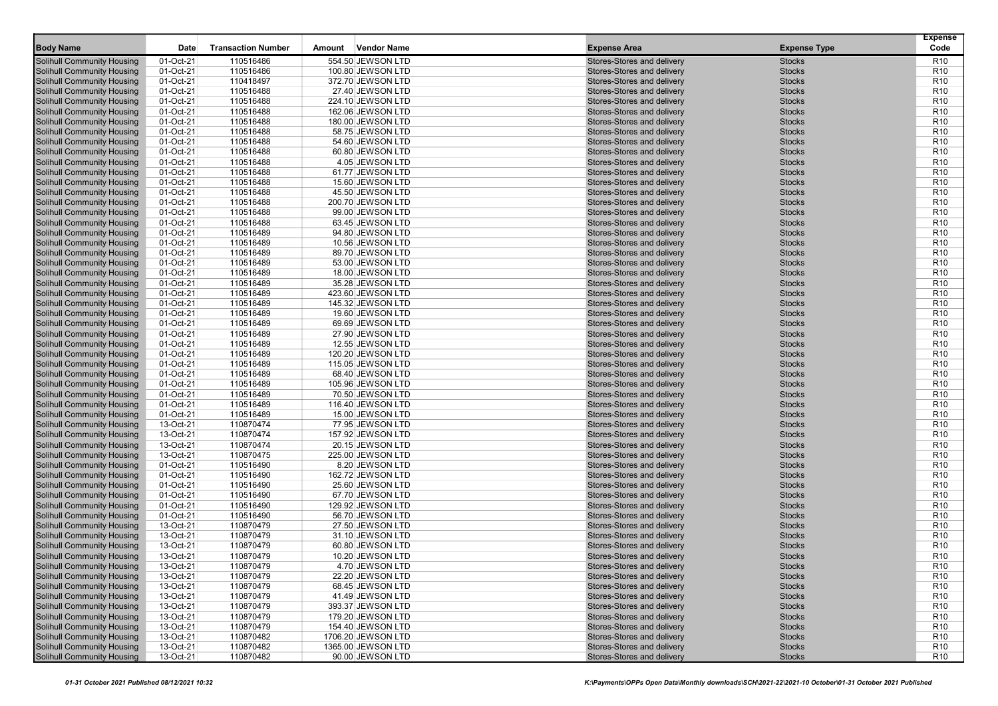|                                                                        |                        |                           |        |                                       |                                                          |                                | <b>Expense</b>                     |
|------------------------------------------------------------------------|------------------------|---------------------------|--------|---------------------------------------|----------------------------------------------------------|--------------------------------|------------------------------------|
| <b>Body Name</b>                                                       | <b>Date</b>            | <b>Transaction Number</b> | Amount | <b>Vendor Name</b>                    | <b>Expense Area</b>                                      | <b>Expense Type</b>            | Code                               |
| <b>Solihull Community Housing</b>                                      | 01-Oct-21              | 110516486                 |        | 554.50 JEWSON LTD                     | Stores-Stores and delivery                               | <b>Stocks</b>                  | R <sub>10</sub>                    |
| Solihull Community Housing                                             | 01-Oct-21              | 110516486                 |        | 100.80 JEWSON LTD                     | Stores-Stores and delivery                               | <b>Stocks</b>                  | R <sub>10</sub>                    |
| Solihull Community Housing                                             | 01-Oct-21              | 110418497                 |        | 372.70 JEWSON LTD                     | Stores-Stores and delivery                               | <b>Stocks</b>                  | R <sub>10</sub>                    |
| <b>Solihull Community Housing</b>                                      | 01-Oct-21              | 110516488                 |        | 27.40 JEWSON LTD                      | Stores-Stores and delivery                               | <b>Stocks</b>                  | R <sub>10</sub>                    |
| <b>Solihull Community Housing</b>                                      | 01-Oct-21              | 110516488                 |        | 224.10 JEWSON LTD                     | Stores-Stores and delivery                               | <b>Stocks</b>                  | R <sub>10</sub>                    |
| <b>Solihull Community Housing</b>                                      | 01-Oct-21              | 110516488                 |        | 162.06 JEWSON LTD                     | Stores-Stores and delivery                               | <b>Stocks</b>                  | R <sub>10</sub>                    |
| <b>Solihull Community Housing</b>                                      | 01-Oct-21              | 110516488                 |        | 180.00 JEWSON LTD                     | Stores-Stores and delivery                               | <b>Stocks</b>                  | R <sub>10</sub>                    |
| Solihull Community Housing                                             | 01-Oct-21              | 110516488                 |        | 58.75 JEWSON LTD                      | Stores-Stores and delivery                               | <b>Stocks</b>                  | R <sub>10</sub>                    |
| Solihull Community Housing                                             | 01-Oct-21              | 110516488                 |        | 54.60 JEWSON LTD                      | Stores-Stores and delivery                               | <b>Stocks</b>                  | R <sub>10</sub>                    |
| Solihull Community Housing                                             | 01-Oct-21              | 110516488                 |        | 60.80 JEWSON LTD                      | Stores-Stores and delivery                               | <b>Stocks</b>                  | R <sub>10</sub>                    |
| Solihull Community Housing                                             | 01-Oct-21              | 110516488                 |        | 4.05 JEWSON LTD                       | Stores-Stores and delivery                               | <b>Stocks</b>                  | R <sub>10</sub>                    |
| <b>Solihull Community Housing</b>                                      | 01-Oct-21              | 110516488                 |        | 61.77 JEWSON LTD                      | Stores-Stores and delivery                               | <b>Stocks</b>                  | R <sub>10</sub>                    |
| <b>Solihull Community Housing</b>                                      | 01-Oct-21              | 110516488                 |        | 15.60 JEWSON LTD                      | Stores-Stores and delivery                               | <b>Stocks</b>                  | R <sub>10</sub>                    |
| Solihull Community Housing                                             | 01-Oct-21              | 110516488                 |        | 45.50 JEWSON LTD                      | Stores-Stores and delivery                               | <b>Stocks</b>                  | R <sub>10</sub>                    |
| Solihull Community Housing                                             | 01-Oct-21              | 110516488                 |        | 200.70 JEWSON LTD                     | Stores-Stores and delivery                               | <b>Stocks</b>                  | R <sub>10</sub>                    |
| Solihull Community Housing                                             | 01-Oct-21              | 110516488                 |        | 99.00 JEWSON LTD                      | Stores-Stores and delivery                               | <b>Stocks</b>                  | R <sub>10</sub>                    |
| <b>Solihull Community Housing</b>                                      | 01-Oct-21              | 110516488                 |        | 63.45 JEWSON LTD                      | Stores-Stores and delivery                               | <b>Stocks</b>                  | R <sub>10</sub>                    |
| <b>Solihull Community Housing</b>                                      | 01-Oct-21              | 110516489                 |        | 94.80 JEWSON LTD                      | Stores-Stores and delivery                               | <b>Stocks</b>                  | R <sub>10</sub>                    |
| <b>Solihull Community Housing</b>                                      | $01-Oct-21$            | 110516489                 |        | 10.56 JEWSON LTD                      | Stores-Stores and delivery                               | <b>Stocks</b>                  | R <sub>10</sub>                    |
| <b>Solihull Community Housing</b>                                      | 01-Oct-21              | 110516489                 |        | 89.70 JEWSON LTD                      | Stores-Stores and delivery                               | <b>Stocks</b>                  | R <sub>10</sub>                    |
| Solihull Community Housing                                             | 01-Oct-21              | 110516489<br>110516489    |        | 53.00 JEWSON LTD                      | Stores-Stores and delivery                               | <b>Stocks</b>                  | R <sub>10</sub>                    |
| Solihull Community Housing                                             | 01-Oct-21<br>01-Oct-21 | 110516489                 |        | 18.00 JEWSON LTD                      | Stores-Stores and delivery<br>Stores-Stores and delivery | <b>Stocks</b><br><b>Stocks</b> | R <sub>10</sub><br>R <sub>10</sub> |
| <b>Solihull Community Housing</b><br><b>Solihull Community Housing</b> | 01-Oct-21              | 110516489                 |        | 35.28 JEWSON LTD<br>423.60 JEWSON LTD | Stores-Stores and delivery                               | <b>Stocks</b>                  | R <sub>10</sub>                    |
| <b>Solihull Community Housing</b>                                      | 01-Oct-21              | 110516489                 |        | 145.32 JEWSON LTD                     | Stores-Stores and delivery                               | <b>Stocks</b>                  | R <sub>10</sub>                    |
| <b>Solihull Community Housing</b>                                      | 01-Oct-21              | 110516489                 |        | 19.60 JEWSON LTD                      | Stores-Stores and delivery                               | <b>Stocks</b>                  | R <sub>10</sub>                    |
| Solihull Community Housing                                             | 01-Oct-21              | 110516489                 |        | 69.69 JEWSON LTD                      | Stores-Stores and delivery                               | <b>Stocks</b>                  | R <sub>10</sub>                    |
| Solihull Community Housing                                             | 01-Oct-21              | 110516489                 |        | 27.90 JEWSON LTD                      | Stores-Stores and delivery                               | <b>Stocks</b>                  | R <sub>10</sub>                    |
| <b>Solihull Community Housing</b>                                      | 01-Oct-21              | 110516489                 |        | 12.55 JEWSON LTD                      | Stores-Stores and delivery                               | <b>Stocks</b>                  | R <sub>10</sub>                    |
| <b>Solihull Community Housing</b>                                      | 01-Oct-21              | 110516489                 |        | 120.20 JEWSON LTD                     | Stores-Stores and delivery                               | <b>Stocks</b>                  | R <sub>10</sub>                    |
| <b>Solihull Community Housing</b>                                      | 01-Oct-21              | 110516489                 |        | 115.05 JEWSON LTD                     | Stores-Stores and delivery                               | <b>Stocks</b>                  | R <sub>10</sub>                    |
| <b>Solihull Community Housing</b>                                      | 01-Oct-21              | 110516489                 |        | 68.40 JEWSON LTD                      | Stores-Stores and delivery                               | <b>Stocks</b>                  | R <sub>10</sub>                    |
| Solihull Community Housing                                             | 01-Oct-21              | 110516489                 |        | 105.96 JEWSON LTD                     | Stores-Stores and delivery                               | <b>Stocks</b>                  | R <sub>10</sub>                    |
| Solihull Community Housing                                             | 01-Oct-21              | 110516489                 |        | 70.50 JEWSON LTD                      | Stores-Stores and delivery                               | <b>Stocks</b>                  | R <sub>10</sub>                    |
| Solihull Community Housing                                             | 01-Oct-21              | 110516489                 |        | 116.40 JEWSON LTD                     | Stores-Stores and delivery                               | <b>Stocks</b>                  | R <sub>10</sub>                    |
| <b>Solihull Community Housing</b>                                      | 01-Oct-21              | 110516489                 |        | 15.00 JEWSON LTD                      | Stores-Stores and delivery                               | <b>Stocks</b>                  | R <sub>10</sub>                    |
| <b>Solihull Community Housing</b>                                      | 13-Oct-21              | 110870474                 |        | 77.95 JEWSON LTD                      | Stores-Stores and delivery                               | <b>Stocks</b>                  | R <sub>10</sub>                    |
| <b>Solihull Community Housing</b>                                      | 13-Oct-21              | 110870474                 |        | 157.92 JEWSON LTD                     | Stores-Stores and delivery                               | <b>Stocks</b>                  | R <sub>10</sub>                    |
| Solihull Community Housing                                             | 13-Oct-21              | 110870474                 |        | 20.15 JEWSON LTD                      | Stores-Stores and delivery                               | <b>Stocks</b>                  | R <sub>10</sub>                    |
| Solihull Community Housing                                             | 13-Oct-21              | 110870475                 |        | 225.00 JEWSON LTD                     | Stores-Stores and delivery                               | <b>Stocks</b>                  | R <sub>10</sub>                    |
| Solihull Community Housing                                             | 01-Oct-21              | 110516490                 |        | 8.20 JEWSON LTD                       | Stores-Stores and delivery                               | <b>Stocks</b>                  | R <sub>10</sub>                    |
| <b>Solihull Community Housing</b>                                      | 01-Oct-21              | 110516490                 |        | 162.72 JEWSON LTD                     | Stores-Stores and delivery                               | <b>Stocks</b>                  | R <sub>10</sub>                    |
| <b>Solihull Community Housing</b>                                      | 01-Oct-21              | 110516490                 |        | 25.60 JEWSON LTD                      | Stores-Stores and delivery                               | <b>Stocks</b>                  | R <sub>10</sub>                    |
| <b>Solihull Community Housing</b>                                      | 01-Oct-21<br>01-Oct-21 | 110516490                 |        | 67.70 JEWSON LTD                      | Stores-Stores and delivery                               | <b>Stocks</b>                  | R <sub>10</sub><br>R <sub>10</sub> |
| <b>Solihull Community Housing</b>                                      |                        | 110516490                 |        | 129.92 JEWSON LTD                     | Stores-Stores and delivery                               | <b>Stocks</b>                  |                                    |
| Solihull Community Housing<br>Solihull Community Housing               | 01-Oct-21<br>13-Oct-21 | 110516490<br>110870479    |        | 56.70 JEWSON LTD<br>27.50 JEWSON LTD  | Stores-Stores and delivery<br>Stores-Stores and delivery | <b>Stocks</b><br><b>Stocks</b> | R <sub>10</sub><br>R <sub>10</sub> |
| <b>Solihull Community Housing</b>                                      | 13-Oct-21              | 110870479                 |        | 31.10 JEWSON LTD                      | Stores-Stores and delivery                               | <b>Stocks</b>                  | R <sub>10</sub>                    |
| Solihull Community Housing                                             | 13-Oct-21              | 110870479                 |        | 60.80 JEWSON LTD                      | Stores-Stores and delivery                               | <b>Stocks</b>                  | R <sub>10</sub>                    |
| Solihull Community Housing                                             | 13-Oct-21              | 110870479                 |        | 10.20 JEWSON LTD                      | Stores-Stores and delivery                               | <b>Stocks</b>                  | R <sub>10</sub>                    |
| <b>Solihull Community Housing</b>                                      | 13-Oct-21              | 1108/04/9                 |        | $4.70$ JEWSON LTD                     | Stores-Stores and delivery                               | <b>Stocks</b>                  | R <sub>10</sub>                    |
| <b>Solihull Community Housing</b>                                      | 13-Oct-21              | 110870479                 |        | 22.20 JEWSON LTD                      | Stores-Stores and delivery                               | <b>Stocks</b>                  | R <sub>10</sub>                    |
| <b>Solihull Community Housing</b>                                      | 13-Oct-21              | 110870479                 |        | 68.45 JEWSON LTD                      | Stores-Stores and delivery                               | <b>Stocks</b>                  | R <sub>10</sub>                    |
| Solihull Community Housing                                             | 13-Oct-21              | 110870479                 |        | 41.49 JEWSON LTD                      | Stores-Stores and delivery                               | <b>Stocks</b>                  | R <sub>10</sub>                    |
| Solihull Community Housing                                             | 13-Oct-21              | 110870479                 |        | 393.37 JEWSON LTD                     | Stores-Stores and delivery                               | <b>Stocks</b>                  | R <sub>10</sub>                    |
| <b>Solihull Community Housing</b>                                      | 13-Oct-21              | 110870479                 |        | 179.20 JEWSON LTD                     | Stores-Stores and delivery                               | <b>Stocks</b>                  | R <sub>10</sub>                    |
| <b>Solihull Community Housing</b>                                      | 13-Oct-21              | 110870479                 |        | 154.40 JEWSON LTD                     | Stores-Stores and delivery                               | <b>Stocks</b>                  | R <sub>10</sub>                    |
| <b>Solihull Community Housing</b>                                      | 13-Oct-21              | 110870482                 |        | 1706.20 JEWSON LTD                    | Stores-Stores and delivery                               | <b>Stocks</b>                  | R <sub>10</sub>                    |
| Solihull Community Housing                                             | 13-Oct-21              | 110870482                 |        | 1365.00 JEWSON LTD                    | Stores-Stores and delivery                               | <b>Stocks</b>                  | R <sub>10</sub>                    |
| <b>Solihull Community Housing</b>                                      | 13-Oct-21              | 110870482                 |        | 90.00 JEWSON LTD                      | Stores-Stores and delivery                               | <b>Stocks</b>                  | R <sub>10</sub>                    |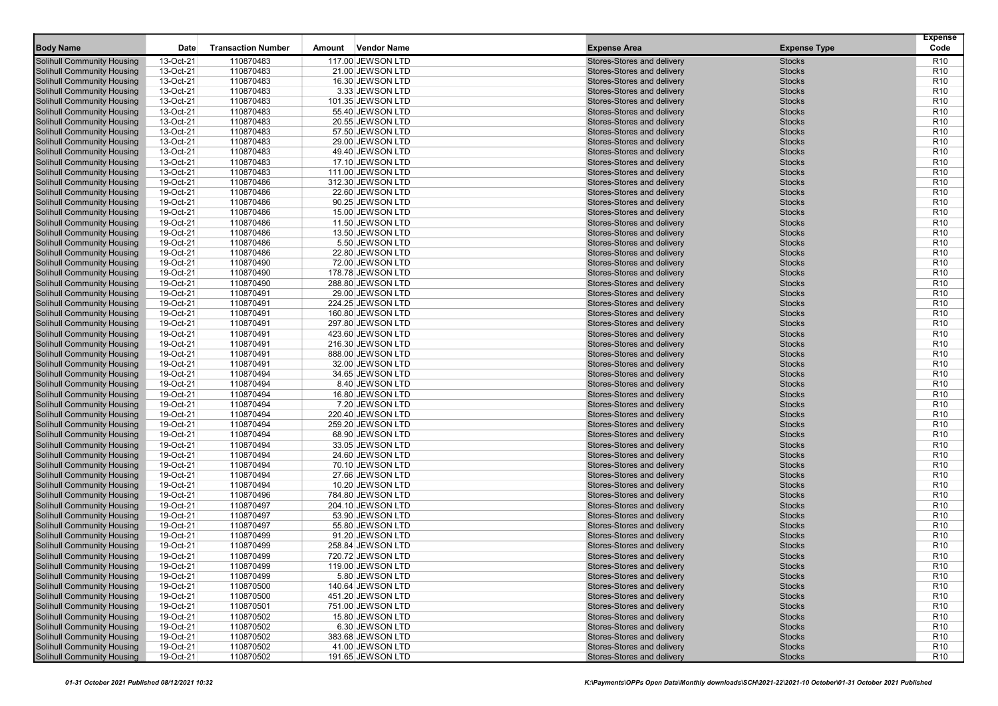|                                                                        |                        |                           |                                        |                    |                                                          |                                | <b>Expense</b>                     |
|------------------------------------------------------------------------|------------------------|---------------------------|----------------------------------------|--------------------|----------------------------------------------------------|--------------------------------|------------------------------------|
| <b>Body Name</b>                                                       | <b>Date</b>            | <b>Transaction Number</b> | Amount                                 | <b>Vendor Name</b> | <b>Expense Area</b>                                      | <b>Expense Type</b>            | Code                               |
| <b>Solihull Community Housing</b>                                      | 13-Oct-21              | 110870483                 | 117.00 JEWSON LTD                      |                    | Stores-Stores and delivery                               | <b>Stocks</b>                  | R <sub>10</sub>                    |
| Solihull Community Housing                                             | 13-Oct-21              | 110870483                 | 21.00 JEWSON LTD                       |                    | Stores-Stores and delivery                               | <b>Stocks</b>                  | R <sub>10</sub>                    |
| Solihull Community Housing                                             | 13-Oct-21              | 110870483                 | 16.30 JEWSON LTD                       |                    | Stores-Stores and delivery                               | <b>Stocks</b>                  | R <sub>10</sub>                    |
| <b>Solihull Community Housing</b>                                      | 13-Oct-21              | 110870483                 | 3.33 JEWSON LTD                        |                    | Stores-Stores and delivery                               | <b>Stocks</b>                  | R <sub>10</sub>                    |
| <b>Solihull Community Housing</b>                                      | 13-Oct-21              | 110870483                 | 101.35 JEWSON LTD                      |                    | Stores-Stores and delivery                               | <b>Stocks</b>                  | R <sub>10</sub>                    |
| <b>Solihull Community Housing</b>                                      | 13-Oct-21              | 110870483                 | 55.40 JEWSON LTD                       |                    | Stores-Stores and delivery                               | <b>Stocks</b>                  | R <sub>10</sub>                    |
| <b>Solihull Community Housing</b>                                      | 13-Oct-21              | 110870483                 | 20.55 JEWSON LTD                       |                    | Stores-Stores and delivery                               | <b>Stocks</b>                  | R <sub>10</sub>                    |
| Solihull Community Housing                                             | 13-Oct-21              | 110870483                 | 57.50 JEWSON LTD                       |                    | Stores-Stores and delivery                               | <b>Stocks</b>                  | R <sub>10</sub>                    |
| Solihull Community Housing                                             | 13-Oct-21              | 110870483                 | 29.00 JEWSON LTD                       |                    | Stores-Stores and delivery                               | <b>Stocks</b>                  | R <sub>10</sub>                    |
| Solihull Community Housing                                             | 13-Oct-21              | 110870483                 | 49.40 JEWSON LTD                       |                    | Stores-Stores and delivery                               | <b>Stocks</b>                  | R <sub>10</sub>                    |
| Solihull Community Housing                                             | 13-Oct-21              | 110870483                 | 17.10 JEWSON LTD                       |                    | Stores-Stores and delivery                               | <b>Stocks</b>                  | R <sub>10</sub>                    |
| <b>Solihull Community Housing</b>                                      | 13-Oct-21              | 110870483                 | 111.00 JEWSON LTD                      |                    | Stores-Stores and delivery                               | <b>Stocks</b>                  | R <sub>10</sub>                    |
| <b>Solihull Community Housing</b>                                      | 19-Oct-21              | 110870486                 | 312.30 JEWSON LTD                      |                    | Stores-Stores and delivery                               | <b>Stocks</b>                  | R <sub>10</sub>                    |
| Solihull Community Housing                                             | 19-Oct-21              | 110870486                 | 22.60 JEWSON LTD                       |                    | Stores-Stores and delivery                               | <b>Stocks</b>                  | R <sub>10</sub>                    |
| Solihull Community Housing                                             | 19-Oct-21              | 110870486                 | 90.25 JEWSON LTD                       |                    | Stores-Stores and delivery                               | <b>Stocks</b>                  | R <sub>10</sub>                    |
| Solihull Community Housing                                             | 19-Oct-21              | 110870486                 | 15.00 JEWSON LTD                       |                    | Stores-Stores and delivery                               | <b>Stocks</b>                  | R <sub>10</sub>                    |
| <b>Solihull Community Housing</b>                                      | 19-Oct-21              | 110870486                 | 11.50 JEWSON LTD                       |                    | Stores-Stores and delivery                               | <b>Stocks</b>                  | R <sub>10</sub>                    |
| <b>Solihull Community Housing</b>                                      | 19-Oct-21              | 110870486                 | 13.50 JEWSON LTD                       |                    | Stores-Stores and delivery                               | <b>Stocks</b>                  | R <sub>10</sub>                    |
| <b>Solihull Community Housing</b>                                      | 19-Oct-21              | 110870486                 | 5.50 JEWSON LTD                        |                    | Stores-Stores and delivery                               | <b>Stocks</b>                  | R <sub>10</sub>                    |
| <b>Solihull Community Housing</b>                                      | 19-Oct-21              | 110870486                 | 22.80 JEWSON LTD                       |                    | Stores-Stores and delivery                               | <b>Stocks</b>                  | R <sub>10</sub>                    |
| Solihull Community Housing                                             | 19-Oct-21              | 110870490                 | 72.00 JEWSON LTD                       |                    | Stores-Stores and delivery                               | <b>Stocks</b>                  | R <sub>10</sub>                    |
| Solihull Community Housing                                             | 19-Oct-21              | 110870490                 | 178.78 JEWSON LTD                      |                    | Stores-Stores and delivery                               | <b>Stocks</b>                  | R <sub>10</sub>                    |
| <b>Solihull Community Housing</b>                                      | 19-Oct-21              | 110870490                 | 288.80 JEWSON LTD                      |                    | Stores-Stores and delivery                               | <b>Stocks</b>                  | R <sub>10</sub>                    |
| <b>Solihull Community Housing</b><br><b>Solihull Community Housing</b> | 19-Oct-21<br>19-Oct-21 | 110870491                 | 29.00 JEWSON LTD                       |                    | Stores-Stores and delivery                               | <b>Stocks</b><br><b>Stocks</b> | R <sub>10</sub><br>R <sub>10</sub> |
|                                                                        | 19-Oct-21              | 110870491<br>110870491    | 224.25 JEWSON LTD                      |                    | Stores-Stores and delivery<br>Stores-Stores and delivery | <b>Stocks</b>                  | R <sub>10</sub>                    |
| <b>Solihull Community Housing</b><br>Solihull Community Housing        | 19-Oct-21              | 110870491                 | 160.80 JEWSON LTD<br>297.80 JEWSON LTD |                    | Stores-Stores and delivery                               | <b>Stocks</b>                  | R <sub>10</sub>                    |
| Solihull Community Housing                                             | 19-Oct-21              | 110870491                 | 423.60 JEWSON LTD                      |                    | Stores-Stores and delivery                               | <b>Stocks</b>                  | R <sub>10</sub>                    |
| <b>Solihull Community Housing</b>                                      | 19-Oct-21              | 110870491                 | 216.30 JEWSON LTD                      |                    | Stores-Stores and delivery                               | <b>Stocks</b>                  | R <sub>10</sub>                    |
| <b>Solihull Community Housing</b>                                      | 19-Oct-21              | 110870491                 | 888.00 JEWSON LTD                      |                    | Stores-Stores and delivery                               | <b>Stocks</b>                  | R <sub>10</sub>                    |
| <b>Solihull Community Housing</b>                                      | 19-Oct-21              | 110870491                 | 32.00 JEWSON LTD                       |                    | Stores-Stores and delivery                               | <b>Stocks</b>                  | R <sub>10</sub>                    |
| <b>Solihull Community Housing</b>                                      | 19-Oct-21              | 110870494                 | 34.65 JEWSON LTD                       |                    | Stores-Stores and delivery                               | <b>Stocks</b>                  | R <sub>10</sub>                    |
| Solihull Community Housing                                             | 19-Oct-21              | 110870494                 | 8.40 JEWSON LTD                        |                    | Stores-Stores and delivery                               | <b>Stocks</b>                  | R <sub>10</sub>                    |
| Solihull Community Housing                                             | 19-Oct-21              | 110870494                 | 16.80 JEWSON LTD                       |                    | Stores-Stores and delivery                               | <b>Stocks</b>                  | R <sub>10</sub>                    |
| Solihull Community Housing                                             | 19-Oct-21              | 110870494                 | 7.20 JEWSON LTD                        |                    | Stores-Stores and delivery                               | <b>Stocks</b>                  | R <sub>10</sub>                    |
| <b>Solihull Community Housing</b>                                      | 19-Oct-21              | 110870494                 | 220.40 JEWSON LTD                      |                    | Stores-Stores and delivery                               | <b>Stocks</b>                  | R <sub>10</sub>                    |
| <b>Solihull Community Housing</b>                                      | 19-Oct-21              | 110870494                 | 259.20 JEWSON LTD                      |                    | Stores-Stores and delivery                               | <b>Stocks</b>                  | R <sub>10</sub>                    |
| <b>Solihull Community Housing</b>                                      | 19-Oct-21              | 110870494                 | 68.90 JEWSON LTD                       |                    | Stores-Stores and delivery                               | <b>Stocks</b>                  | R <sub>10</sub>                    |
| Solihull Community Housing                                             | 19-Oct-21              | 110870494                 | 33.05 JEWSON LTD                       |                    | Stores-Stores and delivery                               | <b>Stocks</b>                  | R <sub>10</sub>                    |
| Solihull Community Housing                                             | 19-Oct-21              | 110870494                 | 24.60 JEWSON LTD                       |                    | Stores-Stores and delivery                               | <b>Stocks</b>                  | R <sub>10</sub>                    |
| Solihull Community Housing                                             | 19-Oct-21              | 110870494                 | 70.10 JEWSON LTD                       |                    | Stores-Stores and delivery                               | <b>Stocks</b>                  | R <sub>10</sub>                    |
| <b>Solihull Community Housing</b>                                      | 19-Oct-21              | 110870494                 | 27.66 JEWSON LTD                       |                    | Stores-Stores and delivery                               | <b>Stocks</b>                  | R <sub>10</sub>                    |
| <b>Solihull Community Housing</b>                                      | 19-Oct-21              | 110870494                 | 10.20 JEWSON LTD                       |                    | Stores-Stores and delivery                               | <b>Stocks</b>                  | R <sub>10</sub>                    |
| <b>Solihull Community Housing</b>                                      | 19-Oct-21              | 110870496                 | 784.80 JEWSON LTD                      |                    | Stores-Stores and delivery                               | <b>Stocks</b>                  | R <sub>10</sub>                    |
| <b>Solihull Community Housing</b>                                      | 19-Oct-21              | 110870497                 | 204.10 JEWSON LTD                      |                    | Stores-Stores and delivery                               | <b>Stocks</b>                  | R <sub>10</sub>                    |
| Solihull Community Housing                                             | 19-Oct-21              | 110870497                 | 53.90 JEWSON LTD                       |                    | Stores-Stores and delivery                               | <b>Stocks</b>                  | R <sub>10</sub>                    |
| Solihull Community Housing                                             | 19-Oct-21              | 110870497                 | 55.80 JEWSON LTD                       |                    | Stores-Stores and delivery                               | <b>Stocks</b>                  | R <sub>10</sub>                    |
| <b>Solihull Community Housing</b>                                      | 19-Oct-21              | 110870499                 | 91.20 JEWSON LTD                       |                    | Stores-Stores and delivery                               | <b>Stocks</b>                  | R <sub>10</sub>                    |
| Solihull Community Housing                                             | 19-Oct-21              | 110870499                 | 258.84 JEWSON LTD                      |                    | Stores-Stores and delivery                               | <b>Stocks</b>                  | R <sub>10</sub>                    |
| Solihull Community Housing                                             | 19-Oct-21              | 110870499                 | 720.72 JEWSON LTD                      |                    | Stores-Stores and delivery                               | <b>Stocks</b>                  | R <sub>10</sub>                    |
| <b>Solihull Community Housing</b>                                      | 19-Oct-21              | 110870499                 | 119.00 JEWSON LTD                      |                    | Stores-Stores and delivery                               | <b>Stocks</b>                  | R <sub>10</sub>                    |
| <b>Solihull Community Housing</b>                                      | 19-Oct-21              | 110870499                 |                                        | 5.80 JEWSON LTD    | Stores-Stores and delivery                               | <b>Stocks</b>                  | R <sub>10</sub>                    |
| Solihull Community Housing                                             | 19-Oct-21              | 110870500                 | 140.64 JEWSON LTD                      |                    | Stores-Stores and delivery                               | <b>Stocks</b>                  | R <sub>10</sub>                    |
| Solihull Community Housing                                             | 19-Oct-21              | 110870500                 | 451.20 JEWSON LTD                      |                    | Stores-Stores and delivery                               | <b>Stocks</b>                  | R <sub>10</sub>                    |
| Solihull Community Housing                                             | 19-Oct-21              | 110870501                 | 751.00 JEWSON LTD<br>15.80 JEWSON LTD  |                    | Stores-Stores and delivery                               | <b>Stocks</b>                  | R <sub>10</sub>                    |
| <b>Solihull Community Housing</b><br><b>Solihull Community Housing</b> | 19-Oct-21<br>19-Oct-21 | 110870502                 |                                        |                    | Stores-Stores and delivery<br>Stores-Stores and delivery | <b>Stocks</b>                  | R <sub>10</sub>                    |
| <b>Solihull Community Housing</b>                                      | 19-Oct-21              | 110870502<br>110870502    | 383.68 JEWSON LTD                      | 6.30 JEWSON LTD    | Stores-Stores and delivery                               | <b>Stocks</b><br><b>Stocks</b> | R <sub>10</sub><br>R <sub>10</sub> |
| Solihull Community Housing                                             | 19-Oct-21              | 110870502                 | 41.00 JEWSON LTD                       |                    | Stores-Stores and delivery                               | <b>Stocks</b>                  | R <sub>10</sub>                    |
| <b>Solihull Community Housing</b>                                      | 19-Oct-21              | 110870502                 | 191.65 JEWSON LTD                      |                    | Stores-Stores and delivery                               | <b>Stocks</b>                  | R <sub>10</sub>                    |
|                                                                        |                        |                           |                                        |                    |                                                          |                                |                                    |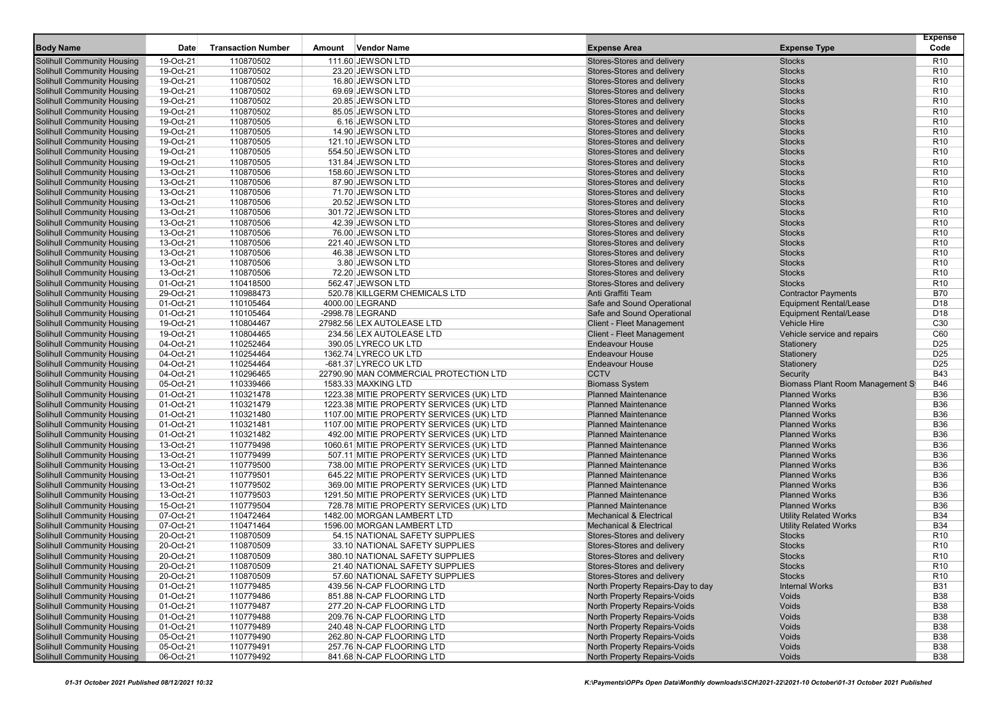|                                                                        |                        |                           |        |                                                        |                                                              |                                  | <b>Expense</b>                     |
|------------------------------------------------------------------------|------------------------|---------------------------|--------|--------------------------------------------------------|--------------------------------------------------------------|----------------------------------|------------------------------------|
| <b>Body Name</b>                                                       | Date                   | <b>Transaction Number</b> | Amount | <b>Vendor Name</b>                                     | <b>Expense Area</b>                                          | <b>Expense Type</b>              | Code                               |
| <b>Solihull Community Housing</b>                                      | 19-Oct-21              | 110870502                 |        | 111.60 JEWSON LTD                                      | Stores-Stores and delivery                                   | <b>Stocks</b>                    | R <sub>10</sub>                    |
| <b>Solihull Community Housing</b>                                      | 19-Oct-21              | 110870502                 |        | 23.20 JEWSON LTD                                       | Stores-Stores and delivery                                   | <b>Stocks</b>                    | R <sub>10</sub>                    |
| <b>Solihull Community Housing</b>                                      | 19-Oct-21              | 110870502                 |        | 16.80 JEWSON LTD                                       | Stores-Stores and delivery                                   | <b>Stocks</b>                    | R <sub>10</sub>                    |
| <b>Solihull Community Housing</b>                                      | 19-Oct-21              | 110870502                 |        | 69.69 JEWSON LTD                                       | Stores-Stores and delivery                                   | <b>Stocks</b>                    | R <sub>10</sub>                    |
| <b>Solihull Community Housing</b>                                      | 19-Oct-21              | 110870502                 |        | 20.85 JEWSON LTD                                       | Stores-Stores and delivery                                   | <b>Stocks</b>                    | R <sub>10</sub>                    |
| Solihull Community Housing                                             | 19-Oct-21<br>19-Oct-21 | 110870502                 |        | 85.05 JEWSON LTD                                       | Stores-Stores and delivery<br>Stores-Stores and delivery     | <b>Stocks</b><br><b>Stocks</b>   | R <sub>10</sub><br>R <sub>10</sub> |
| <b>Solihull Community Housing</b><br><b>Solihull Community Housing</b> | 19-Oct-21              | 110870505<br>110870505    |        | 6.16 JEWSON LTD<br>14.90 JEWSON LTD                    | Stores-Stores and delivery                                   | <b>Stocks</b>                    | R <sub>10</sub>                    |
| <b>Solihull Community Housing</b>                                      | 19-Oct-21              | 110870505                 |        | 121.10 JEWSON LTD                                      | Stores-Stores and delivery                                   | <b>Stocks</b>                    | R <sub>10</sub>                    |
| <b>Solihull Community Housing</b>                                      | 19-Oct-21              | 110870505                 |        | 554.50 JEWSON LTD                                      | Stores-Stores and delivery                                   | <b>Stocks</b>                    | R <sub>10</sub>                    |
| <b>Solihull Community Housing</b>                                      | 19-Oct-21              | 110870505                 |        | 131.84 JEWSON LTD                                      | Stores-Stores and delivery                                   | <b>Stocks</b>                    | R <sub>10</sub>                    |
| <b>Solihull Community Housing</b>                                      | 13-Oct-21              | 110870506                 |        | 158.60 JEWSON LTD                                      | Stores-Stores and delivery                                   | <b>Stocks</b>                    | R <sub>10</sub>                    |
| <b>Solihull Community Housing</b>                                      | 13-Oct-21              | 110870506                 |        | 87.90 JEWSON LTD                                       | Stores-Stores and delivery                                   | <b>Stocks</b>                    | R <sub>10</sub>                    |
| <b>Solihull Community Housing</b>                                      | 13-Oct-21              | 110870506                 |        | 71.70 JEWSON LTD                                       | Stores-Stores and delivery                                   | <b>Stocks</b>                    | R <sub>10</sub>                    |
| Solihull Community Housing                                             | 13-Oct-21              | 110870506                 |        | 20.52 JEWSON LTD                                       | Stores-Stores and delivery                                   | <b>Stocks</b>                    | R <sub>10</sub>                    |
| <b>Solihull Community Housing</b>                                      | 13-Oct-21              | 110870506                 |        | 301.72 JEWSON LTD                                      | Stores-Stores and delivery                                   | <b>Stocks</b>                    | R <sub>10</sub>                    |
| <b>Solihull Community Housing</b>                                      | 13-Oct-21              | 110870506                 |        | 42.39 JEWSON LTD                                       | Stores-Stores and delivery                                   | <b>Stocks</b>                    | R <sub>10</sub>                    |
| <b>Solihull Community Housing</b>                                      | 13-Oct-21              | 110870506                 |        | 76.00 JEWSON LTD                                       | Stores-Stores and delivery                                   | <b>Stocks</b>                    | R <sub>10</sub>                    |
| <b>Solihull Community Housing</b>                                      | 13-Oct-21              | 110870506                 |        | 221.40 JEWSON LTD                                      | Stores-Stores and delivery                                   | <b>Stocks</b>                    | R <sub>10</sub>                    |
| <b>Solihull Community Housing</b>                                      | 13-Oct-21              | 110870506                 |        | 46.38 JEWSON LTD                                       | Stores-Stores and delivery                                   | <b>Stocks</b>                    | R <sub>10</sub>                    |
| <b>Solihull Community Housing</b>                                      | 13-Oct-21              | 110870506                 |        | 3.80 JEWSON LTD                                        | Stores-Stores and delivery                                   | <b>Stocks</b>                    | R <sub>10</sub>                    |
| <b>Solihull Community Housing</b>                                      | 13-Oct-21              | 110870506                 |        | 72.20 JEWSON LTD                                       | Stores-Stores and delivery                                   | <b>Stocks</b>                    | R <sub>10</sub>                    |
| <b>Solihull Community Housing</b>                                      | 01-Oct-21              | 110418500                 |        | 562.47 JEWSON LTD                                      | Stores-Stores and delivery                                   | <b>Stocks</b>                    | R <sub>10</sub>                    |
| <b>Solihull Community Housing</b>                                      | 29-Oct-21              | 110988473                 |        | 520.78 KILLGERM CHEMICALS LTD                          | Anti Graffiti Team                                           | <b>Contractor Payments</b>       | <b>B70</b>                         |
| <b>Solihull Community Housing</b>                                      | 01-Oct-21              | 110105464                 |        | 4000.00 LEGRAND                                        | Safe and Sound Operational                                   | <b>Equipment Rental/Lease</b>    | D <sub>18</sub>                    |
| <b>Solihull Community Housing</b>                                      | 01-Oct-21              | 110105464                 |        | -2998.78 LEGRAND                                       | Safe and Sound Operational                                   | <b>Equipment Rental/Lease</b>    | D <sub>18</sub>                    |
| <b>Solihull Community Housing</b>                                      | 19-Oct-21              | 110804467                 |        | 27982.56 LEX AUTOLEASE LTD                             | <b>Client - Fleet Management</b>                             | <b>Vehicle Hire</b>              | C30                                |
| <b>Solihull Community Housing</b>                                      | 19-Oct-21              | 110804465                 |        | 234.56 LEX AUTOLEASE LTD                               | <b>Client - Fleet Management</b>                             | Vehicle service and repairs      | C60                                |
| <b>Solihull Community Housing</b>                                      | 04-Oct-21              | 110252464                 |        | 390.05 LYRECO UK LTD                                   | <b>Endeavour House</b>                                       | Stationery                       | D <sub>25</sub>                    |
| <b>Solihull Community Housing</b>                                      | 04-Oct-21              | 110254464                 |        | 1362.74 LYRECO UK LTD                                  | <b>Endeavour House</b>                                       | Stationery                       | D <sub>25</sub>                    |
| <b>Solihull Community Housing</b>                                      | 04-Oct-21              | 110254464                 |        | -681.37 LYRECO UK LTD                                  | <b>Endeavour House</b>                                       | Stationery                       | D <sub>25</sub>                    |
| <b>Solihull Community Housing</b>                                      | 04-Oct-21              | 110296465                 |        | 22790.90 MAN COMMERCIAL PROTECTION LTD                 | <b>CCTV</b>                                                  | Security                         | <b>B43</b>                         |
| <b>Solihull Community Housing</b>                                      | 05-Oct-21              | 110339466                 |        | 1583.33 MAXKING LTD                                    | <b>Biomass System</b>                                        | Biomass Plant Room Management St | <b>B46</b>                         |
| <b>Solihull Community Housing</b>                                      | 01-Oct-21              | 110321478                 |        | 1223.38 MITIE PROPERTY SERVICES (UK) LTD               | <b>Planned Maintenance</b>                                   | <b>Planned Works</b>             | <b>B36</b>                         |
| <b>Solihull Community Housing</b>                                      | 01-Oct-21              | 110321479                 |        | 1223.38 MITIE PROPERTY SERVICES (UK) LTD               | <b>Planned Maintenance</b>                                   | <b>Planned Works</b>             | B36                                |
| <b>Solihull Community Housing</b>                                      | 01-Oct-21              | 110321480                 |        | 1107.00 MITIE PROPERTY SERVICES (UK) LTD               | <b>Planned Maintenance</b>                                   | <b>Planned Works</b>             | <b>B36</b>                         |
| <b>Solihull Community Housing</b>                                      | 01-Oct-21              | 110321481                 |        | 1107.00 MITIE PROPERTY SERVICES (UK) LTD               | <b>Planned Maintenance</b>                                   | <b>Planned Works</b>             | <b>B36</b>                         |
| <b>Solihull Community Housing</b>                                      | 01-Oct-21              | 110321482                 |        | 492.00 MITIE PROPERTY SERVICES (UK) LTD                | <b>Planned Maintenance</b>                                   | <b>Planned Works</b>             | <b>B36</b>                         |
| <b>Solihull Community Housing</b>                                      | 13-Oct-21              | 110779498                 |        | 1060.61 MITIE PROPERTY SERVICES (UK) LTD               | <b>Planned Maintenance</b>                                   | <b>Planned Works</b>             | B36                                |
| <b>Solihull Community Housing</b>                                      | 13-Oct-21              | 110779499                 |        | 507.11 MITIE PROPERTY SERVICES (UK) LTD                | <b>Planned Maintenance</b>                                   | <b>Planned Works</b>             | <b>B36</b>                         |
| <b>Solihull Community Housing</b>                                      | 13-Oct-21              | 110779500                 |        | 738.00 MITIE PROPERTY SERVICES (UK) LTD                | <b>Planned Maintenance</b>                                   | <b>Planned Works</b>             | <b>B36</b>                         |
| <b>Solihull Community Housing</b>                                      | 13-Oct-21              | 110779501                 |        | 645.22 MITIE PROPERTY SERVICES (UK) LTD                | <b>Planned Maintenance</b>                                   | <b>Planned Works</b>             | B36                                |
| <b>Solihull Community Housing</b>                                      | 13-Oct-21              | 110779502                 |        | 369.00 MITIE PROPERTY SERVICES (UK) LTD                | <b>Planned Maintenance</b>                                   | <b>Planned Works</b>             | <b>B36</b>                         |
| <b>Solihull Community Housing</b>                                      | 13-Oct-21              | 110779503                 |        | 1291.50 MITIE PROPERTY SERVICES (UK) LTD               | <b>Planned Maintenance</b>                                   | <b>Planned Works</b>             | <b>B36</b>                         |
| <b>Solihull Community Housing</b>                                      | 15-Oct-21              | 110779504                 |        | 728.78 MITIE PROPERTY SERVICES (UK) LTD                | <b>Planned Maintenance</b>                                   | <b>Planned Works</b>             | <b>B36</b>                         |
| <b>Solihull Community Housing</b>                                      | 07-Oct-21              | 110472464                 |        | 1482.00 MORGAN LAMBERT LTD                             | <b>Mechanical &amp; Electrical</b>                           | <b>Utility Related Works</b>     | <b>B34</b>                         |
| <b>Solihull Community Housing</b>                                      | 07-Oct-21              | 110471464                 |        | 1596.00 MORGAN LAMBERT LTD                             | <b>Mechanical &amp; Electrical</b>                           | <b>Utility Related Works</b>     | <b>B34</b>                         |
| <b>Solihull Community Housing</b>                                      | 20-Oct-21              | 110870509                 |        | 54.15 NATIONAL SAFETY SUPPLIES                         | Stores-Stores and delivery                                   | <b>Stocks</b>                    | R <sub>10</sub>                    |
| Solihull Community Housing                                             | 20-Oct-21              | 110870509                 |        | 33.10 NATIONAL SAFETY SUPPLIES                         | Stores-Stores and delivery                                   | <b>Stocks</b>                    | R <sub>10</sub>                    |
| <b>Solihull Community Housing</b>                                      | 20-Oct-21              | 110870509                 |        | 380.10 NATIONAL SAFETY SUPPLIES                        | Stores-Stores and delivery                                   | <b>Stocks</b>                    | R <sub>10</sub>                    |
| <b>Solihull Community Housing</b>                                      | 20-Oct-21              | 110870509                 |        | 21.40 NATIONAL SAFETY SUPPLIES                         | Stores-Stores and delivery                                   | <b>Stocks</b>                    | R <sub>10</sub>                    |
| <b>Solihull Community Housing</b>                                      | 20-Oct-21              | 110870509                 |        | 57.60 NATIONAL SAFETY SUPPLIES                         | Stores-Stores and delivery                                   | <b>Stocks</b>                    | R <sub>10</sub>                    |
| <b>Solihull Community Housing</b>                                      | 01-Oct-21              | 110779485                 |        | 439.56 N-CAP FLOORING LTD                              | North Property Repairs-Day to day                            | <b>Internal Works</b>            | <b>B31</b>                         |
| <b>Solihull Community Housing</b>                                      | 01-Oct-21              | 110779486                 |        | 851.88 N-CAP FLOORING LTD                              | North Property Repairs-Voids                                 | Voids                            | B38                                |
| <b>Solihull Community Housing</b>                                      | 01-Oct-21              | 110779487                 |        | 277.20 N-CAP FLOORING LTD                              | North Property Repairs-Voids                                 | Voids                            | B38                                |
| <b>Solihull Community Housing</b>                                      | 01-Oct-21              | 110779488                 |        | 209.76 N-CAP FLOORING LTD                              | North Property Repairs-Voids                                 | Voids                            | <b>B38</b>                         |
| <b>Solihull Community Housing</b><br><b>Solihull Community Housing</b> | 01-Oct-21              | 110779489                 |        | 240.48 N-CAP FLOORING LTD                              | North Property Repairs-Voids                                 | Voids                            | <b>B38</b>                         |
| <b>Solihull Community Housing</b>                                      | 05-Oct-21<br>05-Oct-21 | 110779490<br>110779491    |        | 262.80 N-CAP FLOORING LTD                              | North Property Repairs-Voids<br>North Property Repairs-Voids | Voids                            | <b>B38</b><br><b>B38</b>           |
| <b>Solihull Community Housing</b>                                      | 06-Oct-21              | 110779492                 |        | 257.76 N-CAP FLOORING LTD<br>841.68 N-CAP FLOORING LTD | North Property Repairs-Voids                                 | Voids<br>Voids                   | B38                                |
|                                                                        |                        |                           |        |                                                        |                                                              |                                  |                                    |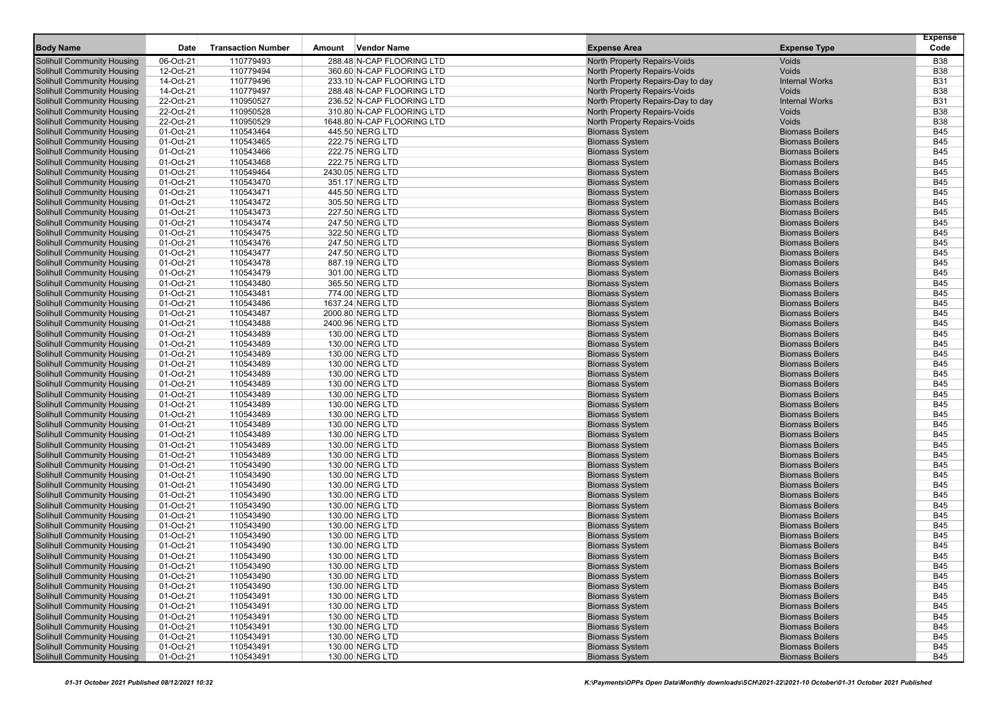|                                                                        |                        |                           |        |                                                        |                                                                   |                                                  | <b>Expense</b>           |
|------------------------------------------------------------------------|------------------------|---------------------------|--------|--------------------------------------------------------|-------------------------------------------------------------------|--------------------------------------------------|--------------------------|
| <b>Body Name</b>                                                       | Date                   | <b>Transaction Number</b> | Amount | <b>Vendor Name</b>                                     | <b>Expense Area</b>                                               | <b>Expense Type</b>                              | Code                     |
| <b>Solihull Community Housing</b>                                      | 06-Oct-21              | 110779493                 |        | 288.48 N-CAP FLOORING LTD                              | North Property Repairs-Voids                                      | Voids                                            | <b>B38</b>               |
| Solihull Community Housing                                             | 12-Oct-21              | 110779494                 |        | 360.60 N-CAP FLOORING LTD                              | North Property Repairs-Voids                                      | Voids                                            | <b>B38</b>               |
| <b>Solihull Community Housing</b>                                      | 14-Oct-21<br>14-Oct-21 | 110779496                 |        | 233.10 N-CAP FLOORING LTD                              | North Property Repairs-Day to day                                 | <b>Internal Works</b><br>Voids                   | <b>B31</b><br><b>B38</b> |
| <b>Solihull Community Housing</b><br><b>Solihull Community Housing</b> | 22-Oct-21              | 110779497<br>110950527    |        | 288.48 N-CAP FLOORING LTD<br>236.52 N-CAP FLOORING LTD | North Property Repairs-Voids<br>North Property Repairs-Day to day | <b>Internal Works</b>                            | <b>B31</b>               |
| <b>Solihull Community Housing</b>                                      | 22-Oct-21              | 110950528                 |        | 310.80 N-CAP FLOORING LTD                              | North Property Repairs-Voids                                      | <b>Voids</b>                                     | <b>B38</b>               |
| <b>Solihull Community Housing</b>                                      | 22-Oct-21              | 110950529                 |        | 1648.80 N-CAP FLOORING LTD                             | North Property Repairs-Voids                                      | Voids                                            | <b>B38</b>               |
| <b>Solihull Community Housing</b>                                      | 01-Oct-21              | 110543464                 |        | 445.50 NERG LTD                                        | <b>Biomass System</b>                                             | <b>Biomass Boilers</b>                           | <b>B45</b>               |
| <b>Solihull Community Housing</b>                                      | 01-Oct-21              | 110543465                 |        | 222.75 NERG LTD                                        | <b>Biomass System</b>                                             | <b>Biomass Boilers</b>                           | <b>B45</b>               |
| <b>Solihull Community Housing</b>                                      | 01-Oct-21              | 110543466                 |        | 222.75 NERG LTD                                        | <b>Biomass System</b>                                             | <b>Biomass Boilers</b>                           | <b>B45</b>               |
| <b>Solihull Community Housing</b>                                      | 01-Oct-21              | 110543468                 |        | 222.75 NERG LTD                                        | <b>Biomass System</b>                                             | <b>Biomass Boilers</b>                           | <b>B45</b>               |
| <b>Solihull Community Housing</b>                                      | 01-Oct-21              | 110549464                 |        | 2430.05 NERG LTD                                       | <b>Biomass System</b>                                             | <b>Biomass Boilers</b>                           | <b>B45</b>               |
| <b>Solihull Community Housing</b>                                      | 01-Oct-21              | 110543470                 |        | 351.17 NERG LTD                                        | <b>Biomass System</b>                                             | <b>Biomass Boilers</b>                           | <b>B45</b>               |
| <b>Solihull Community Housing</b>                                      | 01-Oct-21              | 110543471                 |        | 445.50 NERG LTD                                        | <b>Biomass System</b>                                             | <b>Biomass Boilers</b>                           | <b>B45</b>               |
| <b>Solihull Community Housing</b>                                      | 01-Oct-21              | 110543472                 |        | 305.50 NERG LTD                                        | <b>Biomass System</b>                                             | <b>Biomass Boilers</b>                           | <b>B45</b>               |
| <b>Solihull Community Housing</b>                                      | 01-Oct-21              | 110543473                 |        | 227.50 NERG LTD                                        | <b>Biomass System</b>                                             | <b>Biomass Boilers</b>                           | <b>B45</b>               |
| <b>Solihull Community Housing</b>                                      | 01-Oct-21              | 110543474                 |        | 247.50 NERG LTD                                        | <b>Biomass System</b>                                             | <b>Biomass Boilers</b>                           | <b>B45</b>               |
| <b>Solihull Community Housing</b>                                      | 01-Oct-21              | 110543475                 |        | 322.50 NERG LTD                                        | <b>Biomass System</b>                                             | <b>Biomass Boilers</b>                           | <b>B45</b>               |
| <b>Solihull Community Housing</b>                                      | 01-Oct-21              | 110543476                 |        | 247.50 NERG LTD                                        | <b>Biomass System</b>                                             | <b>Biomass Boilers</b>                           | <b>B45</b>               |
| <b>Solihull Community Housing</b>                                      | 01-Oct-21              | 110543477                 |        | 247.50 NERG LTD                                        | <b>Biomass System</b>                                             | <b>Biomass Boilers</b>                           | <b>B45</b>               |
| Solihull Community Housing                                             | 01-Oct-21              | 110543478                 |        | 887.19 NERG LTD                                        | <b>Biomass System</b>                                             | <b>Biomass Boilers</b>                           | <b>B45</b>               |
| <b>Solihull Community Housing</b>                                      | 01-Oct-21              | 110543479                 |        | 301.00 NERG LTD                                        | <b>Biomass System</b>                                             | <b>Biomass Boilers</b>                           | <b>B45</b>               |
| <b>Solihull Community Housing</b>                                      | 01-Oct-21              | 110543480                 |        | 365.50 NERG LTD                                        | <b>Biomass System</b>                                             | <b>Biomass Boilers</b>                           | <b>B45</b>               |
| <b>Solihull Community Housing</b>                                      | 01-Oct-21              | 110543481                 |        | 774.00 NERG LTD                                        | <b>Biomass System</b>                                             | <b>Biomass Boilers</b><br><b>Biomass Boilers</b> | <b>B45</b><br><b>B45</b> |
| <b>Solihull Community Housing</b><br><b>Solihull Community Housing</b> | 01-Oct-21<br>01-Oct-21 | 110543486<br>110543487    |        | 1637.24 NERG LTD                                       | <b>Biomass System</b><br><b>Biomass System</b>                    | <b>Biomass Boilers</b>                           | <b>B45</b>               |
| <b>Solihull Community Housing</b>                                      | 01-Oct-21              | 110543488                 |        | 2000.80 NERG LTD<br>2400.96 NERG LTD                   | <b>Biomass System</b>                                             | <b>Biomass Boilers</b>                           | <b>B45</b>               |
| <b>Solihull Community Housing</b>                                      | 01-Oct-21              | 110543489                 |        | 130.00 NERG LTD                                        | <b>Biomass System</b>                                             | <b>Biomass Boilers</b>                           | <b>B45</b>               |
| <b>Solihull Community Housing</b>                                      | 01-Oct-21              | 110543489                 |        | 130.00 NERG LTD                                        | <b>Biomass System</b>                                             | <b>Biomass Boilers</b>                           | <b>B45</b>               |
| <b>Solihull Community Housing</b>                                      | 01-Oct-21              | 110543489                 |        | 130.00 NERG LTD                                        | <b>Biomass System</b>                                             | <b>Biomass Boilers</b>                           | <b>B45</b>               |
| <b>Solihull Community Housing</b>                                      | 01-Oct-21              | 110543489                 |        | 130.00 NERG LTD                                        | <b>Biomass System</b>                                             | <b>Biomass Boilers</b>                           | <b>B45</b>               |
| <b>Solihull Community Housing</b>                                      | 01-Oct-21              | 110543489                 |        | 130.00 NERG LTD                                        | <b>Biomass System</b>                                             | <b>Biomass Boilers</b>                           | <b>B45</b>               |
| <b>Solihull Community Housing</b>                                      | 01-Oct-21              | 110543489                 |        | 130.00 NERG LTD                                        | <b>Biomass System</b>                                             | <b>Biomass Boilers</b>                           | <b>B45</b>               |
| <b>Solihull Community Housing</b>                                      | 01-Oct-21              | 110543489                 |        | 130.00 NERG LTD                                        | <b>Biomass System</b>                                             | <b>Biomass Boilers</b>                           | <b>B45</b>               |
| <b>Solihull Community Housing</b>                                      | 01-Oct-21              | 110543489                 |        | 130.00 NERG LTD                                        | <b>Biomass System</b>                                             | <b>Biomass Boilers</b>                           | <b>B45</b>               |
| <b>Solihull Community Housing</b>                                      | 01-Oct-21              | 110543489                 |        | 130.00 NERG LTD                                        | <b>Biomass System</b>                                             | <b>Biomass Boilers</b>                           | <b>B45</b>               |
| <b>Solihull Community Housing</b>                                      | 01-Oct-21              | 110543489                 |        | 130.00 NERG LTD                                        | <b>Biomass System</b>                                             | <b>Biomass Boilers</b>                           | <b>B45</b>               |
| <b>Solihull Community Housing</b>                                      | 01-Oct-21              | 110543489                 |        | 130.00 NERG LTD                                        | <b>Biomass System</b>                                             | <b>Biomass Boilers</b>                           | <b>B45</b>               |
| <b>Solihull Community Housing</b>                                      | 01-Oct-21              | 110543489                 |        | 130.00 NERG LTD                                        | <b>Biomass System</b>                                             | <b>Biomass Boilers</b>                           | <b>B45</b>               |
| <b>Solihull Community Housing</b>                                      | 01-Oct-21              | 110543489                 |        | 130.00 NERG LTD                                        | <b>Biomass System</b>                                             | <b>Biomass Boilers</b>                           | <b>B45</b>               |
| <b>Solihull Community Housing</b>                                      | 01-Oct-21              | 110543490                 |        | 130.00 NERG LTD                                        | <b>Biomass System</b>                                             | <b>Biomass Boilers</b>                           | <b>B45</b>               |
| <b>Solihull Community Housing</b>                                      | 01-Oct-21              | 110543490                 |        | 130.00 NERG LTD                                        | <b>Biomass System</b>                                             | <b>Biomass Boilers</b>                           | <b>B45</b>               |
| <b>Solihull Community Housing</b>                                      | 01-Oct-21              | 110543490                 |        | 130.00 NERG LTD                                        | <b>Biomass System</b>                                             | <b>Biomass Boilers</b>                           | <b>B45</b>               |
| <b>Solihull Community Housing</b>                                      | 01-Oct-21              | 110543490                 |        | 130.00 NERG LTD                                        | <b>Biomass System</b>                                             | <b>Biomass Boilers</b>                           | <b>B45</b>               |
| <b>Solihull Community Housing</b>                                      | 01-Oct-21              | 110543490                 |        | 130.00 NERG LTD                                        | <b>Biomass System</b>                                             | <b>Biomass Boilers</b>                           | <b>B45</b>               |
| <b>Solihull Community Housing</b>                                      | 01-Oct-21              | 110543490                 |        | 130.00 NERG LTD                                        | <b>Biomass System</b>                                             | <b>Biomass Boilers</b>                           | <b>B45</b>               |
| <b>Solihull Community Housing</b><br><b>Solihull Community Housing</b> | 01-Oct-21              | 110543490                 |        | 130.00 NERG LTD                                        | <b>Biomass System</b>                                             | <b>Biomass Boilers</b>                           | <b>B45</b>               |
| Solihull Community Housing                                             | 01-Oct-21<br>01-Oct-21 | 110543490                 |        | 130.00 NERG LTD<br>130.00 NERG LTD                     | <b>Biomass System</b><br><b>Biomass System</b>                    | <b>Biomass Boilers</b><br><b>Biomass Boilers</b> | <b>B45</b><br><b>B45</b> |
| <b>Solihull Community Housing</b>                                      | 01-Oct-21              | 110543490<br>110543490    |        | 130.00 NERG LTD                                        | <b>Biomass System</b>                                             | <b>Biomass Boilers</b>                           | <b>B45</b>               |
| <b>Solihull Community Housing</b>                                      | 01-Oct-21              | 110543490                 |        | 130.00 NERG LTD                                        |                                                                   | <b>Biomass Boilers</b>                           | <b>B45</b>               |
| <b>Solihull Community Housing</b>                                      | 01-Oct-21              | 110543490                 |        | 130.00 NERG LTD                                        | <b>Biomass System</b><br><b>Biomass System</b>                    | <b>Biomass Boilers</b>                           | <b>B45</b>               |
| Solihull Community Housing                                             | 01-Oct-21              | 110543490                 |        | 130.00 NERG LTD                                        | <b>Biomass System</b>                                             | <b>Biomass Boilers</b>                           | B45                      |
| Solihull Community Housing                                             | 01-Oct-21              | 110543491                 |        | 130.00 NERG LTD                                        | <b>Biomass System</b>                                             | <b>Biomass Boilers</b>                           | <b>B45</b>               |
| <b>Solihull Community Housing</b>                                      | 01-Oct-21              | 110543491                 |        | 130.00 NERG LTD                                        | <b>Biomass System</b>                                             | <b>Biomass Boilers</b>                           | <b>B45</b>               |
| <b>Solihull Community Housing</b>                                      | 01-Oct-21              | 110543491                 |        | 130.00 NERG LTD                                        | <b>Biomass System</b>                                             | <b>Biomass Boilers</b>                           | <b>B45</b>               |
| <b>Solihull Community Housing</b>                                      | 01-Oct-21              | 110543491                 |        | 130.00 NERG LTD                                        | <b>Biomass System</b>                                             | <b>Biomass Boilers</b>                           | <b>B45</b>               |
| <b>Solihull Community Housing</b>                                      | 01-Oct-21              | 110543491                 |        | 130.00 NERG LTD                                        | <b>Biomass System</b>                                             | <b>Biomass Boilers</b>                           | <b>B45</b>               |
| <b>Solihull Community Housing</b>                                      | 01-Oct-21              | 110543491                 |        | 130.00 NERG LTD                                        | <b>Biomass System</b>                                             | <b>Biomass Boilers</b>                           | <b>B45</b>               |
| <b>Solihull Community Housing</b>                                      | 01-Oct-21              | 110543491                 |        | 130.00 NERG LTD                                        | <b>Biomass System</b>                                             | <b>Biomass Boilers</b>                           | <b>B45</b>               |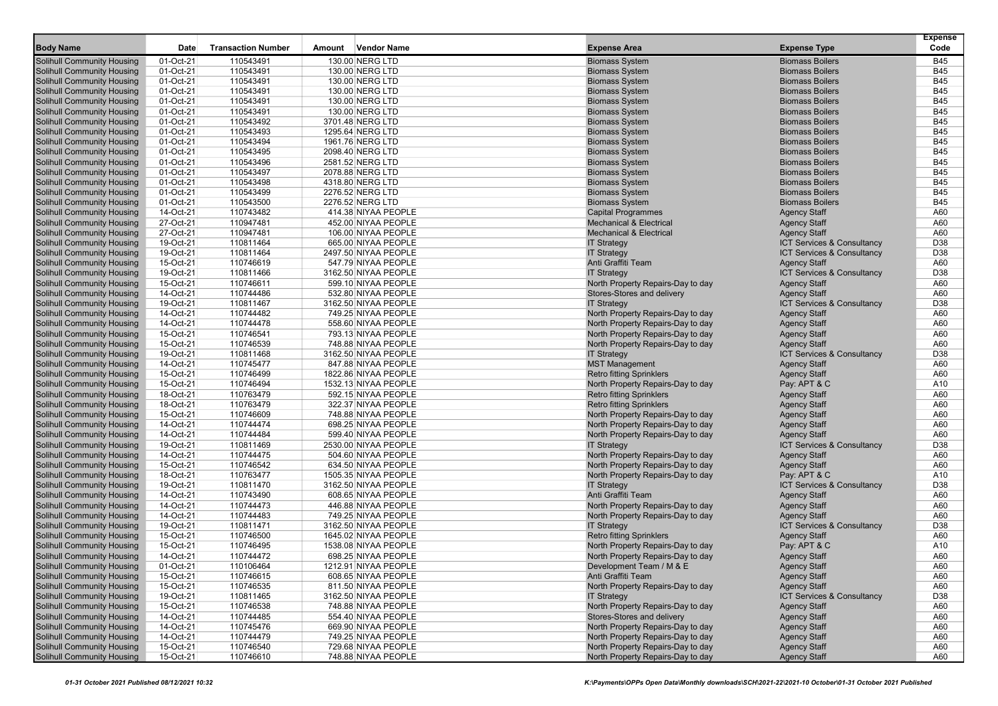|                                                                        |                        |                           |        |                                            |                                                                      |                                            | <b>Expense</b> |
|------------------------------------------------------------------------|------------------------|---------------------------|--------|--------------------------------------------|----------------------------------------------------------------------|--------------------------------------------|----------------|
| <b>Body Name</b>                                                       | Date                   | <b>Transaction Number</b> | Amount | <b>Vendor Name</b>                         | <b>Expense Area</b>                                                  | <b>Expense Type</b>                        | Code           |
| <b>Solihull Community Housing</b>                                      | 01-Oct-21              | 110543491                 |        | 130.00 NERG LTD                            | <b>Biomass System</b>                                                | <b>Biomass Boilers</b>                     | <b>B45</b>     |
| <b>Solihull Community Housing</b>                                      | 01-Oct-21              | 110543491                 |        | 130.00 NERG LTD                            | <b>Biomass System</b>                                                | <b>Biomass Boilers</b>                     | <b>B45</b>     |
| <b>Solihull Community Housing</b>                                      | 01-Oct-21              | 110543491                 |        | 130.00 NERG LTD                            | <b>Biomass System</b>                                                | <b>Biomass Boilers</b>                     | <b>B45</b>     |
| <b>Solihull Community Housing</b>                                      | 01-Oct-21              | 110543491                 |        | 130.00 NERG LTD                            | <b>Biomass System</b>                                                | <b>Biomass Boilers</b>                     | <b>B45</b>     |
| <b>Solihull Community Housing</b>                                      | 01-Oct-21              | 110543491                 |        | 130.00 NERG LTD                            | <b>Biomass System</b>                                                | <b>Biomass Boilers</b>                     | <b>B45</b>     |
| <b>Solihull Community Housing</b>                                      | 01-Oct-21              | 110543491                 |        | 130.00 NERG LTD                            | <b>Biomass System</b>                                                | <b>Biomass Boilers</b>                     | <b>B45</b>     |
| <b>Solihull Community Housing</b>                                      | 01-Oct-21              | 110543492                 |        | 3701.48 NERG LTD                           | <b>Biomass System</b>                                                | <b>Biomass Boilers</b>                     | <b>B45</b>     |
| <b>Solihull Community Housing</b>                                      | 01-Oct-21              | 110543493                 |        | 1295.64 NERG LTD                           | <b>Biomass System</b>                                                | <b>Biomass Boilers</b>                     | <b>B45</b>     |
| <b>Solihull Community Housing</b>                                      | 01-Oct-21              | 110543494                 |        | 1961.76 NERG LTD                           | <b>Biomass System</b>                                                | <b>Biomass Boilers</b>                     | <b>B45</b>     |
| <b>Solihull Community Housing</b>                                      | 01-Oct-21              | 110543495                 |        | 2098.40 NERG LTD                           | <b>Biomass System</b>                                                | <b>Biomass Boilers</b>                     | <b>B45</b>     |
| Solihull Community Housing                                             | 01-Oct-21              | 110543496                 |        | 2581.52 NERG LTD                           | <b>Biomass System</b>                                                | <b>Biomass Boilers</b>                     | <b>B45</b>     |
| <b>Solihull Community Housing</b>                                      | 01-Oct-21              | 110543497                 |        | 2078.88 NERG LTD                           | <b>Biomass System</b>                                                | <b>Biomass Boilers</b>                     | <b>B45</b>     |
| <b>Solihull Community Housing</b>                                      | 01-Oct-21              | 110543498                 |        | 4318.80 NERG LTD                           | <b>Biomass System</b>                                                | <b>Biomass Boilers</b>                     | <b>B45</b>     |
| Solihull Community Housing                                             | 01-Oct-21              | 110543499                 |        | 2276.52 NERG LTD                           | <b>Biomass System</b>                                                | <b>Biomass Boilers</b>                     | <b>B45</b>     |
| <b>Solihull Community Housing</b>                                      | 01-Oct-21              | 110543500                 |        | 2276.52 NERG LTD                           | <b>Biomass System</b>                                                | <b>Biomass Boilers</b>                     | <b>B45</b>     |
| <b>Solihull Community Housing</b>                                      | 14-Oct-21              | 110743482                 |        | 414.38 NIYAA PEOPLE                        | <b>Capital Programmes</b>                                            | <b>Agency Staff</b>                        | A60            |
| <b>Solihull Community Housing</b>                                      | 27-Oct-21              | 110947481                 |        | 452.00 NIYAA PEOPLE                        | <b>Mechanical &amp; Electrical</b>                                   | <b>Agency Staff</b>                        | A60            |
| <b>Solihull Community Housing</b>                                      | 27-Oct-21              | 110947481                 |        | 106.00 NIYAA PEOPLE                        | <b>Mechanical &amp; Electrical</b>                                   | <b>Agency Staff</b>                        | A60            |
| <b>Solihull Community Housing</b>                                      | 19-Oct-21              | 110811464                 |        | 665.00 NIYAA PEOPLE                        | <b>IT Strategy</b>                                                   | ICT Services & Consultancy                 | D38            |
| <b>Solihull Community Housing</b>                                      | 19-Oct-21              | 110811464                 |        | 2497.50 NIYAA PEOPLE                       | <b>IT Strategy</b>                                                   | ICT Services & Consultancy                 | D38            |
| <b>Solihull Community Housing</b>                                      | 15-Oct-21              | 110746619                 |        | 547.79 NIYAA PEOPLE                        | Anti Graffiti Team                                                   | <b>Agency Staff</b>                        | A60            |
| <b>Solihull Community Housing</b>                                      | 19-Oct-21              | 110811466                 |        | 3162.50 NIYAA PEOPLE                       | <b>IT Strategy</b>                                                   | ICT Services & Consultancy                 | D38            |
| <b>Solihull Community Housing</b>                                      | 15-Oct-21              | 110746611                 |        | 599.10 NIYAA PEOPLE                        | North Property Repairs-Day to day                                    | <b>Agency Staff</b>                        | A60            |
| <b>Solihull Community Housing</b>                                      | 14-Oct-21              | 110744486                 |        | 532.80 NIYAA PEOPLE                        | Stores-Stores and delivery                                           | <b>Agency Staff</b>                        | A60            |
| <b>Solihull Community Housing</b>                                      | 19-Oct-21              | 110811467                 |        | 3162.50 NIYAA PEOPLE                       | <b>IT Strategy</b>                                                   | <b>ICT Services &amp; Consultancy</b>      | D38            |
| <b>Solihull Community Housing</b>                                      | 14-Oct-21              | 110744482                 |        | 749.25 NIYAA PEOPLE                        | North Property Repairs-Day to day                                    | <b>Agency Staff</b>                        | A60            |
| <b>Solihull Community Housing</b>                                      | 14-Oct-21              | 110744478                 |        | 558.60 NIYAA PEOPLE                        | North Property Repairs-Day to day                                    | <b>Agency Staff</b>                        | A60            |
| <b>Solihull Community Housing</b>                                      | 15-Oct-21              | 110746541                 |        | 793.13 NIYAA PEOPLE                        | North Property Repairs-Day to day                                    | <b>Agency Staff</b>                        | A60            |
| <b>Solihull Community Housing</b>                                      | 15-Oct-21              | 110746539                 |        | 748.88 NIYAA PEOPLE                        | North Property Repairs-Day to day                                    | <b>Agency Staff</b>                        | A60            |
| <b>Solihull Community Housing</b>                                      | 19-Oct-21              | 110811468                 |        | 3162.50 NIYAA PEOPLE                       | <b>IT Strategy</b>                                                   | ICT Services & Consultancy                 | D38            |
| <b>Solihull Community Housing</b>                                      | 14-Oct-21              | 110745477                 |        | 847.88 NIYAA PEOPLE                        | <b>MST Management</b>                                                | <b>Agency Staff</b>                        | A60            |
| <b>Solihull Community Housing</b>                                      | 15-Oct-21              | 110746499                 |        | 1822.86 NIYAA PEOPLE                       | <b>Retro fitting Sprinklers</b>                                      | <b>Agency Staff</b>                        | A60            |
| <b>Solihull Community Housing</b>                                      | 15-Oct-21              | 110746494                 |        | 1532.13 NIYAA PEOPLE                       | North Property Repairs-Day to day                                    | Pay: APT & C                               | A10            |
| <b>Solihull Community Housing</b>                                      | 18-Oct-21<br>18-Oct-21 | 110763479<br>110763479    |        | 592.15 NIYAA PEOPLE                        | <b>Retro fitting Sprinklers</b>                                      | <b>Agency Staff</b>                        | A60<br>A60     |
| <b>Solihull Community Housing</b><br><b>Solihull Community Housing</b> | 15-Oct-21              | 110746609                 |        | 322.37 NIYAA PEOPLE<br>748.88 NIYAA PEOPLE | <b>Retro fitting Sprinklers</b><br>North Property Repairs-Day to day | <b>Agency Staff</b><br><b>Agency Staff</b> | A60            |
| <b>Solihull Community Housing</b>                                      | 14-Oct-21              | 110744474                 |        | 698.25 NIYAA PEOPLE                        | North Property Repairs-Day to day                                    | <b>Agency Staff</b>                        | A60            |
| <b>Solihull Community Housing</b>                                      | 14-Oct-21              | 110744484                 |        | 599.40 NIYAA PEOPLE                        | North Property Repairs-Day to day                                    | <b>Agency Staff</b>                        | A60            |
| <b>Solihull Community Housing</b>                                      | 19-Oct-21              | 110811469                 |        | 2530.00 NIYAA PEOPLE                       | <b>IT Strategy</b>                                                   | ICT Services & Consultancy                 | D38            |
| <b>Solihull Community Housing</b>                                      | 14-Oct-21              | 110744475                 |        | 504.60 NIYAA PEOPLE                        | North Property Repairs-Day to day                                    | <b>Agency Staff</b>                        | A60            |
| <b>Solihull Community Housing</b>                                      | 15-Oct-21              | 110746542                 |        | 634.50 NIYAA PEOPLE                        | North Property Repairs-Day to day                                    | <b>Agency Staff</b>                        | A60            |
| <b>Solihull Community Housing</b>                                      | 18-Oct-21              | 110763477                 |        | 1505.35 NIYAA PEOPLE                       | North Property Repairs-Day to day                                    | Pay: APT & C                               | A10            |
| <b>Solihull Community Housing</b>                                      | 19-Oct-21              | 110811470                 |        | 3162.50 NIYAA PEOPLE                       | <b>IT Strategy</b>                                                   | ICT Services & Consultancy                 | D38            |
| <b>Solihull Community Housing</b>                                      | 14-Oct-21              | 110743490                 |        | 608.65 NIYAA PEOPLE                        | Anti Graffiti Team                                                   | <b>Agency Staff</b>                        | A60            |
| <b>Solihull Community Housing</b>                                      | 14-Oct-21              | 110744473                 |        | 446.88 NIYAA PEOPLE                        | North Property Repairs-Day to day                                    | <b>Agency Staff</b>                        | A60            |
| <b>Solihull Community Housing</b>                                      | 14-Oct-21              | 110744483                 |        | 749.25 NIYAA PEOPLE                        | North Property Repairs-Day to day                                    | <b>Agency Staff</b>                        | A60            |
| <b>Solihull Community Housing</b>                                      | 19-Oct-21              | 110811471                 |        | 3162.50 NIYAA PEOPLE                       | <b>IT Strategy</b>                                                   | ICT Services & Consultancy                 | D38            |
| <b>Solihull Community Housing</b>                                      | 15-Oct-21              | 110746500                 |        | 1645.02 NIYAA PEOPLE                       | <b>Retro fitting Sprinklers</b>                                      | <b>Agency Staff</b>                        | A60            |
| <b>Solihull Community Housing</b>                                      | 15-Oct-21              | 110746495                 |        | 1538.08 NIYAA PEOPLE                       | North Property Repairs-Day to day                                    | Pay: APT & C                               | A10            |
| <b>Solihull Community Housing</b>                                      | 14-Oct-21              | 110744472                 |        | 698.25 NIYAA PEOPLE                        | North Property Repairs-Day to day                                    | <b>Agency Staff</b>                        | A60            |
| <b>Solihull Community Housing</b>                                      | 01-Oct-21              | 110106464                 |        | 1212.91 NIYAA PEOPLE                       | Development $1$ eam / M $\&$ E                                       | Agency Staff                               | A60            |
| <b>Solihull Community Housing</b>                                      | 15-Oct-21              | 110746615                 |        | 608.65 NIYAA PEOPLE                        | Anti Graffiti Team                                                   | <b>Agency Staff</b>                        | A60            |
| <b>Solihull Community Housing</b>                                      | 15-Oct-21              | 110746535                 |        | 811.50 NIYAA PEOPLE                        | North Property Repairs-Day to day                                    | <b>Agency Staff</b>                        | A60            |
| Solihull Community Housing                                             | 19-Oct-21              | 110811465                 |        | 3162.50 NIYAA PEOPLE                       | <b>IT Strategy</b>                                                   | ICT Services & Consultancy                 | D38            |
| <b>Solihull Community Housing</b>                                      | 15-Oct-21              | 110746538                 |        | 748.88 NIYAA PEOPLE                        | North Property Repairs-Day to day                                    | <b>Agency Staff</b>                        | A60            |
| <b>Solihull Community Housing</b>                                      | 14-Oct-21              | 110744485                 |        | 554.40 NIYAA PEOPLE                        | Stores-Stores and delivery                                           | <b>Agency Staff</b>                        | A60            |
| <b>Solihull Community Housing</b>                                      | 14-Oct-21              | 110745476                 |        | 669.90 NIYAA PEOPLE                        | North Property Repairs-Day to day                                    | <b>Agency Staff</b>                        | A60            |
| <b>Solihull Community Housing</b>                                      | 14-Oct-21              | 110744479                 |        | 749.25 NIYAA PEOPLE                        | North Property Repairs-Day to day                                    | <b>Agency Staff</b>                        | A60            |
| <b>Solihull Community Housing</b>                                      | 15-Oct-21              | 110746540                 |        | 729.68 NIYAA PEOPLE                        | North Property Repairs-Day to day                                    | <b>Agency Staff</b>                        | A60            |
| <b>Solihull Community Housing</b>                                      | 15-Oct-21              | 110746610                 |        | 748.88 NIYAA PEOPLE                        | North Property Repairs-Day to day                                    | <b>Agency Staff</b>                        | A60            |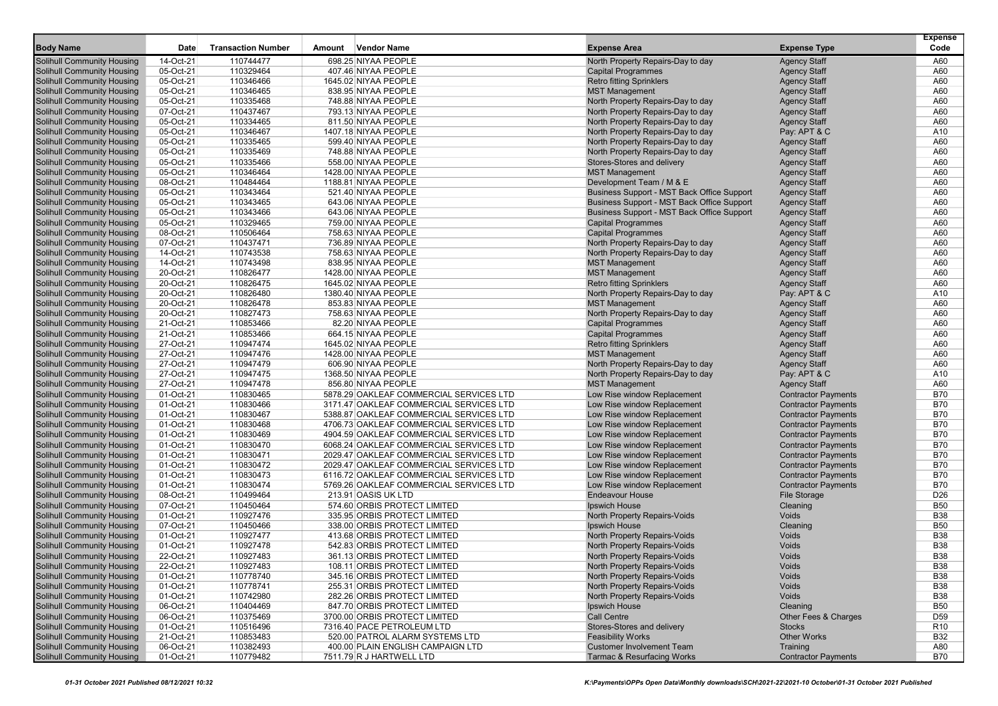|                                                                        |                        |                           |        |                                                                      |                                                                        |                                            | <b>Expense</b>    |
|------------------------------------------------------------------------|------------------------|---------------------------|--------|----------------------------------------------------------------------|------------------------------------------------------------------------|--------------------------------------------|-------------------|
| <b>Body Name</b>                                                       | <b>Date</b>            | <b>Transaction Number</b> | Amount | <b>Vendor Name</b>                                                   | <b>Expense Area</b>                                                    | <b>Expense Type</b>                        | Code              |
| <b>Solihull Community Housing</b>                                      | 14-Oct-21              | 110744477                 |        | 698.25 NIYAA PEOPLE                                                  | North Property Repairs-Day to day                                      | <b>Agency Staff</b>                        | A60               |
| <b>Solihull Community Housing</b>                                      | 05-Oct-21              | 110329464                 |        | 407.46 NIYAA PEOPLE                                                  | <b>Capital Programmes</b>                                              | <b>Agency Staff</b>                        | A60               |
| <b>Solihull Community Housing</b>                                      | 05-Oct-21              | 110346466                 |        | 1645.02 NIYAA PEOPLE                                                 | <b>Retro fitting Sprinklers</b>                                        | <b>Agency Staff</b>                        | A60               |
| <b>Solihull Community Housing</b>                                      | 05-Oct-21<br>05-Oct-21 | 110346465                 |        | 838.95 NIYAA PEOPLE<br>748.88 NIYAA PEOPLE                           | <b>MST Management</b>                                                  | <b>Agency Staff</b><br><b>Agency Staff</b> | A60<br>A60        |
| <b>Solihull Community Housing</b><br><b>Solihull Community Housing</b> | 07-Oct-21              | 110335468<br>110437467    |        | 793.13 NIYAA PEOPLE                                                  | North Property Repairs-Day to day<br>North Property Repairs-Day to day | <b>Agency Staff</b>                        | A60               |
| <b>Solihull Community Housing</b>                                      | 05-Oct-21              | 110334465                 |        | 811.50 NIYAA PEOPLE                                                  | North Property Repairs-Day to day                                      | <b>Agency Staff</b>                        | A60               |
| <b>Solihull Community Housing</b>                                      | 05-Oct-21              | 110346467                 |        | 1407.18 NIYAA PEOPLE                                                 | North Property Repairs-Day to day                                      | Pay: APT & C                               | A10               |
| <b>Solihull Community Housing</b>                                      | 05-Oct-21              | 110335465                 |        | 599.40 NIYAA PEOPLE                                                  | North Property Repairs-Day to day                                      | <b>Agency Staff</b>                        | A60               |
| <b>Solihull Community Housing</b>                                      | 05-Oct-21              | 110335469                 |        | 748.88 NIYAA PEOPLE                                                  | North Property Repairs-Day to day                                      | <b>Agency Staff</b>                        | A60               |
| <b>Solihull Community Housing</b>                                      | 05-Oct-21              | 110335466                 |        | 558.00 NIYAA PEOPLE                                                  | Stores-Stores and delivery                                             | <b>Agency Staff</b>                        | A60               |
| <b>Solihull Community Housing</b>                                      | 05-Oct-21              | 110346464                 |        | 1428.00 NIYAA PEOPLE                                                 | <b>MST Management</b>                                                  | <b>Agency Staff</b>                        | A60               |
| <b>Solihull Community Housing</b>                                      | 08-Oct-21              | 110484464                 |        | 1188.81 NIYAA PEOPLE                                                 | Development Team / M & E                                               | <b>Agency Staff</b>                        | A60               |
| <b>Solihull Community Housing</b>                                      | 05-Oct-21              | 110343464                 |        | 521.40 NIYAA PEOPLE                                                  | Business Support - MST Back Office Support                             | <b>Agency Staff</b>                        | A60               |
| <b>Solihull Community Housing</b>                                      | 05-Oct-21              | 110343465                 |        | 643.06 NIYAA PEOPLE                                                  | Business Support - MST Back Office Support                             | <b>Agency Staff</b>                        | A60               |
| <b>Solihull Community Housing</b>                                      | 05-Oct-21              | 110343466                 |        | 643.06 NIYAA PEOPLE                                                  | Business Support - MST Back Office Support                             | <b>Agency Staff</b>                        | A60               |
| <b>Solihull Community Housing</b>                                      | 05-Oct-21              | 110329465                 |        | 759.00 NIYAA PEOPLE                                                  | <b>Capital Programmes</b>                                              | <b>Agency Staff</b>                        | A60               |
| <b>Solihull Community Housing</b>                                      | 08-Oct-21              | 110506464                 |        | 758.63 NIYAA PEOPLE                                                  | <b>Capital Programmes</b>                                              | <b>Agency Staff</b>                        | A60               |
| <b>Solihull Community Housing</b>                                      | 07-Oct-21              | 110437471                 |        | 736.89 NIYAA PEOPLE                                                  | North Property Repairs-Day to day                                      | <b>Agency Staff</b>                        | A60               |
| <b>Solihull Community Housing</b>                                      | 14-Oct-21              | 110743538                 |        | 758.63 NIYAA PEOPLE                                                  | North Property Repairs-Day to day                                      | <b>Agency Staff</b>                        | A60               |
| <b>Solihull Community Housing</b>                                      | 14-Oct-21              | 110743498                 |        | 838.95 NIYAA PEOPLE                                                  | <b>MST Management</b>                                                  | <b>Agency Staff</b>                        | A60               |
| <b>Solihull Community Housing</b>                                      | 20-Oct-21              | 110826477                 |        | 1428.00 NIYAA PEOPLE                                                 | <b>MST Management</b>                                                  | <b>Agency Staff</b>                        | A60               |
| <b>Solihull Community Housing</b>                                      | 20-Oct-21              | 110826475                 |        | 1645.02 NIYAA PEOPLE                                                 | <b>Retro fitting Sprinklers</b>                                        | <b>Agency Staff</b>                        | A60               |
| <b>Solihull Community Housing</b>                                      | 20-Oct-21              | 110826480                 |        | 1380.40 NIYAA PEOPLE                                                 | North Property Repairs-Day to day                                      | Pay: APT & C                               | A10               |
| <b>Solihull Community Housing</b>                                      | 20-Oct-21              | 110826478                 |        | 853.83 NIYAA PEOPLE                                                  | <b>MST Management</b>                                                  | <b>Agency Staff</b>                        | A60               |
| <b>Solihull Community Housing</b>                                      | 20-Oct-21              | 110827473                 |        | 758.63 NIYAA PEOPLE                                                  | North Property Repairs-Day to day                                      | <b>Agency Staff</b>                        | A60               |
| <b>Solihull Community Housing</b>                                      | 21-Oct-21              | 110853466                 |        | 82.20 NIYAA PEOPLE                                                   | <b>Capital Programmes</b>                                              | <b>Agency Staff</b>                        | A60               |
| <b>Solihull Community Housing</b>                                      | 21-Oct-21              | 110853466                 |        | 664.15 NIYAA PEOPLE                                                  | <b>Capital Programmes</b>                                              | <b>Agency Staff</b>                        | A60               |
| <b>Solihull Community Housing</b>                                      | 27-Oct-21              | 110947474                 |        | 1645.02 NIYAA PEOPLE                                                 | <b>Retro fitting Sprinklers</b>                                        | <b>Agency Staff</b>                        | A60               |
| <b>Solihull Community Housing</b><br><b>Solihull Community Housing</b> | 27-Oct-21<br>27-Oct-21 | 110947476<br>110947479    |        | 1428.00 NIYAA PEOPLE<br>606.90 NIYAA PEOPLE                          | <b>MST Management</b><br>North Property Repairs-Day to day             | <b>Agency Staff</b>                        | A60<br>A60        |
| <b>Solihull Community Housing</b>                                      | 27-Oct-21              | 110947475                 |        | 1368.50 NIYAA PEOPLE                                                 | North Property Repairs-Day to day                                      | <b>Agency Staff</b><br>Pay: APT & C        | A10               |
| <b>Solihull Community Housing</b>                                      | 27-Oct-21              | 110947478                 |        | 856.80 NIYAA PEOPLE                                                  | <b>MST Management</b>                                                  | <b>Agency Staff</b>                        | A60               |
| <b>Solihull Community Housing</b>                                      | 01-Oct-21              | 110830465                 |        | 5878.29 OAKLEAF COMMERCIAL SERVICES LTD                              | Low Rise window Replacement                                            | <b>Contractor Payments</b>                 | <b>B70</b>        |
| <b>Solihull Community Housing</b>                                      | 01-Oct-21              | 110830466                 |        | 3171.47 OAKLEAF COMMERCIAL SERVICES LTD                              | Low Rise window Replacement                                            | <b>Contractor Payments</b>                 | <b>B70</b>        |
| <b>Solihull Community Housing</b>                                      | $01-Oct-21$            | 110830467                 |        | 5388.87 OAKLEAF COMMERCIAL SERVICES LTD                              | Low Rise window Replacement                                            | <b>Contractor Payments</b>                 | <b>B70</b>        |
| <b>Solihull Community Housing</b>                                      | 01-Oct-21              | 110830468                 |        | 4706.73 OAKLEAF COMMERCIAL SERVICES LTD                              | Low Rise window Replacement                                            | <b>Contractor Payments</b>                 | <b>B70</b>        |
| <b>Solihull Community Housing</b>                                      | 01-Oct-21              | 110830469                 |        | 4904.59 OAKLEAF COMMERCIAL SERVICES LTD                              | Low Rise window Replacement                                            | <b>Contractor Payments</b>                 | <b>B70</b>        |
| <b>Solihull Community Housing</b>                                      | 01-Oct-21              | 110830470                 |        | 6068.24 OAKLEAF COMMERCIAL SERVICES LTD                              | Low Rise window Replacement                                            | <b>Contractor Payments</b>                 | <b>B70</b>        |
| <b>Solihull Community Housing</b>                                      | 01-Oct-21              | 110830471                 |        | 2029.47 OAKLEAF COMMERCIAL SERVICES LTD                              | Low Rise window Replacement                                            | <b>Contractor Payments</b>                 | <b>B70</b>        |
| <b>Solihull Community Housing</b>                                      | 01-Oct-21              | 110830472                 |        | 2029.47 OAKLEAF COMMERCIAL SERVICES LTD                              | Low Rise window Replacement                                            | <b>Contractor Payments</b>                 | <b>B70</b>        |
| <b>Solihull Community Housing</b>                                      | 01-Oct-21              | 110830473                 |        | 6116.72 OAKLEAF COMMERCIAL SERVICES LTD                              | Low Rise window Replacement                                            | <b>Contractor Payments</b>                 | <b>B70</b>        |
| <b>Solihull Community Housing</b>                                      | 01-Oct-21              | 110830474                 |        | 5769.26 OAKLEAF COMMERCIAL SERVICES LTD                              | Low Rise window Replacement                                            | <b>Contractor Payments</b>                 | <b>B70</b>        |
| <b>Solihull Community Housing</b>                                      | 08-Oct-21              | 110499464                 |        | 213.91 OASIS UK LTD                                                  | <b>Endeavour House</b>                                                 | <b>File Storage</b>                        | D <sub>26</sub>   |
| <b>Solihull Community Housing</b>                                      | 07-Oct-21              | 110450464                 |        | 574.60 ORBIS PROTECT LIMITED                                         | Ipswich House                                                          | Cleaning                                   | <b>B50</b>        |
| <b>Solihull Community Housing</b>                                      | 01-Oct-21              | 110927476                 |        | 335.95 ORBIS PROTECT LIMITED                                         | North Property Repairs-Voids                                           | Voids                                      | <b>B38</b>        |
| <b>Solihull Community Housing</b>                                      | 07-Oct-21              | 110450466                 |        | 338.00 ORBIS PROTECT LIMITED                                         | Ipswich House                                                          | Cleaning                                   | <b>B50</b>        |
| <b>Solihull Community Housing</b>                                      | 01-Oct-21              | 110927477                 |        | 413.68 ORBIS PROTECT LIMITED                                         | North Property Repairs-Voids                                           | Voids                                      | <b>B38</b>        |
| Solihull Community Housing                                             | 01-Oct-21              | 110927478                 |        | 542.83 ORBIS PROTECT LIMITED                                         | North Property Repairs-Voids                                           | Voids                                      | <b>B38</b>        |
| <b>Solihull Community Housing</b>                                      | 22-Oct-21              | 110927483                 |        | 361.13 ORBIS PROTECT LIMITED                                         | <b>North Property Repairs-Voids</b>                                    | Voids                                      | <b>B38</b>        |
| <b>Solihull Community Housing</b>                                      | 22-Oct-21              | 110927483                 |        | 108.11 ORBIS PROTECT LIMITED                                         | North Property Repairs-Voids                                           | Voids                                      | <b>B38</b>        |
| <b>Solihull Community Housing</b>                                      | 01-Oct-21              | 110778740                 |        | 345.16 ORBIS PROTECT LIMITED                                         | North Property Repairs-Voids                                           | Voids                                      | <b>B38</b>        |
| Solihull Community Housing                                             | 01-Oct-21              | 110778741                 |        | 255.31 ORBIS PROTECT LIMITED                                         | North Property Repairs-Voids                                           | Voids                                      | <b>B38</b>        |
| Solihull Community Housing                                             | 01-Oct-21              | 110742980                 |        | 282.26 ORBIS PROTECT LIMITED                                         | North Property Repairs-Voids                                           | Voids                                      | <b>B38</b>        |
| Solihull Community Housing                                             | 06-Oct-21              | 110404469                 |        | 847.70 ORBIS PROTECT LIMITED                                         | Ipswich House                                                          | Cleaning                                   | <b>B50</b>        |
| <b>Solihull Community Housing</b>                                      | 06-Oct-21              | 110375469                 |        | 3700.00 ORBIS PROTECT LIMITED                                        | Call Centre                                                            | Other Fees & Charges                       | D <sub>59</sub>   |
| <b>Solihull Community Housing</b>                                      | 01-Oct-21              | 110516496                 |        | 7316.40 PACE PETROLEUM LTD                                           | Stores-Stores and delivery                                             | <b>Stocks</b>                              | R <sub>10</sub>   |
| <b>Solihull Community Housing</b><br><b>Solihull Community Housing</b> | 21-Oct-21<br>06-Oct-21 | 110853483<br>110382493    |        | 520.00 PATROL ALARM SYSTEMS LTD<br>400.00 PLAIN ENGLISH CAMPAIGN LTD | <b>Feasibility Works</b><br><b>Customer Involvement Team</b>           | <b>Other Works</b>                         | <b>B32</b><br>A80 |
| <b>Solihull Community Housing</b>                                      | 01-Oct-21              | 110779482                 |        |                                                                      | <b>Tarmac &amp; Resurfacing Works</b>                                  | Training<br><b>Contractor Payments</b>     | <b>B70</b>        |
|                                                                        |                        |                           |        | 7511.79 R J HARTWELL LTD                                             |                                                                        |                                            |                   |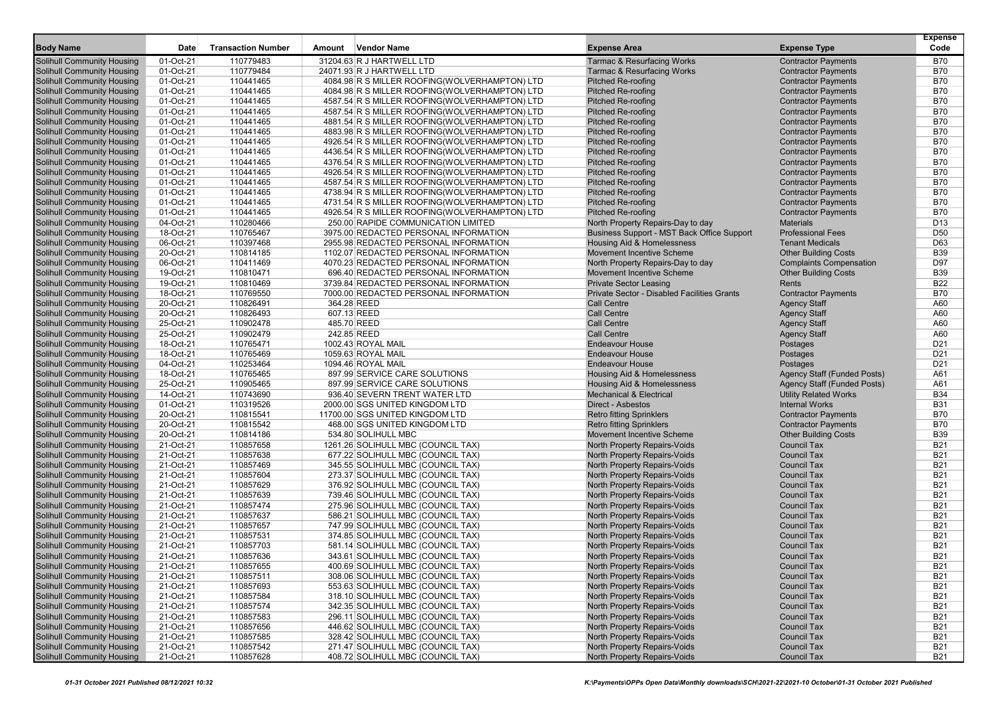|                                                                        |                        |                           |        |                                                                                                |                                                              |                                                          | <b>Expense</b>           |
|------------------------------------------------------------------------|------------------------|---------------------------|--------|------------------------------------------------------------------------------------------------|--------------------------------------------------------------|----------------------------------------------------------|--------------------------|
| <b>Body Name</b>                                                       | Date                   | <b>Transaction Number</b> | Amount | Vendor Name                                                                                    | <b>Expense Area</b>                                          | <b>Expense Type</b>                                      | Code                     |
| Solihull Community Housing                                             | 01-Oct-21              | 110779483                 |        | 31204.63 R J HARTWELL LTD                                                                      | <b>Tarmac &amp; Resurfacing Works</b>                        | <b>Contractor Payments</b>                               | <b>B70</b>               |
| Solihull Community Housing                                             | 01-Oct-21              | 110779484                 |        | 24071.93 R J HARTWELL LTD                                                                      | <b>Tarmac &amp; Resurfacing Works</b>                        | <b>Contractor Payments</b>                               | <b>B70</b>               |
| <b>Solihull Community Housing</b>                                      | 01-Oct-21              | 110441465                 |        | 4084.98 R S MILLER ROOFING(WOLVERHAMPTON) LTD                                                  | <b>Pitched Re-roofing</b>                                    | <b>Contractor Payments</b>                               | <b>B70</b><br><b>B70</b> |
| <b>Solihull Community Housing</b><br><b>Solihull Community Housing</b> | 01-Oct-21<br>01-Oct-21 | 110441465<br>110441465    |        | 4084.98 R S MILLER ROOFING(WOLVERHAMPTON) LTD<br>4587.54 R S MILLER ROOFING(WOLVERHAMPTON) LTD | <b>Pitched Re-roofing</b><br><b>Pitched Re-roofing</b>       | <b>Contractor Payments</b><br><b>Contractor Payments</b> | <b>B70</b>               |
| <b>Solihull Community Housing</b>                                      | 01-Oct-21              | 110441465                 |        | 4587.54 R S MILLER ROOFING(WOLVERHAMPTON) LTD                                                  | <b>Pitched Re-roofing</b>                                    | <b>Contractor Payments</b>                               | <b>B70</b>               |
| Solihull Community Housing                                             | 01-Oct-21              | 110441465                 |        | 4881.54 R S MILLER ROOFING(WOLVERHAMPTON) LTD                                                  | <b>Pitched Re-roofing</b>                                    | <b>Contractor Payments</b>                               | <b>B70</b>               |
| Solihull Community Housing                                             | 01-Oct-21              | 110441465                 |        | 4883.98 R S MILLER ROOFING(WOLVERHAMPTON) LTD                                                  | <b>Pitched Re-roofing</b>                                    | <b>Contractor Payments</b>                               | <b>B70</b>               |
| Solihull Community Housing                                             | 01-Oct-21              | 110441465                 |        | 4926.54 R S MILLER ROOFING(WOLVERHAMPTON) LTD                                                  | <b>Pitched Re-roofing</b>                                    | <b>Contractor Payments</b>                               | <b>B70</b>               |
| <b>Solihull Community Housing</b>                                      | 01-Oct-21              | 110441465                 |        | 4436.54 R S MILLER ROOFING(WOLVERHAMPTON) LTD                                                  | <b>Pitched Re-roofing</b>                                    | <b>Contractor Payments</b>                               | <b>B70</b>               |
| <b>Solihull Community Housing</b>                                      | 01-Oct-21              | 110441465                 |        | 4376.54 R S MILLER ROOFING(WOLVERHAMPTON) LTD                                                  | <b>Pitched Re-roofing</b>                                    | <b>Contractor Payments</b>                               | <b>B70</b>               |
| <b>Solihull Community Housing</b>                                      | 01-Oct-21              | 110441465                 |        | 4926.54 R S MILLER ROOFING(WOLVERHAMPTON) LTD                                                  | <b>Pitched Re-roofing</b>                                    | <b>Contractor Payments</b>                               | <b>B70</b>               |
| <b>Solihull Community Housing</b>                                      | 01-Oct-21              | 110441465                 |        | 4587.54 R S MILLER ROOFING(WOLVERHAMPTON) LTD                                                  | <b>Pitched Re-roofing</b>                                    | <b>Contractor Payments</b>                               | <b>B70</b>               |
| Solihull Community Housing                                             | 01-Oct-21              | 110441465                 |        | 4738.94 R S MILLER ROOFING(WOLVERHAMPTON) LTD                                                  | <b>Pitched Re-roofing</b>                                    | <b>Contractor Payments</b>                               | <b>B70</b>               |
| Solihull Community Housing                                             | 01-Oct-21              | 110441465                 |        | 4731.54 R S MILLER ROOFING(WOLVERHAMPTON) LTD                                                  | <b>Pitched Re-roofing</b>                                    | <b>Contractor Payments</b>                               | <b>B70</b>               |
| <b>Solihull Community Housing</b>                                      | 01-Oct-21              | 110441465                 |        | 4926.54 R S MILLER ROOFING(WOLVERHAMPTON) LTD                                                  | <b>Pitched Re-roofing</b>                                    | <b>Contractor Payments</b>                               | <b>B70</b>               |
| Solihull Community Housing                                             | 04-Oct-21              | 110280466                 |        | 250.00 RAPIDE COMMUNICATION LIMITED                                                            | North Property Repairs-Day to day                            | <b>Materials</b>                                         | D <sub>13</sub>          |
| <b>Solihull Community Housing</b>                                      | 18-Oct-21              | 110765467                 |        | 3975.00 REDACTED PERSONAL INFORMATION                                                          | Business Support - MST Back Office Support                   | <b>Professional Fees</b>                                 | D <sub>50</sub>          |
| <b>Solihull Community Housing</b>                                      | 06-Oct-21              | 110397468                 |        | 2955.98 REDACTED PERSONAL INFORMATION                                                          | Housing Aid & Homelessness                                   | <b>Tenant Medicals</b>                                   | D63                      |
| Solihull Community Housing                                             | 20-Oct-21              | 110814185                 |        | 1102.07 REDACTED PERSONAL INFORMATION                                                          | Movement Incentive Scheme                                    | <b>Other Building Costs</b>                              | <b>B39</b>               |
| Solihull Community Housing                                             | 06-Oct-21              | 110411469                 |        | 4070.23 REDACTED PERSONAL INFORMATION                                                          | North Property Repairs-Day to day                            | <b>Complaints Compensation</b>                           | D97                      |
| <b>Solihull Community Housing</b>                                      | 19-Oct-21              | 110810471                 |        | 696.40 REDACTED PERSONAL INFORMATION                                                           | <b>Movement Incentive Scheme</b>                             | <b>Other Building Costs</b>                              | <b>B39</b>               |
| <b>Solihull Community Housing</b>                                      | 19-Oct-21              | 110810469                 |        | 3739.84 REDACTED PERSONAL INFORMATION                                                          | <b>Private Sector Leasing</b>                                | Rents                                                    | <b>B22</b>               |
| <b>Solihull Community Housing</b>                                      | 18-Oct-21              | 110769550                 |        | 7000.00 REDACTED PERSONAL INFORMATION                                                          | Private Sector - Disabled Facilities Grants                  | <b>Contractor Payments</b>                               | <b>B70</b>               |
| <b>Solihull Community Housing</b>                                      | 20-Oct-21              | 110826491                 |        | 364.28 REED                                                                                    | <b>Call Centre</b>                                           | <b>Agency Staff</b>                                      | A60                      |
| Solihull Community Housing                                             | 20-Oct-21              | 110826493                 |        | 607.13 REED                                                                                    | <b>Call Centre</b>                                           | <b>Agency Staff</b>                                      | A60                      |
| Solihull Community Housing                                             | 25-Oct-21<br>25-Oct-21 | 110902478<br>110902479    |        | 485.70 REED<br>242.85 REED                                                                     | <b>Call Centre</b><br><b>Call Centre</b>                     | <b>Agency Staff</b>                                      | A60<br>A60               |
| Solihull Community Housing<br><b>Solihull Community Housing</b>        | 18-Oct-21              | 110765471                 |        | 1002.43 ROYAL MAIL                                                                             | <b>Endeavour House</b>                                       | <b>Agency Staff</b><br>Postages                          | D <sub>21</sub>          |
| <b>Solihull Community Housing</b>                                      | 18-Oct-21              | 110765469                 |        | 1059.63 ROYAL MAIL                                                                             | <b>Endeavour House</b>                                       | Postages                                                 | D <sub>21</sub>          |
| <b>Solihull Community Housing</b>                                      | 04-Oct-21              | 110253464                 |        | 1094.46 ROYAL MAIL                                                                             | <b>Endeavour House</b>                                       | Postages                                                 | D <sub>21</sub>          |
| Solihull Community Housing                                             | 18-Oct-21              | 110765465                 |        | 897.99 SERVICE CARE SOLUTIONS                                                                  | Housing Aid & Homelessness                                   | Agency Staff (Funded Posts)                              | A61                      |
| Solihull Community Housing                                             | 25-Oct-21              | 110905465                 |        | 897.99 SERVICE CARE SOLUTIONS                                                                  | Housing Aid & Homelessness                                   | Agency Staff (Funded Posts)                              | A61                      |
| Solihull Community Housing                                             | 14-Oct-21              | 110743690                 |        | 936.40 SEVERN TRENT WATER LTD                                                                  | <b>Mechanical &amp; Electrical</b>                           | <b>Utility Related Works</b>                             | <b>B34</b>               |
| Solihull Community Housing                                             | 01-Oct-21              | 110319526                 |        | 2000.00 SGS UNITED KINGDOM LTD                                                                 | <b>Direct - Asbestos</b>                                     | <b>Internal Works</b>                                    | <b>B31</b>               |
| <b>Solihull Community Housing</b>                                      | 20-Oct-21              | 110815541                 |        | 11700.00 SGS UNITED KINGDOM LTD                                                                | <b>Retro fitting Sprinklers</b>                              | <b>Contractor Payments</b>                               | <b>B70</b>               |
| <b>Solihull Community Housing</b>                                      | 20-Oct-21              | 110815542                 |        | 468.00 SGS UNITED KINGDOM LTD                                                                  | <b>Retro fitting Sprinklers</b>                              | <b>Contractor Payments</b>                               | <b>B70</b>               |
| <b>Solihull Community Housing</b>                                      | 20-Oct-21              | 110814186                 |        | 534.80 SOLIHULL MBC                                                                            | <b>Movement Incentive Scheme</b>                             | <b>Other Building Costs</b>                              | <b>B39</b>               |
| Solihull Community Housing                                             | 21-Oct-21              | 110857658                 |        | 1261.26 SOLIHULL MBC (COUNCIL TAX)                                                             | North Property Repairs-Voids                                 | Council Tax                                              | <b>B21</b>               |
| Solihull Community Housing                                             | 21-Oct-21              | 110857638                 |        | 677.22 SOLIHULL MBC (COUNCIL TAX)                                                              | North Property Repairs-Voids                                 | <b>Council Tax</b>                                       | <b>B21</b>               |
| <b>Solihull Community Housing</b>                                      | 21-Oct-21              | 110857469                 |        | 345.55 SOLIHULL MBC (COUNCIL TAX)                                                              | <b>North Property Repairs-Voids</b>                          | <b>Council Tax</b>                                       | <b>B21</b>               |
| Solihull Community Housing                                             | 21-Oct-21              | 110857604                 |        | 273.37 SOLIHULL MBC (COUNCIL TAX)                                                              | North Property Repairs-Voids                                 | <b>Council Tax</b>                                       | <b>B21</b>               |
| <b>Solihull Community Housing</b>                                      | 21-Oct-21              | 110857629                 |        | 376.92 SOLIHULL MBC (COUNCIL TAX)                                                              | North Property Repairs-Voids                                 | <b>Council Tax</b>                                       | <b>B21</b>               |
| <b>Solihull Community Housing</b>                                      | 21-Oct-21              | 110857639                 |        | 739.46 SOLIHULL MBC (COUNCIL TAX)                                                              | North Property Repairs-Voids                                 | <b>Council Tax</b>                                       | <b>B21</b>               |
| Solihull Community Housing                                             | 21-Oct-21              | 110857474                 |        | 275.96 SOLIHULL MBC (COUNCIL TAX)                                                              | <b>North Property Repairs-Voids</b>                          | <b>Council Tax</b>                                       | <b>B21</b>               |
| Solihull Community Housing                                             | 21-Oct-21              | 110857637                 |        | 586.21 SOLIHULL MBC (COUNCIL TAX)                                                              | North Property Repairs-Voids                                 | <b>Council Tax</b>                                       | <b>B21</b>               |
| <b>Solihull Community Housing</b>                                      | 21-Oct-21              | 110857657                 |        | 747.99 SOLIHULL MBC (COUNCIL TAX)                                                              | North Property Repairs-Voids                                 | <b>Council Tax</b>                                       | <b>B21</b>               |
| <b>Solihull Community Housing</b>                                      | 21-Oct-21              | 110857531                 |        | 374.85 SOLIHULL MBC (COUNCIL TAX)                                                              | North Property Repairs-Voids                                 | <b>Council Tax</b>                                       | <b>B21</b>               |
| Solihull Community Housing                                             | 21-Oct-21              | 110857703                 |        | 581.14 SOLIHULL MBC (COUNCIL TAX)                                                              | <b>North Property Repairs-Voids</b>                          | <b>Council Tax</b>                                       | <b>B21</b>               |
| <b>Solihull Community Housing</b>                                      | 21-Oct-21<br>21-Oct-21 | 110857636                 |        | 343.61 SOLIHULL MBC (COUNCIL TAX)<br>400.69 SOLIHULL MBC (COUNCIL TAX)                         | North Property Repairs-Voids                                 | <b>Council Tax</b>                                       | <b>B21</b><br><b>B21</b> |
| Solihull Community Housing<br>Solihull Community Housing               | 21-Oct-21              | 110857655<br>110857511    |        | 308.06 SOLIHULL MBC (COUNCIL TAX)                                                              | North Property Repairs-Voids                                 | <b>Council Tax</b><br>Council Tax                        | <b>B21</b>               |
| <b>Solihull Community Housing</b>                                      | 21-Oct-21              | 110857693                 |        | 553.63 SOLIHULL MBC (COUNCIL TAX)                                                              | North Property Repairs-Voids<br>North Property Repairs-Voids | Council Tax                                              | <b>B21</b>               |
| Solihull Community Housing                                             | 21-Oct-21              | 110857584                 |        | 318.10 SOLIHULL MBC (COUNCIL TAX)                                                              | North Property Repairs-Voids                                 | Council Tax                                              | <b>B21</b>               |
| <b>Solihull Community Housing</b>                                      | 21-Oct-21              | 110857574                 |        | 342.35 SOLIHULL MBC (COUNCIL TAX)                                                              | North Property Repairs-Voids                                 | <b>Council Tax</b>                                       | <b>B21</b>               |
| <b>Solihull Community Housing</b>                                      | 21-Oct-21              | 110857583                 |        | 296.11 SOLIHULL MBC (COUNCIL TAX)                                                              | North Property Repairs-Voids                                 | Council Tax                                              | <b>B21</b>               |
| <b>Solihull Community Housing</b>                                      | 21-Oct-21              | 110857656                 |        | 446.62 SOLIHULL MBC (COUNCIL TAX)                                                              | North Property Repairs-Voids                                 | Council Tax                                              | <b>B21</b>               |
| Solihull Community Housing                                             | 21-Oct-21              | 110857585                 |        | 328.42 SOLIHULL MBC (COUNCIL TAX)                                                              | North Property Repairs-Voids                                 | Council Tax                                              | <b>B21</b>               |
| <b>Solihull Community Housing</b>                                      | 21-Oct-21              | 110857542                 |        | 271.47 SOLIHULL MBC (COUNCIL TAX)                                                              | <b>North Property Repairs-Voids</b>                          | Council Tax                                              | <b>B21</b>               |
| <b>Solihull Community Housing</b>                                      | 21-Oct-21              | 110857628                 |        | 408.72 SOLIHULL MBC (COUNCIL TAX)                                                              | <b>North Property Repairs-Voids</b>                          | Council Tax                                              | <b>B21</b>               |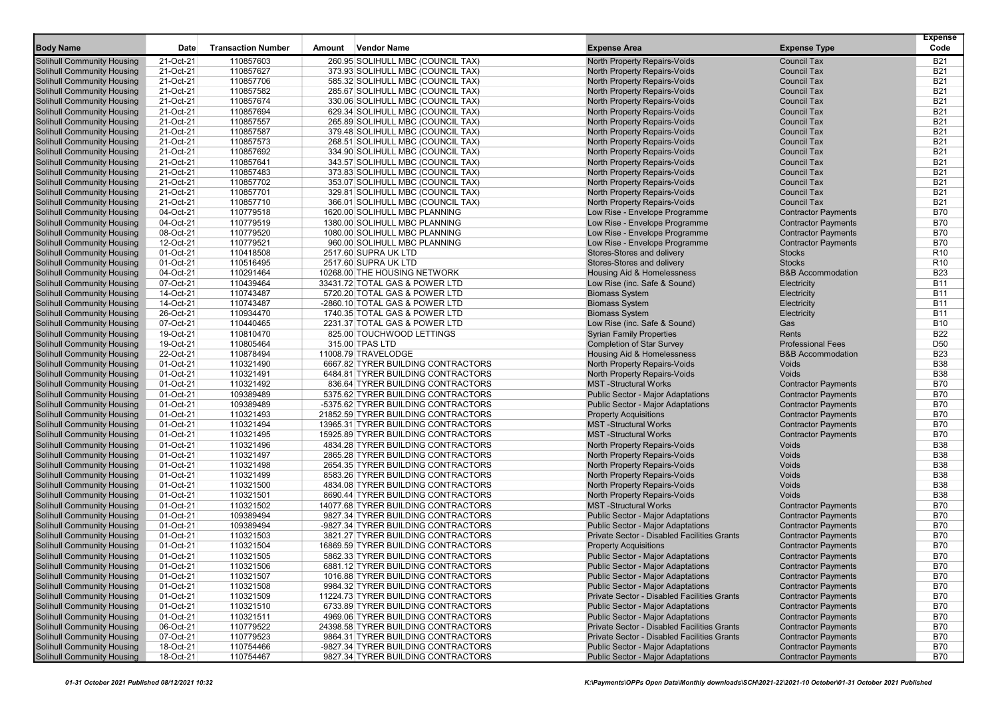| <b>Body Name</b>                                                       | <b>Date</b>            | <b>Transaction Number</b> | Amount | <b>Vendor Name</b>                                                        | <b>Expense Area</b>                                                                  | <b>Expense Type</b>                                      | <b>Expense</b><br>Code   |
|------------------------------------------------------------------------|------------------------|---------------------------|--------|---------------------------------------------------------------------------|--------------------------------------------------------------------------------------|----------------------------------------------------------|--------------------------|
| <b>Solihull Community Housing</b>                                      | 21-Oct-21              | 110857603                 |        | 260.95 SOLIHULL MBC (COUNCIL TAX)                                         | North Property Repairs-Voids                                                         | <b>Council Tax</b>                                       | <b>B21</b>               |
| <b>Solihull Community Housing</b>                                      | 21-Oct-21              | 110857627                 |        | 373.93 SOLIHULL MBC (COUNCIL TAX)                                         | North Property Repairs-Voids                                                         | <b>Council Tax</b>                                       | <b>B21</b>               |
| <b>Solihull Community Housing</b>                                      | 21-Oct-21              | 110857706                 |        | 585.32 SOLIHULL MBC (COUNCIL TAX)                                         | North Property Repairs-Voids                                                         | <b>Council Tax</b>                                       | <b>B21</b>               |
| <b>Solihull Community Housing</b>                                      | 21-Oct-21              | 110857582                 |        | 285.67 SOLIHULL MBC (COUNCIL TAX)                                         | North Property Repairs-Voids                                                         | <b>Council Tax</b>                                       | <b>B21</b>               |
| <b>Solihull Community Housing</b>                                      | 21-Oct-21              | 110857674                 |        | 330.06 SOLIHULL MBC (COUNCIL TAX)                                         | North Property Repairs-Voids                                                         | <b>Council Tax</b>                                       | <b>B21</b>               |
| <b>Solihull Community Housing</b>                                      | 21-Oct-21              | 110857694                 |        | 629.34 SOLIHULL MBC (COUNCIL TAX)                                         | North Property Repairs-Voids                                                         | <b>Council Tax</b>                                       | <b>B21</b>               |
| <b>Solihull Community Housing</b>                                      | 21-Oct-21              | 110857557                 |        | 265.89 SOLIHULL MBC (COUNCIL TAX)                                         | <b>North Property Repairs-Voids</b>                                                  | <b>Council Tax</b>                                       | <b>B21</b>               |
| <b>Solihull Community Housing</b>                                      | 21-Oct-21              | 110857587                 |        | 379.48 SOLIHULL MBC (COUNCIL TAX)                                         | <b>North Property Repairs-Voids</b>                                                  | <b>Council Tax</b>                                       | <b>B21</b>               |
| <b>Solihull Community Housing</b>                                      | 21-Oct-21              | 110857573                 |        | 268.51 SOLIHULL MBC (COUNCIL TAX)                                         | North Property Repairs-Voids                                                         | <b>Council Tax</b>                                       | <b>B21</b>               |
| <b>Solihull Community Housing</b>                                      | 21-Oct-21              | 110857692                 |        | 334.90 SOLIHULL MBC (COUNCIL TAX)                                         | North Property Repairs-Voids                                                         | <b>Council Tax</b>                                       | <b>B21</b>               |
| <b>Solihull Community Housing</b>                                      | 21-Oct-21              | 110857641                 |        | 343.57 SOLIHULL MBC (COUNCIL TAX)                                         | North Property Repairs-Voids                                                         | <b>Council Tax</b>                                       | <b>B21</b>               |
| <b>Solihull Community Housing</b>                                      | 21-Oct-21              | 110857483                 |        | 373.83 SOLIHULL MBC (COUNCIL TAX)                                         | North Property Repairs-Voids                                                         | <b>Council Tax</b>                                       | <b>B21</b>               |
| <b>Solihull Community Housing</b>                                      | 21-Oct-21              | 110857702                 |        | 353.07 SOLIHULL MBC (COUNCIL TAX)                                         | North Property Repairs-Voids                                                         | <b>Council Tax</b>                                       | <b>B21</b>               |
| <b>Solihull Community Housing</b>                                      | 21-Oct-21              | 110857701                 |        | 329.81 SOLIHULL MBC (COUNCIL TAX)                                         | <b>North Property Repairs-Voids</b>                                                  | <b>Council Tax</b>                                       | <b>B21</b>               |
| <b>Solihull Community Housing</b>                                      | 21-Oct-21              | 110857710                 |        | 366.01 SOLIHULL MBC (COUNCIL TAX)                                         | <b>North Property Repairs-Voids</b>                                                  | <b>Council Tax</b>                                       | <b>B21</b>               |
| <b>Solihull Community Housing</b>                                      | 04-Oct-21              | 110779518                 |        | 1620.00 SOLIHULL MBC PLANNING                                             | Low Rise - Envelope Programme                                                        | <b>Contractor Payments</b>                               | <b>B70</b>               |
| <b>Solihull Community Housing</b>                                      | 04-Oct-21              | 110779519                 |        | 1380.00 SOLIHULL MBC PLANNING                                             | Low Rise - Envelope Programme                                                        | <b>Contractor Payments</b>                               | <b>B70</b>               |
| <b>Solihull Community Housing</b>                                      | 08-Oct-21              | 110779520                 |        | 1080.00 SOLIHULL MBC PLANNING                                             | Low Rise - Envelope Programme                                                        | <b>Contractor Payments</b>                               | <b>B70</b>               |
| <b>Solihull Community Housing</b>                                      | 12-Oct-21              | 110779521                 |        | 960.00 SOLIHULL MBC PLANNING                                              | Low Rise - Envelope Programme                                                        | <b>Contractor Payments</b>                               | <b>B70</b>               |
| <b>Solihull Community Housing</b>                                      | $01-Oct-21$            | 110418508                 |        | 2517.60 SUPRA UK LTD                                                      | Stores-Stores and delivery                                                           | <b>Stocks</b>                                            | R <sub>10</sub>          |
| <b>Solihull Community Housing</b>                                      | 01-Oct-21              | 110516495                 |        | 2517.60 SUPRA UK LTD                                                      | Stores-Stores and delivery                                                           | <b>Stocks</b>                                            | R <sub>10</sub>          |
| <b>Solihull Community Housing</b>                                      | 04-Oct-21              | 110291464<br>110439464    |        | 10268.00 THE HOUSING NETWORK<br>33431.72 TOTAL GAS & POWER LTD            | Housing Aid & Homelessness                                                           | <b>B&amp;B</b> Accommodation                             | <b>B23</b><br><b>B11</b> |
| <b>Solihull Community Housing</b>                                      | 07-Oct-21<br>14-Oct-21 | 110743487                 |        | 5720.20 TOTAL GAS & POWER LTD                                             | Low Rise (inc. Safe & Sound)<br><b>Biomass System</b>                                | Electricity                                              | <b>B11</b>               |
| <b>Solihull Community Housing</b><br><b>Solihull Community Housing</b> | 14-Oct-21              | 110743487                 |        | -2860.10 TOTAL GAS & POWER LTD                                            | <b>Biomass System</b>                                                                | Electricity<br>Electricity                               | <b>B11</b>               |
| <b>Solihull Community Housing</b>                                      | 26-Oct-21              | 110934470                 |        | 1740.35 TOTAL GAS & POWER LTD                                             | <b>Biomass System</b>                                                                | Electricity                                              | <b>B11</b>               |
| <b>Solihull Community Housing</b>                                      | 07-Oct-21              | 110440465                 |        | 2231.37 TOTAL GAS & POWER LTD                                             | Low Rise (inc. Safe & Sound)                                                         | Gas                                                      | <b>B10</b>               |
| <b>Solihull Community Housing</b>                                      | 19-Oct-21              | 110810470                 |        | 825.00 TOUCHWOOD LETTINGS                                                 | <b>Syrian Family Properties</b>                                                      | Rents                                                    | <b>B22</b>               |
| <b>Solihull Community Housing</b>                                      | 19-Oct-21              | 110805464                 |        | 315.00 TPAS LTD                                                           | <b>Completion of Star Survey</b>                                                     | <b>Professional Fees</b>                                 | D <sub>50</sub>          |
| <b>Solihull Community Housing</b>                                      | 22-Oct-21              | 110878494                 |        | 11008.79 TRAVELODGE                                                       | <b>Housing Aid &amp; Homelessness</b>                                                | <b>B&amp;B Accommodation</b>                             | <b>B23</b>               |
| <b>Solihull Community Housing</b>                                      | 01-Oct-21              | 110321490                 |        | 6667.82 TYRER BUILDING CONTRACTORS                                        | North Property Repairs-Voids                                                         | Voids                                                    | <b>B38</b>               |
| <b>Solihull Community Housing</b>                                      | 01-Oct-21              | 110321491                 |        | 6484.81 TYRER BUILDING CONTRACTORS                                        | North Property Repairs-Voids                                                         | Voids                                                    | <b>B38</b>               |
| <b>Solihull Community Housing</b>                                      | 01-Oct-21              | 110321492                 |        | 836.64 TYRER BUILDING CONTRACTORS                                         | <b>MST-Structural Works</b>                                                          | <b>Contractor Payments</b>                               | <b>B70</b>               |
| <b>Solihull Community Housing</b>                                      | 01-Oct-21              | 109389489                 |        | 5375.62 TYRER BUILDING CONTRACTORS                                        | <b>Public Sector - Major Adaptations</b>                                             | <b>Contractor Payments</b>                               | <b>B70</b>               |
| <b>Solihull Community Housing</b>                                      | 01-Oct-21              | 109389489                 |        | -5375.62 TYRER BUILDING CONTRACTORS                                       | <b>Public Sector - Major Adaptations</b>                                             | <b>Contractor Payments</b>                               | <b>B70</b>               |
| <b>Solihull Community Housing</b>                                      | 01-Oct-21              | 110321493                 |        | 21852.59 TYRER BUILDING CONTRACTORS                                       | <b>Property Acquisitions</b>                                                         | <b>Contractor Payments</b>                               | <b>B70</b>               |
| <b>Solihull Community Housing</b>                                      | 01-Oct-21              | 110321494                 |        | 13965.31 TYRER BUILDING CONTRACTORS                                       | <b>MST</b> -Structural Works                                                         | <b>Contractor Payments</b>                               | <b>B70</b>               |
| <b>Solihull Community Housing</b>                                      | 01-Oct-21              | 110321495                 |        | 15925.89 TYRER BUILDING CONTRACTORS                                       | <b>MST-Structural Works</b>                                                          | <b>Contractor Payments</b>                               | <b>B70</b>               |
| <b>Solihull Community Housing</b>                                      | 01-Oct-21              | 110321496                 |        | 4834.28 TYRER BUILDING CONTRACTORS                                        | North Property Repairs-Voids                                                         | Voids                                                    | <b>B38</b>               |
| <b>Solihull Community Housing</b>                                      | 01-Oct-21              | 110321497                 |        | 2865.28 TYRER BUILDING CONTRACTORS                                        | <b>North Property Repairs-Voids</b>                                                  | Voids                                                    | <b>B38</b>               |
| <b>Solihull Community Housing</b>                                      | 01-Oct-21              | 110321498                 |        | 2654.35 TYRER BUILDING CONTRACTORS                                        | North Property Repairs-Voids                                                         | Voids                                                    | <b>B38</b>               |
| <b>Solihull Community Housing</b>                                      | 01-Oct-21              | 110321499                 |        | 8583.26 TYRER BUILDING CONTRACTORS                                        | North Property Repairs-Voids                                                         | Voids                                                    | <b>B38</b>               |
| <b>Solihull Community Housing</b>                                      | 01-Oct-21              | 110321500                 |        | 4834.08 TYRER BUILDING CONTRACTORS                                        | North Property Repairs-Voids                                                         | Voids                                                    | <b>B38</b>               |
| <b>Solihull Community Housing</b>                                      | 01-Oct-21              | 110321501                 |        | 8690.44 TYRER BUILDING CONTRACTORS<br>14077.68 TYRER BUILDING CONTRACTORS | North Property Repairs-Voids                                                         | Voids                                                    | <b>B38</b>               |
| <b>Solihull Community Housing</b><br><b>Solihull Community Housing</b> | 01-Oct-21<br>01-Oct-21 | 110321502<br>109389494    |        |                                                                           | <b>MST-Structural Works</b>                                                          | <b>Contractor Payments</b>                               | <b>B70</b><br><b>B70</b> |
| <b>Solihull Community Housing</b>                                      | 01-Oct-21              | 109389494                 |        | 9827.34 TYRER BUILDING CONTRACTORS<br>-9827.34 TYRER BUILDING CONTRACTORS | <b>Public Sector - Major Adaptations</b><br><b>Public Sector - Major Adaptations</b> | <b>Contractor Payments</b><br><b>Contractor Payments</b> | <b>B70</b>               |
| <b>Solihull Community Housing</b>                                      | 01-Oct-21              | 110321503                 |        | 3821.27 TYRER BUILDING CONTRACTORS                                        | Private Sector - Disabled Facilities Grants                                          | <b>Contractor Payments</b>                               | <b>B70</b>               |
| <b>Solihull Community Housing</b>                                      | 01-Oct-21              | 110321504                 |        | 16869.59 TYRER BUILDING CONTRACTORS                                       | <b>Property Acquisitions</b>                                                         | <b>Contractor Payments</b>                               | <b>B70</b>               |
| <b>Solihull Community Housing</b>                                      | 01-Oct-21              | 110321505                 |        | 5862.33 TYRER BUILDING CONTRACTORS                                        | Public Sector - Major Adaptations                                                    | <b>Contractor Payments</b>                               | <b>B70</b>               |
| <b>Solihull Community Housing</b>                                      | 01-Oct-21              | 110321506                 |        | 6881.12 TYRER BUILDING CONTRACTORS                                        | Public Sector - Major Adaptations                                                    | <b>Contractor Payments</b>                               | B70                      |
| <b>Solihull Community Housing</b>                                      | 01-Oct-21              | 110321507                 |        | 1016.88 TYRER BUILDING CONTRACTORS                                        | Public Sector - Major Adaptations                                                    | <b>Contractor Payments</b>                               | <b>B70</b>               |
| <b>Solihull Community Housing</b>                                      | 01-Oct-21              | 110321508                 |        | 9984.32 TYRER BUILDING CONTRACTORS                                        | Public Sector - Major Adaptations                                                    | <b>Contractor Payments</b>                               | <b>B70</b>               |
| <b>Solihull Community Housing</b>                                      | 01-Oct-21              | 110321509                 |        | 11224.73 TYRER BUILDING CONTRACTORS                                       | Private Sector - Disabled Facilities Grants                                          | <b>Contractor Payments</b>                               | <b>B70</b>               |
| <b>Solihull Community Housing</b>                                      | 01-Oct-21              | 110321510                 |        | 6733.89 TYRER BUILDING CONTRACTORS                                        | Public Sector - Major Adaptations                                                    | <b>Contractor Payments</b>                               | <b>B70</b>               |
| <b>Solihull Community Housing</b>                                      | 01-Oct-21              | 110321511                 |        | 4969.06 TYRER BUILDING CONTRACTORS                                        | <b>Public Sector - Major Adaptations</b>                                             | <b>Contractor Payments</b>                               | <b>B70</b>               |
| <b>Solihull Community Housing</b>                                      | 06-Oct-21              | 110779522                 |        | 24398.58 TYRER BUILDING CONTRACTORS                                       | Private Sector - Disabled Facilities Grants                                          | <b>Contractor Payments</b>                               | <b>B70</b>               |
| <b>Solihull Community Housing</b>                                      | 07-Oct-21              | 110779523                 |        | 9864.31 TYRER BUILDING CONTRACTORS                                        | Private Sector - Disabled Facilities Grants                                          | <b>Contractor Payments</b>                               | <b>B70</b>               |
| <b>Solihull Community Housing</b>                                      | 18-Oct-21              | 110754466                 |        | -9827.34 TYRER BUILDING CONTRACTORS                                       | Public Sector - Major Adaptations                                                    | <b>Contractor Payments</b>                               | <b>B70</b>               |
| <b>Solihull Community Housing</b>                                      | 18-Oct-21              | 110754467                 |        | 9827.34 TYRER BUILDING CONTRACTORS                                        | Public Sector - Major Adaptations                                                    | <b>Contractor Payments</b>                               | B70                      |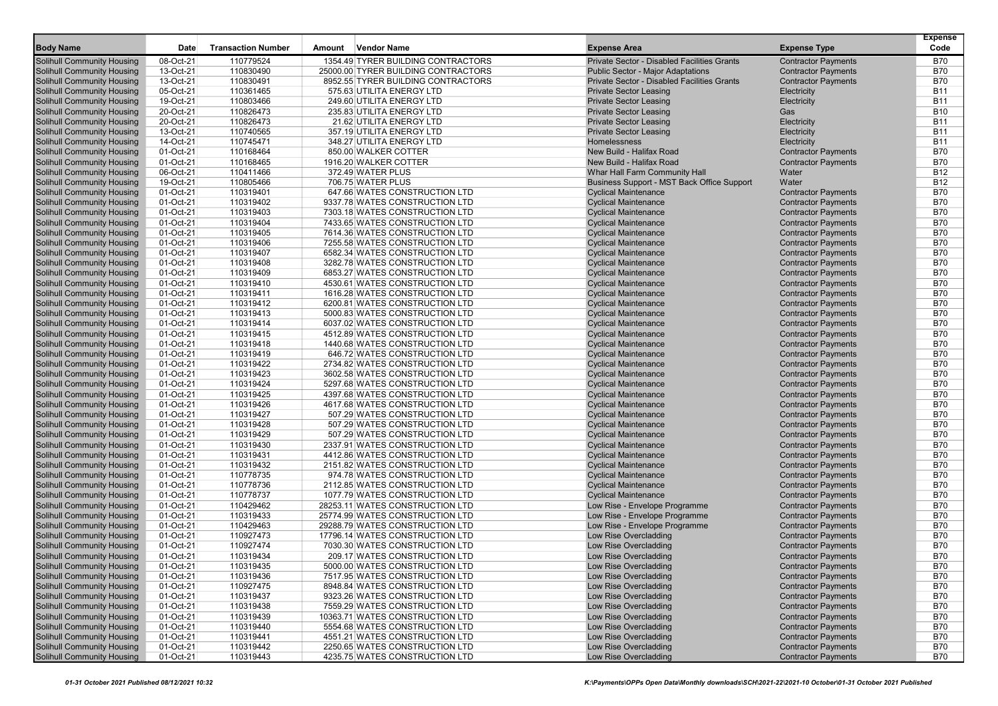| <b>Body Name</b>                                                | Date                   | <b>Transaction Number</b> | <b>Vendor Name</b><br>Amount                                       | <b>Expense Area</b>                                | <b>Expense Type</b>                                      | <b>Expense</b><br>Code   |
|-----------------------------------------------------------------|------------------------|---------------------------|--------------------------------------------------------------------|----------------------------------------------------|----------------------------------------------------------|--------------------------|
| <b>Solihull Community Housing</b>                               | 08-Oct-21              | 110779524                 | 1354.49 TYRER BUILDING CONTRACTORS                                 | <b>Private Sector - Disabled Facilities Grants</b> | <b>Contractor Payments</b>                               | <b>B70</b>               |
| <b>Solihull Community Housing</b>                               | 13-Oct-21              | 110830490                 | 25000.00 TYRER BUILDING CONTRACTORS                                | <b>Public Sector - Major Adaptations</b>           | <b>Contractor Payments</b>                               | B70                      |
| <b>Solihull Community Housing</b>                               | 13-Oct-21              | 110830491                 | 8952.55 TYRER BUILDING CONTRACTORS                                 | Private Sector - Disabled Facilities Grants        | <b>Contractor Payments</b>                               | <b>B70</b>               |
| <b>Solihull Community Housing</b>                               | 05-Oct-21              | 110361465                 | 575.63 UTILITA ENERGY LTD                                          | <b>Private Sector Leasing</b>                      | Electricity                                              | <b>B11</b>               |
| <b>Solihull Community Housing</b>                               | 19-Oct-21              | 110803466                 | 249.60 UTILITA ENERGY LTD                                          | <b>Private Sector Leasing</b>                      | Electricity                                              | B11                      |
| <b>Solihull Community Housing</b>                               | 20-Oct-21              | 110826473                 | 235.83 UTILITA ENERGY LTD                                          | <b>Private Sector Leasing</b>                      | Gas                                                      | <b>B10</b>               |
| <b>Solihull Community Housing</b>                               | 20-Oct-21              | 110826473                 | 21.62 UTILITA ENERGY LTD                                           | <b>Private Sector Leasing</b>                      | Electricity                                              | B11                      |
| <b>Solihull Community Housing</b>                               | 13-Oct-21              | 110740565                 | 357.19 UTILITA ENERGY LTD                                          | <b>Private Sector Leasing</b>                      | Electricity                                              | <b>B11</b>               |
| <b>Solihull Community Housing</b>                               | 14-Oct-21              | 110745471                 | 348.27 UTILITA ENERGY LTD                                          | Homelessness                                       | Electricity                                              | <b>B11</b>               |
| Solihull Community Housing                                      | 01-Oct-21              | 110168464                 | 850.00 WALKER COTTER                                               | New Build - Halifax Road                           | <b>Contractor Payments</b>                               | <b>B70</b>               |
| <b>Solihull Community Housing</b>                               | 01-Oct-21              | 110168465                 | 1916.20 WALKER COTTER                                              | New Build - Halifax Road                           | <b>Contractor Payments</b>                               | B70                      |
| <b>Solihull Community Housing</b>                               | 06-Oct-21              | 110411466                 | 372.49 WATER PLUS                                                  | Whar Hall Farm Community Hall                      | Water                                                    | B12                      |
| <b>Solihull Community Housing</b>                               | 19-Oct-21              | 110805466                 | 706.75 WATER PLUS                                                  | Business Support - MST Back Office Support         | Water                                                    | B12                      |
| <b>Solihull Community Housing</b>                               | 01-Oct-21              | 110319401                 | 647.66 WATES CONSTRUCTION LTD                                      | <b>Cyclical Maintenance</b>                        | <b>Contractor Payments</b>                               | <b>B70</b>               |
| <b>Solihull Community Housing</b>                               | 01-Oct-21              | 110319402                 | 9337.78 WATES CONSTRUCTION LTD                                     | <b>Cyclical Maintenance</b>                        | <b>Contractor Payments</b>                               | <b>B70</b>               |
| <b>Solihull Community Housing</b>                               | 01-Oct-21              | 110319403                 | 7303.18 WATES CONSTRUCTION LTD                                     | <b>Cyclical Maintenance</b>                        | <b>Contractor Payments</b>                               | <b>B70</b>               |
| <b>Solihull Community Housing</b>                               | 01-Oct-21              | 110319404                 | 7433.65 WATES CONSTRUCTION LTD                                     | <b>Cyclical Maintenance</b>                        | <b>Contractor Payments</b>                               | <b>B70</b>               |
| <b>Solihull Community Housing</b>                               | 01-Oct-21              | 110319405                 | 7614.36 WATES CONSTRUCTION LTD                                     | <b>Cyclical Maintenance</b>                        | <b>Contractor Payments</b>                               | B70                      |
| <b>Solihull Community Housing</b>                               | 01-Oct-21              | 110319406                 | 7255.58 WATES CONSTRUCTION LTD                                     | <b>Cyclical Maintenance</b>                        | <b>Contractor Payments</b>                               | <b>B70</b>               |
| <b>Solihull Community Housing</b>                               | 01-Oct-21              | 110319407                 | 6582.34 WATES CONSTRUCTION LTD                                     | <b>Cyclical Maintenance</b>                        | <b>Contractor Payments</b>                               | <b>B70</b>               |
| <b>Solihull Community Housing</b>                               | 01-Oct-21              | 110319408                 | 3282.78 WATES CONSTRUCTION LTD                                     | <b>Cyclical Maintenance</b>                        | <b>Contractor Payments</b>                               | <b>B70</b>               |
| <b>Solihull Community Housing</b>                               | 01-Oct-21              | 110319409                 | 6853.27 WATES CONSTRUCTION LTD                                     | <b>Cyclical Maintenance</b>                        | <b>Contractor Payments</b>                               | <b>B70</b>               |
| <b>Solihull Community Housing</b>                               | 01-Oct-21              | 110319410                 | 4530.61 WATES CONSTRUCTION LTD                                     | <b>Cyclical Maintenance</b>                        | <b>Contractor Payments</b>                               | <b>B70</b>               |
| <b>Solihull Community Housing</b>                               | 01-Oct-21              | 110319411                 | 1616.28 WATES CONSTRUCTION LTD                                     | <b>Cyclical Maintenance</b>                        | <b>Contractor Payments</b>                               | <b>B70</b>               |
| <b>Solihull Community Housing</b>                               | 01-Oct-21              | 110319412                 | 6200.81 WATES CONSTRUCTION LTD                                     | <b>Cyclical Maintenance</b>                        | <b>Contractor Payments</b>                               | <b>B70</b>               |
| <b>Solihull Community Housing</b>                               | 01-Oct-21              | 110319413                 | 5000.83 WATES CONSTRUCTION LTD                                     | <b>Cyclical Maintenance</b>                        | <b>Contractor Payments</b>                               | <b>B70</b>               |
| <b>Solihull Community Housing</b>                               | 01-Oct-21              | 110319414                 | 6037.02 WATES CONSTRUCTION LTD                                     | <b>Cyclical Maintenance</b>                        | <b>Contractor Payments</b>                               | <b>B70</b>               |
| <b>Solihull Community Housing</b>                               | 01-Oct-21              | 110319415                 | 4512.89 WATES CONSTRUCTION LTD                                     | <b>Cyclical Maintenance</b>                        | <b>Contractor Payments</b>                               | <b>B70</b>               |
| <b>Solihull Community Housing</b>                               | 01-Oct-21              | 110319418                 | 1440.68 WATES CONSTRUCTION LTD                                     | <b>Cyclical Maintenance</b>                        | <b>Contractor Payments</b>                               | <b>B70</b>               |
| Solihull Community Housing                                      | 01-Oct-21              | 110319419                 | 646.72 WATES CONSTRUCTION LTD                                      | <b>Cyclical Maintenance</b>                        | <b>Contractor Payments</b>                               | B70                      |
| <b>Solihull Community Housing</b>                               | $01-Oct-21$            | 110319422                 | 2734.82 WATES CONSTRUCTION LTD                                     | <b>Cyclical Maintenance</b>                        | <b>Contractor Payments</b>                               | B70                      |
| <b>Solihull Community Housing</b>                               | 01-Oct-21              | 110319423                 | 3602.58 WATES CONSTRUCTION LTD                                     | <b>Cyclical Maintenance</b>                        | <b>Contractor Payments</b>                               | <b>B70</b>               |
| <b>Solihull Community Housing</b>                               | 01-Oct-21              | 110319424                 | 5297.68 WATES CONSTRUCTION LTD                                     | <b>Cyclical Maintenance</b>                        | <b>Contractor Payments</b>                               | <b>B70</b>               |
| <b>Solihull Community Housing</b>                               | 01-Oct-21              | 110319425                 | 4397.68 WATES CONSTRUCTION LTD                                     | <b>Cyclical Maintenance</b>                        | <b>Contractor Payments</b>                               | <b>B70</b>               |
| Solihull Community Housing                                      | 01-Oct-21              | 110319426                 | 4617.68 WATES CONSTRUCTION LTD                                     | <b>Cyclical Maintenance</b>                        | <b>Contractor Payments</b>                               | <b>B70</b>               |
| <b>Solihull Community Housing</b>                               | 01-Oct-21              | 110319427                 | 507.29 WATES CONSTRUCTION LTD                                      | <b>Cyclical Maintenance</b>                        | <b>Contractor Payments</b>                               | B70                      |
| <b>Solihull Community Housing</b>                               | 01-Oct-21              | 110319428                 | 507.29 WATES CONSTRUCTION LTD                                      | <b>Cyclical Maintenance</b>                        | <b>Contractor Payments</b>                               | <b>B70</b>               |
| <b>Solihull Community Housing</b>                               | 01-Oct-21              | 110319429                 | 507.29 WATES CONSTRUCTION LTD                                      | <b>Cyclical Maintenance</b>                        | <b>Contractor Payments</b>                               | <b>B70</b>               |
| <b>Solihull Community Housing</b>                               | 01-Oct-21              | 110319430                 | 2337.91 WATES CONSTRUCTION LTD                                     | <b>Cyclical Maintenance</b>                        | <b>Contractor Payments</b>                               | <b>B70</b>               |
| <b>Solihull Community Housing</b>                               | 01-Oct-21              | 110319431                 | 4412.86 WATES CONSTRUCTION LTD                                     | <b>Cyclical Maintenance</b>                        | <b>Contractor Payments</b>                               | <b>B70</b>               |
| Solihull Community Housing                                      | 01-Oct-21              | 110319432                 | 2151.82 WATES CONSTRUCTION LTD                                     | <b>Cyclical Maintenance</b>                        | <b>Contractor Payments</b>                               | <b>B70</b>               |
| <b>Solihull Community Housing</b>                               | 01-Oct-21              | 110778735                 | 974.78 WATES CONSTRUCTION LTD                                      | <b>Cyclical Maintenance</b>                        | <b>Contractor Payments</b>                               | <b>B70</b>               |
| <b>Solihull Community Housing</b>                               | 01-Oct-21              | 110778736                 | 2112.85 WATES CONSTRUCTION LTD                                     | <b>Cyclical Maintenance</b>                        | <b>Contractor Payments</b>                               | B70                      |
| <b>Solihull Community Housing</b>                               | 01-Oct-21              | 110778737                 | 1077.79 WATES CONSTRUCTION LTD<br>28253.11 WATES CONSTRUCTION LTD  | <b>Cyclical Maintenance</b>                        | <b>Contractor Payments</b>                               | <b>B70</b>               |
| <b>Solihull Community Housing</b>                               | 01-Oct-21              | 110429462                 |                                                                    | Low Rise - Envelope Programme                      | <b>Contractor Payments</b>                               | <b>B70</b>               |
| <b>Solihull Community Housing</b>                               | 01-Oct-21              | 110319433                 | 25774.99 WATES CONSTRUCTION LTD<br>29288.79 WATES CONSTRUCTION LTD | Low Rise - Envelope Programme                      | <b>Contractor Payments</b>                               | <b>B70</b><br><b>B70</b> |
| <b>Solihull Community Housing</b>                               | 01-Oct-21              | 110429463<br>110927473    | 17796.14 WATES CONSTRUCTION LTD                                    | Low Rise - Envelope Programme                      | <b>Contractor Payments</b>                               | <b>B70</b>               |
| Solihull Community Housing                                      | 01-Oct-21<br>01-Oct-21 | 110927474                 | 7030.30 WATES CONSTRUCTION LTD                                     | Low Rise Overcladding                              | <b>Contractor Payments</b>                               | B70                      |
| Solihull Community Housing                                      | 01-Oct-21              | 110319434                 | 209.17 WATES CONSTRUCTION LTD                                      | Low Rise Overcladding                              | <b>Contractor Payments</b><br><b>Contractor Payments</b> | <b>B70</b>               |
| <b>Solihull Community Housing</b>                               |                        |                           |                                                                    | Low Rise Overcladding                              |                                                          |                          |
| Solihull Community Housing<br><b>Solihull Community Housing</b> | 01-Oct-21<br>01-Oct-21 | 110319435<br>110319436    | 5000.00 WATES CONSTRUCTION LTD<br>7517.95 WATES CONSTRUCTION LTD   | Low Rise Overcladding<br>Low Rise Overcladding     | <b>Contractor Payments</b><br><b>Contractor Payments</b> | B70<br><b>B70</b>        |
| <b>Solihull Community Housing</b>                               | 01-Oct-21              | 110927475                 | 8948.84 WATES CONSTRUCTION LTD                                     | Low Rise Overcladding                              | <b>Contractor Payments</b>                               | B70                      |
| <b>Solihull Community Housing</b>                               | 01-Oct-21              | 110319437                 | 9323.26 WATES CONSTRUCTION LTD                                     | Low Rise Overcladding                              | <b>Contractor Payments</b>                               | B70                      |
| <b>Solihull Community Housing</b>                               | 01-Oct-21              | 110319438                 | 7559.29 WATES CONSTRUCTION LTD                                     | Low Rise Overcladding                              | <b>Contractor Payments</b>                               | B70                      |
| <b>Solihull Community Housing</b>                               | 01-Oct-21              | 110319439                 | 10363.71 WATES CONSTRUCTION LTD                                    | Low Rise Overcladding                              | <b>Contractor Payments</b>                               | B70                      |
| <b>Solihull Community Housing</b>                               | 01-Oct-21              | 110319440                 | 5554.68 WATES CONSTRUCTION LTD                                     | Low Rise Overcladding                              | <b>Contractor Payments</b>                               | B70                      |
| <b>Solihull Community Housing</b>                               | 01-Oct-21              | 110319441                 | 4551.21 WATES CONSTRUCTION LTD                                     | Low Rise Overcladding                              | <b>Contractor Payments</b>                               | B70                      |
| <b>Solihull Community Housing</b>                               | 01-Oct-21              | 110319442                 | 2250.65 WATES CONSTRUCTION LTD                                     | Low Rise Overcladding                              | <b>Contractor Payments</b>                               | B70                      |
| <b>Solihull Community Housing</b>                               | 01-Oct-21              | 110319443                 | 4235.75 WATES CONSTRUCTION LTD                                     | Low Rise Overcladding                              | <b>Contractor Payments</b>                               | B70                      |